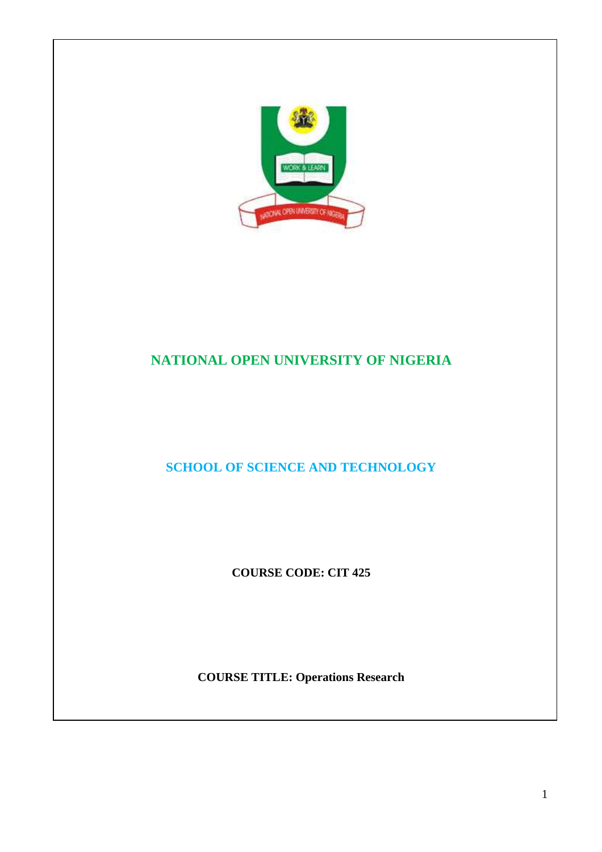

# **NATIONAL OPEN UNIVERSITY OF NIGERIA**

**SCHOOL OF SCIENCE AND TECHNOLOGY** 

**COURSE CODE: CIT 425** 

**COURSE TITLE: Operations Research**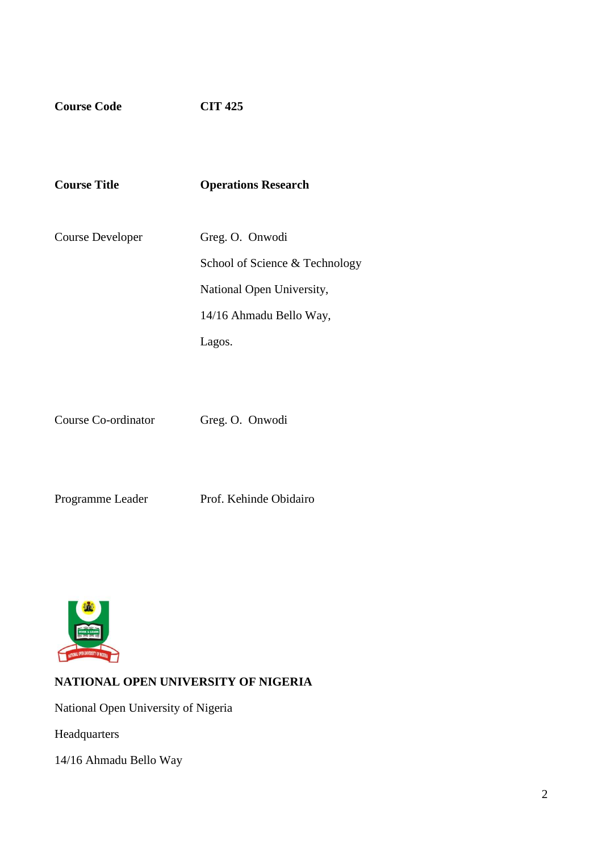**Course Code CIT 425** 

| <b>Course Title</b> | <b>Operations Research</b>     |
|---------------------|--------------------------------|
| Course Developer    | Greg. O. Onwodi                |
|                     | School of Science & Technology |
|                     | National Open University,      |
|                     | 14/16 Ahmadu Bello Way,        |
|                     | Lagos.                         |

Course Co-ordinator Greg. O. Onwodi

Programme Leader Prof. Kehinde Obidairo



# **NATIONAL OPEN UNIVERSITY OF NIGERIA**

National Open University of Nigeria

Headquarters

14/16 Ahmadu Bello Way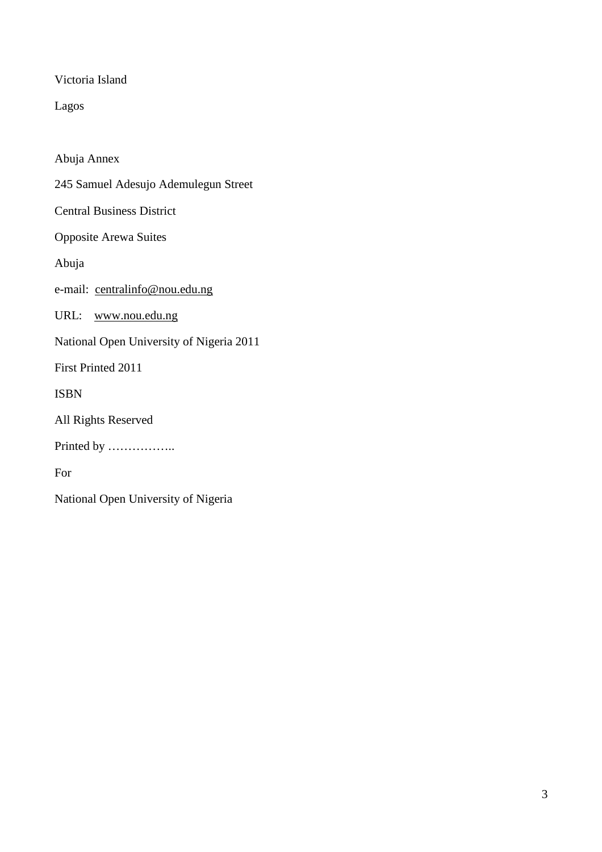Victoria Island

Lagos

Abuja Annex 245 Samuel Adesujo Ademulegun Street Central Business District Opposite Arewa Suites Abuja e-mail: centralinfo@nou.edu.ng URL: www.nou.edu.ng National Open University of Nigeria 2011 First Printed 2011 ISBN All Rights Reserved Printed by …………….. For National Open University of Nigeria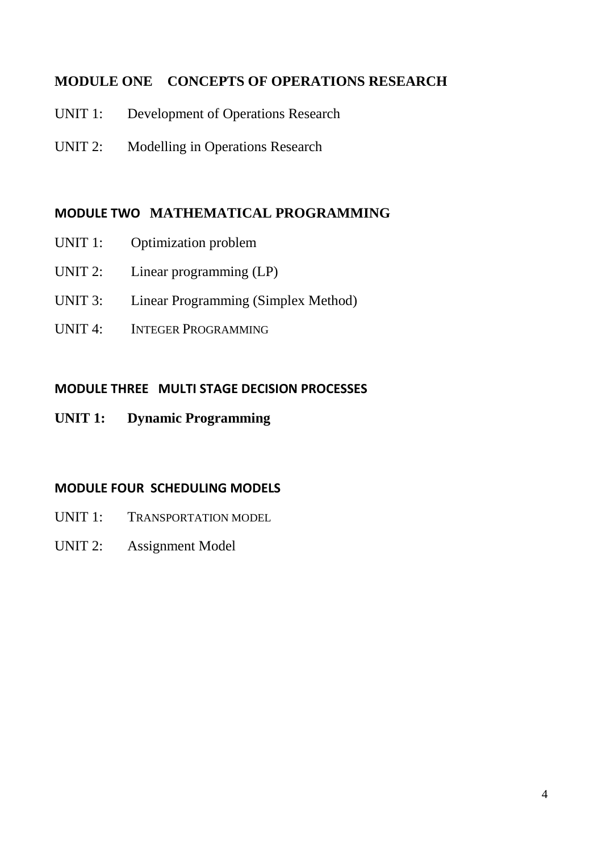# **MODULE ONE CONCEPTS OF OPERATIONS RESEARCH**

- UNIT 1: Development of Operations Research
- UNIT 2: Modelling in Operations Research

# **MODULE TWO MATHEMATICAL PROGRAMMING**

- UNIT 1: Optimization problem
- UNIT 2: Linear programming (LP)
- UNIT 3: Linear Programming (Simplex Method)
- UNIT 4: INTEGER PROGRAMMING

# **MODULE THREE MULTI STAGE DECISION PROCESSES**

**UNIT 1: Dynamic Programming** 

# **MODULE FOUR SCHEDULING MODELS**

- UNIT 1: TRANSPORTATION MODEL
- UNIT 2: Assignment Model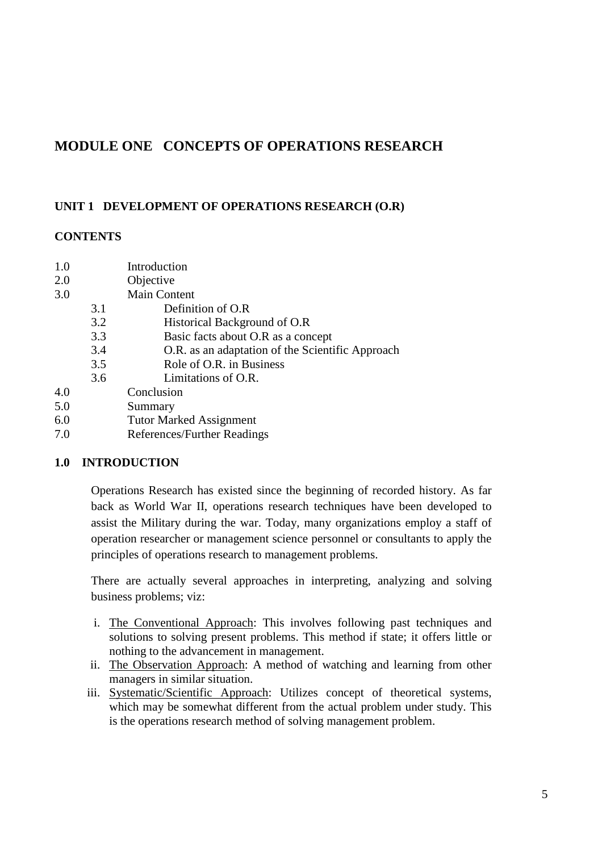# **MODULE ONE CONCEPTS OF OPERATIONS RESEARCH**

# **UNIT 1 DEVELOPMENT OF OPERATIONS RESEARCH (O.R)**

# **CONTENTS**

| 1.0 |     | Introduction                                     |
|-----|-----|--------------------------------------------------|
| 2.0 |     | Objective                                        |
| 3.0 |     | <b>Main Content</b>                              |
|     | 3.1 | Definition of O.R                                |
|     | 3.2 | Historical Background of O.R                     |
|     | 3.3 | Basic facts about O.R as a concept               |
|     | 3.4 | O.R. as an adaptation of the Scientific Approach |
|     | 3.5 | Role of O.R. in Business                         |
|     | 3.6 | Limitations of O.R.                              |
| 4.0 |     | Conclusion                                       |
| 5.0 |     | Summary                                          |
| 6.0 |     | <b>Tutor Marked Assignment</b>                   |

7.0 References/Further Readings

# **1.0 INTRODUCTION**

Operations Research has existed since the beginning of recorded history. As far back as World War II, operations research techniques have been developed to assist the Military during the war. Today, many organizations employ a staff of operation researcher or management science personnel or consultants to apply the principles of operations research to management problems.

There are actually several approaches in interpreting, analyzing and solving business problems; viz:

- i. The Conventional Approach: This involves following past techniques and solutions to solving present problems. This method if state; it offers little or nothing to the advancement in management.
- ii. The Observation Approach: A method of watching and learning from other managers in similar situation.
- iii. Systematic/Scientific Approach: Utilizes concept of theoretical systems, which may be somewhat different from the actual problem under study. This is the operations research method of solving management problem.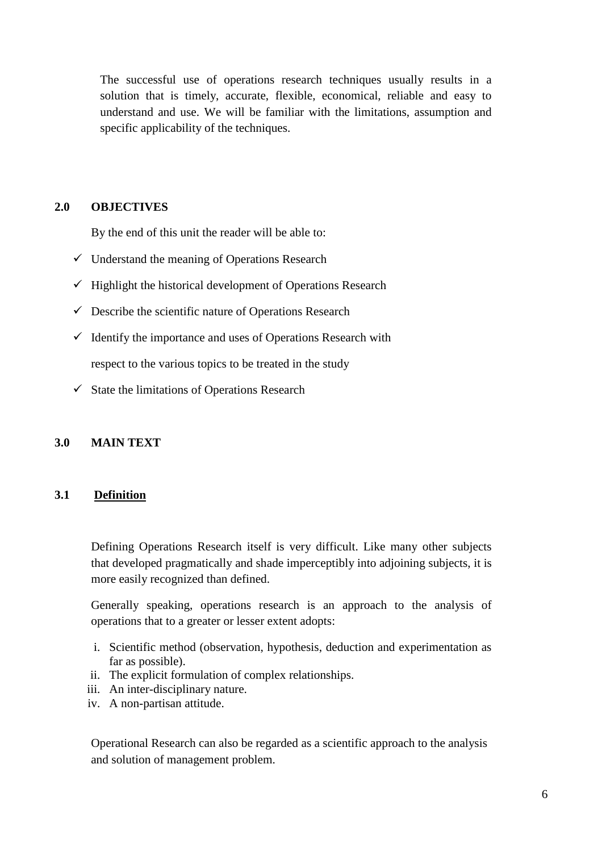The successful use of operations research techniques usually results in a solution that is timely, accurate, flexible, economical, reliable and easy to understand and use. We will be familiar with the limitations, assumption and specific applicability of the techniques.

### **2.0 OBJECTIVES**

By the end of this unit the reader will be able to:

- $\checkmark$  Understand the meaning of Operations Research
- $\checkmark$  Highlight the historical development of Operations Research
- $\checkmark$  Describe the scientific nature of Operations Research
- $\checkmark$  Identify the importance and uses of Operations Research with respect to the various topics to be treated in the study
- $\checkmark$  State the limitations of Operations Research

### **3.0 MAIN TEXT**

## **3.1 Definition**

Defining Operations Research itself is very difficult. Like many other subjects that developed pragmatically and shade imperceptibly into adjoining subjects, it is more easily recognized than defined.

Generally speaking, operations research is an approach to the analysis of operations that to a greater or lesser extent adopts:

- i. Scientific method (observation, hypothesis, deduction and experimentation as far as possible).
- ii. The explicit formulation of complex relationships.
- iii. An inter-disciplinary nature.
- iv. A non-partisan attitude.

Operational Research can also be regarded as a scientific approach to the analysis and solution of management problem.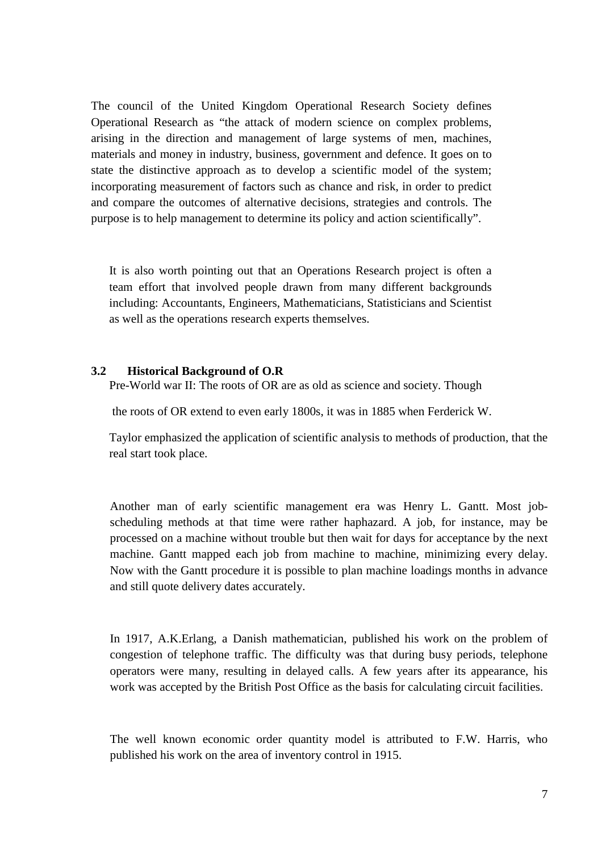The council of the United Kingdom Operational Research Society defines Operational Research as "the attack of modern science on complex problems, arising in the direction and management of large systems of men, machines, materials and money in industry, business, government and defence. It goes on to state the distinctive approach as to develop a scientific model of the system; incorporating measurement of factors such as chance and risk, in order to predict and compare the outcomes of alternative decisions, strategies and controls. The purpose is to help management to determine its policy and action scientifically".

It is also worth pointing out that an Operations Research project is often a team effort that involved people drawn from many different backgrounds including: Accountants, Engineers, Mathematicians, Statisticians and Scientist as well as the operations research experts themselves.

#### **3.2 Historical Background of O.R**

Pre-World war II: The roots of OR are as old as science and society. Though

the roots of OR extend to even early 1800s, it was in 1885 when Ferderick W.

Taylor emphasized the application of scientific analysis to methods of production, that the real start took place.

Another man of early scientific management era was Henry L. Gantt. Most jobscheduling methods at that time were rather haphazard. A job, for instance, may be processed on a machine without trouble but then wait for days for acceptance by the next machine. Gantt mapped each job from machine to machine, minimizing every delay. Now with the Gantt procedure it is possible to plan machine loadings months in advance and still quote delivery dates accurately.

In 1917, A.K.Erlang, a Danish mathematician, published his work on the problem of congestion of telephone traffic. The difficulty was that during busy periods, telephone operators were many, resulting in delayed calls. A few years after its appearance, his work was accepted by the British Post Office as the basis for calculating circuit facilities.

The well known economic order quantity model is attributed to F.W. Harris, who published his work on the area of inventory control in 1915.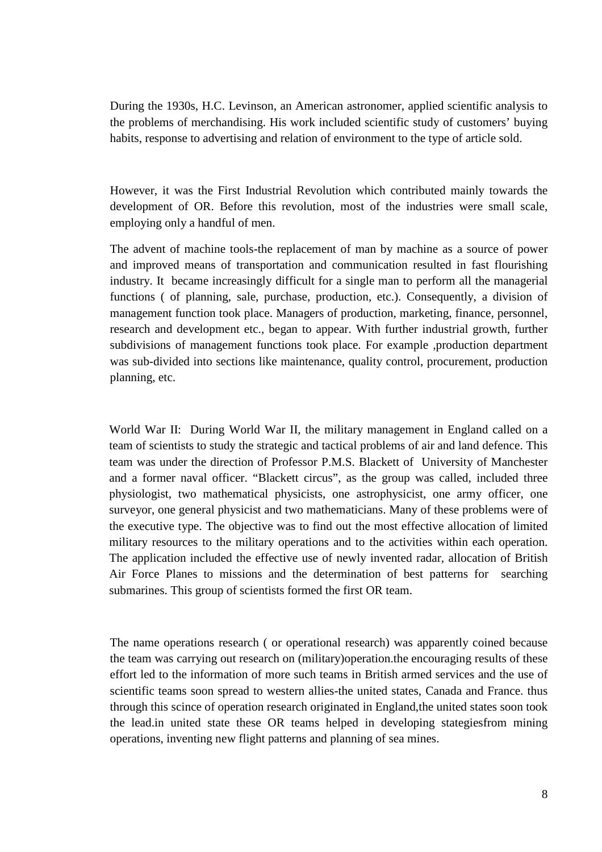During the 1930s, H.C. Levinson, an American astronomer, applied scientific analysis to the problems of merchandising. His work included scientific study of customers' buying habits, response to advertising and relation of environment to the type of article sold.

However, it was the First Industrial Revolution which contributed mainly towards the development of OR. Before this revolution, most of the industries were small scale, employing only a handful of men.

The advent of machine tools-the replacement of man by machine as a source of power and improved means of transportation and communication resulted in fast flourishing industry. It became increasingly difficult for a single man to perform all the managerial functions ( of planning, sale, purchase, production, etc.). Consequently, a division of management function took place. Managers of production, marketing, finance, personnel, research and development etc., began to appear. With further industrial growth, further subdivisions of management functions took place. For example ,production department was sub-divided into sections like maintenance, quality control, procurement, production planning, etc.

World War II: During World War II, the military management in England called on a team of scientists to study the strategic and tactical problems of air and land defence. This team was under the direction of Professor P.M.S. Blackett of University of Manchester and a former naval officer. "Blackett circus", as the group was called, included three physiologist, two mathematical physicists, one astrophysicist, one army officer, one surveyor, one general physicist and two mathematicians. Many of these problems were of the executive type. The objective was to find out the most effective allocation of limited military resources to the military operations and to the activities within each operation. The application included the effective use of newly invented radar, allocation of British Air Force Planes to missions and the determination of best patterns for searching submarines. This group of scientists formed the first OR team.

The name operations research ( or operational research) was apparently coined because the team was carrying out research on (military)operation.the encouraging results of these effort led to the information of more such teams in British armed services and the use of scientific teams soon spread to western allies-the united states, Canada and France. thus through this scince of operation research originated in England,the united states soon took the lead.in united state these OR teams helped in developing stategiesfrom mining operations, inventing new flight patterns and planning of sea mines.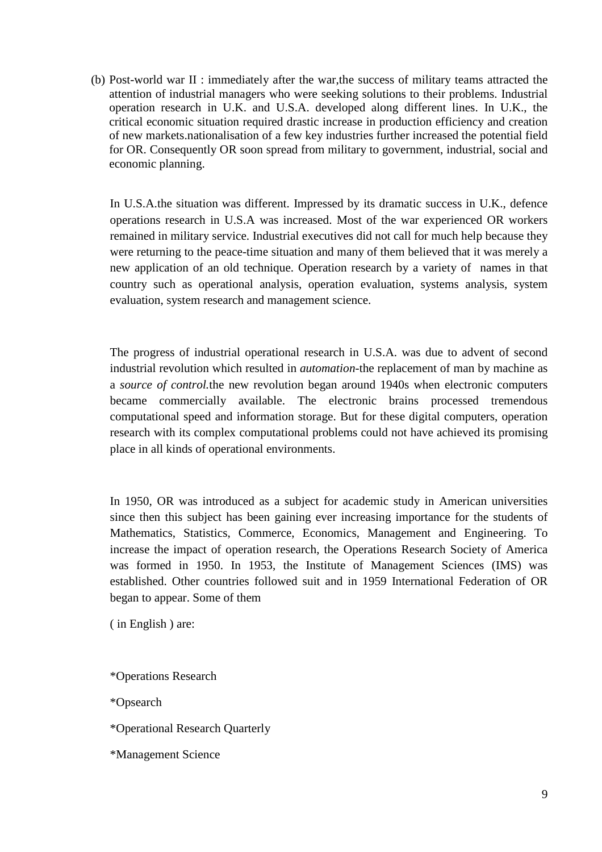(b) Post-world war II : immediately after the war,the success of military teams attracted the attention of industrial managers who were seeking solutions to their problems. Industrial operation research in U.K. and U.S.A. developed along different lines. In U.K., the critical economic situation required drastic increase in production efficiency and creation of new markets.nationalisation of a few key industries further increased the potential field for OR. Consequently OR soon spread from military to government, industrial, social and economic planning.

In U.S.A.the situation was different. Impressed by its dramatic success in U.K., defence operations research in U.S.A was increased. Most of the war experienced OR workers remained in military service. Industrial executives did not call for much help because they were returning to the peace-time situation and many of them believed that it was merely a new application of an old technique. Operation research by a variety of names in that country such as operational analysis, operation evaluation, systems analysis, system evaluation, system research and management science.

The progress of industrial operational research in U.S.A. was due to advent of second industrial revolution which resulted in *automation*-the replacement of man by machine as a *source of control.*the new revolution began around 1940s when electronic computers became commercially available. The electronic brains processed tremendous computational speed and information storage. But for these digital computers, operation research with its complex computational problems could not have achieved its promising place in all kinds of operational environments.

In 1950, OR was introduced as a subject for academic study in American universities since then this subject has been gaining ever increasing importance for the students of Mathematics, Statistics, Commerce, Economics, Management and Engineering. To increase the impact of operation research, the Operations Research Society of America was formed in 1950. In 1953, the Institute of Management Sciences (IMS) was established. Other countries followed suit and in 1959 International Federation of OR began to appear. Some of them

( in English ) are:

\*Operations Research

\*Opsearch

\*Operational Research Quarterly

\*Management Science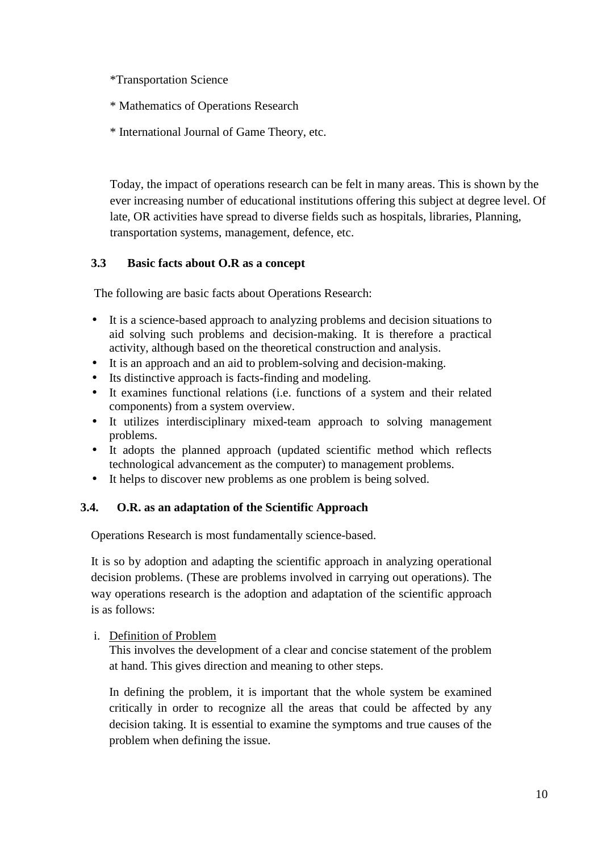\*Transportation Science

- \* Mathematics of Operations Research
- \* International Journal of Game Theory, etc.

Today, the impact of operations research can be felt in many areas. This is shown by the ever increasing number of educational institutions offering this subject at degree level. Of late, OR activities have spread to diverse fields such as hospitals, libraries, Planning, transportation systems, management, defence, etc.

# **3.3 Basic facts about O.R as a concept**

The following are basic facts about Operations Research:

- It is a science-based approach to analyzing problems and decision situations to aid solving such problems and decision-making. It is therefore a practical activity, although based on the theoretical construction and analysis.
- It is an approach and an aid to problem-solving and decision-making.
- Its distinctive approach is facts-finding and modeling.
- It examines functional relations (i.e. functions of a system and their related components) from a system overview.
- It utilizes interdisciplinary mixed-team approach to solving management problems.
- It adopts the planned approach (updated scientific method which reflects technological advancement as the computer) to management problems.
- It helps to discover new problems as one problem is being solved.

# **3.4. O.R. as an adaptation of the Scientific Approach**

Operations Research is most fundamentally science-based.

It is so by adoption and adapting the scientific approach in analyzing operational decision problems. (These are problems involved in carrying out operations). The way operations research is the adoption and adaptation of the scientific approach is as follows:

# i. Definition of Problem

This involves the development of a clear and concise statement of the problem at hand. This gives direction and meaning to other steps.

In defining the problem, it is important that the whole system be examined critically in order to recognize all the areas that could be affected by any decision taking. It is essential to examine the symptoms and true causes of the problem when defining the issue.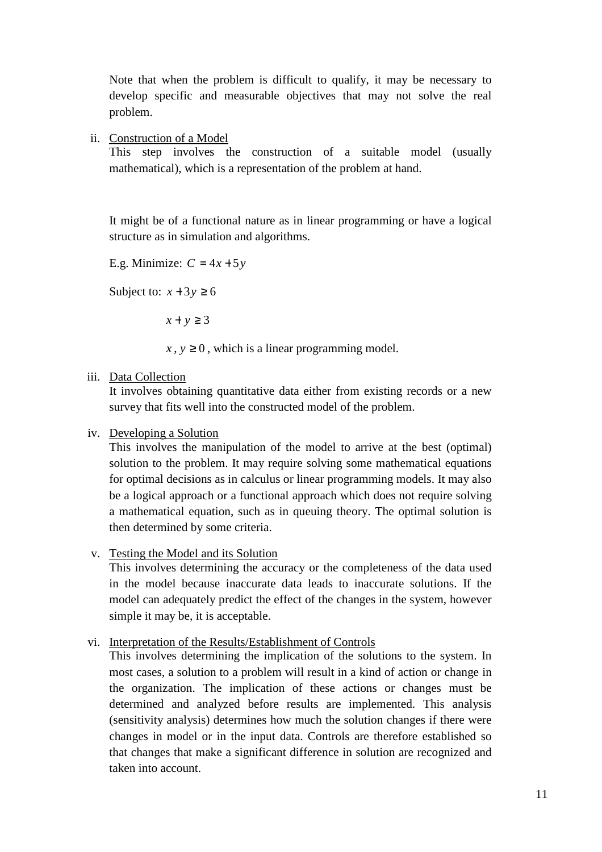Note that when the problem is difficult to qualify, it may be necessary to develop specific and measurable objectives that may not solve the real problem.

ii. Construction of a Model

This step involves the construction of a suitable model (usually mathematical), which is a representation of the problem at hand.

It might be of a functional nature as in linear programming or have a logical structure as in simulation and algorithms.

E.g. Minimize:  $C = 4x + 5y$ 

Subject to:  $x + 3y \ge 6$ 

 $x + y \geq 3$ 

 $x, y \ge 0$ , which is a linear programming model.

iii. Data Collection

It involves obtaining quantitative data either from existing records or a new survey that fits well into the constructed model of the problem.

#### iv. Developing a Solution

This involves the manipulation of the model to arrive at the best (optimal) solution to the problem. It may require solving some mathematical equations for optimal decisions as in calculus or linear programming models. It may also be a logical approach or a functional approach which does not require solving a mathematical equation, such as in queuing theory. The optimal solution is then determined by some criteria.

#### v. Testing the Model and its Solution

This involves determining the accuracy or the completeness of the data used in the model because inaccurate data leads to inaccurate solutions. If the model can adequately predict the effect of the changes in the system, however simple it may be, it is acceptable.

## vi. Interpretation of the Results/Establishment of Controls

This involves determining the implication of the solutions to the system. In most cases, a solution to a problem will result in a kind of action or change in the organization. The implication of these actions or changes must be determined and analyzed before results are implemented. This analysis (sensitivity analysis) determines how much the solution changes if there were changes in model or in the input data. Controls are therefore established so that changes that make a significant difference in solution are recognized and taken into account.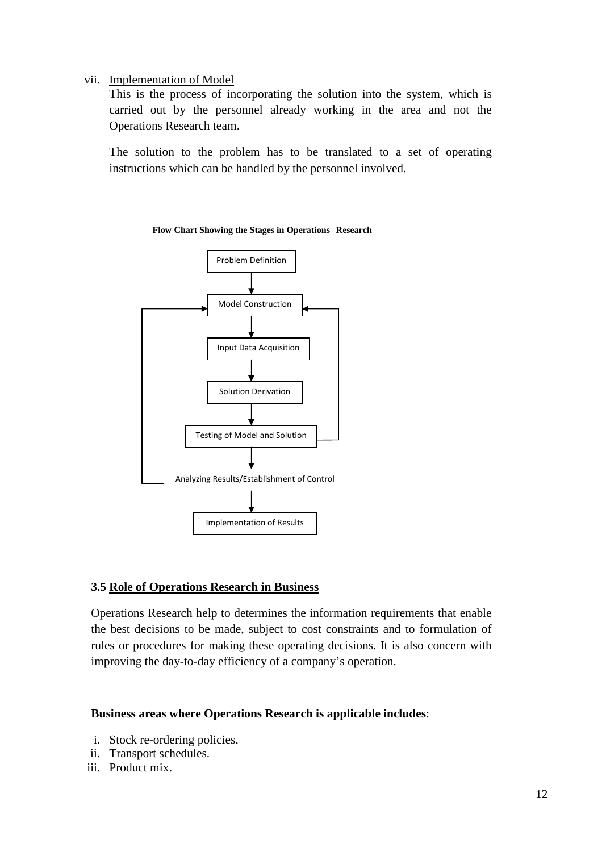### vii. Implementation of Model

This is the process of incorporating the solution into the system, which is carried out by the personnel already working in the area and not the Operations Research team.

The solution to the problem has to be translated to a set of operating instructions which can be handled by the personnel involved.



#### **Flow Chart Showing the Stages in Operations Research**

# **3.5 Role of Operations Research in Business**

Operations Research help to determines the information requirements that enable the best decisions to be made, subject to cost constraints and to formulation of rules or procedures for making these operating decisions. It is also concern with improving the day-to-day efficiency of a company's operation.

# **Business areas where Operations Research is applicable includes**:

- i. Stock re-ordering policies.
- ii. Transport schedules.
- iii. Product mix.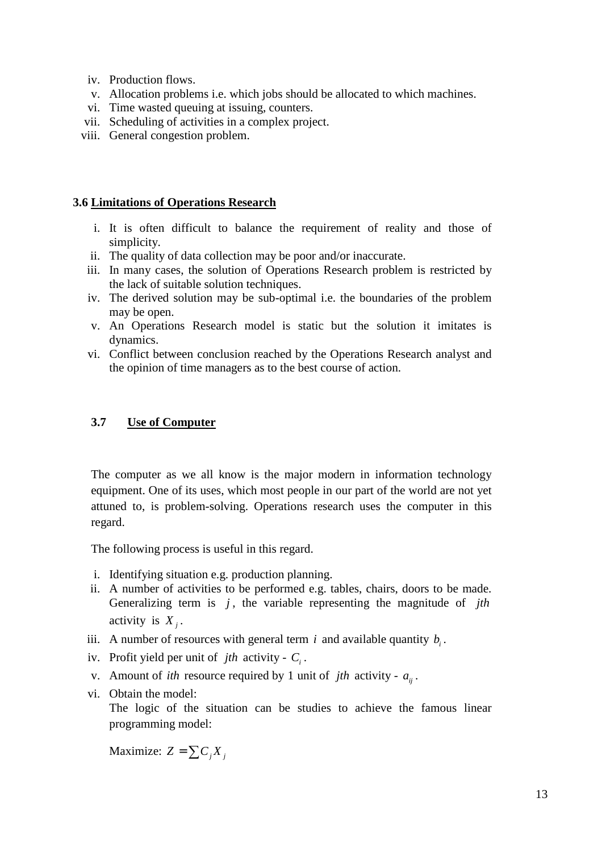- iv. Production flows.
- v. Allocation problems i.e. which jobs should be allocated to which machines.
- vi. Time wasted queuing at issuing, counters.
- vii. Scheduling of activities in a complex project.
- viii. General congestion problem.

## **3.6 Limitations of Operations Research**

- i. It is often difficult to balance the requirement of reality and those of simplicity.
- ii. The quality of data collection may be poor and/or inaccurate.
- iii. In many cases, the solution of Operations Research problem is restricted by the lack of suitable solution techniques.
- iv. The derived solution may be sub-optimal i.e. the boundaries of the problem may be open.
- v. An Operations Research model is static but the solution it imitates is dynamics.
- vi. Conflict between conclusion reached by the Operations Research analyst and the opinion of time managers as to the best course of action.

## **3.7 Use of Computer**

The computer as we all know is the major modern in information technology equipment. One of its uses, which most people in our part of the world are not yet attuned to, is problem-solving. Operations research uses the computer in this regard.

The following process is useful in this regard.

- i. Identifying situation e.g. production planning.
- ii. A number of activities to be performed e.g. tables, chairs, doors to be made. Generalizing term is *j*, the variable representing the magnitude of *jth* activity is  $X_j$ .
- iii. A number of resources with general term *i* and available quantity  $b_i$ .
- iv. Profit yield per unit of *jth* activity *C<sup>i</sup>* .
- v. Amount of *ith* resource required by 1 unit of *jth* activity  $a_{ij}$ .
- vi. Obtain the model:

The logic of the situation can be studies to achieve the famous linear programming model:

Maximize:  $Z = \sum C_i X_i$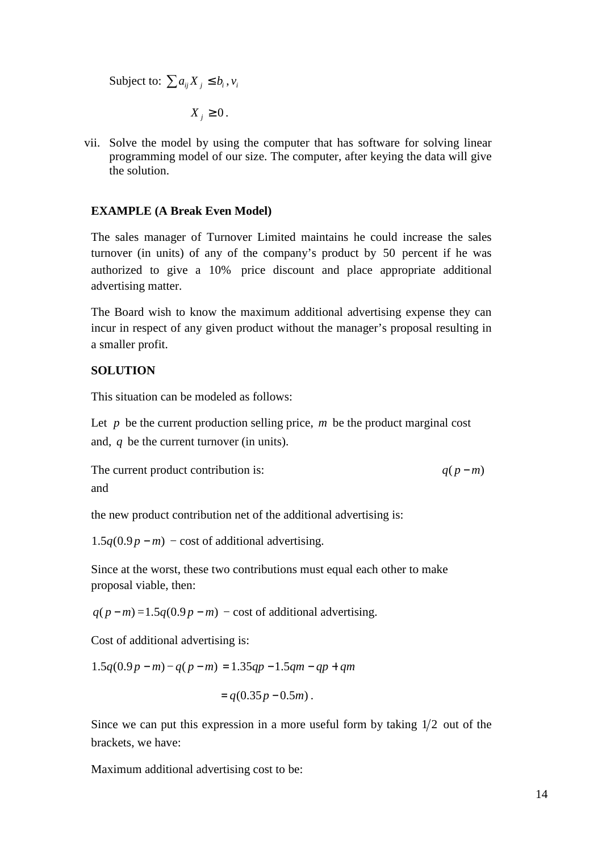Subject to:  $\sum a_{ij} X_j \leq b_i, v_i$ 

$$
X_j \geq 0.
$$

vii. Solve the model by using the computer that has software for solving linear programming model of our size. The computer, after keying the data will give the solution.

### **EXAMPLE (A Break Even Model)**

The sales manager of Turnover Limited maintains he could increase the sales turnover (in units) of any of the company's product by 50 percent if he was authorized to give a 10% price discount and place appropriate additional advertising matter.

The Board wish to know the maximum additional advertising expense they can incur in respect of any given product without the manager's proposal resulting in a smaller profit.

# **SOLUTION**

This situation can be modeled as follows:

Let  $p$  be the current production selling price,  $m$  be the product marginal cost and, *q* be the current turnover (in units).

The current product contribution is:  $q(p-m)$ and

the new product contribution net of the additional advertising is:

 $1.5q(0.9p - m)$  – cost of additional advertising.

Since at the worst, these two contributions must equal each other to make proposal viable, then:

 $q(p-m)=1.5q(0.9p-m)$  − cost of additional advertising.

Cost of additional advertising is:

$$
1.5q(0.9p - m) - q(p - m) = 1.35qp - 1.5qm - qp + qm
$$

$$
= q(0.35p - 0.5m).
$$

Since we can put this expression in a more useful form by taking  $1/2$  out of the brackets, we have:

Maximum additional advertising cost to be: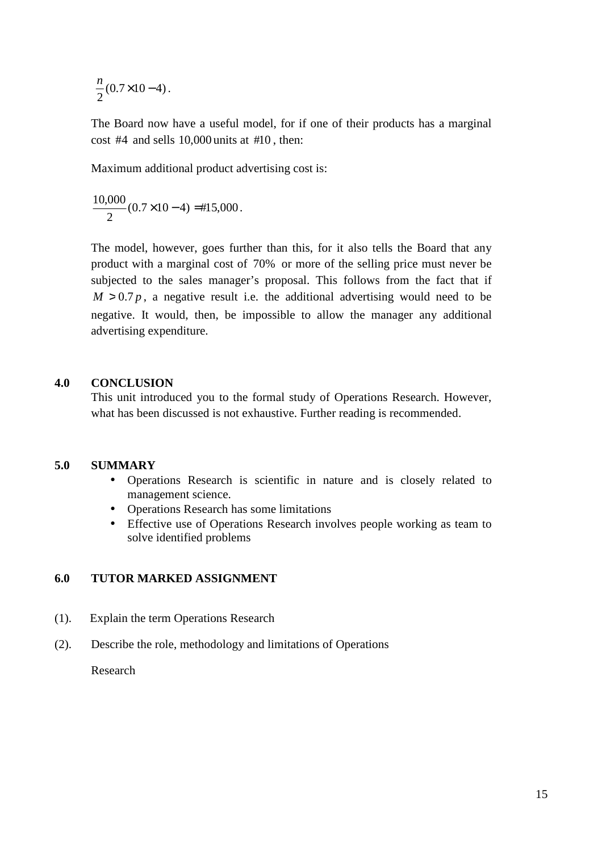$(0.7 \times 10 - 4)$ 2  $\frac{n}{2}(0.7 \times 10 - 4)$ .

The Board now have a useful model, for if one of their products has a marginal cost  $#4$  and sells 10,000 units at  $#10$ , then:

Maximum additional product advertising cost is:

$$
\frac{10,000}{2}(0.7 \times 10 - 4) = #15,000.
$$

The model, however, goes further than this, for it also tells the Board that any product with a marginal cost of 70% or more of the selling price must never be subjected to the sales manager's proposal. This follows from the fact that if  $M > 0.7 p$ , a negative result i.e. the additional advertising would need to be negative. It would, then, be impossible to allow the manager any additional advertising expenditure.

#### **4.0 CONCLUSION**

This unit introduced you to the formal study of Operations Research. However, what has been discussed is not exhaustive. Further reading is recommended.

### **5.0 SUMMARY**

- Operations Research is scientific in nature and is closely related to management science.
- Operations Research has some limitations
- Effective use of Operations Research involves people working as team to solve identified problems

## **6.0 TUTOR MARKED ASSIGNMENT**

- (1). Explain the term Operations Research
- (2). Describe the role, methodology and limitations of Operations

Research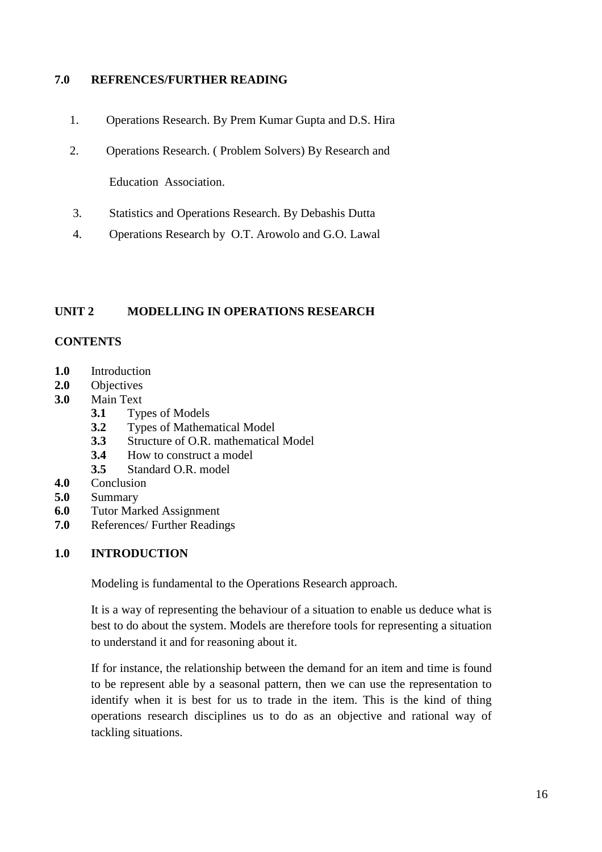## **7.0 REFRENCES/FURTHER READING**

- 1. Operations Research. By Prem Kumar Gupta and D.S. Hira
- 2. Operations Research. ( Problem Solvers) By Research and

Education Association.

- 3. Statistics and Operations Research. By Debashis Dutta
- 4. Operations Research by O.T. Arowolo and G.O. Lawal

## **UNIT 2 MODELLING IN OPERATIONS RESEARCH**

#### **CONTENTS**

- **1.0** Introduction
- **2.0** Objectives
- **3.0** Main Text
	- **3.1** Types of Models
	- **3.2** Types of Mathematical Model
	- **3.3** Structure of O.R. mathematical Model
	- **3.4** How to construct a model
	- **3.5** Standard O.R. model
- **4.0** Conclusion
- **5.0** Summary
- **6.0** Tutor Marked Assignment
- **7.0** References/ Further Readings

#### **1.0 INTRODUCTION**

Modeling is fundamental to the Operations Research approach.

It is a way of representing the behaviour of a situation to enable us deduce what is best to do about the system. Models are therefore tools for representing a situation to understand it and for reasoning about it.

If for instance, the relationship between the demand for an item and time is found to be represent able by a seasonal pattern, then we can use the representation to identify when it is best for us to trade in the item. This is the kind of thing operations research disciplines us to do as an objective and rational way of tackling situations.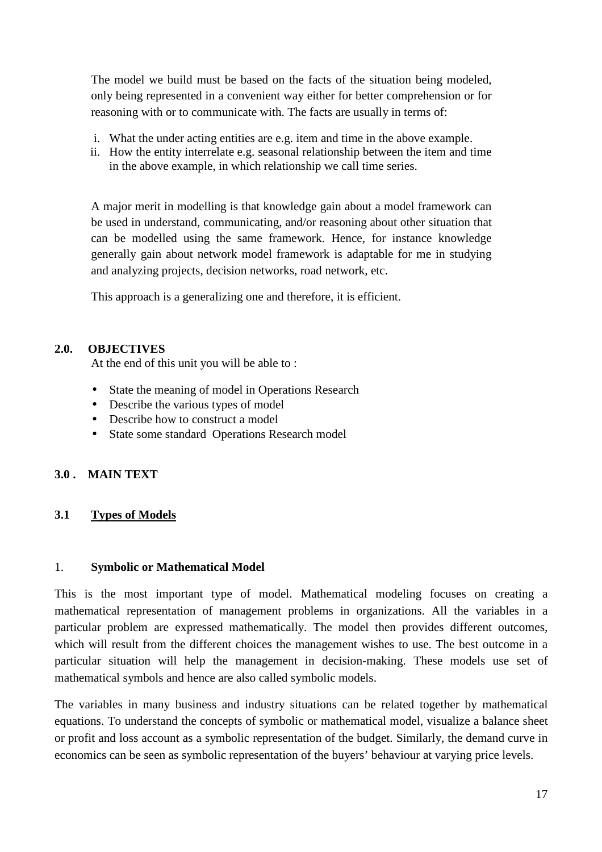The model we build must be based on the facts of the situation being modeled, only being represented in a convenient way either for better comprehension or for reasoning with or to communicate with. The facts are usually in terms of:

- i. What the under acting entities are e.g. item and time in the above example.
- ii. How the entity interrelate e.g. seasonal relationship between the item and time in the above example, in which relationship we call time series.

A major merit in modelling is that knowledge gain about a model framework can be used in understand, communicating, and/or reasoning about other situation that can be modelled using the same framework. Hence, for instance knowledge generally gain about network model framework is adaptable for me in studying and analyzing projects, decision networks, road network, etc.

This approach is a generalizing one and therefore, it is efficient.

## **2.0. OBJECTIVES**

At the end of this unit you will be able to :

- State the meaning of model in Operations Research
- Describe the various types of model
- Describe how to construct a model
- State some standard Operations Research model

# **3.0 . MAIN TEXT**

# **3.1 Types of Models**

#### 1. **Symbolic or Mathematical Model**

This is the most important type of model. Mathematical modeling focuses on creating a mathematical representation of management problems in organizations. All the variables in a particular problem are expressed mathematically. The model then provides different outcomes, which will result from the different choices the management wishes to use. The best outcome in a particular situation will help the management in decision-making. These models use set of mathematical symbols and hence are also called symbolic models.

The variables in many business and industry situations can be related together by mathematical equations. To understand the concepts of symbolic or mathematical model, visualize a balance sheet or profit and loss account as a symbolic representation of the budget. Similarly, the demand curve in economics can be seen as symbolic representation of the buyers' behaviour at varying price levels.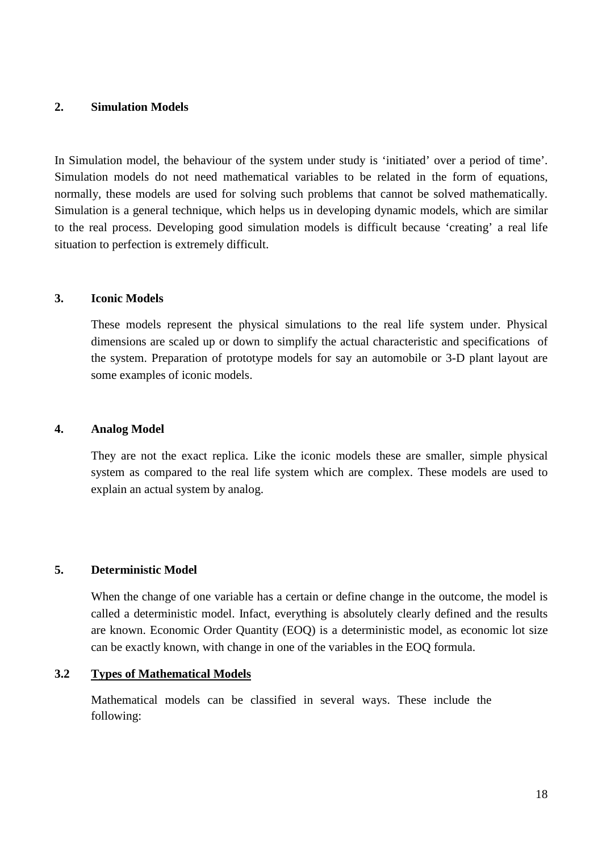#### **2. Simulation Models**

In Simulation model, the behaviour of the system under study is 'initiated' over a period of time'. Simulation models do not need mathematical variables to be related in the form of equations, normally, these models are used for solving such problems that cannot be solved mathematically. Simulation is a general technique, which helps us in developing dynamic models, which are similar to the real process. Developing good simulation models is difficult because 'creating' a real life situation to perfection is extremely difficult.

#### **3. Iconic Models**

These models represent the physical simulations to the real life system under. Physical dimensions are scaled up or down to simplify the actual characteristic and specifications of the system. Preparation of prototype models for say an automobile or 3-D plant layout are some examples of iconic models.

#### **4. Analog Model**

They are not the exact replica. Like the iconic models these are smaller, simple physical system as compared to the real life system which are complex. These models are used to explain an actual system by analog.

#### **5. Deterministic Model**

When the change of one variable has a certain or define change in the outcome, the model is called a deterministic model. Infact, everything is absolutely clearly defined and the results are known. Economic Order Quantity (EOQ) is a deterministic model, as economic lot size can be exactly known, with change in one of the variables in the EOQ formula.

#### **3.2 Types of Mathematical Models**

Mathematical models can be classified in several ways. These include the following: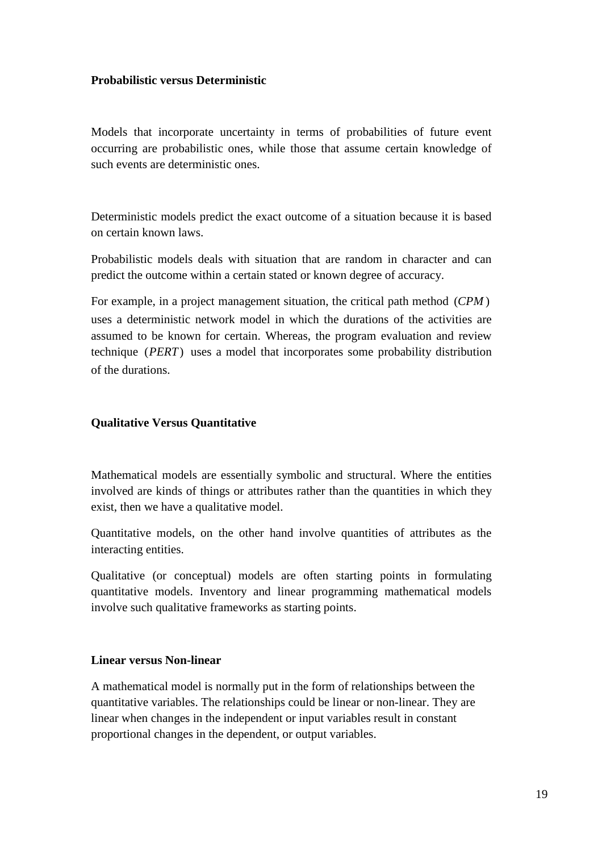## **Probabilistic versus Deterministic**

Models that incorporate uncertainty in terms of probabilities of future event occurring are probabilistic ones, while those that assume certain knowledge of such events are deterministic ones.

Deterministic models predict the exact outcome of a situation because it is based on certain known laws.

Probabilistic models deals with situation that are random in character and can predict the outcome within a certain stated or known degree of accuracy.

For example, in a project management situation, the critical path method (*CPM* ) uses a deterministic network model in which the durations of the activities are assumed to be known for certain. Whereas, the program evaluation and review technique (*PERT*) uses a model that incorporates some probability distribution of the durations.

## **Qualitative Versus Quantitative**

Mathematical models are essentially symbolic and structural. Where the entities involved are kinds of things or attributes rather than the quantities in which they exist, then we have a qualitative model.

Quantitative models, on the other hand involve quantities of attributes as the interacting entities.

Qualitative (or conceptual) models are often starting points in formulating quantitative models. Inventory and linear programming mathematical models involve such qualitative frameworks as starting points.

#### **Linear versus Non-linear**

A mathematical model is normally put in the form of relationships between the quantitative variables. The relationships could be linear or non-linear. They are linear when changes in the independent or input variables result in constant proportional changes in the dependent, or output variables.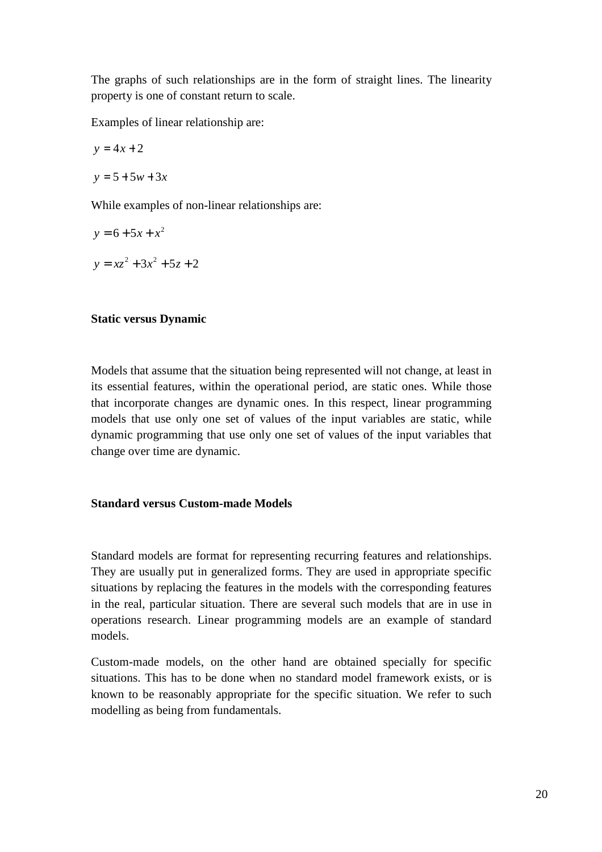The graphs of such relationships are in the form of straight lines. The linearity property is one of constant return to scale.

Examples of linear relationship are:

$$
y = 4x + 2
$$

$$
y = 5 + 5w + 3x
$$

While examples of non-linear relationships are:

$$
y = 6 + 5x + x2
$$
  

$$
y = xz2 + 3x2 + 5z + 2
$$

#### **Static versus Dynamic**

Models that assume that the situation being represented will not change, at least in its essential features, within the operational period, are static ones. While those that incorporate changes are dynamic ones. In this respect, linear programming models that use only one set of values of the input variables are static, while dynamic programming that use only one set of values of the input variables that change over time are dynamic.

### **Standard versus Custom-made Models**

Standard models are format for representing recurring features and relationships. They are usually put in generalized forms. They are used in appropriate specific situations by replacing the features in the models with the corresponding features in the real, particular situation. There are several such models that are in use in operations research. Linear programming models are an example of standard models.

Custom-made models, on the other hand are obtained specially for specific situations. This has to be done when no standard model framework exists, or is known to be reasonably appropriate for the specific situation. We refer to such modelling as being from fundamentals.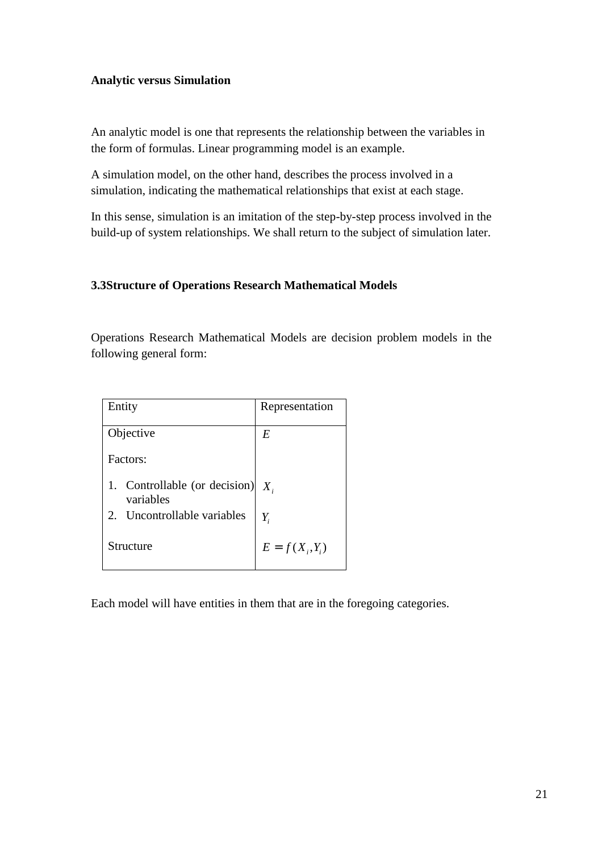# **Analytic versus Simulation**

An analytic model is one that represents the relationship between the variables in the form of formulas. Linear programming model is an example.

A simulation model, on the other hand, describes the process involved in a simulation, indicating the mathematical relationships that exist at each stage.

In this sense, simulation is an imitation of the step-by-step process involved in the build-up of system relationships. We shall return to the subject of simulation later.

# **3.3Structure of Operations Research Mathematical Models**

Operations Research Mathematical Models are decision problem models in the following general form:

| Entity                                     | Representation    |
|--------------------------------------------|-------------------|
| Objective                                  | E                 |
| Factors:                                   |                   |
| 1. Controllable (or decision)<br>variables | $X_{i}$           |
| Uncontrollable variables<br>2.             | $Y_i$             |
| Structure                                  | $E = f(X_i, Y_i)$ |

Each model will have entities in them that are in the foregoing categories.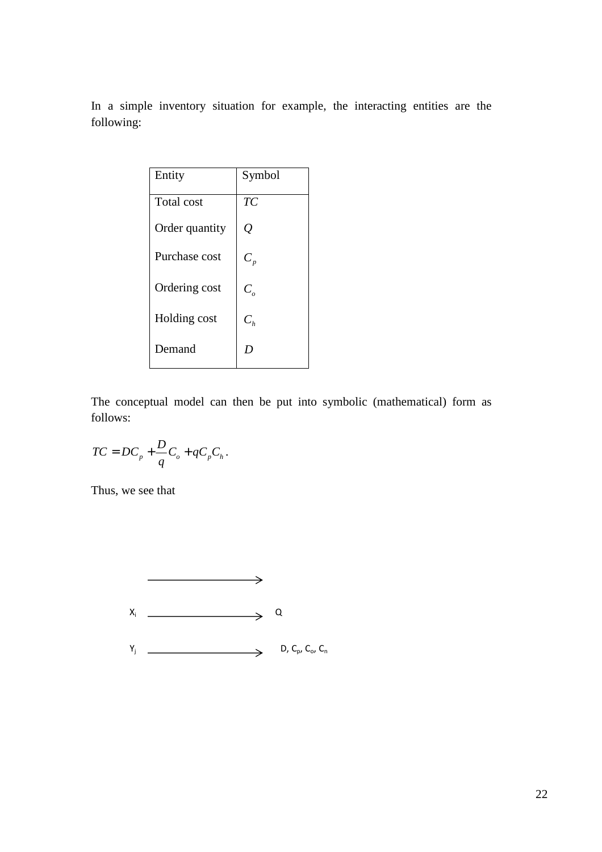In a simple inventory situation for example, the interacting entities are the following:

| Entity         | Symbol     |
|----------------|------------|
| Total cost     | TC         |
| Order quantity | Q          |
| Purchase cost  | $C_p$      |
| Ordering cost  | $C_{_{o}}$ |
| Holding cost   | $C_h$      |
| Demand         | D          |

The conceptual model can then be put into symbolic (mathematical) form as follows:

$$
TC = DC_p + \frac{D}{q}C_o + qC_pC_h.
$$

Thus, we see that

$$
\begin{array}{ccc}\n & & \longrightarrow & \\
& \searrow & \\
& \searrow & \\
& \searrow & \\
& \searrow & \\
& \searrow & \\
& \searrow & \\
& \searrow & \\
& \searrow & \\
& \searrow & \\
& \searrow & \\
& \searrow & \\
& \searrow & \\
& \searrow & \\
& \searrow & \\
& \searrow & \\
& \searrow & \\
& \searrow & \\
& \searrow & \\
& \searrow & \\
& \searrow & \\
& \searrow & \\
& \searrow & \\
& \searrow & \\
& \searrow & \\
& \searrow & \\
& \searrow & \\
& \searrow & \\
& \searrow & \\
& \searrow & \\
& \searrow & \\
& \searrow & \\
& \searrow & \\
& \searrow & \\
& \searrow & \\
& \searrow & \\
& \searrow & \\
& \searrow & \\
& \searrow & \\
& \searrow & \\
& \searrow & \\
& \searrow & \\
& \searrow & \\
& \searrow & \\
& \searrow & \\
& \searrow & \\
& \searrow & \\
& \searrow & \\
& \searrow & \\
& \searrow & \\
& \searrow & \\
& \searrow & \\
& \searrow & \\
& \searrow & \\
& \searrow & \\
& \searrow & \\
& \searrow & \\
& \searrow & \\
& \searrow & \\
& \searrow & \\
& \searrow & \\
& \searrow & \\
& \searrow & \\
& \searrow & \\
& \searrow & \\
& \searrow & \\
& \searrow & \\
& \searrow & \\
& \searrow & \\
& \searrow & \\
& \searrow & \\
& \searrow & \\
& \searrow & \\
& \searrow & \\
& \searrow & \\
& \searrow & \\
& \searrow & \\
& \searrow & \\
& \searrow & \\
& \searrow & \\
& \searrow & \\
& \searrow & \\
& \searrow & \\
& \searrow & \\
& \searrow & \\
& \searrow & \\
& \searrow & \\
& \searrow & \\
& \searrow & \\
& \searrow & \\
& \searrow & \\
& \searrow & \\
& \searrow & \\
& \searrow & \\
& \searrow & \\
& \searrow & \\
& \searrow & \\
& \searrow & \\
& \searrow & \\
& \searrow & \\
& \searrow & \\
& \searrow & \\
& \searrow & \\
& \searrow & \\
& \searrow & \\
& \searrow & \\
& \searrow & \\
& \searrow & \\
& \searrow & \\
& \searrow & \\
& \searrow & \\
& \searrow & \\
& \searrow & \\
& \searrow & \\
& \searrow & \\
& \searrow & \\
& \searrow & \\
& \searrow & \\
& \searrow & \\
& \searrow & \\
& \searrow & \\
& \searrow & \\
& \searrow & \\
& \searrow & \\
& \searrow & \\
& \
$$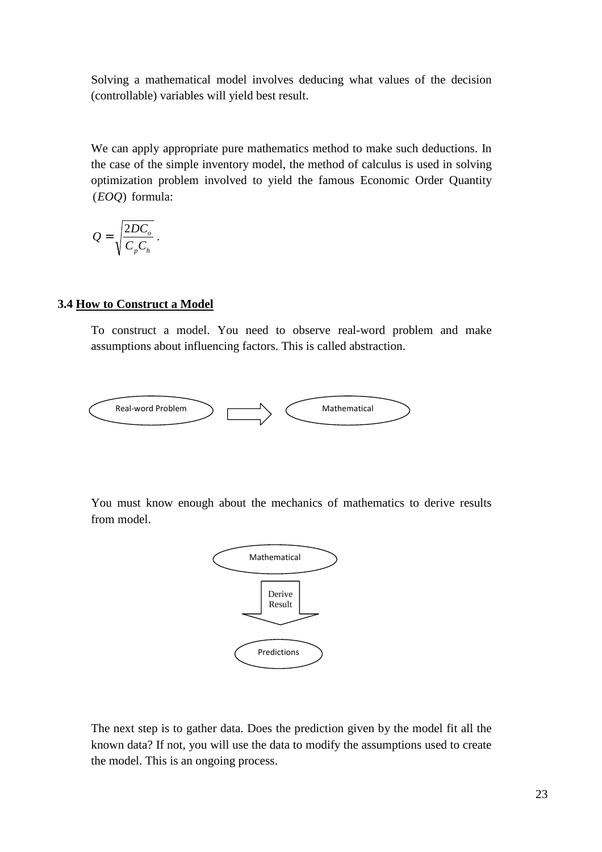Solving a mathematical model involves deducing what values of the decision (controllable) variables will yield best result.

We can apply appropriate pure mathematics method to make such deductions. In the case of the simple inventory model, the method of calculus is used in solving optimization problem involved to yield the famous Economic Order Quantity (*EOQ*) formula:

$$
Q = \sqrt{\frac{2DC_o}{C_p C_h}}.
$$

#### **3.4 How to Construct a Model**

To construct a model. You need to observe real-word problem and make assumptions about influencing factors. This is called abstraction.



You must know enough about the mechanics of mathematics to derive results from model.



The next step is to gather data. Does the prediction given by the model fit all the known data? If not, you will use the data to modify the assumptions used to create the model. This is an ongoing process.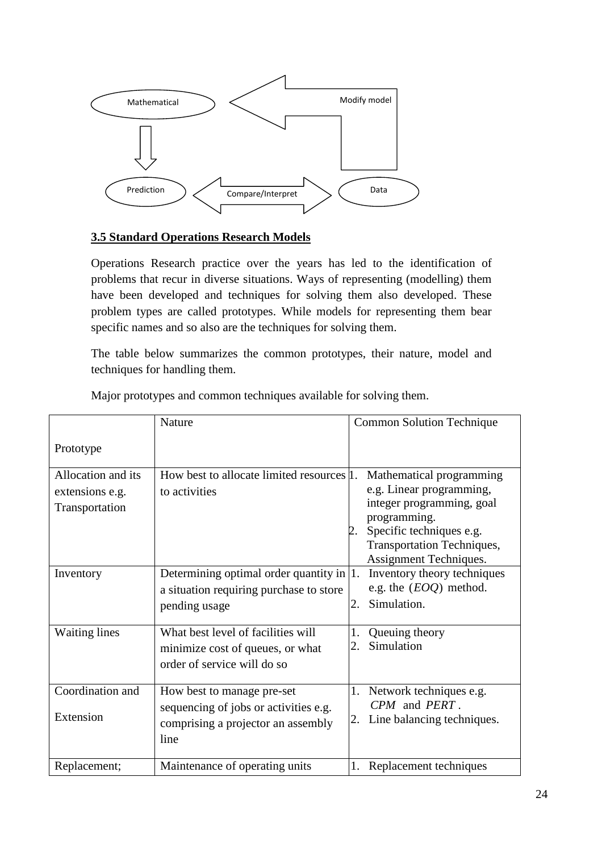

# **3.5 Standard Operations Research Models**

Operations Research practice over the years has led to the identification of problems that recur in diverse situations. Ways of representing (modelling) them have been developed and techniques for solving them also developed. These problem types are called prototypes. While models for representing them bear specific names and so also are the techniques for solving them.

The table below summarizes the common prototypes, their nature, model and techniques for handling them.

|                                                         | Nature                                                                                                            | <b>Common Solution Technique</b>                                                                                                                                                             |
|---------------------------------------------------------|-------------------------------------------------------------------------------------------------------------------|----------------------------------------------------------------------------------------------------------------------------------------------------------------------------------------------|
| Prototype                                               |                                                                                                                   |                                                                                                                                                                                              |
| Allocation and its<br>extensions e.g.<br>Transportation | How best to allocate limited resources 1.<br>to activities                                                        | Mathematical programming<br>e.g. Linear programming,<br>integer programming, goal<br>programming.<br>Specific techniques e.g.<br><b>Transportation Techniques,</b><br>Assignment Techniques. |
| Inventory                                               | Determining optimal order quantity in $ 1$ .<br>a situation requiring purchase to store<br>pending usage          | Inventory theory techniques<br>e.g. the $(EOQ)$ method.<br>Simulation.<br>2.                                                                                                                 |
| <b>Waiting lines</b>                                    | What best level of facilities will<br>minimize cost of queues, or what<br>order of service will do so             | Queuing theory<br>1.<br>Simulation<br>2.                                                                                                                                                     |
| Coordination and<br>Extension                           | How best to manage pre-set<br>sequencing of jobs or activities e.g.<br>comprising a projector an assembly<br>line | 1. Network techniques e.g.<br>CPM and PERT.<br>Line balancing techniques.<br>2.                                                                                                              |
| Replacement;                                            | Maintenance of operating units                                                                                    | Replacement techniques<br>1.                                                                                                                                                                 |

Major prototypes and common techniques available for solving them.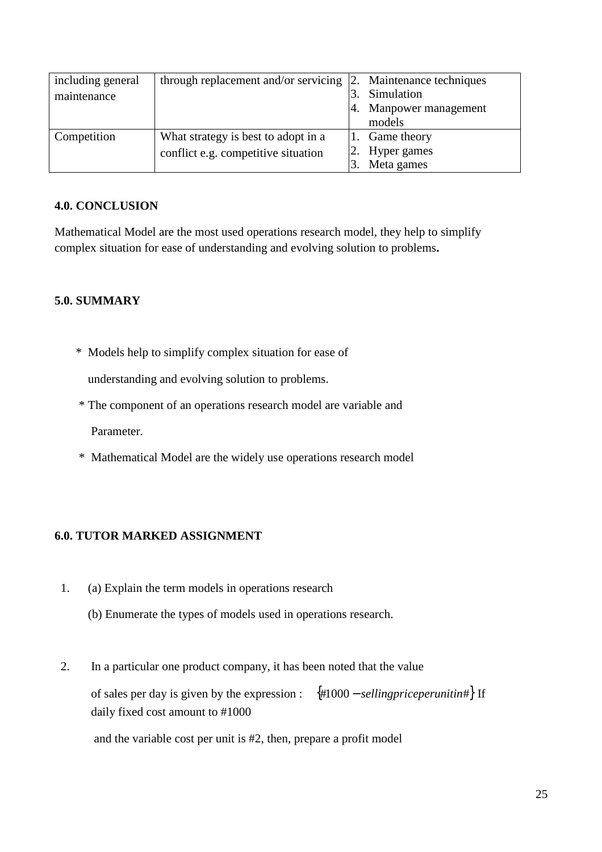| including general<br>maintenance | through replacement and/or servicing                                       | 2. | Maintenance techniques<br>Simulation<br>Manpower management<br>models |
|----------------------------------|----------------------------------------------------------------------------|----|-----------------------------------------------------------------------|
| Competition                      | What strategy is best to adopt in a<br>conflict e.g. competitive situation |    | Game theory<br>2. Hyper games<br>Meta games                           |

# **4.0. CONCLUSION**

Mathematical Model are the most used operations research model, they help to simplify complex situation for ease of understanding and evolving solution to problems**.** 

# **5.0. SUMMARY**

\* Models help to simplify complex situation for ease of

understanding and evolving solution to problems.

- \* The component of an operations research model are variable and Parameter.
- \* Mathematical Model are the widely use operations research model

# **6.0. TUTOR MARKED ASSIGNMENT**

- 1. (a) Explain the term models in operations research
	- (b) Enumerate the types of models used in operations research.
- 2. In a particular one product company, it has been noted that the value of sales per day is given by the expression : {#1000 − *sellingpriceperunitin*#} If daily fixed cost amount to #1000

and the variable cost per unit is #2, then, prepare a profit model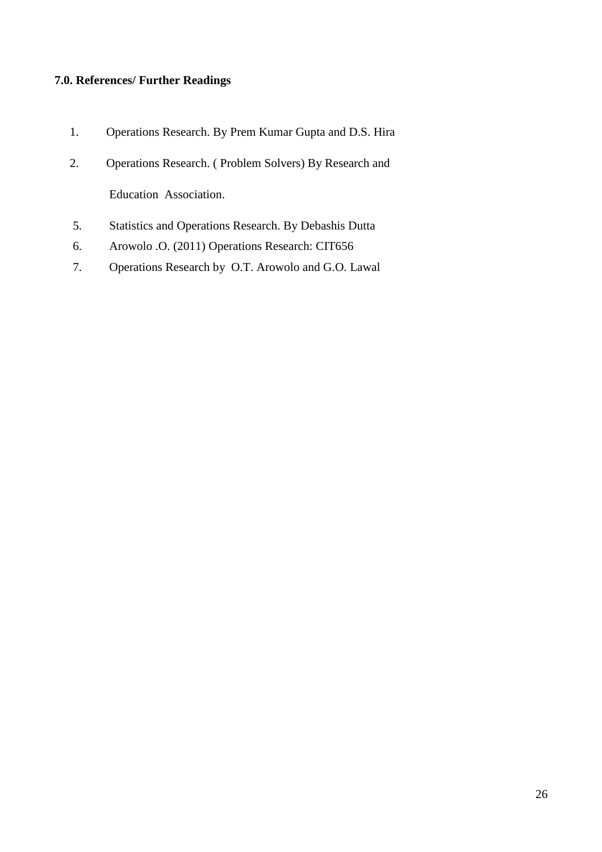# **7.0. References/ Further Readings**

- 1. Operations Research. By Prem Kumar Gupta and D.S. Hira
- 2. Operations Research. ( Problem Solvers) By Research and Education Association.
- 5. Statistics and Operations Research. By Debashis Dutta
- 6. Arowolo .O. (2011) Operations Research: CIT656
- 7. Operations Research by O.T. Arowolo and G.O. Lawal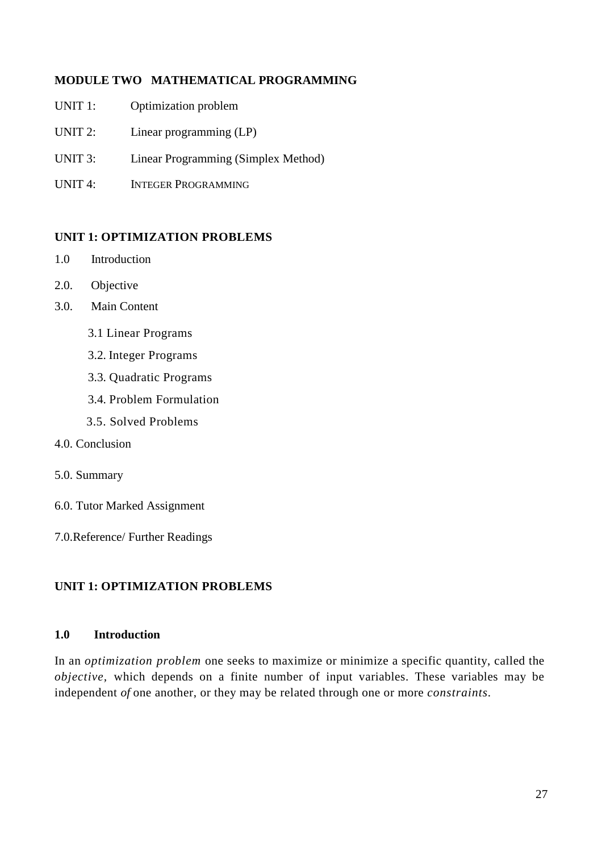# **MODULE TWO MATHEMATICAL PROGRAMMING**

- UNIT 1: Optimization problem
- UNIT 2: Linear programming (LP)
- UNIT 3: Linear Programming (Simplex Method)
- UNIT 4: INTEGER PROGRAMMING

## **UNIT 1: OPTIMIZATION PROBLEMS**

- 1.0Introduction
- 2.0. Objective
- 3.0. Main Content
	- 3.1 Linear Programs
	- 3.2. Integer Programs
	- 3.3. Quadratic Programs
	- 3.4. Problem Formulation
	- 3.5. Solved Problems
- 4.0. Conclusion
- 5.0. Summary
- 6.0. Tutor Marked Assignment
- 7.0.Reference/ Further Readings

# **UNIT 1: OPTIMIZATION PROBLEMS**

#### **1.0 Introduction**

In an *optimization problem* one seeks to maximize or minimize a specific quantity, called the *objective,* which depends on a finite number of input variables. These variables may be independent *of* one another, or they may be related through one or more *constraints.*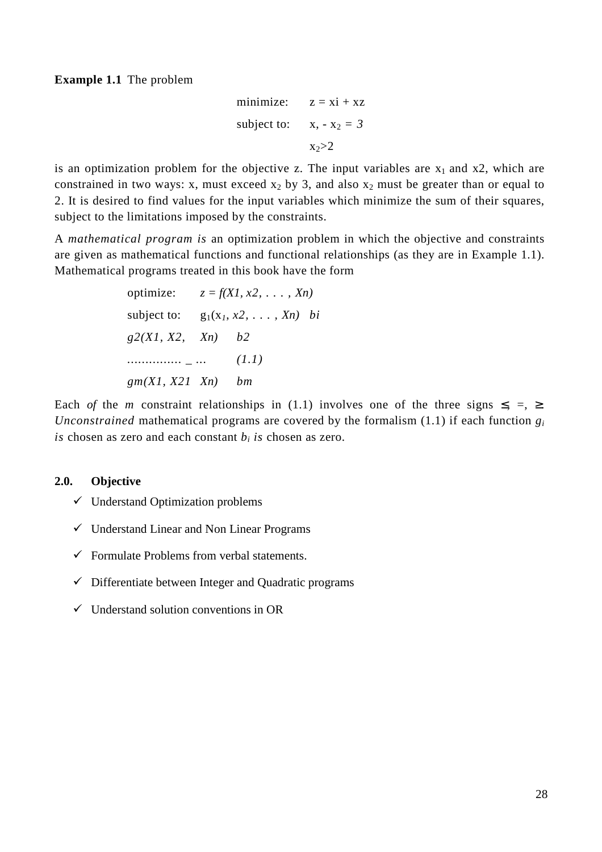**Example 1.1** The problem

minimize: 
$$
z = xi + xz
$$
  
subject to:  $x, -x_2 = 3$   
 $x_2 > 2$ 

is an optimization problem for the objective z. The input variables are  $x_1$  and  $x_2$ , which are constrained in two ways: x, must exceed  $x_2$  by 3, and also  $x_2$  must be greater than or equal to 2. It is desired to find values for the input variables which minimize the sum of their squares, subject to the limitations imposed by the constraints.

A *mathematical program is* an optimization problem in which the objective and constraints are given as mathematical functions and functional relationships (as they are in Example 1.1). Mathematical programs treated in this book have the form

> optimize:  $z = f(XI, x2, \ldots, Xn)$ subject to:  $g_1(x_1, x_2, \ldots, x_n)$  *bi g2(X1, X2, Xn) b2 ............... \_ ... (1.1) gm(X1, X21 Xn) bm*

Each *of* the *m* constraint relationships in (1.1) involves one of the three signs  $\leq$ ,  $=$ ,  $\geq$ . *Unconstrained* mathematical programs are covered by the formalism  $(1.1)$  if each function  $g_i$ *is* chosen as zero and each constant  $b_i$  *is* chosen as zero.

#### **2.0. Objective**

- $\checkmark$  Understand Optimization problems
- $\checkmark$  Understand Linear and Non Linear Programs
- $\checkmark$  Formulate Problems from verbal statements.
- $\checkmark$  Differentiate between Integer and Quadratic programs
- $\checkmark$  Understand solution conventions in OR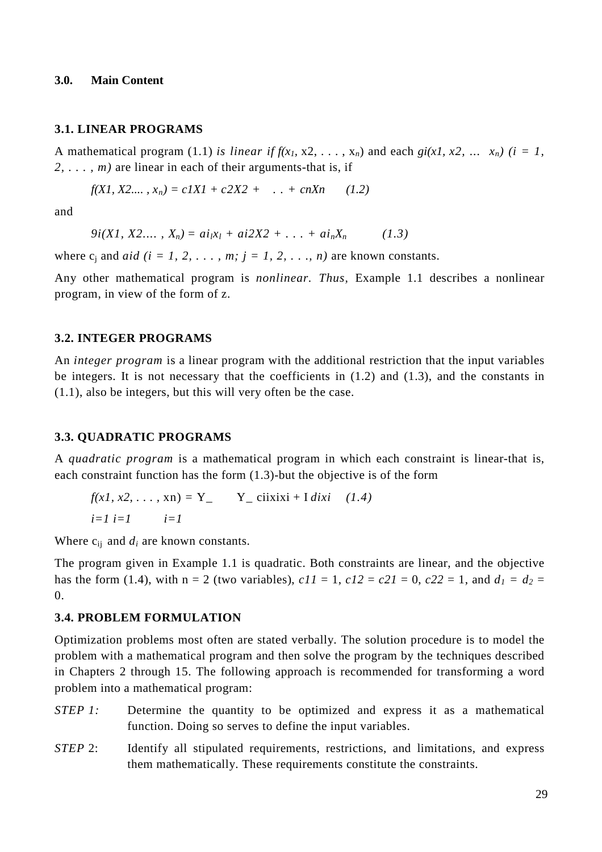#### **3.0. Main Content**

#### **3.1. LINEAR PROGRAMS**

A mathematical program (1.1) *is linear if*  $f(x_1, x_2, \ldots, x_n)$  and each  $gi(x_1, x_2, \ldots, x_n)$  ( $i = 1$ , *2, . . . , m)* are linear in each of their arguments-that is, if

$$
f(X1, X2,..., x_n) = cIX1 + c2X2 + ... + cnXn \qquad (1.2)
$$

and

$$
9i(X1, X2...., X_n) = ai_1x_1 + ai2X2 + ... + ai_nX_n \qquad (1.3)
$$

where  $c_j$  and *aid (i = 1, 2, ..., m; j = 1, 2, ..., n)* are known constants.

Any other mathematical program is *nonlinear. Thus,* Example 1.1 describes a nonlinear program, in view of the form of z.

#### **3.2. INTEGER PROGRAMS**

An *integer program* is a linear program with the additional restriction that the input variables be integers. It is not necessary that the coefficients in  $(1.2)$  and  $(1.3)$ , and the constants in (1.1), also be integers, but this will very often be the case.

#### **3.3. QUADRATIC PROGRAMS**

A *quadratic program* is a mathematical program in which each constraint is linear-that is, each constraint function has the form (1.3)-but the objective is of the form

$$
f(x1, x2, \dots, xn) = Y_{-}
$$
  
\n
$$
Y_{-}
$$
ciixixi + I *dist* (1.4)  
\n
$$
i=1 \quad i=1
$$

Where  $c_{ij}$  and  $d_i$  are known constants.

The program given in Example 1.1 is quadratic. Both constraints are linear, and the objective has the form (1.4), with  $n = 2$  (two variables),  $c11 = 1$ ,  $c12 = c21 = 0$ ,  $c22 = 1$ , and  $d_1 = d_2 = 0$  $\Omega$ .

#### **3.4. PROBLEM FORMULATION**

Optimization problems most often are stated verbally. The solution procedure is to model the problem with a mathematical program and then solve the program by the techniques described in Chapters 2 through 15. The following approach is recommended for transforming a word problem into a mathematical program:

- *STEP 1:* Determine the quantity to be optimized and express it as a mathematical function. Doing so serves to define the input variables.
- *STEP* 2: Identify all stipulated requirements, restrictions, and limitations, and express them mathematically. These requirements constitute the constraints.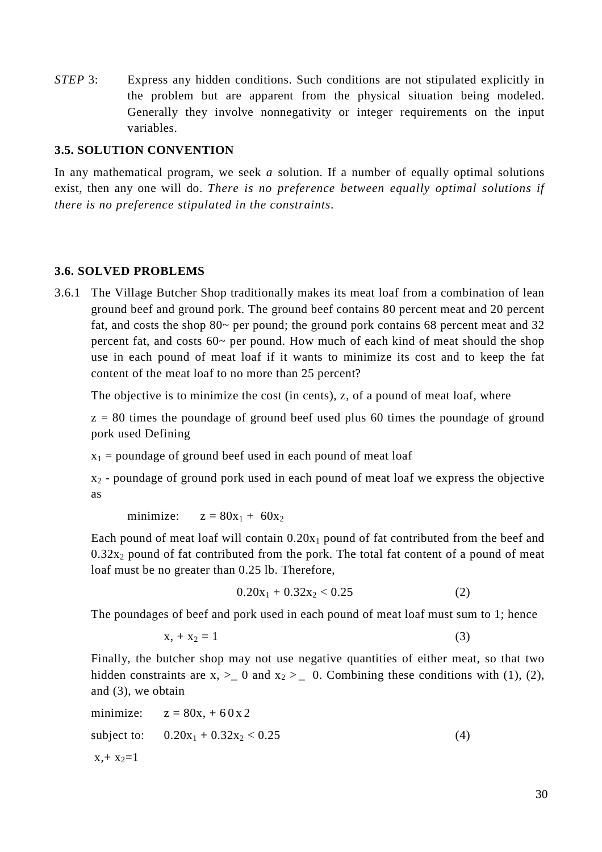*STEP* 3: Express any hidden conditions. Such conditions are not stipulated explicitly in the problem but are apparent from the physical situation being modeled. Generally they involve nonnegativity or integer requirements on the input variables.

### **3.5. SOLUTION CONVENTION**

In any mathematical program, we seek *a* solution. If a number of equally optimal solutions exist, then any one will do. *There is no preference between equally optimal solutions if there is no preference stipulated in the constraints.* 

## **3.6. SOLVED PROBLEMS**

3.6.1 The Village Butcher Shop traditionally makes its meat loaf from a combination of lean ground beef and ground pork. The ground beef contains 80 percent meat and 20 percent fat, and costs the shop 80~ per pound; the ground pork contains 68 percent meat and 32 percent fat, and costs 60~ per pound. How much of each kind of meat should the shop use in each pound of meat loaf if it wants to minimize its cost and to keep the fat content of the meat loaf to no more than 25 percent?

The objective is to minimize the cost (in cents), z, of a pound of meat loaf, where

 $z = 80$  times the poundage of ground beef used plus 60 times the poundage of ground pork used Defining

 $x_1$  = poundage of ground beef used in each pound of meat loaf

 $x_2$  - poundage of ground pork used in each pound of meat loaf we express the objective as

minimize:  $z = 80x_1 + 60x_2$ 

Each pound of meat loaf will contain  $0.20x_1$  pound of fat contributed from the beef and  $0.32x_2$  pound of fat contributed from the pork. The total fat content of a pound of meat loaf must be no greater than 0.25 lb. Therefore,

$$
0.20x_1 + 0.32x_2 < 0.25\tag{2}
$$

The poundages of beef and pork used in each pound of meat loaf must sum to 1; hence

$$
x_{1} + x_{2} = 1 \tag{3}
$$

Finally, the butcher shop may not use negative quantities of either meat, so that two hidden constraints are  $x, >_0$  and  $x_2 >_0$ . Combining these conditions with (1), (2), and (3), we obtain

minimize: 
$$
z = 80x, +60x2
$$
  
subject to:  $0.20x_1 + 0.32x_2 < 0.25$  (4)  
 $x, +x_2=1$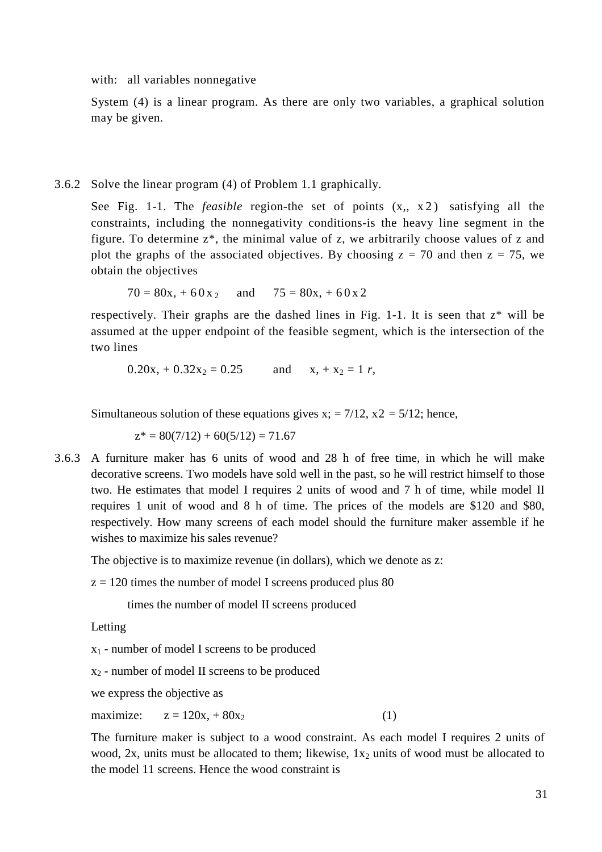with: all variables nonnegative

System (4) is a linear program. As there are only two variables, a graphical solution may be given.

3.6.2 Solve the linear program (4) of Problem 1.1 graphically.

See Fig. 1-1. The *feasible* region-the set of points  $(x, x^2)$  satisfying all the constraints, including the nonnegativity conditions-is the heavy line segment in the figure. To determine z\*, the minimal value of z, we arbitrarily choose values of z and plot the graphs of the associated objectives. By choosing  $z = 70$  and then  $z = 75$ , we obtain the objectives

 $70 = 80x, +60x$  and  $75 = 80x, +60x2$ 

respectively. Their graphs are the dashed lines in Fig. 1-1. It is seen that z\* will be assumed at the upper endpoint of the feasible segment, which is the intersection of the two lines

 $0.20x_1 + 0.32x_2 = 0.25$  and  $x_1 + x_2 = 1 r$ 

Simultaneous solution of these equations gives  $x = 7/12$ ,  $x^2 = 5/12$ ; hence,

 $z^* = 80(7/12) + 60(5/12) = 71.67$ 

3.6.3 A furniture maker has 6 units of wood and 28 h of free time, in which he will make decorative screens. Two models have sold well in the past, so he will restrict himself to those two. He estimates that model I requires 2 units of wood and 7 h of time, while model II requires 1 unit of wood and 8 h of time. The prices of the models are \$120 and \$80, respectively. How many screens of each model should the furniture maker assemble if he wishes to maximize his sales revenue?

The objective is to maximize revenue (in dollars), which we denote as z:

 $z = 120$  times the number of model I screens produced plus 80

times the number of model II screens produced

Letting

x1 - number of model I screens to be produced

 $x_2$  - number of model II screens to be produced

we express the objective as

maximize:  $z = 120x + 80x_2$  (1)

The furniture maker is subject to a wood constraint. As each model I requires 2 units of wood, 2x, units must be allocated to them; likewise,  $1x_2$  units of wood must be allocated to the model 11 screens. Hence the wood constraint is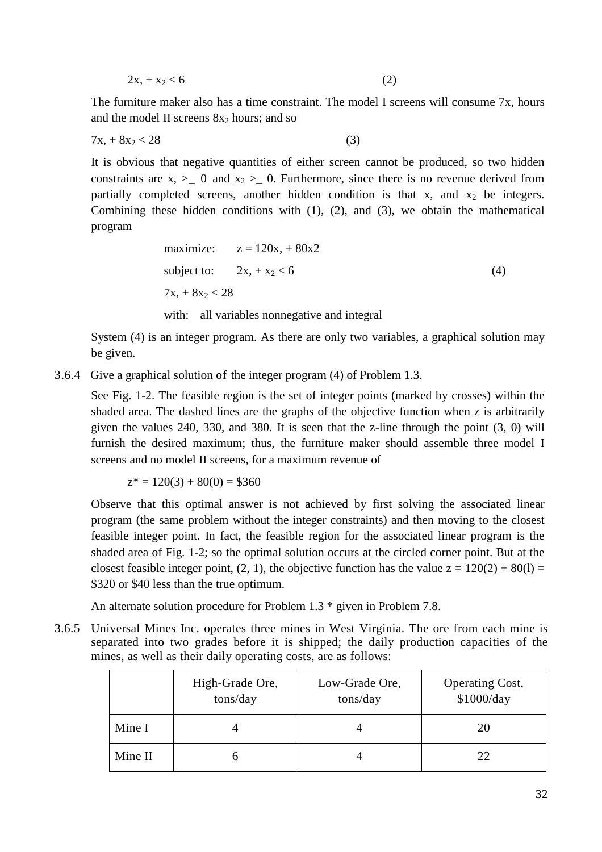$$
2x_1 + x_2 < 6 \tag{2}
$$

The furniture maker also has a time constraint. The model I screens will consume 7x, hours and the model II screens  $8x_2$  hours; and so

$$
7x_1 + 8x_2 < 28\tag{3}
$$

It is obvious that negative quantities of either screen cannot be produced, so two hidden constraints are  $x, > 0$  and  $x_2 > 0$ . Furthermore, since there is no revenue derived from partially completed screens, another hidden condition is that x, and  $x_2$  be integers. Combining these hidden conditions with (1), (2), and (3), we obtain the mathematical program

maximize: 
$$
z = 120x + 80x2
$$
  
subject to:  $2x + x_2 < 6$   
 $7x + 8x_2 < 28$  (4)

with: all variables nonnegative and integral

System (4) is an integer program. As there are only two variables, a graphical solution may be given.

3.6.4 Give a graphical solution of the integer program (4) of Problem 1.3.

See Fig. 1-2. The feasible region is the set of integer points (marked by crosses) within the shaded area. The dashed lines are the graphs of the objective function when z is arbitrarily given the values 240, 330, and 380. It is seen that the z-line through the point (3, 0) will furnish the desired maximum; thus, the furniture maker should assemble three model I screens and no model II screens, for a maximum revenue of

 $z^* = 120(3) + 80(0) = $360$ 

Observe that this optimal answer is not achieved by first solving the associated linear program (the same problem without the integer constraints) and then moving to the closest feasible integer point. In fact, the feasible region for the associated linear program is the shaded area of Fig. 1-2; so the optimal solution occurs at the circled corner point. But at the closest feasible integer point, (2, 1), the objective function has the value  $z = 120(2) + 80(1) =$ \$320 or \$40 less than the true optimum.

An alternate solution procedure for Problem 1.3 \* given in Problem 7.8.

3.6.5 Universal Mines Inc. operates three mines in West Virginia. The ore from each mine is separated into two grades before it is shipped; the daily production capacities of the mines, as well as their daily operating costs, are as follows:

|         | High-Grade Ore,<br>tons/day | Low-Grade Ore,<br>tons/day | <b>Operating Cost,</b><br>\$1000/day |
|---------|-----------------------------|----------------------------|--------------------------------------|
| Mine I  |                             |                            | 20                                   |
| Mine II |                             |                            | 22                                   |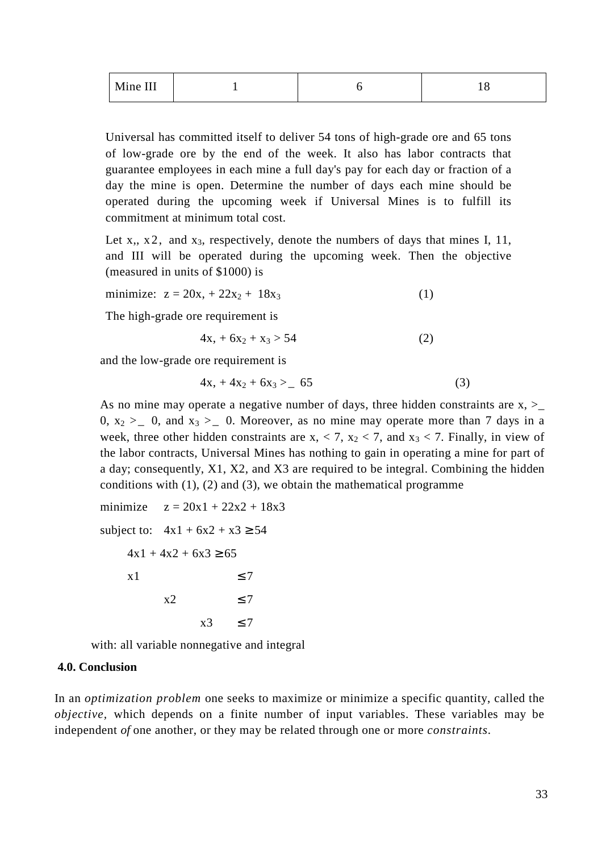| Mine III |  |  |
|----------|--|--|
|----------|--|--|

Universal has committed itself to deliver 54 tons of high-grade ore and 65 tons of low-grade ore by the end of the week. It also has labor contracts that guarantee employees in each mine a full day's pay for each day or fraction of a day the mine is open. Determine the number of days each mine should be operated during the upcoming week if Universal Mines is to fulfill its commitment at minimum total cost.

Let x,,  $x$  2, and  $x_3$ , respectively, denote the numbers of days that mines I, 11, and III will be operated during the upcoming week. Then the objective (measured in units of \$1000) is

minimize: 
$$
z = 20x_1 + 22x_2 + 18x_3
$$
 (1)

The high-grade ore requirement is

$$
4x + 6x_2 + x_3 > 54 \tag{2}
$$

and the low-grade ore requirement is

$$
4x_1 + 4x_2 + 6x_3 > 65 \tag{3}
$$

As no mine may operate a negative number of days, three hidden constraints are  $x, \geq$ 0,  $x_2 > 0$ , and  $x_3 > 0$ . Moreover, as no mine may operate more than 7 days in a week, three other hidden constraints are  $x, < 7, x_2 < 7$ , and  $x_3 < 7$ . Finally, in view of the labor contracts, Universal Mines has nothing to gain in operating a mine for part of a day; consequently, X1, X2, and X3 are required to be integral. Combining the hidden conditions with  $(1)$ ,  $(2)$  and  $(3)$ , we obtain the mathematical programme

minimize  $z = 20x1 + 22x2 + 18x3$ subject to:  $4x1 + 6x2 + x3 \ge 54$  $4x1 + 4x2 + 6x3 \ge 65$  $x1 \leq 7$  $x2 \leq 7$  $x3 \leq 7$ 

with: all variable nonnegative and integral

#### **4.0. Conclusion**

In an *optimization problem* one seeks to maximize or minimize a specific quantity, called the *objective,* which depends on a finite number of input variables. These variables may be independent *of* one another, or they may be related through one or more *constraints.*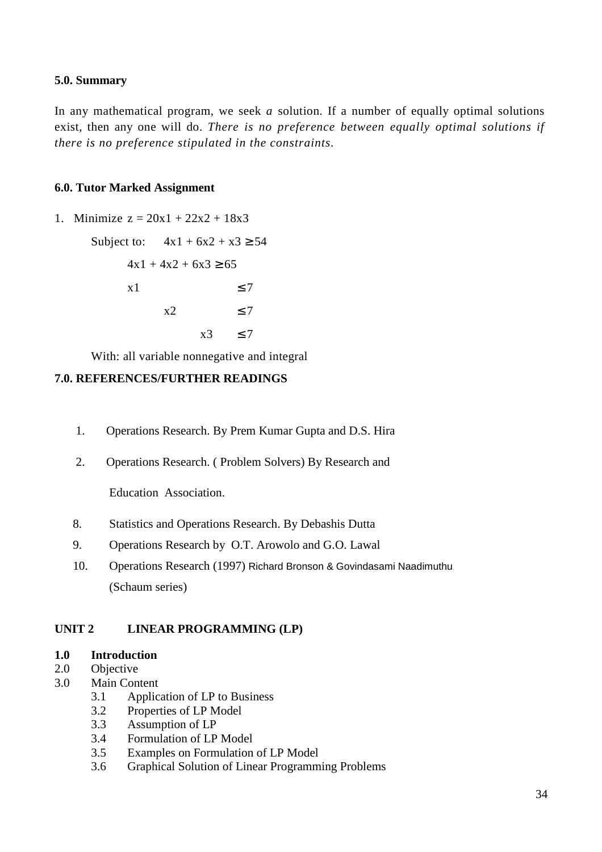## **5.0. Summary**

In any mathematical program, we seek *a* solution. If a number of equally optimal solutions exist, then any one will do. *There is no preference between equally optimal solutions if there is no preference stipulated in the constraints.* 

### **6.0. Tutor Marked Assignment**

1. Minimize  $z = 20x1 + 22x2 + 18x3$ 

Subject to:  $4x1 + 6x2 + x3 > 54$  $4x1 + 4x2 + 6x3 \ge 65$  $x1 \leq 7$  $x2 \leq 7$  $x3 \leq 7$ 

With: all variable nonnegative and integral

## **7.0. REFERENCES/FURTHER READINGS**

- 1. Operations Research. By Prem Kumar Gupta and D.S. Hira
- 2. Operations Research. ( Problem Solvers) By Research and

Education Association.

- 8. Statistics and Operations Research. By Debashis Dutta
- 9. Operations Research by O.T. Arowolo and G.O. Lawal
- 10. Operations Research (1997) Richard Bronson & Govindasami Naadimuthu (Schaum series)

# **UNIT 2 LINEAR PROGRAMMING (LP)**

#### **1.0 Introduction**

- 2.0 Objective
- 3.0 Main Content
	- 3.1 Application of LP to Business
	- 3.2 Properties of LP Model
	- 3.3 Assumption of LP
	- 3.4 Formulation of LP Model
	- 3.5 Examples on Formulation of LP Model
	- 3.6 Graphical Solution of Linear Programming Problems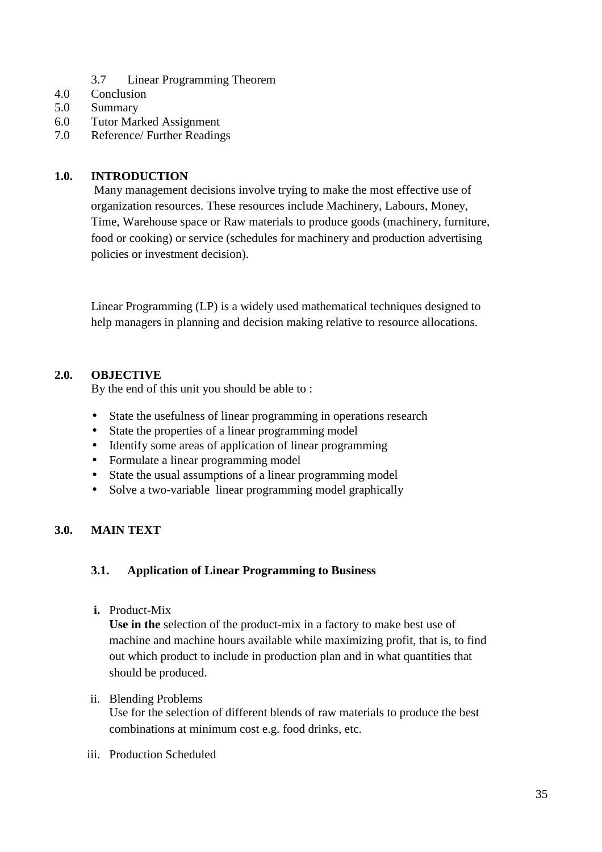- 3.7 Linear Programming Theorem
- 4.0 Conclusion
- 5.0 Summary
- 6.0 Tutor Marked Assignment
- 7.0 Reference/ Further Readings

## **1.0. INTRODUCTION**

Many management decisions involve trying to make the most effective use of organization resources. These resources include Machinery, Labours, Money, Time, Warehouse space or Raw materials to produce goods (machinery, furniture, food or cooking) or service (schedules for machinery and production advertising policies or investment decision).

Linear Programming (LP) is a widely used mathematical techniques designed to help managers in planning and decision making relative to resource allocations.

# **2.0. OBJECTIVE**

By the end of this unit you should be able to :

- State the usefulness of linear programming in operations research
- State the properties of a linear programming model
- Identify some areas of application of linear programming
- Formulate a linear programming model
- State the usual assumptions of a linear programming model
- Solve a two-variable linear programming model graphically

# **3.0. MAIN TEXT**

#### **3.1. Application of Linear Programming to Business**

**i.** Product-Mix

**Use in the** selection of the product-mix in a factory to make best use of machine and machine hours available while maximizing profit, that is, to find out which product to include in production plan and in what quantities that should be produced.

#### ii. Blending Problems

Use for the selection of different blends of raw materials to produce the best combinations at minimum cost e.g. food drinks, etc.

iii. Production Scheduled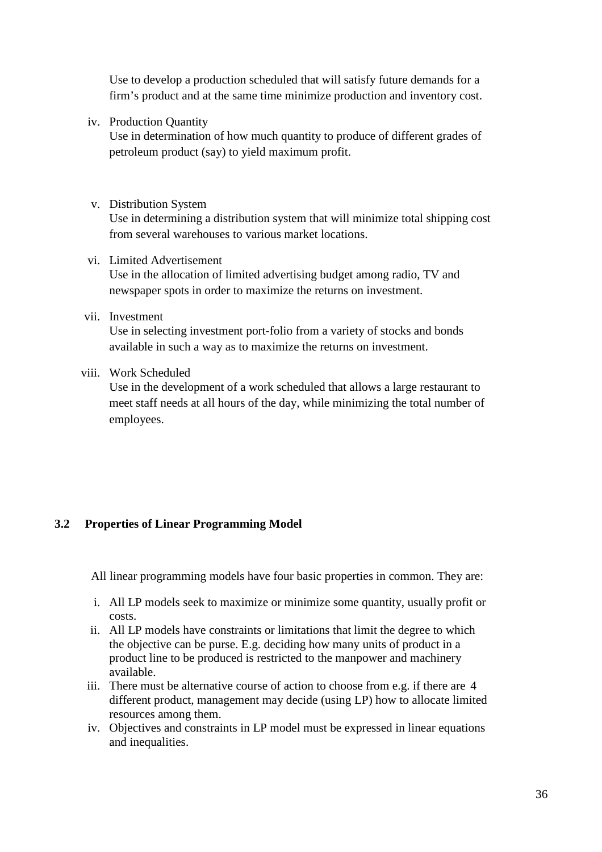Use to develop a production scheduled that will satisfy future demands for a firm's product and at the same time minimize production and inventory cost.

iv. Production Quantity

Use in determination of how much quantity to produce of different grades of petroleum product (say) to yield maximum profit.

v. Distribution System

Use in determining a distribution system that will minimize total shipping cost from several warehouses to various market locations.

- vi. Limited Advertisement Use in the allocation of limited advertising budget among radio, TV and newspaper spots in order to maximize the returns on investment.
- vii. Investment

Use in selecting investment port-folio from a variety of stocks and bonds available in such a way as to maximize the returns on investment.

viii. Work Scheduled

Use in the development of a work scheduled that allows a large restaurant to meet staff needs at all hours of the day, while minimizing the total number of employees.

# **3.2 Properties of Linear Programming Model**

All linear programming models have four basic properties in common. They are:

- i. All LP models seek to maximize or minimize some quantity, usually profit or costs.
- ii. All LP models have constraints or limitations that limit the degree to which the objective can be purse. E.g. deciding how many units of product in a product line to be produced is restricted to the manpower and machinery available.
- iii. There must be alternative course of action to choose from e.g. if there are 4 different product, management may decide (using LP) how to allocate limited resources among them.
- iv. Objectives and constraints in LP model must be expressed in linear equations and inequalities.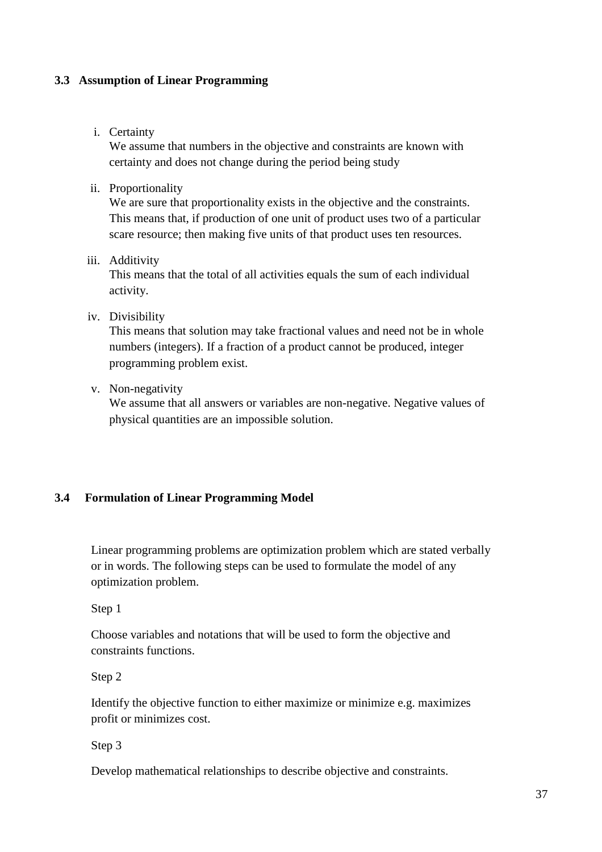## **3.3 Assumption of Linear Programming**

### i. Certainty

We assume that numbers in the objective and constraints are known with certainty and does not change during the period being study

ii. Proportionality

We are sure that proportionality exists in the objective and the constraints. This means that, if production of one unit of product uses two of a particular scare resource; then making five units of that product uses ten resources.

## iii. Additivity

This means that the total of all activities equals the sum of each individual activity.

### iv. Divisibility

This means that solution may take fractional values and need not be in whole numbers (integers). If a fraction of a product cannot be produced, integer programming problem exist.

v. Non-negativity

We assume that all answers or variables are non-negative. Negative values of physical quantities are an impossible solution.

## **3.4 Formulation of Linear Programming Model**

Linear programming problems are optimization problem which are stated verbally or in words. The following steps can be used to formulate the model of any optimization problem.

Step 1

Choose variables and notations that will be used to form the objective and constraints functions.

Step 2

Identify the objective function to either maximize or minimize e.g. maximizes profit or minimizes cost.

Step 3

Develop mathematical relationships to describe objective and constraints.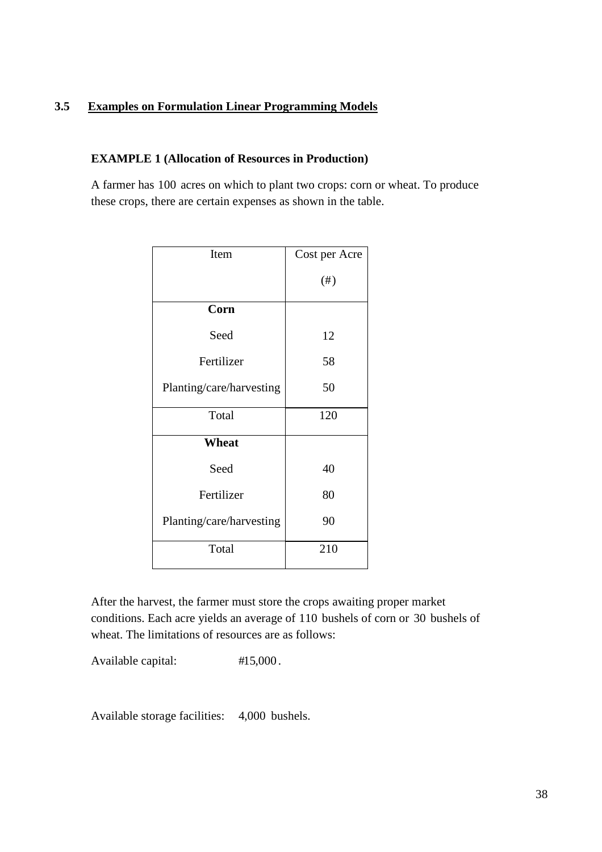## **3.5 Examples on Formulation Linear Programming Models**

## **EXAMPLE 1 (Allocation of Resources in Production)**

A farmer has 100 acres on which to plant two crops: corn or wheat. To produce these crops, there are certain expenses as shown in the table.

| Item                     | Cost per Acre |
|--------------------------|---------------|
|                          | $(\#)$        |
| Corn                     |               |
| Seed                     | 12            |
| Fertilizer               | 58            |
| Planting/care/harvesting | 50            |
| Total                    | 120           |
| Wheat                    |               |
| Seed                     | 40            |
| Fertilizer               | 80            |
| Planting/care/harvesting | 90            |
| Total                    | 210           |

After the harvest, the farmer must store the crops awaiting proper market conditions. Each acre yields an average of 110 bushels of corn or 30 bushels of wheat. The limitations of resources are as follows:

Available capital: #15,000.

Available storage facilities: 4,000 bushels.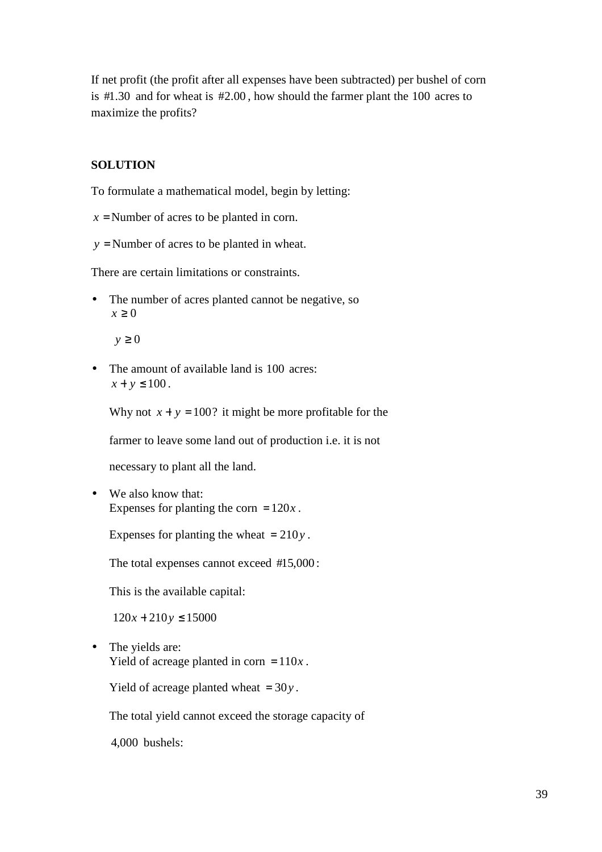If net profit (the profit after all expenses have been subtracted) per bushel of corn is  $\#1.30$  and for wheat is  $\#2.00$ , how should the farmer plant the 100 acres to maximize the profits?

## **SOLUTION**

To formulate a mathematical model, begin by letting:

- $x =$ Number of acres to be planted in corn.
- *y* = Number of acres to be planted in wheat.

There are certain limitations or constraints.

• The number of acres planted cannot be negative, so  $x \geq 0$ 

*y* ≥ 0

• The amount of available land is 100 acres:  $x + y \le 100$ .

Why not  $x + y = 100$ ? it might be more profitable for the

farmer to leave some land out of production i.e. it is not

necessary to plant all the land.

• We also know that: Expenses for planting the corn  $= 120x$ .

Expenses for planting the wheat = 210*y* .

The total expenses cannot exceed  $#15,000$ :

This is the available capital:

 $120x + 210y \le 15000$ 

• The yields are: Yield of acreage planted in corn  $= 110x$ .

Yield of acreage planted wheat = 30*y* .

The total yield cannot exceed the storage capacity of

4,000 bushels: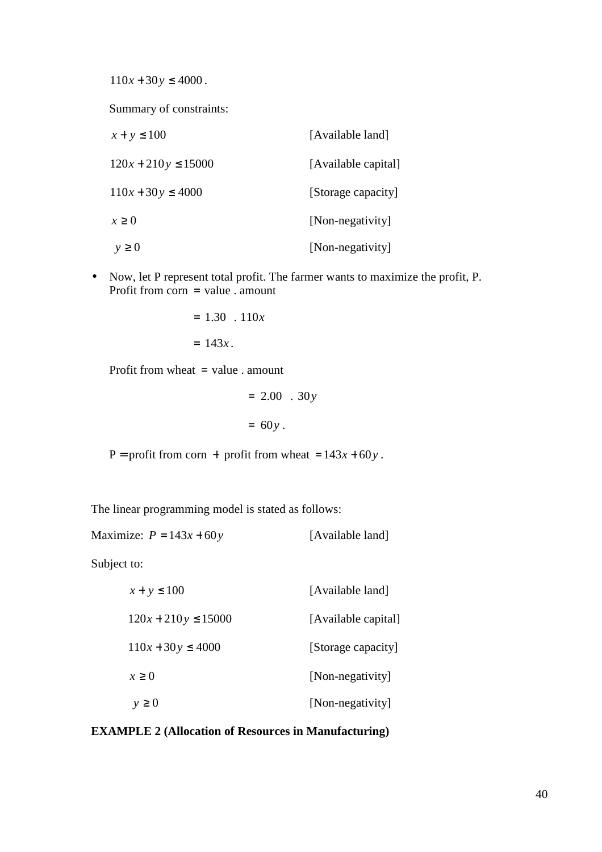$110x + 30y \le 4000$ .

Summary of constraints:

| $x + y \le 100$         | [Available land]    |
|-------------------------|---------------------|
| $120x + 210y \le 15000$ | [Available capital] |
| $110x + 30y \le 4000$   | [Storage capacity]  |
| $x \geq 0$              | [Non-negativity]    |
| $y \geq 0$              | [Non-negativity]    |

• Now, let P represent total profit. The farmer wants to maximize the profit, P. Profit from  $\text{corr} = \text{value}$ . amount

$$
= 1.30 . 110x
$$

$$
= 143x.
$$

Profit from wheat = value . amount

$$
= 2.00 . 30y
$$

$$
= 60y.
$$

P = profit from corn + profit from wheat =  $143x + 60y$ .

The linear programming model is stated as follows:

Maximize:  $P = 143x + 60y$  [Available land]

Subject to:

| $x + y \le 100$         | [Available land]    |
|-------------------------|---------------------|
| $120x + 210y \le 15000$ | [Available capital] |
| $110x + 30y \le 4000$   | [Storage capacity]  |
| x > 0                   | [Non-negativity]    |
| $y \geq 0$              | [Non-negativity]    |

### **EXAMPLE 2 (Allocation of Resources in Manufacturing)**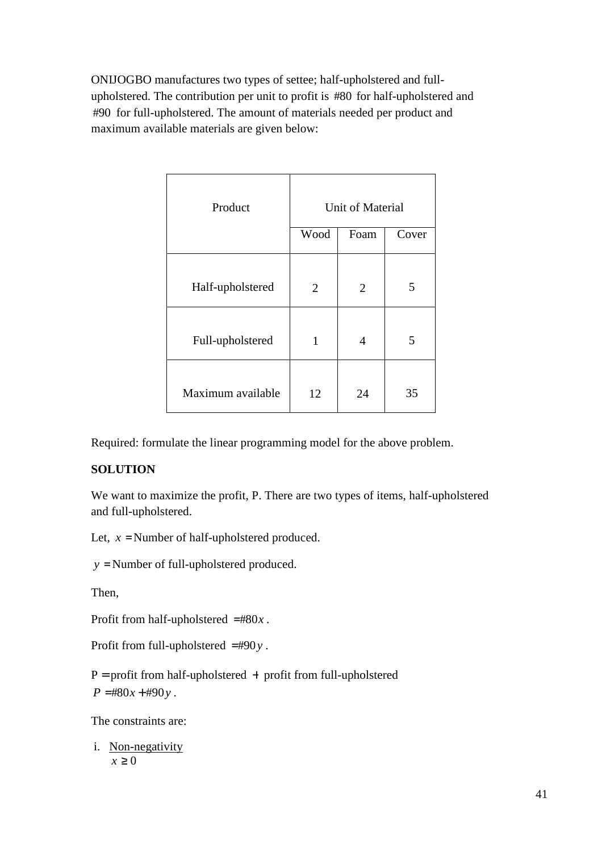ONIJOGBO manufactures two types of settee; half-upholstered and fullupholstered. The contribution per unit to profit is #80 for half-upholstered and #90 for full-upholstered. The amount of materials needed per product and maximum available materials are given below:

| Product           | Unit of Material |                |       |
|-------------------|------------------|----------------|-------|
|                   | Wood             | Foam           | Cover |
| Half-upholstered  | 2                | $\overline{2}$ | 5     |
| Full-upholstered  | 1                | 4              | 5     |
| Maximum available | 12               | 24             | 35    |

Required: formulate the linear programming model for the above problem.

## **SOLUTION**

We want to maximize the profit, P. There are two types of items, half-upholstered and full-upholstered.

Let,  $x =$  Number of half-upholstered produced.

*y* = Number of full-upholstered produced.

Then,

Profit from half-upholstered  $=$ #80 $x$ .

Profit from full-upholstered  $=$ #90 $y$ .

 $P =$  profit from half-upholstered  $+$  profit from full-upholstered  $P = #80x + #90y$ .

The constraints are:

i. Non-negativity  $x > 0$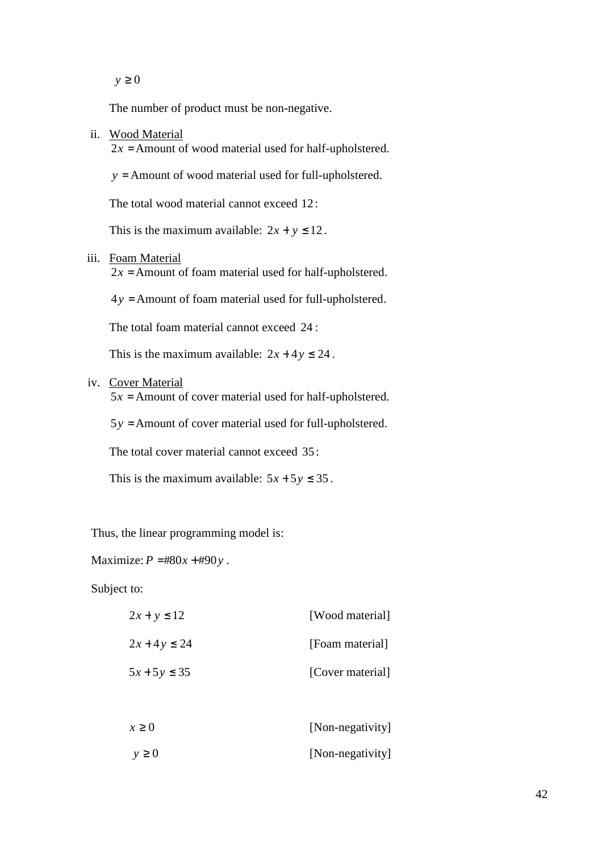*y* ≥ 0

The number of product must be non-negative.

ii. Wood Material

 $2x =$  Amount of wood material used for half-upholstered.

*y* = Amount of wood material used for full-upholstered.

The total wood material cannot exceed 12:

This is the maximum available:  $2x + y \le 12$ .

iii. Foam Material

 $2x =$  Amount of foam material used for half-upholstered.

 $4y =$  Amount of foam material used for full-upholstered.

The total foam material cannot exceed 24 :

This is the maximum available:  $2x + 4y \le 24$ .

iv. Cover Material

 $5x =$  Amount of cover material used for half-upholstered.

 $5y =$  Amount of cover material used for full-upholstered.

The total cover material cannot exceed 35:

This is the maximum available:  $5x + 5y \le 35$ .

Thus, the linear programming model is:

Maximize:  $P = #80x + #90y$ .

Subject to:

| $2x + y \le 12$  | [Wood material]  |
|------------------|------------------|
| $2x + 4y \le 24$ | [Foam material]  |
| $5x + 5y \le 35$ | [Cover material] |
|                  |                  |
| $x \geq 0$       | [Non-negativity] |
| $y \geq 0$       | [Non-negativity] |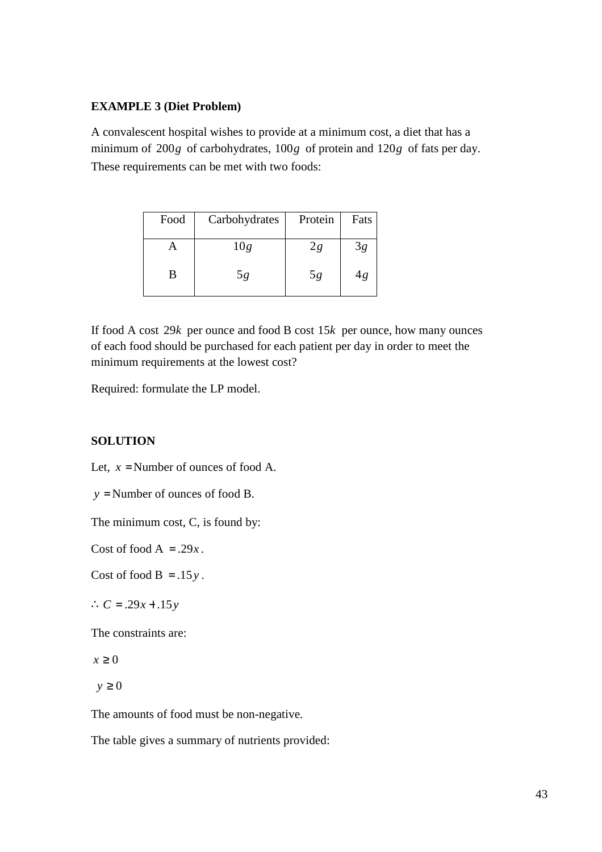### **EXAMPLE 3 (Diet Problem)**

A convalescent hospital wishes to provide at a minimum cost, a diet that has a minimum of  $200g$  of carbohydrates,  $100g$  of protein and  $120g$  of fats per day. These requirements can be met with two foods:

| Food | Carbohydrates | Protein | Fats |
|------|---------------|---------|------|
|      | 10g           | 2g      | 3g   |
| B    | 5g            | 5g      | 4g   |

If food A cost  $29k$  per ounce and food B cost  $15k$  per ounce, how many ounces of each food should be purchased for each patient per day in order to meet the minimum requirements at the lowest cost?

Required: formulate the LP model.

## **SOLUTION**

Let,  $x =$  Number of ounces of food A.

*y* = Number of ounces of food B.

The minimum cost, C, is found by:

Cost of food  $A = .29x$ .

Cost of food  $B = .15y$ .

∴  $C = .29x + .15y$ 

The constraints are:

*x* ≥ 0

 $y \geq 0$ 

The amounts of food must be non-negative.

The table gives a summary of nutrients provided: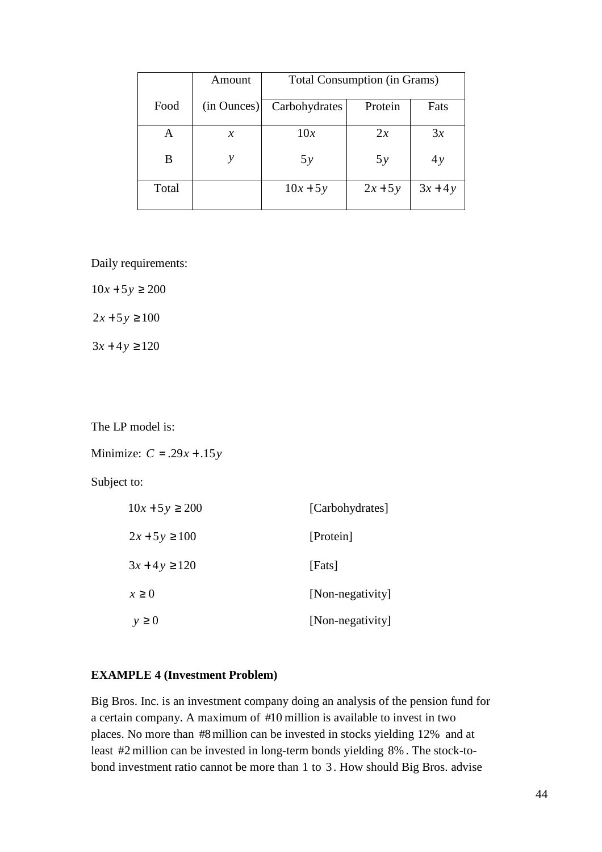|       | Amount        | <b>Total Consumption (in Grams)</b> |           |         |
|-------|---------------|-------------------------------------|-----------|---------|
| Food  | (in Ounces)   | Carbohydrates                       | Protein   | Fats    |
| A     | $\mathcal{X}$ | 10x                                 | 2x        | 3x      |
| B     |               | 5y                                  | 5y        | 4y      |
| Total |               | $10x + 5y$                          | $2x + 5y$ | $3x+4y$ |

Daily requirements:

 $10x + 5y \ge 200$  $2x + 5y \ge 100$ 

 $3x + 4y \ge 120$ 

The LP model is:

Minimize:  $C = .29x + .15y$ 

Subject to:

| $10x + 5y \ge 200$ | [Carbohydrates]  |
|--------------------|------------------|
| $2x+5y \ge 100$    | [Protein]        |
| $3x + 4y \ge 120$  | [Fats]           |
| $x \geq 0$         | [Non-negativity] |
| $y \geq 0$         | [Non-negativity] |

## **EXAMPLE 4 (Investment Problem)**

Big Bros. Inc. is an investment company doing an analysis of the pension fund for a certain company. A maximum of #10 million is available to invest in two places. No more than #8 million can be invested in stocks yielding 12% and at least #2 million can be invested in long-term bonds yielding 8%. The stock-tobond investment ratio cannot be more than 1 to 3 . How should Big Bros. advise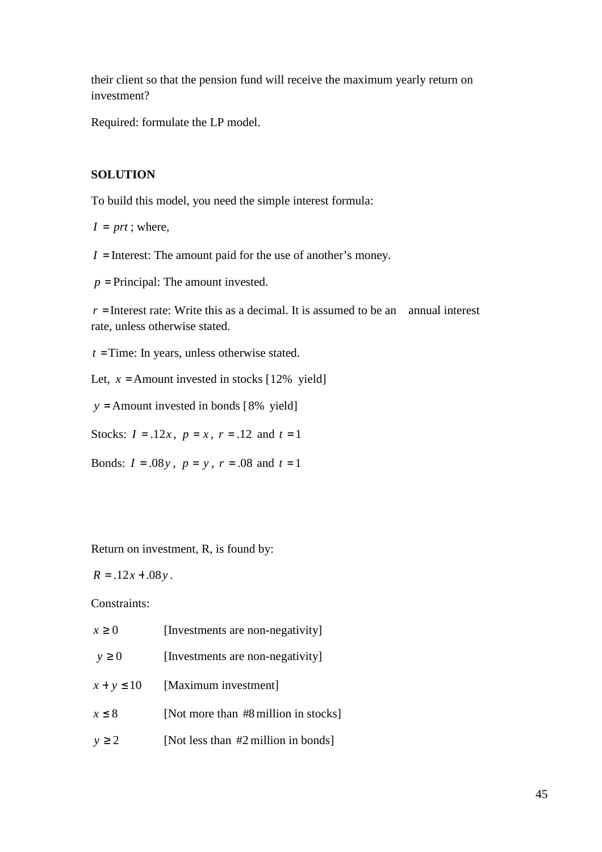their client so that the pension fund will receive the maximum yearly return on investment?

Required: formulate the LP model.

## **SOLUTION**

To build this model, you need the simple interest formula:

 $I = prt$ ; where,

 $I =$  Interest: The amount paid for the use of another's money.

 $p =$ Principal: The amount invested.

 $r =$ Interest rate: Write this as a decimal. It is assumed to be an annual interest rate, unless otherwise stated.

*t* =Time: In years, unless otherwise stated.

Let,  $x =$  Amount invested in stocks [12% yield]

 $y =$  Amount invested in bonds [8% yield]

Stocks:  $I = .12x$ ,  $p = x$ ,  $r = .12$  and  $t = 1$ 

Bonds:  $I = .08y$ ,  $p = y$ ,  $r = .08$  and  $t = 1$ 

Return on investment, R, is found by:

 $R = 0.12x + 0.08y$ .

Constraints:

| $x \geq 0$     | [Investments are non-negativity]     |
|----------------|--------------------------------------|
| $y \geq 0$     | [Investments are non-negativity]     |
| $x + y \le 10$ | [Maximum investment]                 |
| $x \leq 8$     | [Not more than #8 million in stocks] |
| $y \geq 2$     | [Not less than #2 million in bonds]  |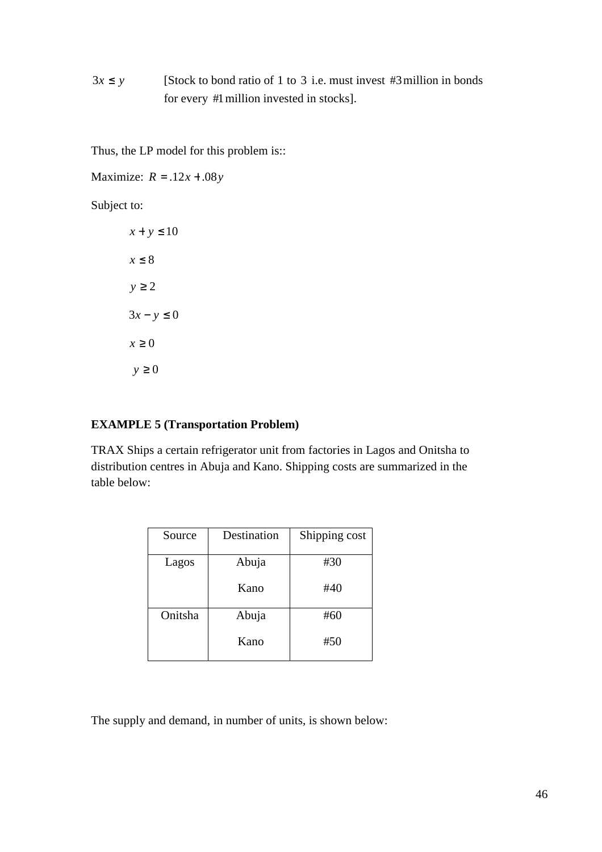# $3x \leq y$  [Stock to bond ratio of 1 to 3 i.e. must invest #3 million in bonds for every #1million invested in stocks].

Thus, the LP model for this problem is::

Maximize:  $R = .12x + .08y$ 

Subject to:

 $x + y \le 10$ *x* ≤ 8 *y* ≥ 2  $3x - y \le 0$  $x \geq 0$  $y \geq 0$ 

## **EXAMPLE 5 (Transportation Problem)**

TRAX Ships a certain refrigerator unit from factories in Lagos and Onitsha to distribution centres in Abuja and Kano. Shipping costs are summarized in the table below:

| Source  | Destination | Shipping cost |
|---------|-------------|---------------|
| Lagos   | Abuja       | #30           |
|         | Kano        | #40           |
| Onitsha | Abuja       | #60           |
|         | Kano        | #50           |

The supply and demand, in number of units, is shown below: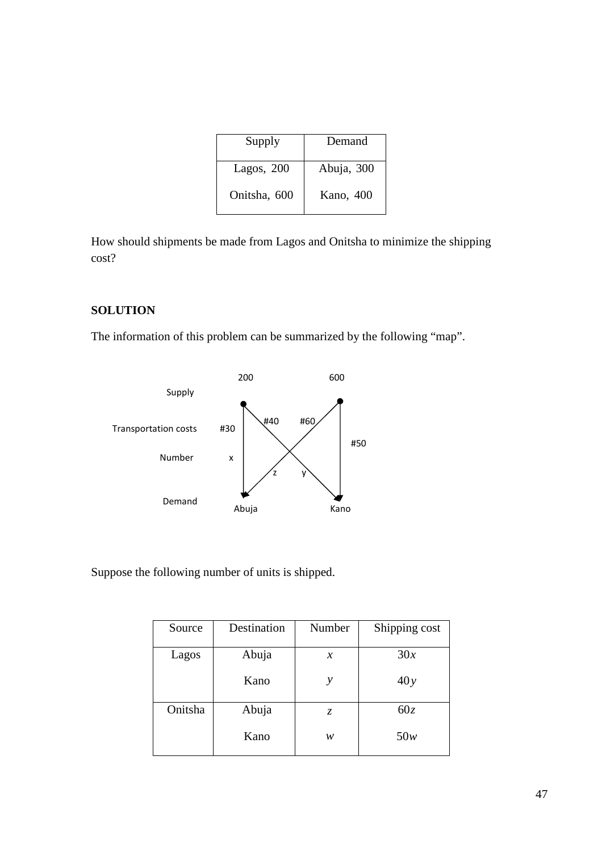| Supply       | Demand     |
|--------------|------------|
| Lagos, $200$ | Abuja, 300 |
| Onitsha, 600 | Kano, 400  |

How should shipments be made from Lagos and Onitsha to minimize the shipping cost?

## **SOLUTION**

The information of this problem can be summarized by the following "map".



Suppose the following number of units is shipped.

| Source  | Destination | Number | Shipping cost |
|---------|-------------|--------|---------------|
| Lagos   | Abuja       | $\chi$ | 30x           |
|         | Kano        | у      | 40y           |
| Onitsha | Abuja       | Z.     | 60z           |
|         | Kano        | w      | 50w           |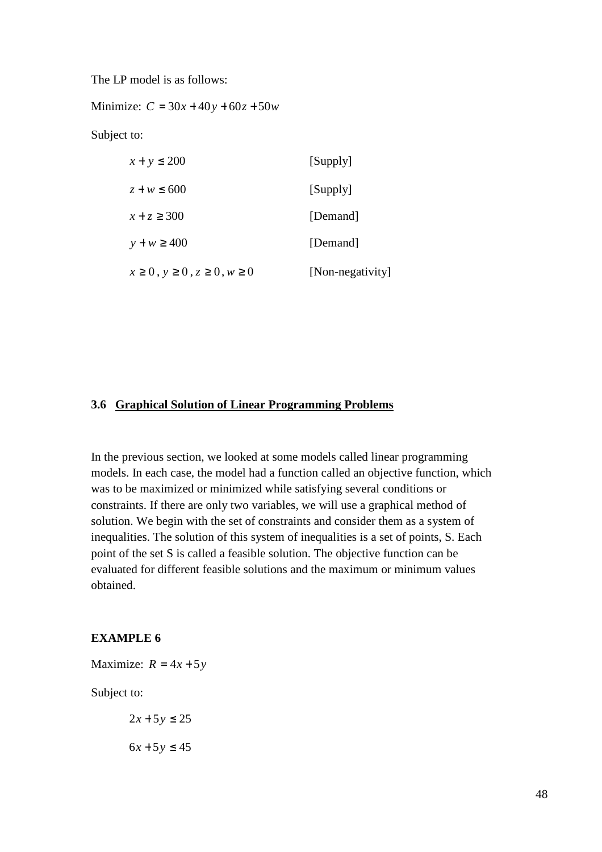The LP model is as follows:

Minimize:  $C = 30x + 40y + 60z + 50w$ 

Subject to:

| $x + y \le 200$                               | [Supply]         |
|-----------------------------------------------|------------------|
| $z + w \leq 600$                              | [Supply]         |
| $x + z \ge 300$                               | [Demand]         |
| $y + w \ge 400$                               | [Demand]         |
| $x \ge 0$ , $y \ge 0$ , $z \ge 0$ , $w \ge 0$ | [Non-negativity] |

## **3.6 Graphical Solution of Linear Programming Problems**

In the previous section, we looked at some models called linear programming models. In each case, the model had a function called an objective function, which was to be maximized or minimized while satisfying several conditions or constraints. If there are only two variables, we will use a graphical method of solution. We begin with the set of constraints and consider them as a system of inequalities. The solution of this system of inequalities is a set of points, S. Each point of the set S is called a feasible solution. The objective function can be evaluated for different feasible solutions and the maximum or minimum values obtained.

### **EXAMPLE 6**

Maximize:  $R = 4x + 5y$ 

Subject to:

 $2x + 5y \le 25$  $6x + 5y \le 45$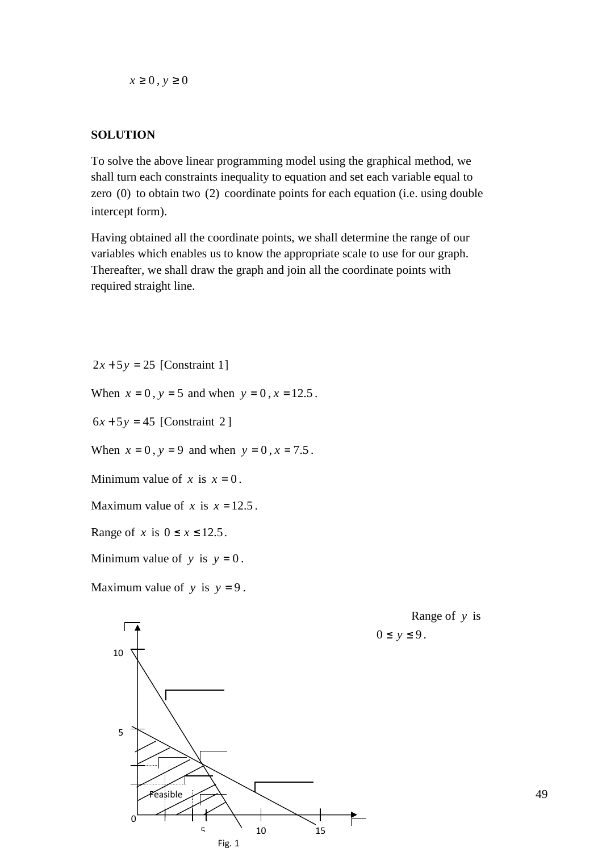$x \geq 0$ ,  $y \geq 0$ 

## **SOLUTION**

To solve the above linear programming model using the graphical method, we shall turn each constraints inequality to equation and set each variable equal to zero  $(0)$  to obtain two  $(2)$  coordinate points for each equation (i.e. using double intercept form).

Having obtained all the coordinate points, we shall determine the range of our variables which enables us to know the appropriate scale to use for our graph. Thereafter, we shall draw the graph and join all the coordinate points with required straight line.

 $2x + 5y = 25$  [Constraint 1]

When  $x = 0$ ,  $y = 5$  and when  $y = 0$ ,  $x = 12.5$ .

 $6x + 5y = 45$  [Constraint 2]

When  $x = 0$ ,  $y = 9$  and when  $y = 0$ ,  $x = 7.5$ .

Minimum value of *x* is  $x = 0$ .

Maximum value of *x* is  $x = 12.5$ .

Range of *x* is  $0 \le x \le 12.5$ .

Minimum value of  $y$  is  $y = 0$ .

Maximum value of  $y$  is  $y = 9$ .



Fig. 1

Range of *y* is  $0 \leq y \leq 9$ .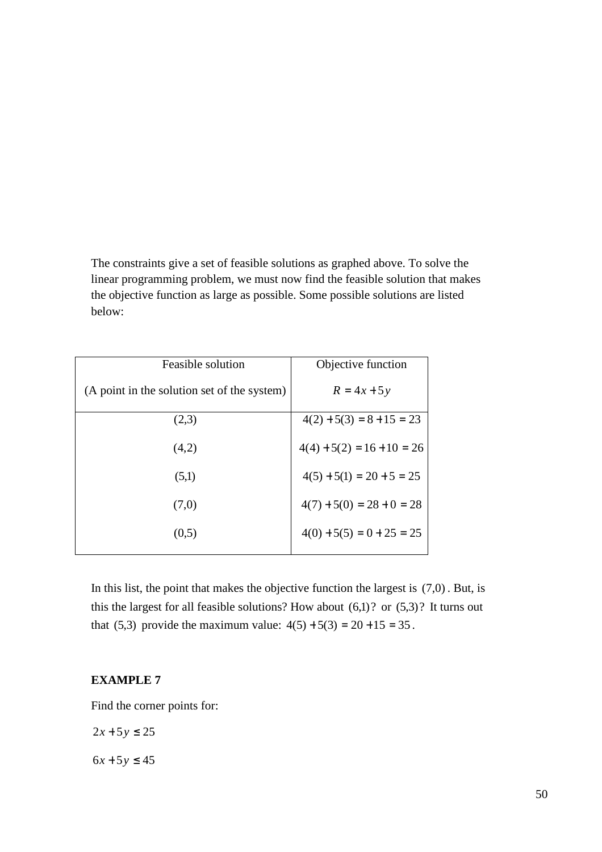The constraints give a set of feasible solutions as graphed above. To solve the linear programming problem, we must now find the feasible solution that makes the objective function as large as possible. Some possible solutions are listed below:

| Feasible solution                           | Objective function           |
|---------------------------------------------|------------------------------|
| (A point in the solution set of the system) | $R = 4x + 5y$                |
| (2,3)                                       | $4(2) + 5(3) = 8 + 15 = 23$  |
| (4,2)                                       | $4(4) + 5(2) = 16 + 10 = 26$ |
| (5,1)                                       | $4(5) + 5(1) = 20 + 5 = 25$  |
| (7,0)                                       | $4(7) + 5(0) = 28 + 0 = 28$  |
| (0,5)                                       | $4(0) + 5(5) = 0 + 25 = 25$  |

In this list, the point that makes the objective function the largest is  $(7,0)$ . But, is this the largest for all feasible solutions? How about  $(6,1)$ ? or  $(5,3)$ ? It turns out that (5,3) provide the maximum value:  $4(5) + 5(3) = 20 + 15 = 35$ .

### **EXAMPLE 7**

Find the corner points for:

 $2x + 5y \le 25$ 

 $6x + 5y \le 45$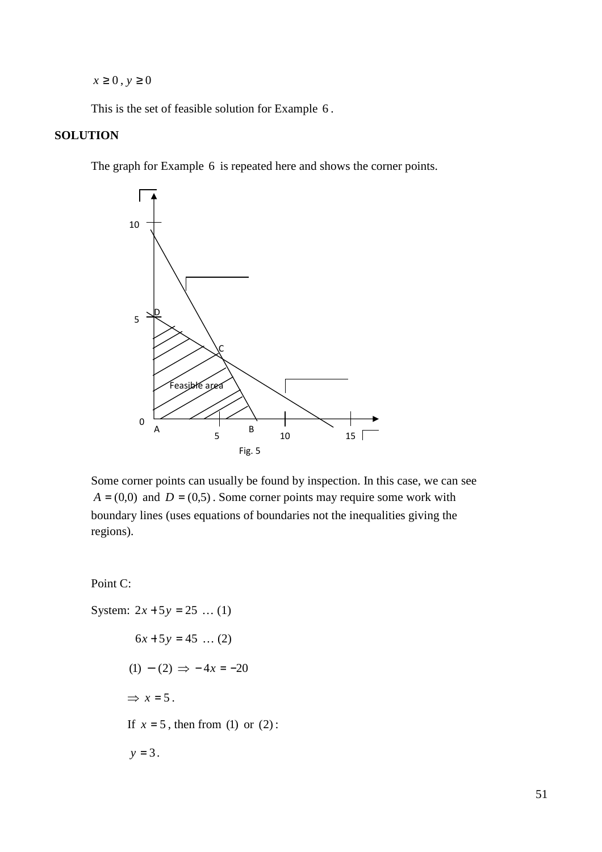$x \geq 0$ ,  $y \geq 0$ 

This is the set of feasible solution for Example 6 .

## **SOLUTION**

The graph for Example 6 is repeated here and shows the corner points.



Some corner points can usually be found by inspection. In this case, we can see  $A = (0,0)$  and  $D = (0,5)$ . Some corner points may require some work with boundary lines (uses equations of boundaries not the inequalities giving the regions).

Point C:

System:  $2x + 5y = 25$  ... (1)  $6x + 5y = 45$  ... (2)  $(1) - (2) \Rightarrow -4x = -20$  $\Rightarrow$   $x = 5$ . If  $x = 5$ , then from (1) or (2):  $y = 3$ .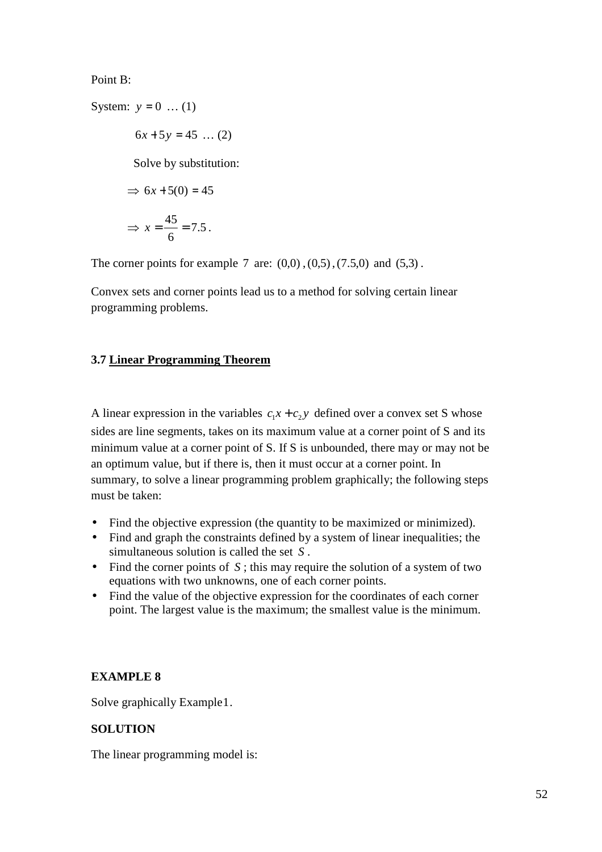Point B:

System:  $y = 0$  ... (1)

 $6x + 5y = 45$  ... (2)

Solve by substitution:

$$
\Rightarrow 6x + 5(0) = 45
$$

$$
\Rightarrow x = \frac{45}{6} = 7.5.
$$

The corner points for example 7 are:  $(0,0)$ ,  $(0,5)$ ,  $(7.5,0)$  and  $(5,3)$ .

Convex sets and corner points lead us to a method for solving certain linear programming problems.

## **3.7 Linear Programming Theorem**

A linear expression in the variables  $c_1x + c_2y$  defined over a convex set S whose sides are line segments, takes on its maximum value at a corner point of S and its minimum value at a corner point of S. If S is unbounded, there may or may not be an optimum value, but if there is, then it must occur at a corner point. In summary, to solve a linear programming problem graphically; the following steps must be taken:

- Find the objective expression (the quantity to be maximized or minimized).
- Find and graph the constraints defined by a system of linear inequalities; the simultaneous solution is called the set *S* .
- Find the corner points of S; this may require the solution of a system of two equations with two unknowns, one of each corner points.
- Find the value of the objective expression for the coordinates of each corner point. The largest value is the maximum; the smallest value is the minimum.

#### **EXAMPLE 8**

Solve graphically Example1.

## **SOLUTION**

The linear programming model is: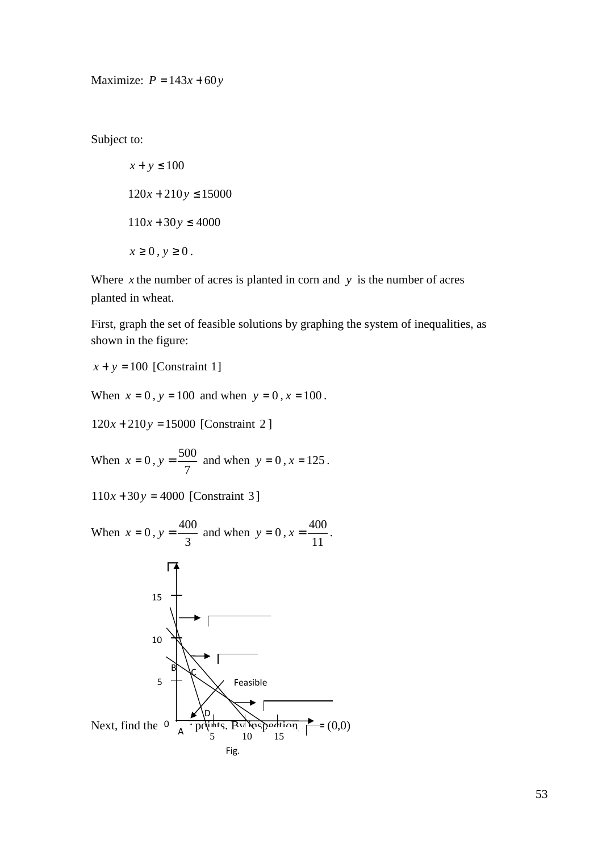Maximize:  $P = 143x + 60y$ 

Subject to:

$$
x + y \le 100
$$
  
120x + 210y \le 15000  
110x + 30y \le 4000  
 $x \ge 0, y \ge 0$ .

Where  $x$  the number of acres is planted in corn and  $y$  is the number of acres planted in wheat.

First, graph the set of feasible solutions by graphing the system of inequalities, as shown in the figure:

 $x + y = 100$  [Constraint 1]

When  $x = 0$ ,  $y = 100$  and when  $y = 0$ ,  $x = 100$ .

120*x* + 210*y* = 15000 [Constraint 2 ]

When  $x = 0$ , 7  $y = \frac{500}{7}$  and when  $y = 0$ ,  $x = 125$ .

 $110x + 30y = 4000$  [Constraint 3]

When  $x = 0$ , 3  $y = \frac{400}{9}$  and when  $y = 0$ , 11  $x = \frac{400}{11}$ .

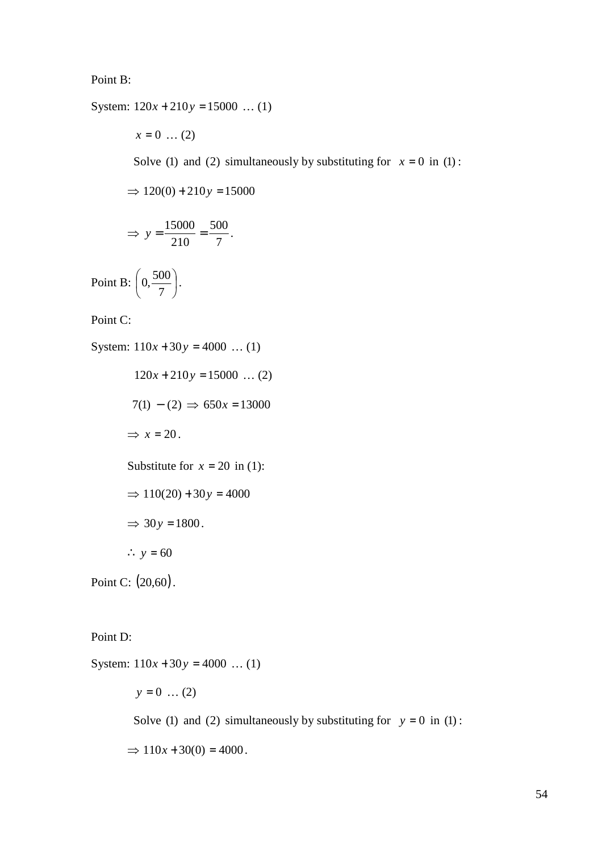Point B:

System:  $120x + 210y = 15000$  ... (1)

 $x = 0$  ... (2)

Solve (1) and (2) simultaneously by substituting for  $x = 0$  in (1):

$$
\Rightarrow 120(0) + 210y = 15000
$$

$$
\Rightarrow y = \frac{15000}{210} = \frac{500}{7}.
$$

Point B:  $\left|0, \frac{300}{5}\right|$ J  $\left(0,\frac{500}{\cdot}\right)$ l ſ 7  $(0, \frac{500}{5})$ .

Point C:

System:  $110x + 30y = 4000$  ... (1)  $120x + 210y = 15000$  ... (2)  $7(1) - (2) \Rightarrow 650x = 13000$  $\Rightarrow$   $x = 20$ . Substitute for  $x = 20$  in (1):  $\Rightarrow$  110(20) + 30*y* = 4000  $\Rightarrow$  30*y* = 1800. ∴  $y = 60$ Point C:  $(20,60)$ .

Point D:

System:  $110x + 30y = 4000$  ... (1)  $y = 0$  ... (2) Solve (1) and (2) simultaneously by substituting for  $y = 0$  in (1):  $\Rightarrow$  110*x* + 30(0) = 4000.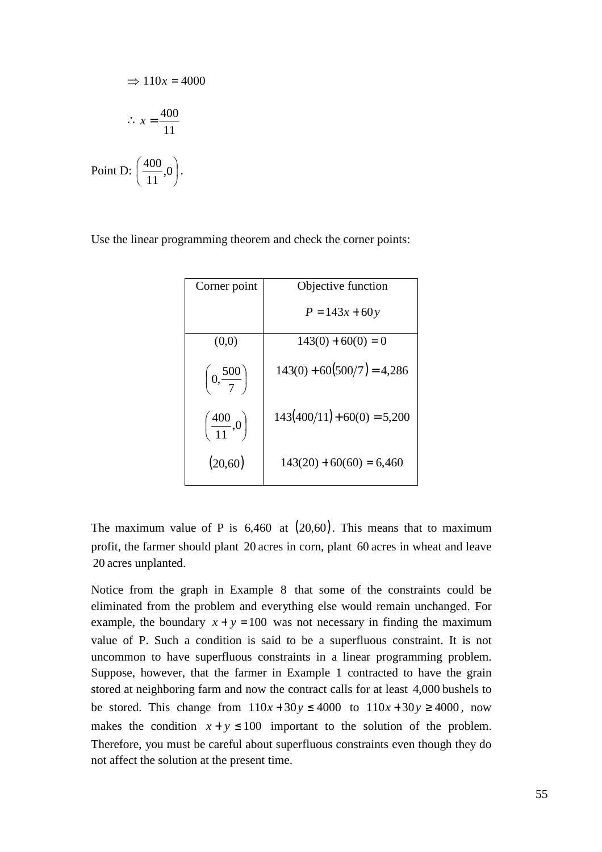$$
\Rightarrow 110x = 4000
$$

$$
\therefore x = \frac{400}{11}
$$

$$
\text{Point D: } \left(\frac{400}{11}, 0\right).
$$

Use the linear programming theorem and check the corner points:

| Corner point                    | Objective function            |  |  |  |
|---------------------------------|-------------------------------|--|--|--|
|                                 | $P = 143x + 60y$              |  |  |  |
| (0,0)                           | $143(0) + 60(0) = 0$          |  |  |  |
| $\left(0,\frac{500}{7}\right)$  | $143(0) + 60(500/7) = 4,286$  |  |  |  |
| $\left(\frac{400}{11},0\right)$ | $143(400/11) + 60(0) = 5,200$ |  |  |  |
| (20,60)                         | $143(20) + 60(60) = 6,460$    |  |  |  |

The maximum value of P is  $6,460$  at  $(20,60)$ . This means that to maximum profit, the farmer should plant 20 acres in corn, plant 60 acres in wheat and leave 20 acres unplanted.

Notice from the graph in Example 8 that some of the constraints could be eliminated from the problem and everything else would remain unchanged. For example, the boundary  $x + y = 100$  was not necessary in finding the maximum value of P. Such a condition is said to be a superfluous constraint. It is not uncommon to have superfluous constraints in a linear programming problem. Suppose, however, that the farmer in Example 1 contracted to have the grain stored at neighboring farm and now the contract calls for at least 4,000 bushels to be stored. This change from  $110x + 30y \le 4000$  to  $110x + 30y \ge 4000$ , now makes the condition  $x + y \le 100$  important to the solution of the problem. Therefore, you must be careful about superfluous constraints even though they do not affect the solution at the present time.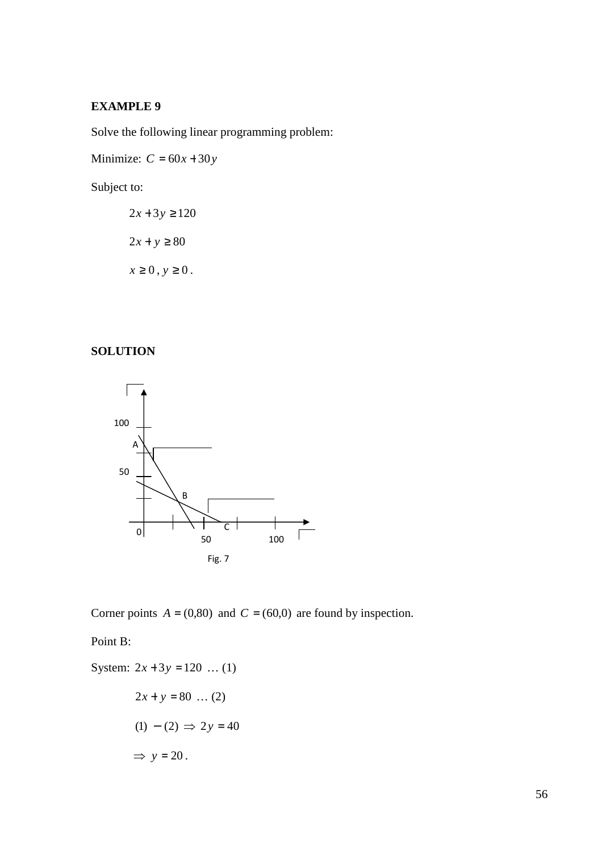# **EXAMPLE 9**

Solve the following linear programming problem:

Minimize:  $C = 60x + 30y$ 

Subject to:

$$
2x + 3y \ge 120
$$

$$
2x + y \ge 80
$$

$$
x \ge 0, y \ge 0.
$$

## **SOLUTION**



Corner points  $A = (0,80)$  and  $C = (60,0)$  are found by inspection.

Point B:

System: 
$$
2x + 3y = 120
$$
 ... (1)  
 $2x + y = 80$  ... (2)

$$
(1) - (2) \Rightarrow 2y = 40
$$

$$
\Rightarrow y = 20.
$$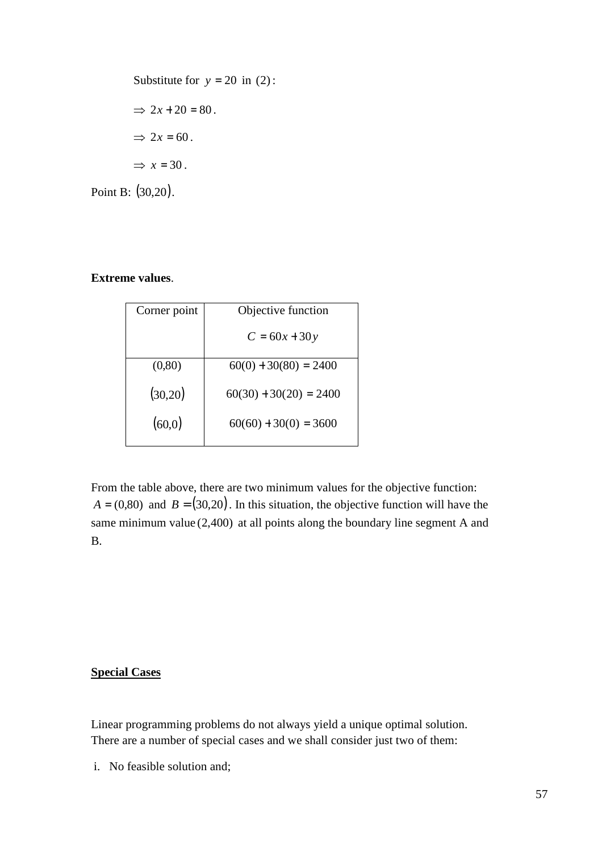Substitute for 
$$
y = 20
$$
 in (2):  
\n $\Rightarrow 2x + 20 = 80$ .  
\n $\Rightarrow 2x = 60$ .  
\n $\Rightarrow x = 30$ .

Point B: (30,20).

## **Extreme values**.

| Corner point | Objective function       |  |  |  |
|--------------|--------------------------|--|--|--|
|              | $C = 60x + 30y$          |  |  |  |
|              |                          |  |  |  |
| (0, 80)      | $60(0) + 30(80) = 2400$  |  |  |  |
|              | $60(30) + 30(20) = 2400$ |  |  |  |
| (30,20)      |                          |  |  |  |
| (60,0)       | $60(60) + 30(0) = 3600$  |  |  |  |
|              |                          |  |  |  |

From the table above, there are two minimum values for the objective function:  $A = (0.80)$  and  $B = (30,20)$ . In this situation, the objective function will have the same minimum value  $(2,400)$  at all points along the boundary line segment A and B.

## **Special Cases**

Linear programming problems do not always yield a unique optimal solution. There are a number of special cases and we shall consider just two of them:

i. No feasible solution and;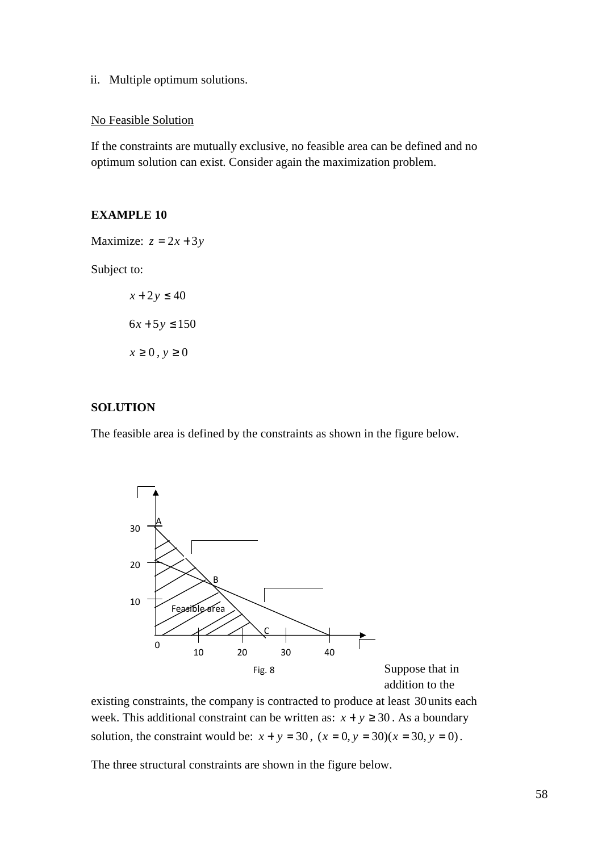ii. Multiple optimum solutions.

### No Feasible Solution

If the constraints are mutually exclusive, no feasible area can be defined and no optimum solution can exist. Consider again the maximization problem.

#### **EXAMPLE 10**

Maximize:  $z = 2x + 3y$ 

Subject to:

$$
x + 2y \le 40
$$
  

$$
6x + 5y \le 150
$$
  

$$
x \ge 0, y \ge 0
$$

## **SOLUTION**

The feasible area is defined by the constraints as shown in the figure below.



existing constraints, the company is contracted to produce at least 30 units each week. This additional constraint can be written as:  $x + y \ge 30$ . As a boundary solution, the constraint would be:  $x + y = 30$ ,  $(x = 0, y = 30)(x = 30, y = 0)$ .

The three structural constraints are shown in the figure below.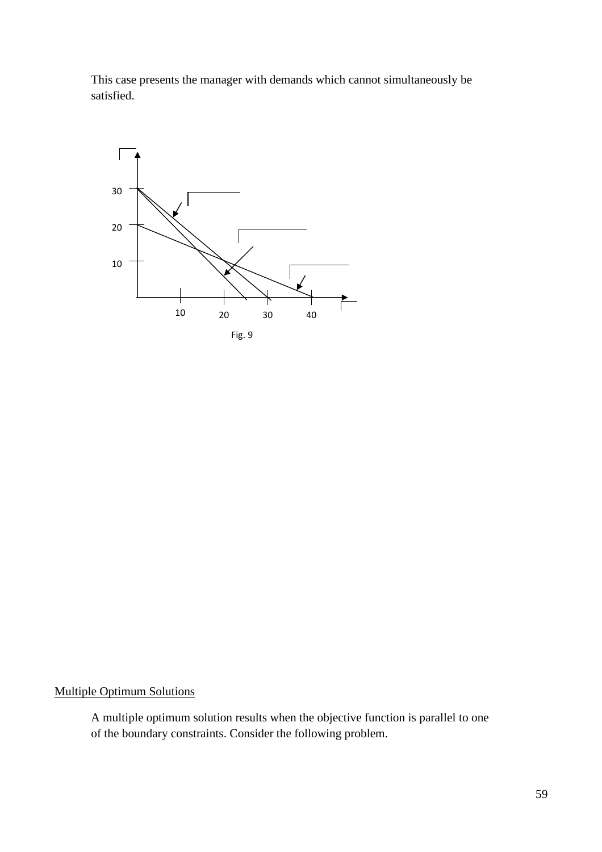This case presents the manager with demands which cannot simultaneously be satisfied.



## Multiple Optimum Solutions

A multiple optimum solution results when the objective function is parallel to one of the boundary constraints. Consider the following problem.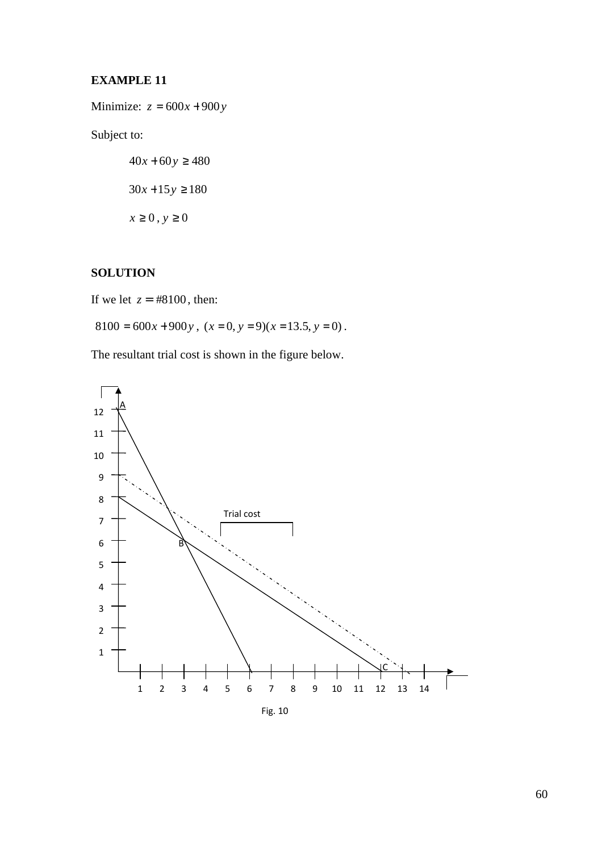## **EXAMPLE 11**

Minimize:  $z = 600x + 900y$ 

Subject to:

 $40x + 60y \ge 480$  $30x + 15y \ge 180$  $x \ge 0$ ,  $y \ge 0$ 

## **SOLUTION**

If we let  $z = #8100$ , then:

 $8100 = 600x + 900y$ ,  $(x = 0, y = 9)(x = 13.5, y = 0)$ .

The resultant trial cost is shown in the figure below.



60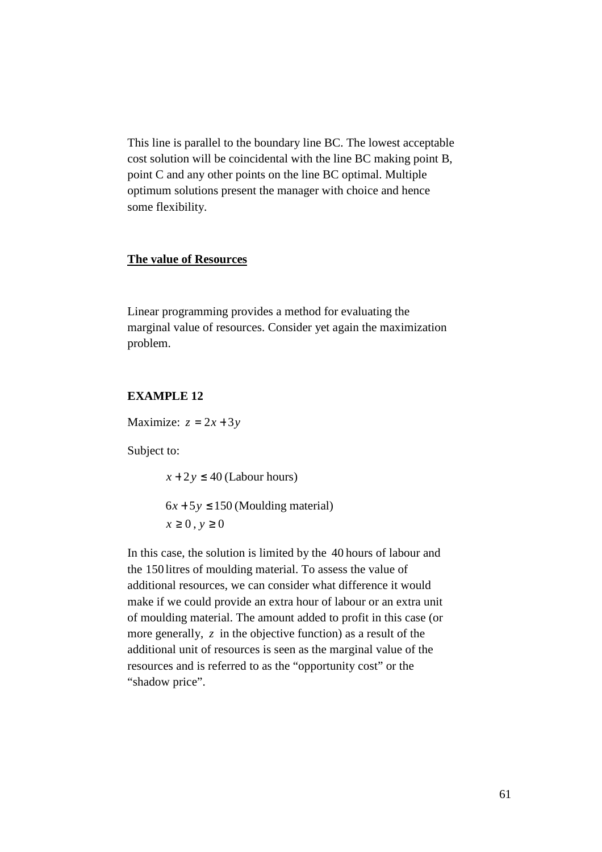This line is parallel to the boundary line BC. The lowest acceptable cost solution will be coincidental with the line BC making point B, point C and any other points on the line BC optimal. Multiple optimum solutions present the manager with choice and hence some flexibility.

### **The value of Resources**

Linear programming provides a method for evaluating the marginal value of resources. Consider yet again the maximization problem.

## **EXAMPLE 12**

Maximize:  $z = 2x + 3y$ 

Subject to:

 $x + 2y \le 40$  (Labour hours)

 $6x + 5y \le 150$  (Moulding material)  $x \geq 0$ ,  $y \geq 0$ 

In this case, the solution is limited by the 40 hours of labour and the 150 litres of moulding material. To assess the value of additional resources, we can consider what difference it would make if we could provide an extra hour of labour or an extra unit of moulding material. The amount added to profit in this case (or more generally, z in the objective function) as a result of the additional unit of resources is seen as the marginal value of the resources and is referred to as the "opportunity cost" or the "shadow price".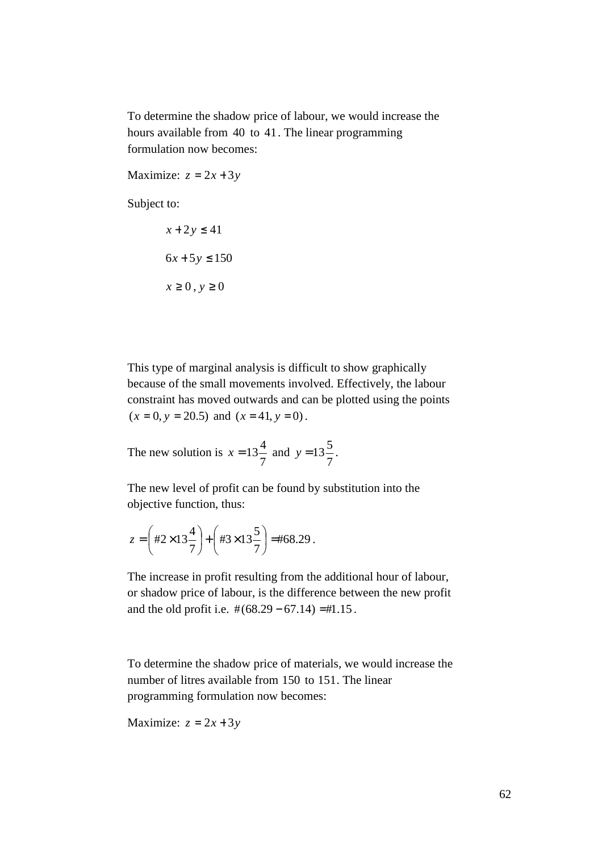To determine the shadow price of labour, we would increase the hours available from 40 to 41. The linear programming formulation now becomes:

Maximize:  $z = 2x + 3y$ 

Subject to:

$$
x + 2y \le 41
$$
  

$$
6x + 5y \le 150
$$
  

$$
x \ge 0, y \ge 0
$$

This type of marginal analysis is difficult to show graphically because of the small movements involved. Effectively, the labour constraint has moved outwards and can be plotted using the points  $(x = 0, y = 20.5)$  and  $(x = 41, y = 0)$ .

The new solution is 7  $x = 13\frac{4}{x}$  and 7  $y = 13\frac{5}{7}$ .

The new level of profit can be found by substitution into the objective function, thus:

$$
z = \left(\frac{\#2 \times 13\frac{4}{7}}{\#3 \times 13\frac{5}{7}}\right) = \frac{\#68.29}{45}.
$$

The increase in profit resulting from the additional hour of labour, or shadow price of labour, is the difference between the new profit and the old profit i.e.  $\#(68.29 - 67.14) = \#1.15$ .

To determine the shadow price of materials, we would increase the number of litres available from 150 to 151. The linear programming formulation now becomes:

Maximize:  $z = 2x + 3y$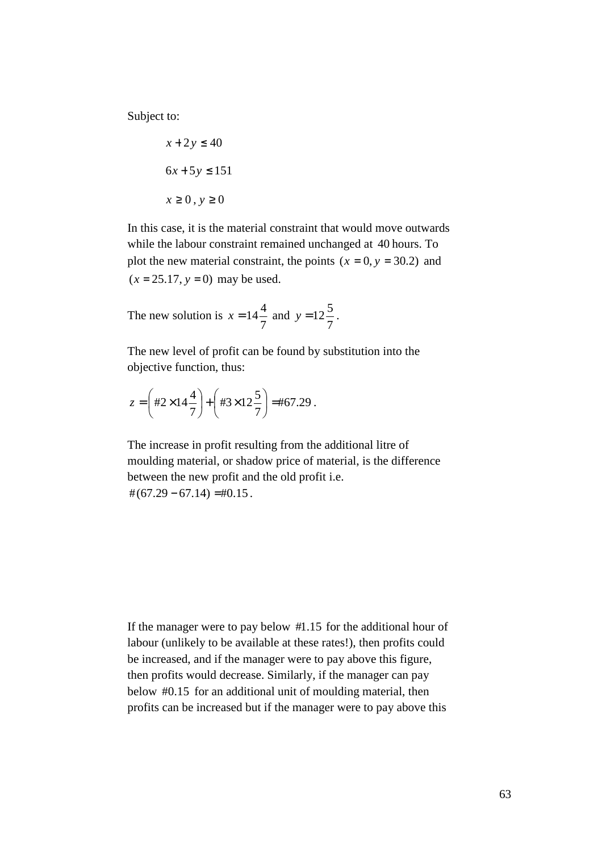Subject to:

$$
x + 2y \le 40
$$
  

$$
6x + 5y \le 151
$$
  

$$
x \ge 0, y \ge 0
$$

In this case, it is the material constraint that would move outwards while the labour constraint remained unchanged at 40 hours. To plot the new material constraint, the points  $(x = 0, y = 30.2)$  and  $(x = 25.17, y = 0)$  may be used.

The new solution is 7  $x = 14\frac{4}{x}$  and 7  $y = 12\frac{5}{7}$ .

The new level of profit can be found by substitution into the objective function, thus:

$$
z = \left(\frac{\#2 \times 14\frac{4}{7}}{\#3 \times 12\frac{5}{7}}\right) = \frac{\#67.29}{}
$$

The increase in profit resulting from the additional litre of moulding material, or shadow price of material, is the difference between the new profit and the old profit i.e.  $\# (67.29 - 67.14) = \# 0.15$ .

If the manager were to pay below  $#1.15$  for the additional hour of labour (unlikely to be available at these rates!), then profits could be increased, and if the manager were to pay above this figure, then profits would decrease. Similarly, if the manager can pay below  $#0.15$  for an additional unit of moulding material, then profits can be increased but if the manager were to pay above this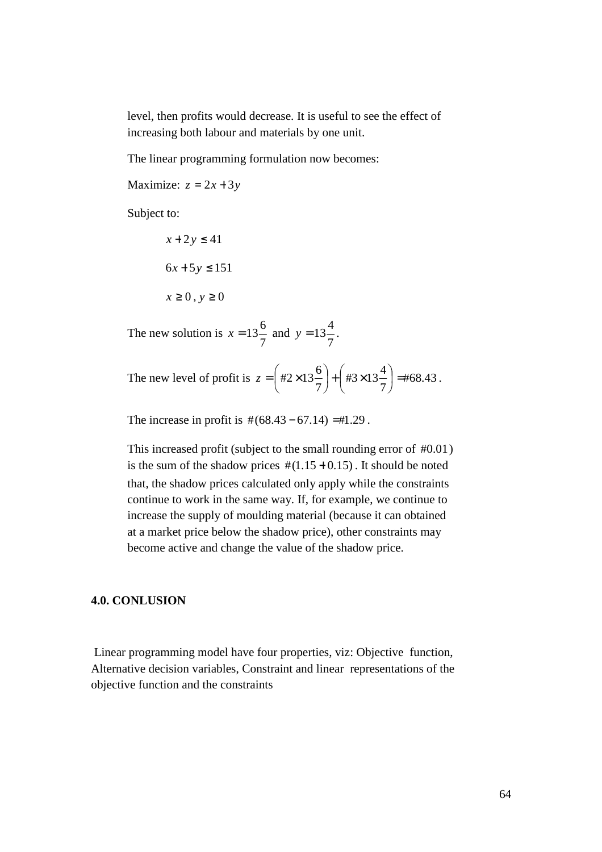level, then profits would decrease. It is useful to see the effect of increasing both labour and materials by one unit.

The linear programming formulation now becomes:

Maximize:  $z = 2x + 3y$ 

Subject to:

 $x + 2y \le 41$  $6x + 5y \le 151$  $x \geq 0$ ,  $y \geq 0$ 

The new solution is 7  $x = 13\frac{6}{x}$  and 7  $y = 13\frac{4}{7}$ .

The new level of profit is  $z = |t/2 \times 13^{-}$  +  $|t/3 \times 13^{-}$  =  $|t/68.43$ 7 #3×13 $\frac{4}{5}$ 7  $\#2\times13\frac{6}{2}\,+\left(\#3\times13\frac{4}{2}\right)=$ J  $\left(\text{\#3}\times13\frac{4}{2}\right)$ l  $+ \int \frac{1}{43x}$ J  $\left(\#2\times13\frac{6}{2}\right)$ l ſ  $z = |$  #2×13<sup>2</sup>  $| + |$  #3×13<sup>2</sup>  $| =$   $| + 68.43$ .

The increase in profit is  $\#(68.43 - 67.14) = \#1.29$ .

This increased profit (subject to the small rounding error of  $#0.01$ ) is the sum of the shadow prices  $\#(1.15 + 0.15)$ . It should be noted that, the shadow prices calculated only apply while the constraints continue to work in the same way. If, for example, we continue to increase the supply of moulding material (because it can obtained at a market price below the shadow price), other constraints may become active and change the value of the shadow price.

#### **4.0. CONLUSION**

 Linear programming model have four properties, viz: Objective function, Alternative decision variables, Constraint and linear representations of the objective function and the constraints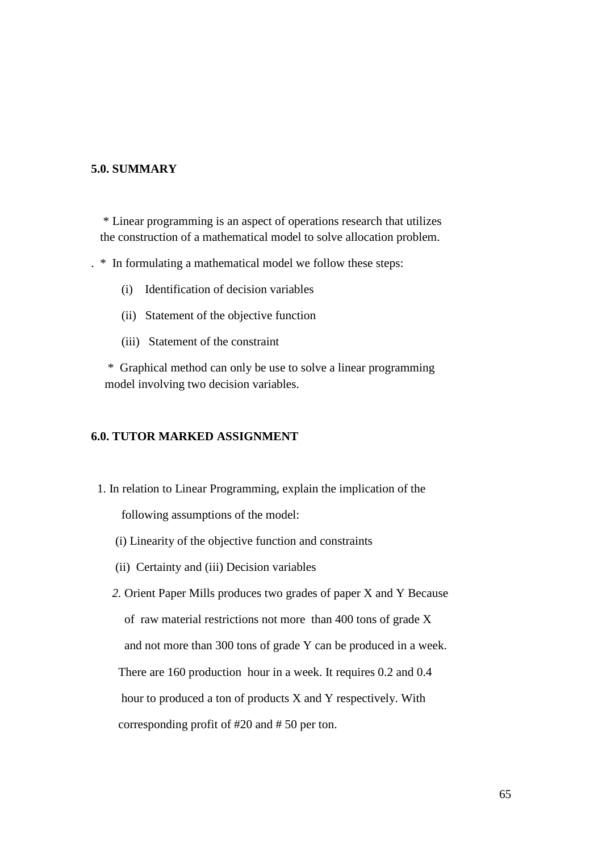### **5.0. SUMMARY**

\* Linear programming is an aspect of operations research that utilizes the construction of a mathematical model to solve allocation problem.

. \* In formulating a mathematical model we follow these steps:

- (i) Identification of decision variables
- (ii) Statement of the objective function
- (iii) Statement of the constraint

 \* Graphical method can only be use to solve a linear programming model involving two decision variables.

## **6.0. TUTOR MARKED ASSIGNMENT**

1. In relation to Linear Programming, explain the implication of the

following assumptions of the model:

- (i) Linearity of the objective function and constraints
- (ii) Certainty and (iii) Decision variables

 *2.* Orient Paper Mills produces two grades of paper X and Y Because of raw material restrictions not more than 400 tons of grade X and not more than 300 tons of grade Y can be produced in a week.

There are 160 production hour in a week. It requires 0.2 and 0.4

hour to produced a ton of products X and Y respectively. With

corresponding profit of #20 and # 50 per ton.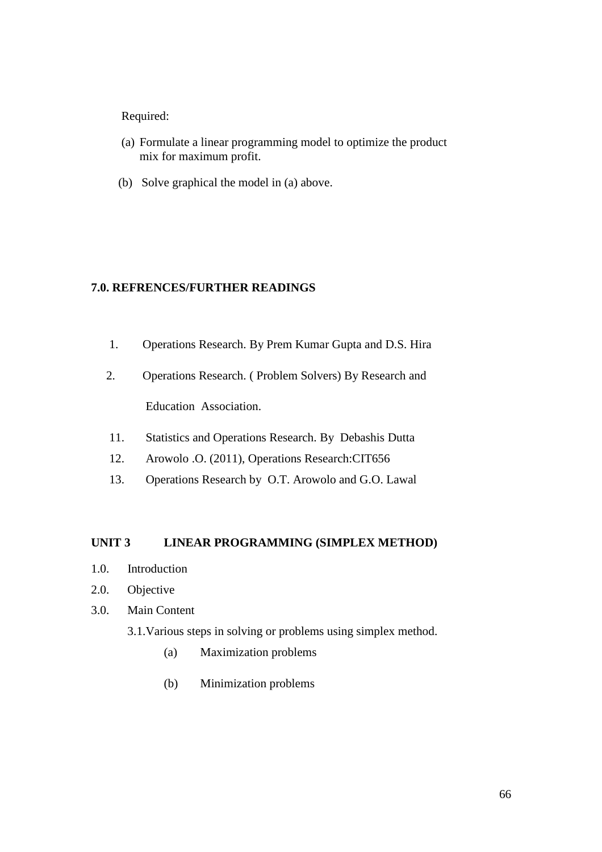## Required:

- (a) Formulate a linear programming model to optimize the product mix for maximum profit.
- (b) Solve graphical the model in (a) above.

## **7.0. REFRENCES/FURTHER READINGS**

- 1. Operations Research. By Prem Kumar Gupta and D.S. Hira
- 2. Operations Research. ( Problem Solvers) By Research and Education Association.
- 11. Statistics and Operations Research. By Debashis Dutta
- 12. Arowolo .O. (2011), Operations Research:CIT656
- 13. Operations Research by O.T. Arowolo and G.O. Lawal

### **UNIT 3 LINEAR PROGRAMMING (SIMPLEX METHOD)**

- 1.0. Introduction
- 2.0. Objective
- 3.0. Main Content
	- 3.1.Various steps in solving or problems using simplex method.
		- (a) Maximization problems
		- (b) Minimization problems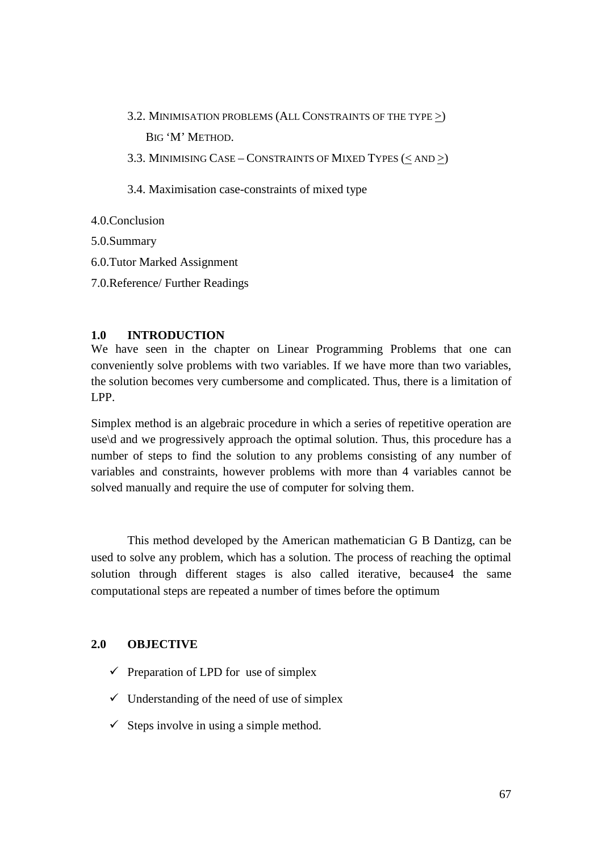3.2. MINIMISATION PROBLEMS (ALL CONSTRAINTS OF THE TYPE >) BIG 'M' METHOD.

3.3. MINIMISING CASE – CONSTRAINTS OF MIXED TYPES (< AND >)

3.4. Maximisation case-constraints of mixed type

- 4.0.Conclusion
- 5.0.Summary
- 6.0.Tutor Marked Assignment
- 7.0.Reference/ Further Readings

## **1.0 INTRODUCTION**

We have seen in the chapter on Linear Programming Problems that one can conveniently solve problems with two variables. If we have more than two variables, the solution becomes very cumbersome and complicated. Thus, there is a limitation of LPP.

Simplex method is an algebraic procedure in which a series of repetitive operation are use\d and we progressively approach the optimal solution. Thus, this procedure has a number of steps to find the solution to any problems consisting of any number of variables and constraints, however problems with more than 4 variables cannot be solved manually and require the use of computer for solving them.

 This method developed by the American mathematician G B Dantizg, can be used to solve any problem, which has a solution. The process of reaching the optimal solution through different stages is also called iterative, because4 the same computational steps are repeated a number of times before the optimum

## **2.0 OBJECTIVE**

- $\checkmark$  Preparation of LPD for use of simplex
- $\checkmark$  Understanding of the need of use of simplex
- $\checkmark$  Steps involve in using a simple method.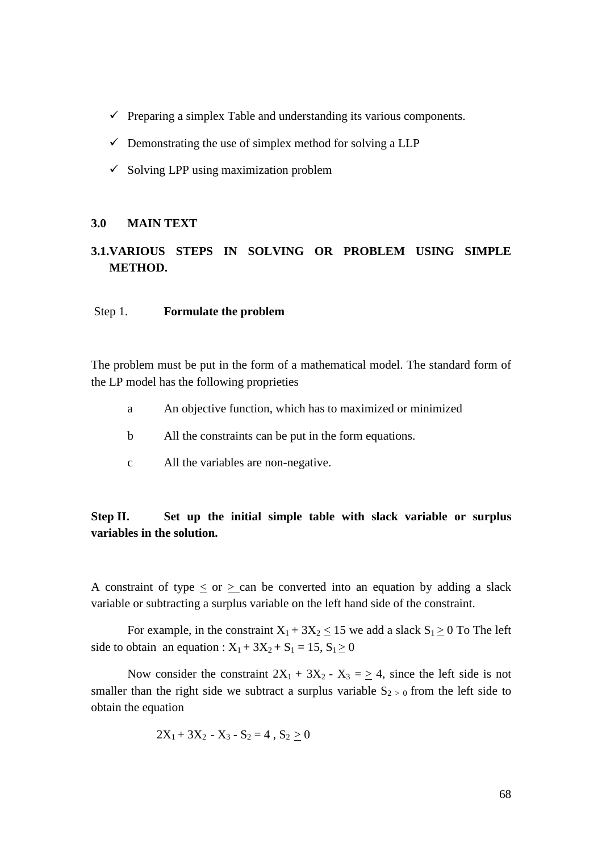- $\checkmark$  Preparing a simplex Table and understanding its various components.
- $\checkmark$  Demonstrating the use of simplex method for solving a LLP
- $\checkmark$  Solving LPP using maximization problem

#### **3.0 MAIN TEXT**

# **3.1.VARIOUS STEPS IN SOLVING OR PROBLEM USING SIMPLE METHOD.**

#### Step 1. **Formulate the problem**

The problem must be put in the form of a mathematical model. The standard form of the LP model has the following proprieties

- a An objective function, which has to maximized or minimized
- b All the constraints can be put in the form equations.
- c All the variables are non-negative.

## **Step II. Set up the initial simple table with slack variable or surplus variables in the solution.**

A constraint of type  $\langle$  or  $\rangle$  can be converted into an equation by adding a slack variable or subtracting a surplus variable on the left hand side of the constraint.

For example, in the constraint  $X_1 + 3X_2 \le 15$  we add a slack  $S_1 \ge 0$  To The left side to obtain an equation :  $X_1 + 3X_2 + S_1 = 15$ ,  $S_1 \ge 0$ 

Now consider the constraint  $2X_1 + 3X_2 - X_3 = 4$ , since the left side is not smaller than the right side we subtract a surplus variable  $S_{2} > 0$  from the left side to obtain the equation

$$
2X_1 + 3X_2 - X_3 - S_2 = 4 , S_2 \ge 0
$$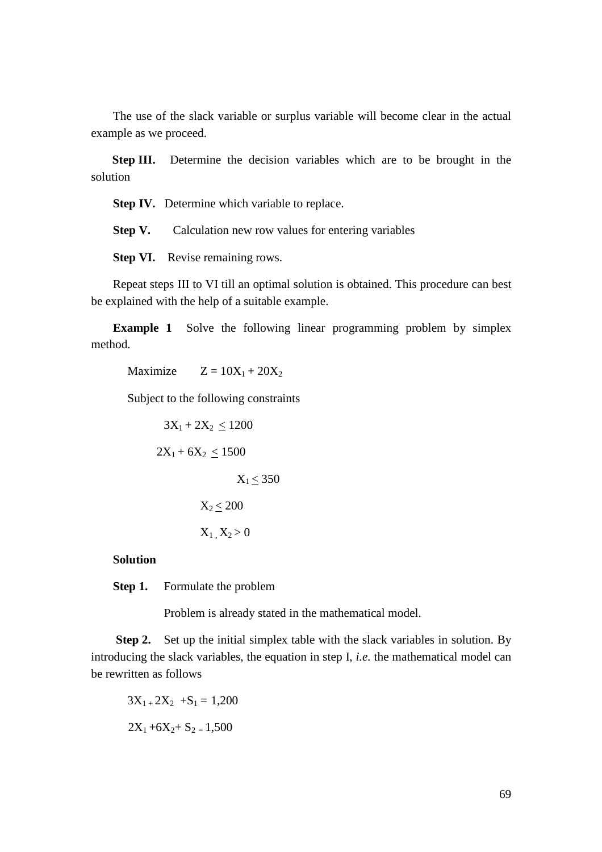The use of the slack variable or surplus variable will become clear in the actual example as we proceed.

 **Step III.** Determine the decision variables which are to be brought in the solution

**Step IV.** Determine which variable to replace.

**Step V.** Calculation new row values for entering variables

**Step VI.** Revise remaining rows.

Repeat steps III to VI till an optimal solution is obtained. This procedure can best be explained with the help of a suitable example.

**Example 1** Solve the following linear programming problem by simplex method.

Maximize  $Z = 10X_1 + 20X_2$ 

Subject to the following constraints

 $3X_1 + 2X_2 \le 1200$  $2X_1 + 6X_2 < 1500$  $X_1 < 350$  $X_2 \le 200$  $X_1$ ,  $X_2 > 0$ 

**Solution** 

**Step 1.** Formulate the problem

Problem is already stated in the mathematical model.

**Step 2.** Set up the initial simplex table with the slack variables in solution. By introducing the slack variables, the equation in step I, *i.e.* the mathematical model can be rewritten as follows

$$
3X1+ 2X2 + S1 = 1,200
$$

$$
2X1 + 6X2 + S2 = 1,500
$$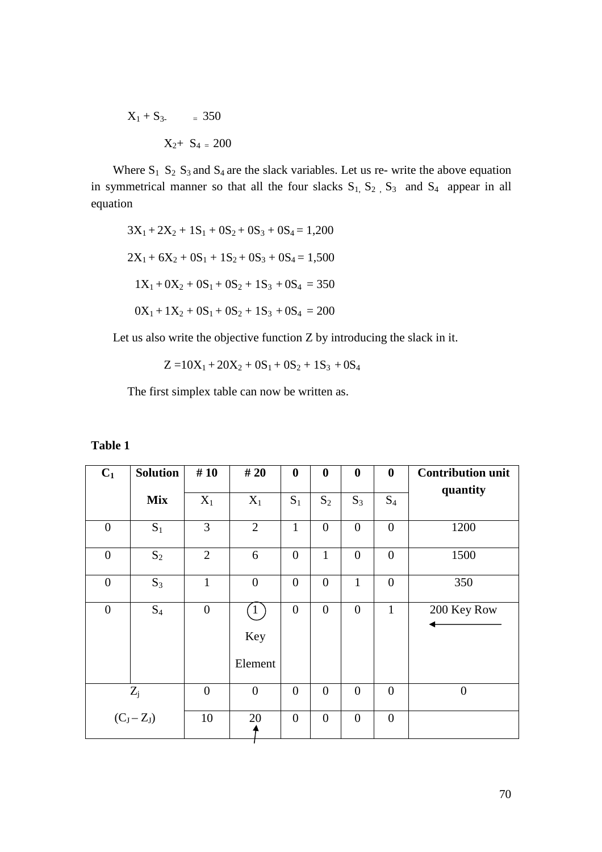$$
X_1 + S_3 = 350
$$
  

$$
X_2 + S_4 = 200
$$

Where  $S_1$   $S_2$   $S_3$  and  $S_4$  are the slack variables. Let us re- write the above equation in symmetrical manner so that all the four slacks  $S_1$ ,  $S_2$ ,  $S_3$  and  $S_4$  appear in all equation

$$
3X_1 + 2X_2 + 1S_1 + 0S_2 + 0S_3 + 0S_4 = 1,200
$$
  

$$
2X_1 + 6X_2 + 0S_1 + 1S_2 + 0S_3 + 0S_4 = 1,500
$$
  

$$
1X_1 + 0X_2 + 0S_1 + 0S_2 + 1S_3 + 0S_4 = 350
$$
  

$$
0X_1 + 1X_2 + 0S_1 + 0S_2 + 1S_3 + 0S_4 = 200
$$

Let us also write the objective function Z by introducing the slack in it.

 $Z = 10X_1 + 20X_2 + 0S_1 + 0S_2 + 1S_3 + 0S_4$ 

The first simplex table can now be written as.

### **Table 1**

| $C_1$            | <b>Solution</b> | #10            | #20                   | $\boldsymbol{0}$ | $\boldsymbol{0}$ | $\boldsymbol{0}$ | $\boldsymbol{0}$ | <b>Contribution unit</b> |
|------------------|-----------------|----------------|-----------------------|------------------|------------------|------------------|------------------|--------------------------|
|                  | <b>Mix</b>      | $X_1$          | $X_1$                 | $S_1$            | $S_2$            | $S_3$            | $S_4$            | quantity                 |
| $\overline{0}$   | $S_1$           | 3              | $\overline{2}$        | $\mathbf{1}$     | $\boldsymbol{0}$ | $\overline{0}$   | $\overline{0}$   | 1200                     |
| $\overline{0}$   | $S_2$           | $\overline{2}$ | 6                     | $\overline{0}$   | 1                | $\overline{0}$   | $\overline{0}$   | 1500                     |
| $\overline{0}$   | $S_3$           | $\mathbf{1}$   | $\boldsymbol{0}$      | $\overline{0}$   | $\overline{0}$   | $\mathbf{1}$     | $\overline{0}$   | 350                      |
| $\boldsymbol{0}$ | $S_4$           | $\overline{0}$ | (1)<br>Key<br>Element | $\overline{0}$   | $\overline{0}$   | $\overline{0}$   | $\mathbf{1}$     | 200 Key Row              |
|                  | $Z_j$           | $\overline{0}$ | $\overline{0}$        | $\overline{0}$   | $\overline{0}$   | $\overline{0}$   | $\overline{0}$   | $\overline{0}$           |
|                  | $(C_J - Z_J)$   | 10             | 20                    | $\overline{0}$   | $\overline{0}$   | $\overline{0}$   | $\overline{0}$   |                          |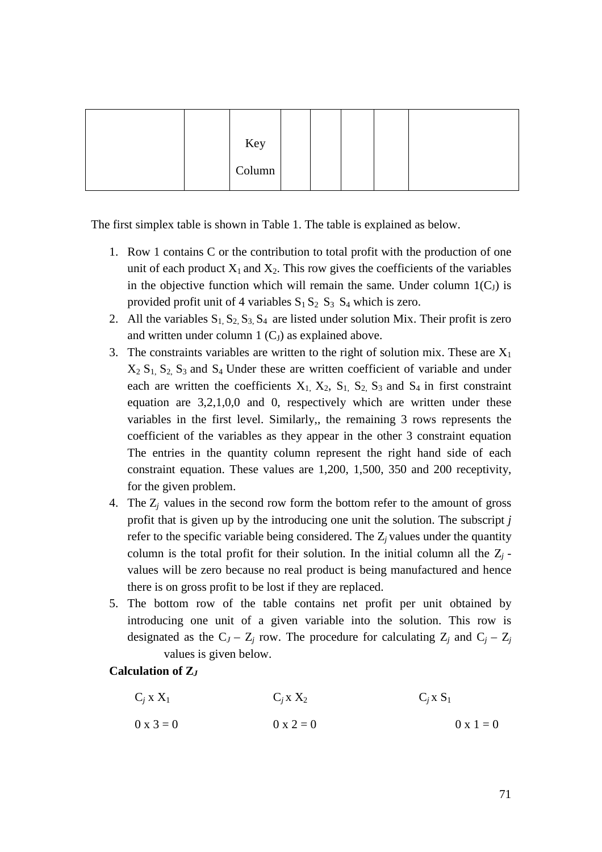|  | Key    |  |  |  |
|--|--------|--|--|--|
|  | Column |  |  |  |

The first simplex table is shown in Table 1. The table is explained as below.

- 1. Row 1 contains C or the contribution to total profit with the production of one unit of each product  $X_1$  and  $X_2$ . This row gives the coefficients of the variables in the objective function which will remain the same. Under column  $1(C_J)$  is provided profit unit of 4 variables  $S_1 S_2 S_3 S_4$  which is zero.
- 2. All the variables  $S_1$ ,  $S_2$ ,  $S_3$ ,  $S_4$  are listed under solution Mix. Their profit is zero and written under column  $1 (C_J)$  as explained above.
- 3. The constraints variables are written to the right of solution mix. These are  $X_1$  $X_2$   $S_1$ ,  $S_2$ ,  $S_3$  and  $S_4$  Under these are written coefficient of variable and under each are written the coefficients  $X_1$ ,  $X_2$ ,  $S_1$ ,  $S_2$ ,  $S_3$  and  $S_4$  in first constraint equation are 3,2,1,0,0 and 0, respectively which are written under these variables in the first level. Similarly,, the remaining 3 rows represents the coefficient of the variables as they appear in the other 3 constraint equation The entries in the quantity column represent the right hand side of each constraint equation. These values are 1,200, 1,500, 350 and 200 receptivity, for the given problem.
- 4. The Z*<sup>j</sup>* values in the second row form the bottom refer to the amount of gross profit that is given up by the introducing one unit the solution. The subscript *j*  refer to the specific variable being considered. The Z*j* values under the quantity column is the total profit for their solution. In the initial column all the  $Z_j$  values will be zero because no real product is being manufactured and hence there is on gross profit to be lost if they are replaced.
- 5. The bottom row of the table contains net profit per unit obtained by introducing one unit of a given variable into the solution. This row is designated as the  $C_J - Z_j$  row. The procedure for calculating  $Z_j$  and  $C_j - Z_j$ values is given below.

## **Calculation of Z***<sup>J</sup>*

- $C_i$  *x*  $X_1$  $C_i$  **x**  $X_2$   $C_i$  **x**  $S_1$
- $0 \times 3 = 0$   $0 \times 2 = 0$   $0 \times 1 = 0$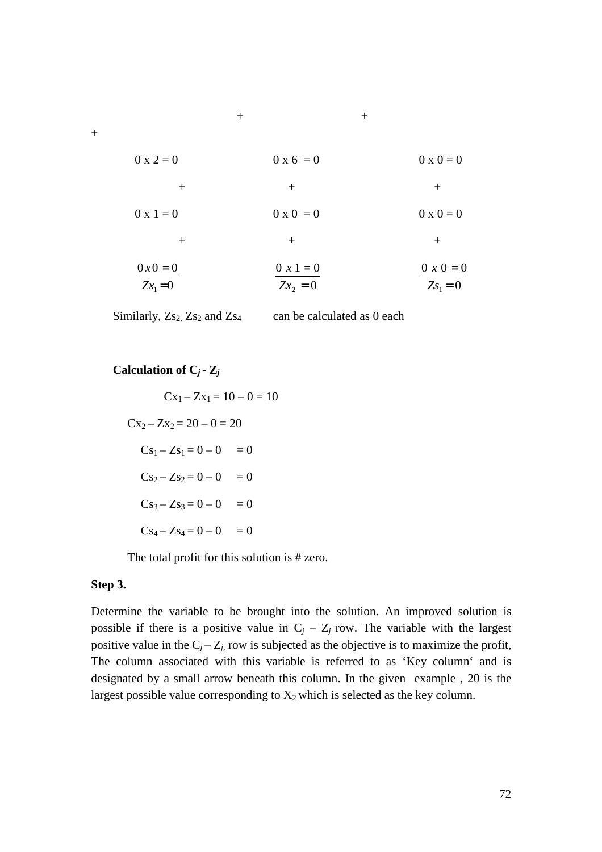| $0 \times 2 = 0$      | $0 \times 6 = 0$        | $0 \times 0 = 0$             |
|-----------------------|-------------------------|------------------------------|
| $^{+}$                | $^{+}$                  | $^{+}$                       |
| $0 \times 1 = 0$      | $0 \times 0 = 0$        | $0 \times 0 = 0$             |
| $^{+}$                | $^{+}$                  | $^{+}$                       |
| $0x0 = 0$<br>$Zx_1=0$ | $0 x 1 = 0$<br>$Zx_2=0$ | $0 x 0 = 0$<br>$Z_{S_1} = 0$ |

Similarly,  $Z_{s_2}$ ,  $Z_{s_2}$  and  $Z_{s_4}$  can be calculated as 0 each

## **Calculation of**  $C_j$  **<b>-**  $Z_j$

$$
Cx_1 - Zx_1 = 10 - 0 = 10
$$
  
\n
$$
Cx_2 - Zx_2 = 20 - 0 = 20
$$
  
\n
$$
Cs_1 - Zs_1 = 0 - 0 = 0
$$
  
\n
$$
Cs_2 - Zs_2 = 0 - 0 = 0
$$
  
\n
$$
Cs_3 - Zs_3 = 0 - 0 = 0
$$
  
\n
$$
Cs_4 - Zs_4 = 0 - 0 = 0
$$

The total profit for this solution is # zero.

#### **Step 3.**

Determine the variable to be brought into the solution. An improved solution is possible if there is a positive value in  $C_j - Z_j$  row. The variable with the largest positive value in the  $C_j - Z_j$ , row is subjected as the objective is to maximize the profit, The column associated with this variable is referred to as 'Key column' and is designated by a small arrow beneath this column. In the given example , 20 is the largest possible value corresponding to  $X_2$  which is selected as the key column.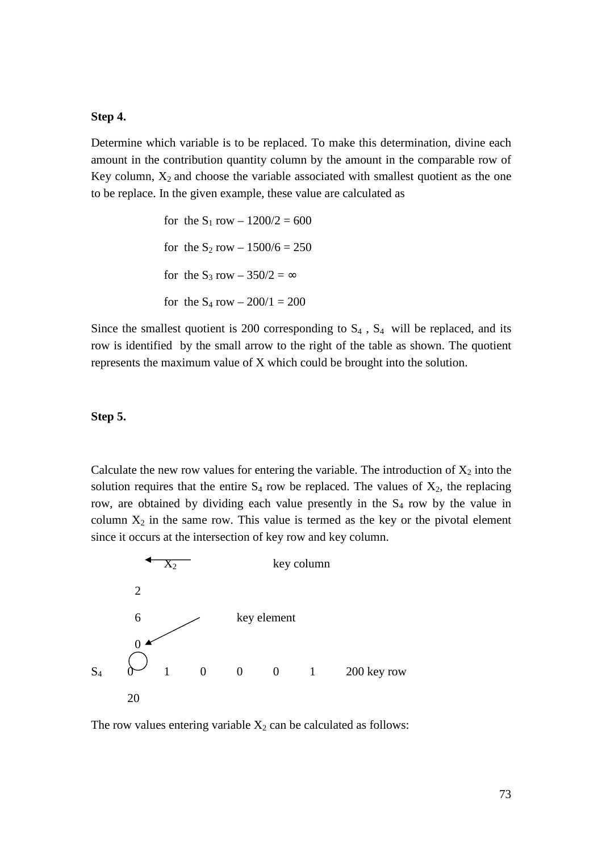# **Step 4.**

Determine which variable is to be replaced. To make this determination, divine each amount in the contribution quantity column by the amount in the comparable row of Key column,  $X_2$  and choose the variable associated with smallest quotient as the one to be replace. In the given example, these value are calculated as

> for the  $S_1$  row  $- 1200/2 = 600$ for the  $S_2$  row  $- 1500/6 = 250$ for the S<sub>3</sub> row –  $350/2 = \infty$ for the  $S_4$  row  $- 200/1 = 200$

Since the smallest quotient is 200 corresponding to  $S_4$ ,  $S_4$  will be replaced, and its row is identified by the small arrow to the right of the table as shown. The quotient represents the maximum value of X which could be brought into the solution.

#### **Step 5.**

Calculate the new row values for entering the variable. The introduction of  $X_2$  into the solution requires that the entire  $S_4$  row be replaced. The values of  $X_2$ , the replacing row, are obtained by dividing each value presently in the  $S<sub>4</sub>$  row by the value in column  $X_2$  in the same row. This value is termed as the key or the pivotal element since it occurs at the intersection of key row and key column.



The row values entering variable  $X_2$  can be calculated as follows: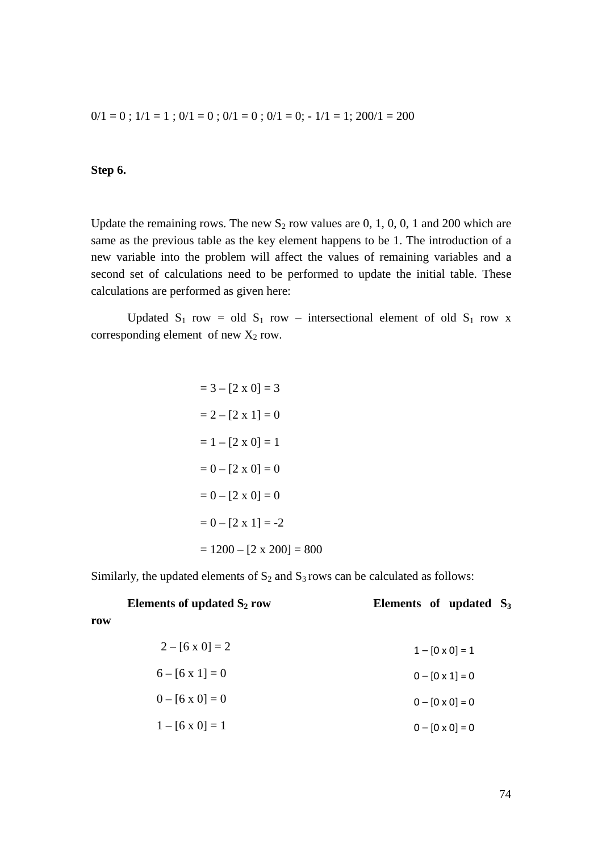$0/1 = 0$ ;  $1/1 = 1$ ;  $0/1 = 0$ ;  $0/1 = 0$ ;  $0/1 = 0$ ;  $-1/1 = 1$ ;  $200/1 = 200$ 

# **Step 6.**

**row** 

Update the remaining rows. The new  $S_2$  row values are 0, 1, 0, 0, 1 and 200 which are same as the previous table as the key element happens to be 1. The introduction of a new variable into the problem will affect the values of remaining variables and a second set of calculations need to be performed to update the initial table. These calculations are performed as given here:

Updated  $S_1$  row = old  $S_1$  row – intersectional element of old  $S_1$  row x corresponding element of new  $X_2$  row.

$$
= 3 - [2 \times 0] = 3
$$
  

$$
= 2 - [2 \times 1] = 0
$$
  

$$
= 1 - [2 \times 0] = 1
$$
  

$$
= 0 - [2 \times 0] = 0
$$
  

$$
= 0 - [2 \times 1] = -2
$$
  

$$
= 1200 - [2 \times 200] = 800
$$

Similarly, the updated elements of  $S_2$  and  $S_3$  rows can be calculated as follows:

|     | Elements of updated $S_2$ row | Elements of updated $S_3$ |
|-----|-------------------------------|---------------------------|
| row |                               |                           |
|     | $2 - [6 \times 0] = 2$        | $1 - [0 \times 0] = 1$    |
|     | $6 - [6 \times 1] = 0$        | $0 - [0 \times 1] = 0$    |
|     | $0 - [6 \times 0] = 0$        | $0 - [0 \times 0] = 0$    |
|     | $1 - [6 \times 0] = 1$        | $0 - [0 \times 0] = 0$    |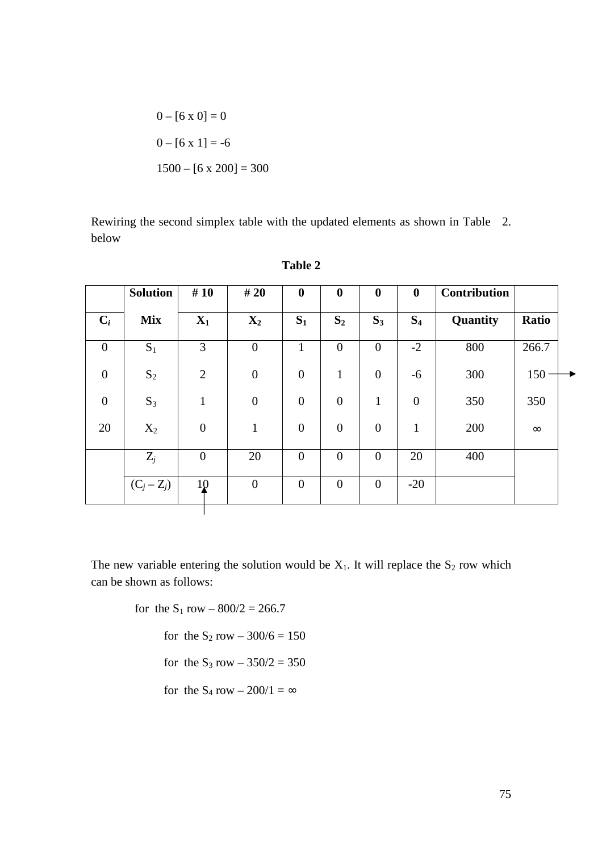$$
0 - [6 \times 0] = 0
$$
  

$$
0 - [6 \times 1] = -6
$$
  

$$
1500 - [6 \times 200] = 300
$$

Rewiring the second simplex table with the updated elements as shown in Table 2. below

|                  | <b>Solution</b> | #10              | #20              | $\boldsymbol{0}$ | $\boldsymbol{0}$ | $\boldsymbol{0}$ | $\mathbf{0}$     | <b>Contribution</b> |          |
|------------------|-----------------|------------------|------------------|------------------|------------------|------------------|------------------|---------------------|----------|
| $C_i$            | <b>Mix</b>      | $X_1$            | $\mathbf{X}_2$   | $S_1$            | $S_2$            | $S_3$            | S <sub>4</sub>   | Quantity            | Ratio    |
| $\boldsymbol{0}$ | $S_1$           | 3                | $\boldsymbol{0}$ | $\mathbf{1}$     | $\boldsymbol{0}$ | $\mathbf{0}$     | $-2$             | 800                 | 266.7    |
| $\boldsymbol{0}$ | $S_2$           | $\overline{2}$   | $\boldsymbol{0}$ | $\overline{0}$   | $\mathbf{1}$     | $\overline{0}$   | $-6$             | 300                 | 150      |
| $\overline{0}$   | $S_3$           | $\mathbf{1}$     | $\boldsymbol{0}$ | $\overline{0}$   | $\boldsymbol{0}$ | $\mathbf{1}$     | $\boldsymbol{0}$ | 350                 | 350      |
| 20               | $X_2$           | $\boldsymbol{0}$ | $\mathbf{1}$     | $\boldsymbol{0}$ | $\boldsymbol{0}$ | $\overline{0}$   | $\mathbf{1}$     | 200                 | $\infty$ |
|                  | $Z_j$           | $\boldsymbol{0}$ | 20               | $\boldsymbol{0}$ | $\boldsymbol{0}$ | $\mathbf{0}$     | 20               | 400                 |          |
|                  | $(C_j - Z_j)$   | 10               | $\boldsymbol{0}$ | $\boldsymbol{0}$ | $\theta$         | $\overline{0}$   | $-20$            |                     |          |

**Table 2** 

The new variable entering the solution would be  $X_1$ . It will replace the  $S_2$  row which can be shown as follows:

for the  $S_1$  row  $-$  800/2 = 266.7

for the  $S_2$  row  $-300/6 = 150$ 

for the  $S_3$  row  $-350/2 = 350$ 

for the  $S_4$  row – 200/1 =  $\infty$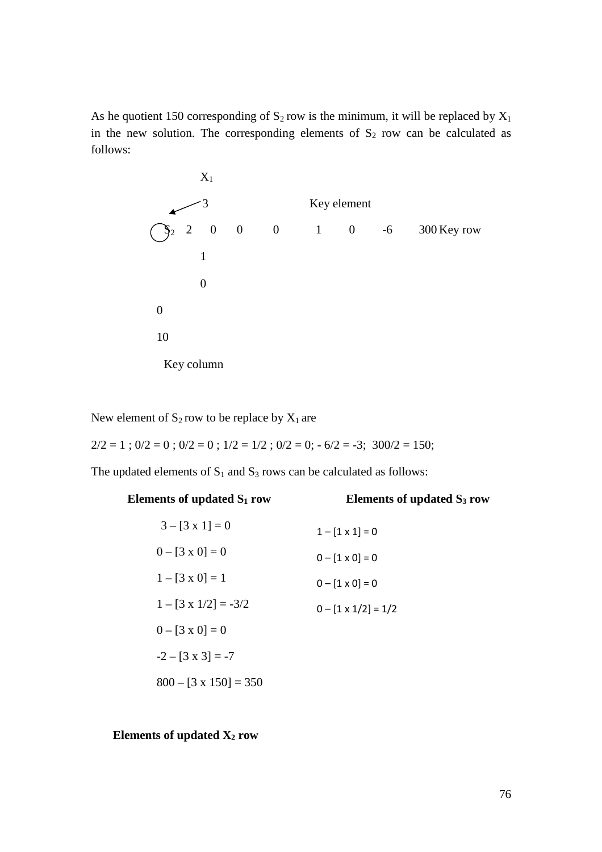As he quotient 150 corresponding of  $S_2$  row is the minimum, it will be replaced by  $X_1$ in the new solution. The corresponding elements of  $S_2$  row can be calculated as follows:



New element of  $S_2$  row to be replace by  $X_1$  are

 $2/2 = 1$ ;  $0/2 = 0$ ;  $0/2 = 0$ ;  $1/2 = 1/2$ ;  $0/2 = 0$ ;  $0.6/2 = -3$ ;  $300/2 = 150$ ;

The updated elements of  $S_1$  and  $S_3$  rows can be calculated as follows:

| Elements of updated $S_1$ row | Elements of updated $S_3$ row |
|-------------------------------|-------------------------------|
| $3 - [3 \times 1] = 0$        | $1 - [1 \times 1] = 0$        |
| $0 - [3 \times 0] = 0$        | $0 - [1 \times 0] = 0$        |
| $1 - [3 \times 0] = 1$        | $0 - [1 \times 0] = 0$        |
| $1 - [3 \times 1/2] = -3/2$   | $0 - [1 \times 1/2] = 1/2$    |
| $0 - [3 \times 0] = 0$        |                               |
| $-2 - [3 \times 3] = -7$      |                               |
| $800 - [3 \times 150] = 350$  |                               |

# **Elements of updated X2 row**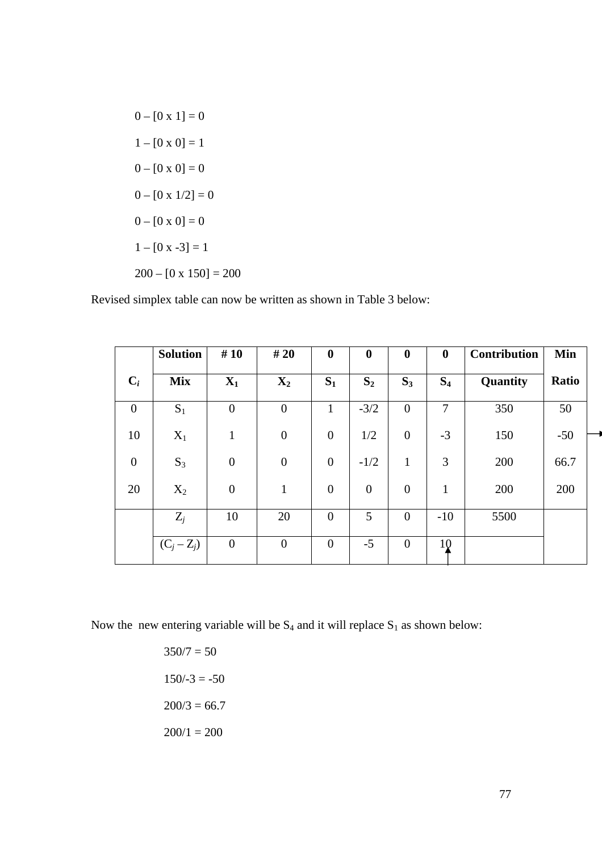$0 - [0 x 1] = 0$  $1 - [0 \times 0] = 1$  $0 - [0 \times 0] = 0$  $0 - [0 x 1/2] = 0$  $0 - [0 x 0] = 0$  $1 - [0 x -3] = 1$  $200 - [0 \times 150] = 200$ 

Revised simplex table can now be written as shown in Table 3 below:

|                  | <b>Solution</b> | #10              | # 20             | $\boldsymbol{0}$ | $\boldsymbol{0}$ | $\boldsymbol{0}$ | $\boldsymbol{0}$ | <b>Contribution</b> | Min   |
|------------------|-----------------|------------------|------------------|------------------|------------------|------------------|------------------|---------------------|-------|
| $C_i$            | <b>Mix</b>      | $X_1$            | $\mathbf{X}_2$   | $S_1$            | $S_2$            | $S_3$            | S <sub>4</sub>   | Quantity            | Ratio |
| $\boldsymbol{0}$ | $S_1$           | $\boldsymbol{0}$ | $\boldsymbol{0}$ | $\mathbf{1}$     | $-3/2$           | $\overline{0}$   | 7                | 350                 | 50    |
| 10               | $X_1$           | $\mathbf{1}$     | $\boldsymbol{0}$ | $\overline{0}$   | 1/2              | $\overline{0}$   | $-3$             | 150                 | $-50$ |
| $\boldsymbol{0}$ | $S_3$           | $\boldsymbol{0}$ | $\boldsymbol{0}$ | $\overline{0}$   | $-1/2$           | $\mathbf{1}$     | 3                | 200                 | 66.7  |
| 20               | $X_2$           | $\boldsymbol{0}$ | $\mathbf{1}$     | $\boldsymbol{0}$ | $\boldsymbol{0}$ | $\boldsymbol{0}$ | $\mathbf{1}$     | 200                 | 200   |
|                  | $Z_j$           | 10               | 20               | $\overline{0}$   | 5                | $\overline{0}$   | $-10$            | 5500                |       |
|                  | $(C_j - Z_j)$   | $\boldsymbol{0}$ | $\overline{0}$   | $\overline{0}$   | $-5$             | $\overline{0}$   | 10               |                     |       |

Now the new entering variable will be  $S_4$  and it will replace  $S_1$  as shown below:

 $350/7 = 50$  $150/-3 = -50$  $200/3 = 66.7$  $200/1 = 200$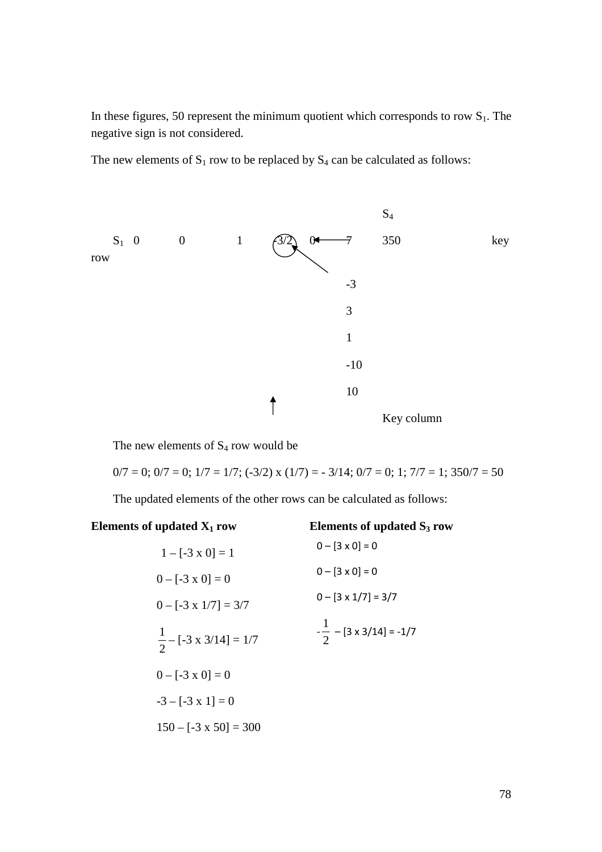In these figures, 50 represent the minimum quotient which corresponds to row  $S_1$ . The negative sign is not considered.

The new elements of  $S_1$  row to be replaced by  $S_4$  can be calculated as follows:



The new elements of  $S_4$  row would be

 $0/7 = 0$ ;  $0/7 = 0$ ;  $1/7 = 1/7$ ;  $(-3/2)$  x  $(1/7) = -3/14$ ;  $0/7 = 0$ ;  $1$ ;  $7/7 = 1$ ;  $350/7 = 50$ 

The updated elements of the other rows can be calculated as follows:

# **Elements of updated X1 row Elements of updated S3 row**

| $1 - [-3 \times 0] = 1$           | $0 - [3 \times 0] = 0$             |
|-----------------------------------|------------------------------------|
| $0 - [-3 \times 0] = 0$           | $0 - [3 \times 0] = 0$             |
| $0 - [-3 \times 1/7] = 3/7$       | $0 - [3 \times 1/7] = 3/7$         |
| $\frac{1}{2}$ – [-3 x 3/14] = 1/7 | $-\frac{1}{2}$ – [3 x 3/14] = -1/7 |
| $0 - [-3 \times 0] = 0$           |                                    |
| $-3 - [-3 \times 1] = 0$          |                                    |
| $150 - [-3 \times 50] = 300$      |                                    |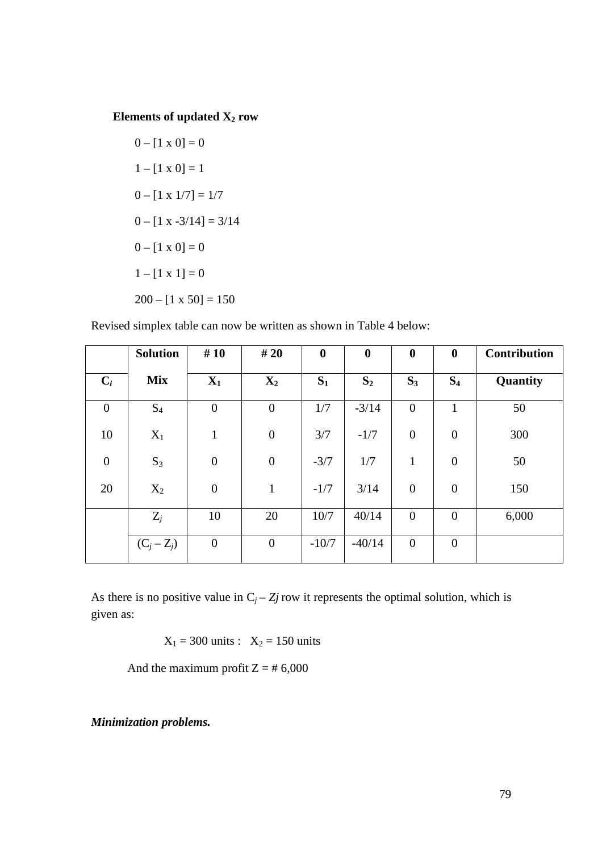# **Elements of updated X2 row**

 $0 - [1 \times 0] = 0$  $1 - [1 \times 0] = 1$  $0 - [1 \times 1/7] = 1/7$  $0 - [1 x -3/14] = 3/14$  $0 - [1 \times 0] = 0$  $1 - [1 \times 1] = 0$  $200 - [1 \times 50] = 150$ 

Revised simplex table can now be written as shown in Table 4 below:

|                  | <b>Solution</b> | #10              | #20              | $\boldsymbol{0}$ | $\boldsymbol{0}$ | $\boldsymbol{0}$ | $\boldsymbol{0}$ | <b>Contribution</b> |
|------------------|-----------------|------------------|------------------|------------------|------------------|------------------|------------------|---------------------|
| $C_i$            | <b>Mix</b>      | $X_1$            | $\mathbf{X}_2$   | $S_1$            | S <sub>2</sub>   | $S_3$            | $S_4$            | Quantity            |
| $\overline{0}$   | $S_4$           | $\overline{0}$   | $\boldsymbol{0}$ | 1/7              | $-3/14$          | $\overline{0}$   | 1                | 50                  |
| 10               | $X_1$           | $\mathbf{1}$     | $\boldsymbol{0}$ | 3/7              | $-1/7$           | $\boldsymbol{0}$ | $\boldsymbol{0}$ | 300                 |
| $\boldsymbol{0}$ | $S_3$           | $\boldsymbol{0}$ | $\boldsymbol{0}$ | $-3/7$           | 1/7              | $\mathbf{1}$     | $\boldsymbol{0}$ | 50                  |
| 20               | $X_2$           | $\boldsymbol{0}$ | $\mathbf{1}$     | $-1/7$           | 3/14             | $\boldsymbol{0}$ | $\boldsymbol{0}$ | 150                 |
|                  | $Z_j$           | 10               | 20               | 10/7             | 40/14            | $\overline{0}$   | $\boldsymbol{0}$ | 6,000               |
|                  | $(C_j - Z_j)$   | $\boldsymbol{0}$ | $\boldsymbol{0}$ | $-10/7$          | $-40/14$         | $\overline{0}$   | $\boldsymbol{0}$ |                     |

As there is no positive value in  $C_j - Z_j$  row it represents the optimal solution, which is given as:

 $X_1 = 300 \text{ units} : X_2 = 150 \text{ units}$ 

And the maximum profit  $Z = # 6,000$ 

*Minimization problems.*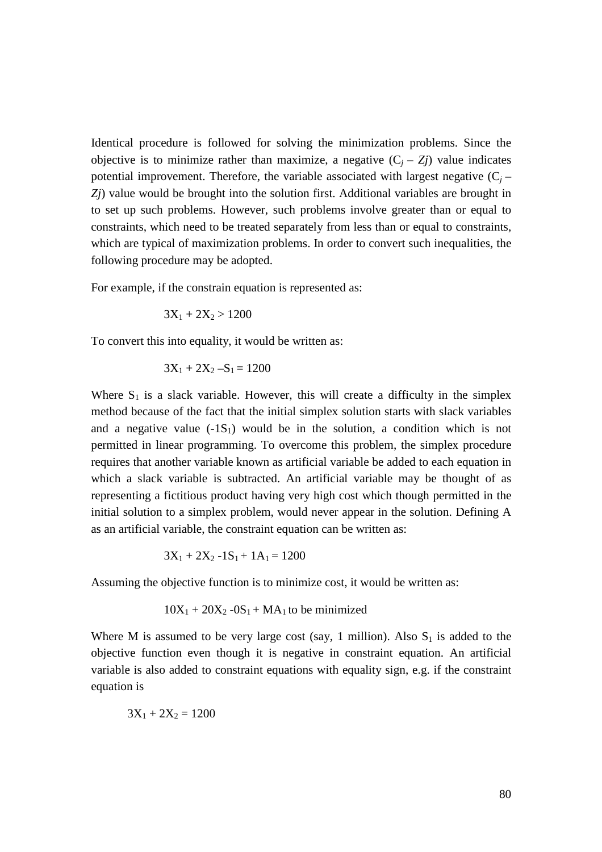Identical procedure is followed for solving the minimization problems. Since the objective is to minimize rather than maximize, a negative  $(C_i - Z_j)$  value indicates potential improvement. Therefore, the variable associated with largest negative  $(C_i -$ *Zj*) value would be brought into the solution first. Additional variables are brought in to set up such problems. However, such problems involve greater than or equal to constraints, which need to be treated separately from less than or equal to constraints, which are typical of maximization problems. In order to convert such inequalities, the following procedure may be adopted.

For example, if the constrain equation is represented as:

$$
3X_1 + 2X_2 > 1200
$$

To convert this into equality, it would be written as:

$$
3X_1 + 2X_2 - S_1 = 1200
$$

Where  $S_1$  is a slack variable. However, this will create a difficulty in the simplex method because of the fact that the initial simplex solution starts with slack variables and a negative value  $(-1S_1)$  would be in the solution, a condition which is not permitted in linear programming. To overcome this problem, the simplex procedure requires that another variable known as artificial variable be added to each equation in which a slack variable is subtracted. An artificial variable may be thought of as representing a fictitious product having very high cost which though permitted in the initial solution to a simplex problem, would never appear in the solution. Defining A as an artificial variable, the constraint equation can be written as:

$$
3X_1 + 2X_2 - 1S_1 + 1A_1 = 1200
$$

Assuming the objective function is to minimize cost, it would be written as:

$$
10X_1 + 20X_2 - 0S_1 + MA_1
$$
 to be minimized

Where M is assumed to be very large cost (say, 1 million). Also  $S_1$  is added to the objective function even though it is negative in constraint equation. An artificial variable is also added to constraint equations with equality sign, e.g. if the constraint equation is

$$
3X_1 + 2X_2 = 1200
$$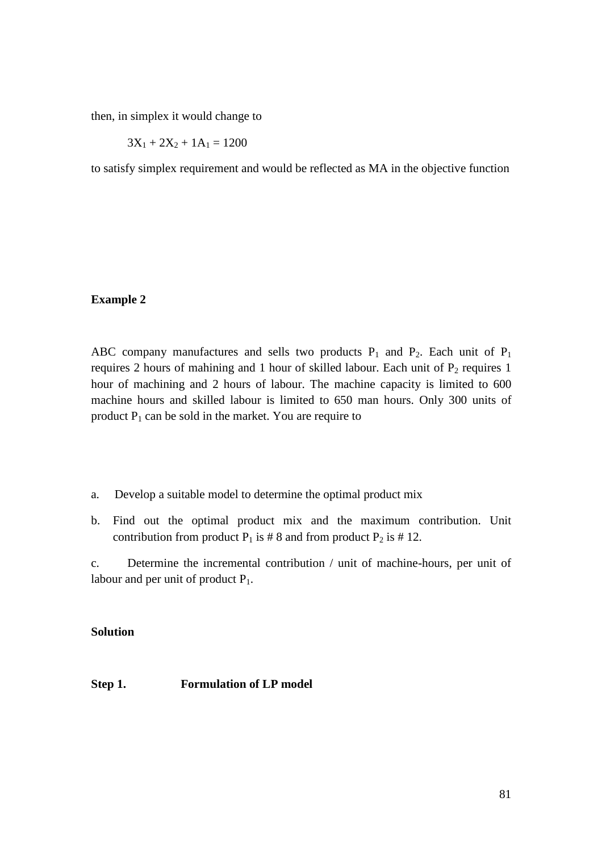then, in simplex it would change to

$$
3X_1 + 2X_2 + 1A_1 = 1200
$$

to satisfy simplex requirement and would be reflected as MA in the objective function

# **Example 2**

ABC company manufactures and sells two products  $P_1$  and  $P_2$ . Each unit of  $P_1$ requires 2 hours of mahining and 1 hour of skilled labour. Each unit of  $P_2$  requires 1 hour of machining and 2 hours of labour. The machine capacity is limited to 600 machine hours and skilled labour is limited to 650 man hours. Only 300 units of product  $P_1$  can be sold in the market. You are require to

- a. Develop a suitable model to determine the optimal product mix
- b. Find out the optimal product mix and the maximum contribution. Unit contribution from product  $P_1$  is # 8 and from product  $P_2$  is # 12.

c. Determine the incremental contribution / unit of machine-hours, per unit of labour and per unit of product  $P_1$ .

# **Solution**

# **Step 1. Formulation of LP model**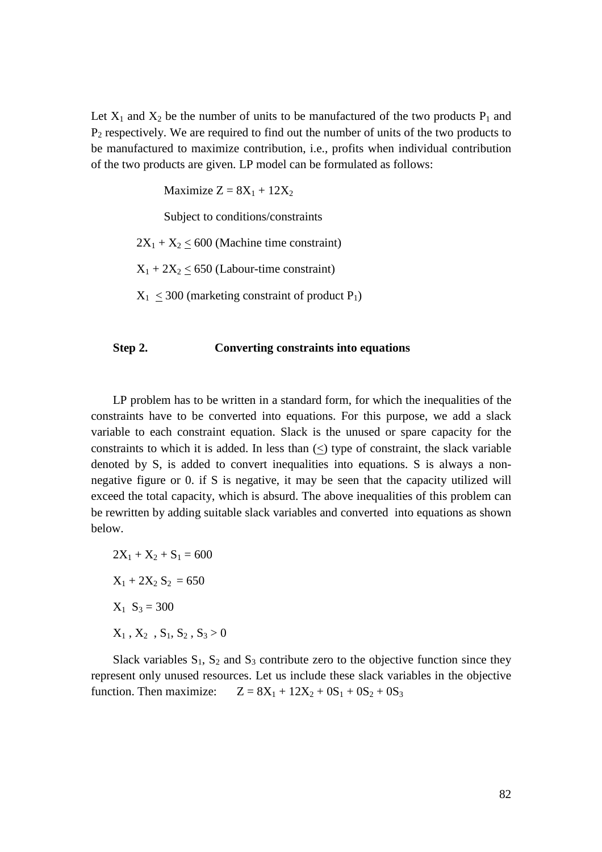Let  $X_1$  and  $X_2$  be the number of units to be manufactured of the two products  $P_1$  and  $P_2$  respectively. We are required to find out the number of units of the two products to be manufactured to maximize contribution, i.e., profits when individual contribution of the two products are given. LP model can be formulated as follows:

Maximize  $Z = 8X_1 + 12X_2$ 

Subject to conditions/constraints

 $2X_1 + X_2 \leq 600$  (Machine time constraint)

 $X_1 + 2X_2 \le 650$  (Labour-time constraint)

 $X_1$  < 300 (marketing constraint of product P<sub>1</sub>)

# **Step 2. Converting constraints into equations**

LP problem has to be written in a standard form, for which the inequalities of the constraints have to be converted into equations. For this purpose, we add a slack variable to each constraint equation. Slack is the unused or spare capacity for the constraints to which it is added. In less than  $\langle \rangle$  type of constraint, the slack variable denoted by S, is added to convert inequalities into equations. S is always a nonnegative figure or 0. if S is negative, it may be seen that the capacity utilized will exceed the total capacity, which is absurd. The above inequalities of this problem can be rewritten by adding suitable slack variables and converted into equations as shown below.

$$
2X_1 + X_2 + S_1 = 600
$$
  

$$
X_1 + 2X_2 S_2 = 650
$$
  

$$
X_1 S_3 = 300
$$
  

$$
X_1, X_2, S_1, S_2, S_3 > 0
$$

Slack variables  $S_1$ ,  $S_2$  and  $S_3$  contribute zero to the objective function since they represent only unused resources. Let us include these slack variables in the objective function. Then maximize:  $Z = 8X_1 + 12X_2 + 0S_1 + 0S_2 + 0S_3$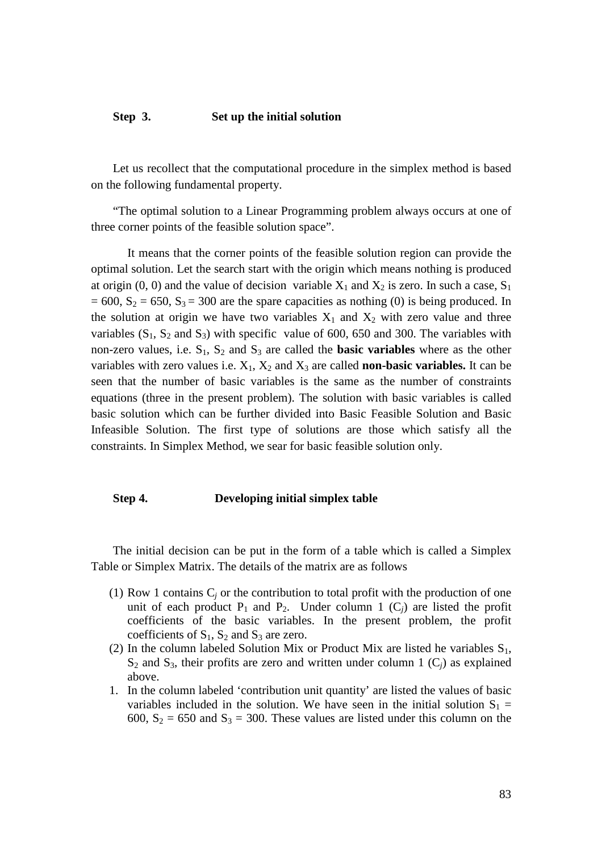# **Step 3. Set up the initial solution**

Let us recollect that the computational procedure in the simplex method is based on the following fundamental property.

"The optimal solution to a Linear Programming problem always occurs at one of three corner points of the feasible solution space".

 It means that the corner points of the feasible solution region can provide the optimal solution. Let the search start with the origin which means nothing is produced at origin (0, 0) and the value of decision variable  $X_1$  and  $X_2$  is zero. In such a case,  $S_1$  $= 600$ ,  $S_2 = 650$ ,  $S_3 = 300$  are the spare capacities as nothing (0) is being produced. In the solution at origin we have two variables  $X_1$  and  $X_2$  with zero value and three variables  $(S_1, S_2 \text{ and } S_3)$  with specific value of 600, 650 and 300. The variables with non-zero values, i.e.  $S_1$ ,  $S_2$  and  $S_3$  are called the **basic variables** where as the other variables with zero values i.e.  $X_1$ ,  $X_2$  and  $X_3$  are called **non-basic variables.** It can be seen that the number of basic variables is the same as the number of constraints equations (three in the present problem). The solution with basic variables is called basic solution which can be further divided into Basic Feasible Solution and Basic Infeasible Solution. The first type of solutions are those which satisfy all the constraints. In Simplex Method, we sear for basic feasible solution only.

#### **Step 4. Developing initial simplex table**

The initial decision can be put in the form of a table which is called a Simplex Table or Simplex Matrix. The details of the matrix are as follows

- (1) Row 1 contains  $C_j$  or the contribution to total profit with the production of one unit of each product  $P_1$  and  $P_2$ . Under column 1  $(C_i)$  are listed the profit coefficients of the basic variables. In the present problem, the profit coefficients of  $S_1$ ,  $S_2$  and  $S_3$  are zero.
- (2) In the column labeled Solution Mix or Product Mix are listed he variables  $S_1$ ,  $S_2$  and  $S_3$ , their profits are zero and written under column 1  $(C_i)$  as explained above.
- 1. In the column labeled 'contribution unit quantity' are listed the values of basic variables included in the solution. We have seen in the initial solution  $S_1$  = 600,  $S_2 = 650$  and  $S_3 = 300$ . These values are listed under this column on the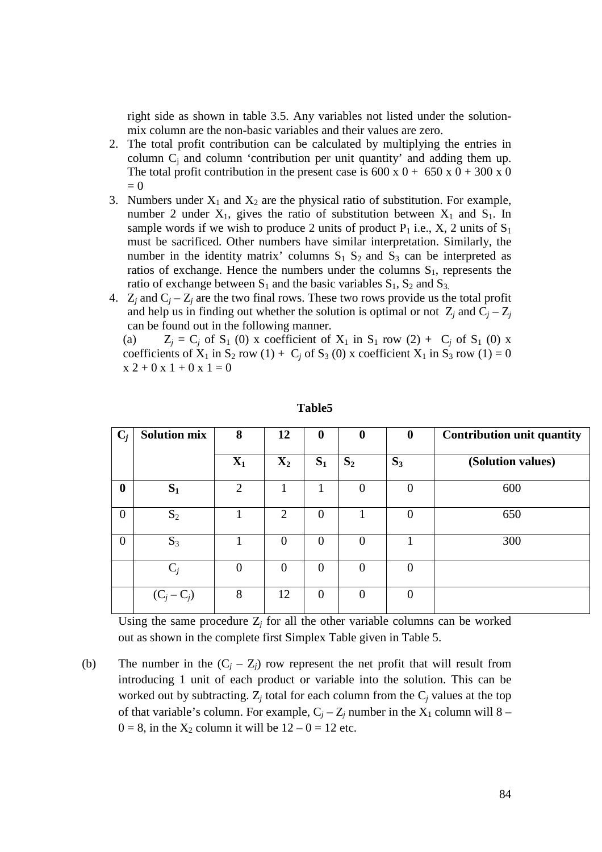right side as shown in table 3.5. Any variables not listed under the solutionmix column are the non-basic variables and their values are zero.

- 2. The total profit contribution can be calculated by multiplying the entries in column  $C_j$  and column 'contribution per unit quantity' and adding them up. The total profit contribution in the present case is  $600 \times 0 + 650 \times 0 + 300 \times 0$  $= 0$
- 3. Numbers under  $X_1$  and  $X_2$  are the physical ratio of substitution. For example, number 2 under  $X_1$ , gives the ratio of substitution between  $X_1$  and  $S_1$ . In sample words if we wish to produce 2 units of product  $P_1$  i.e., X, 2 units of  $S_1$ must be sacrificed. Other numbers have similar interpretation. Similarly, the number in the identity matrix' columns  $S_1 S_2$  and  $S_3$  can be interpreted as ratios of exchange. Hence the numbers under the columns  $S_1$ , represents the ratio of exchange between  $S_1$  and the basic variables  $S_1$ ,  $S_2$  and  $S_3$ .
- 4.  $Z_j$  and  $C_j Z_j$  are the two final rows. These two rows provide us the total profit and help us in finding out whether the solution is optimal or not  $Z_j$  and  $C_j - Z_j$ can be found out in the following manner.

(a)  $Z_j = C_j$  of  $S_1$  (0) x coefficient of  $X_1$  in  $S_1$  row (2) +  $C_j$  of  $S_1$  (0) x coefficients of  $X_1$  in  $S_2$  row (1) +  $C_j$  of  $S_3$  (0) x coefficient  $X_1$  in  $S_3$  row (1) = 0  $x 2 + 0 x 1 + 0 x 1 = 0$ 

| $C_i$          | <b>Solution mix</b> | 8              | 12             | $\bf{0}$       | $\bf{0}$ | $\bf{0}$         | <b>Contribution unit quantity</b> |
|----------------|---------------------|----------------|----------------|----------------|----------|------------------|-----------------------------------|
|                |                     | $X_1$          | $\mathbf{X}_2$ | $S_1$          | $S_2$    | $S_3$            | (Solution values)                 |
| $\bf{0}$       | $S_1$               | $\overline{2}$ |                |                | 0        | $\boldsymbol{0}$ | 600                               |
| $\overline{0}$ | $S_2$               |                | $\overline{2}$ | $\theta$       |          | 0                | 650                               |
| $\overline{0}$ | $S_3$               |                | 0              | $\Omega$       | $\theta$ |                  | 300                               |
|                | $C_i$               | $\overline{0}$ | 0              | $\theta$       | 0        | 0                |                                   |
|                | $(C_j - C_j)$       | 8              | 12             | $\overline{0}$ | $\Omega$ | $\boldsymbol{0}$ |                                   |

# **Table5**

Using the same procedure  $Z_j$  for all the other variable columns can be worked out as shown in the complete first Simplex Table given in Table 5.

(b) The number in the  $(C_j - Z_j)$  row represent the net profit that will result from introducing 1 unit of each product or variable into the solution. This can be worked out by subtracting.  $Z_j$  total for each column from the  $C_j$  values at the top of that variable's column. For example,  $C_j - Z_j$  number in the  $X_1$  column will 8 –  $0 = 8$ , in the  $X_2$  column it will be  $12 - 0 = 12$  etc.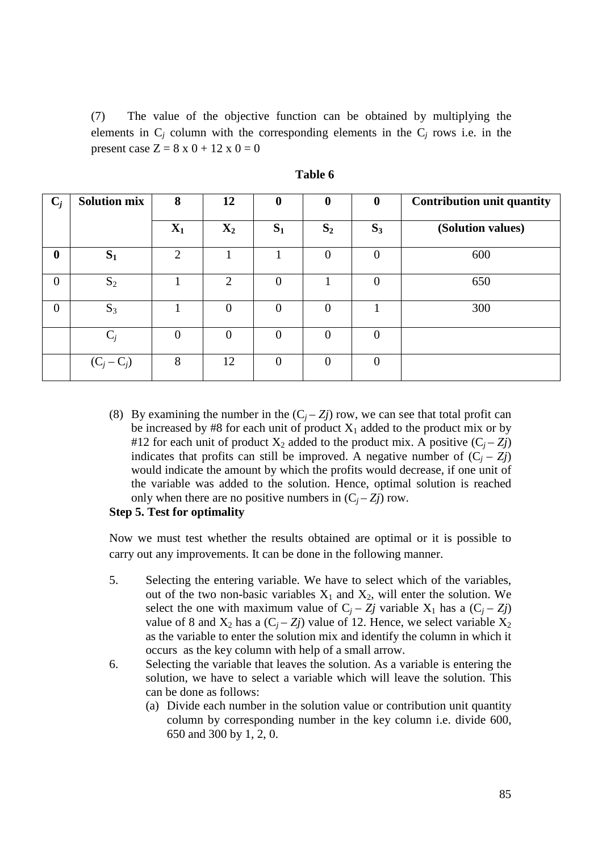(7) The value of the objective function can be obtained by multiplying the elements in  $C_j$  column with the corresponding elements in the  $C_j$  rows i.e. in the present case  $Z = 8 \times 0 + 12 \times 0 = 0$ 

| $C_j$          | <b>Solution mix</b> | 8              | 12             | $\boldsymbol{0}$ | $\mathbf 0$    | $\boldsymbol{0}$ | <b>Contribution unit quantity</b> |
|----------------|---------------------|----------------|----------------|------------------|----------------|------------------|-----------------------------------|
|                |                     | $X_1$          | $\mathbf{X}_2$ | $S_1$            | $S_2$          | $S_3$            | (Solution values)                 |
| $\mathbf 0$    | $S_1$               | $\overline{2}$ |                |                  | $\Omega$       | $\theta$         | 600                               |
| $\overline{0}$ | $S_2$               |                | 2              | $\overline{0}$   |                | $\Omega$         | 650                               |
| $\overline{0}$ | $S_3$               |                | 0              | $\overline{0}$   | $\overline{0}$ |                  | 300                               |
|                | $C_j$               | $\overline{0}$ | 0              | $\overline{0}$   | 0              | $\theta$         |                                   |
|                | $(C_j - C_j)$       | 8              | 12             | $\overline{0}$   | $\theta$       | $\theta$         |                                   |

| able | n |
|------|---|
|------|---|

(8) By examining the number in the  $(C_i - Z_j)$  row, we can see that total profit can be increased by #8 for each unit of product  $X_1$  added to the product mix or by #12 for each unit of product  $X_2$  added to the product mix. A positive  $(C_j - Z_j)$ indicates that profits can still be improved. A negative number of  $(C_i - Z_j)$ would indicate the amount by which the profits would decrease, if one unit of the variable was added to the solution. Hence, optimal solution is reached only when there are no positive numbers in  $(C_i - Z_j)$  row.

# **Step 5. Test for optimality**

Now we must test whether the results obtained are optimal or it is possible to carry out any improvements. It can be done in the following manner.

- 5. Selecting the entering variable. We have to select which of the variables, out of the two non-basic variables  $X_1$  and  $X_2$ , will enter the solution. We select the one with maximum value of  $C_j - Z_j$  variable  $X_1$  has a  $(C_j - Z_j)$ value of 8 and  $X_2$  has a  $(C_i - Z_j)$  value of 12. Hence, we select variable  $X_2$ as the variable to enter the solution mix and identify the column in which it occurs as the key column with help of a small arrow.
- 6. Selecting the variable that leaves the solution. As a variable is entering the solution, we have to select a variable which will leave the solution. This can be done as follows:
	- (a) Divide each number in the solution value or contribution unit quantity column by corresponding number in the key column i.e. divide 600, 650 and 300 by 1, 2, 0.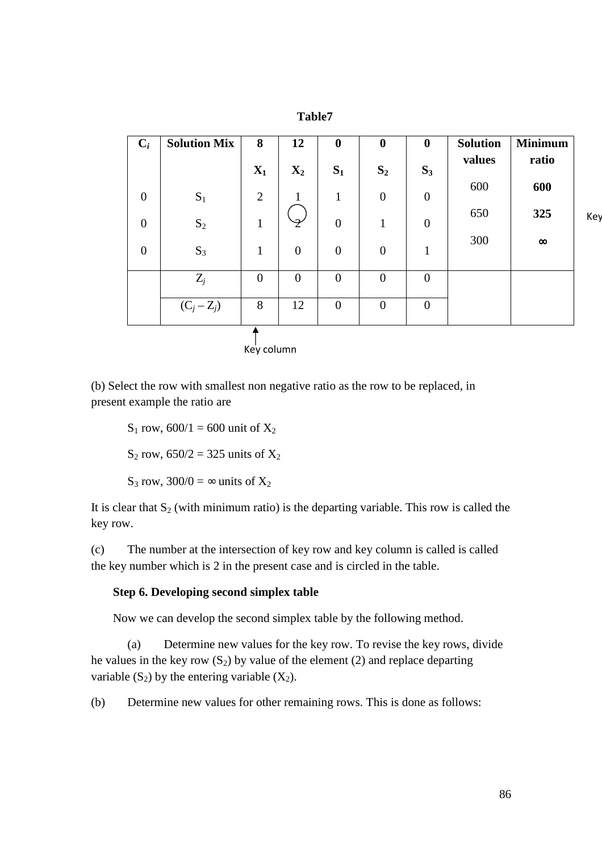|                |                     |                | 1 avivi        |                  |                  |                  |                 |                |
|----------------|---------------------|----------------|----------------|------------------|------------------|------------------|-----------------|----------------|
| $C_i$          | <b>Solution Mix</b> | 8              | 12             | $\boldsymbol{0}$ | $\boldsymbol{0}$ | $\boldsymbol{0}$ | <b>Solution</b> | <b>Minimum</b> |
|                |                     | $X_1$          | $X_2$          | $S_1$            | $S_2$            | $S_3$            | values          | ratio          |
| $\overline{0}$ | $S_1$               | $\overline{2}$ | 1              | 1                | $\overline{0}$   | $\boldsymbol{0}$ | 600             | 600            |
| $\overline{0}$ | $S_2$               | $\mathbf{1}$   |                | $\overline{0}$   | $\mathbf{1}$     | $\boldsymbol{0}$ | 650             | 325            |
| $\overline{0}$ | $S_3$               | $\mathbf{1}$   | $\overline{0}$ | $\overline{0}$   | $\boldsymbol{0}$ | $\mathbf{1}$     | 300             | $\infty$       |
|                | $Z_j$               | $\overline{0}$ | $\overline{0}$ | $\overline{0}$   | $\overline{0}$   | $\overline{0}$   |                 |                |
|                | $(C_j - Z_j)$       | 8              | 12             | $\overline{0}$   | $\boldsymbol{0}$ | $\boldsymbol{0}$ |                 |                |
|                |                     |                |                |                  |                  |                  |                 |                |
|                |                     | Key column     |                |                  |                  |                  |                 |                |

**Table7** 

(b) Select the row with smallest non negative ratio as the row to be replaced, in present example the ratio are

 $S_1$  row, 600/1 = 600 unit of  $X_2$  $S_2$  row, 650/2 = 325 units of  $X_2$ S<sub>3</sub> row,  $300/0 = \infty$  units of  $X_2$ 

It is clear that  $S_2$  (with minimum ratio) is the departing variable. This row is called the key row.

(c) The number at the intersection of key row and key column is called is called the key number which is 2 in the present case and is circled in the table.

# **Step 6. Developing second simplex table**

Now we can develop the second simplex table by the following method.

 (a) Determine new values for the key row. To revise the key rows, divide he values in the key row  $(S_2)$  by value of the element (2) and replace departing variable  $(S_2)$  by the entering variable  $(X_2)$ .

(b) Determine new values for other remaining rows. This is done as follows:

Key

86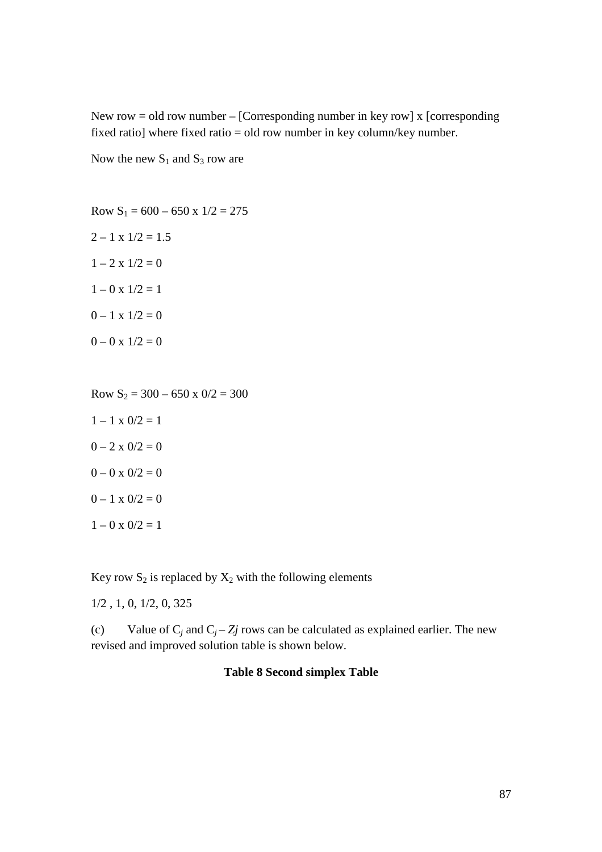New row = old row number – [Corresponding number in key row] x [corresponding fixed ratio] where fixed ratio = old row number in key column/key number.

Now the new  $S_1$  and  $S_3$  row are

Row  $S_1 = 600 - 650$  x  $1/2 = 275$  $2 - 1 \times 1/2 = 1.5$  $1 - 2 \times 1/2 = 0$  $1 - 0 \times 1/2 = 1$  $0 - 1 x 1/2 = 0$  $0 - 0 x 1/2 = 0$ 

Row  $S_2 = 300 - 650 \times 0/2 = 300$  $1 - 1 \times 0/2 = 1$  $0 - 2 \times 0/2 = 0$  $0 - 0 \times 0/2 = 0$  $0 - 1 x 0/2 = 0$  $1 - 0 \times 0/2 = 1$ 

Key row  $S_2$  is replaced by  $X_2$  with the following elements

1/2 , 1, 0, 1/2, 0, 325

(c) Value of  $C_j$  and  $C_j - Z_j$  rows can be calculated as explained earlier. The new revised and improved solution table is shown below.

# **Table 8 Second simplex Table**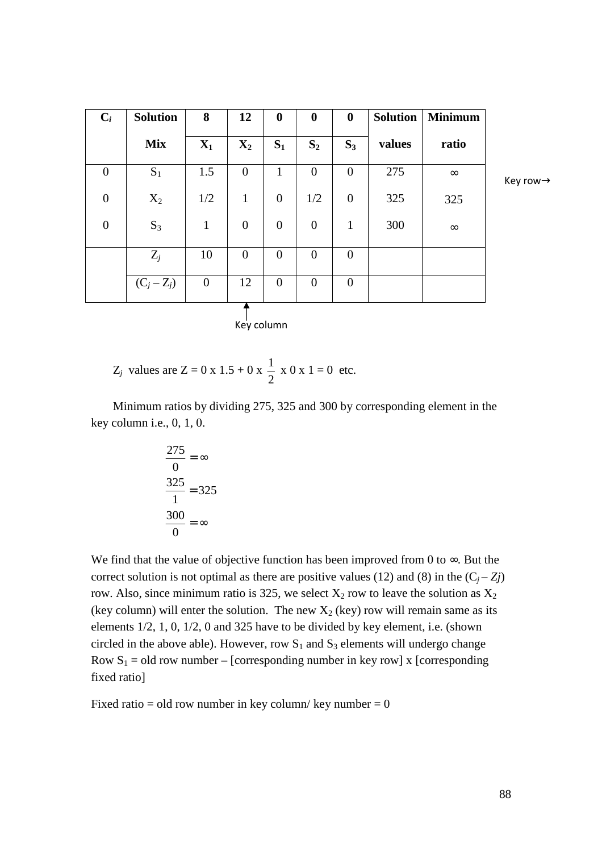| $C_i$            | <b>Solution</b> | 8                | 12               | $\boldsymbol{0}$ | $\boldsymbol{0}$ | $\boldsymbol{0}$ | <b>Solution</b> | <b>Minimum</b> |   |
|------------------|-----------------|------------------|------------------|------------------|------------------|------------------|-----------------|----------------|---|
|                  | <b>Mix</b>      | $\mathbf{X}_1$   | $X_2$            | $S_1$            | $S_2$            | $S_3$            | values          | ratio          |   |
| $\boldsymbol{0}$ | $S_1$           | 1.5              | $\boldsymbol{0}$ | $\mathbf{1}$     | $\overline{0}$   | $\overline{0}$   | 275             | $\infty$       | K |
| $\boldsymbol{0}$ | $X_2$           | 1/2              | $\mathbf{1}$     | $\overline{0}$   | 1/2              | $\mathbf{0}$     | 325             | 325            |   |
| $\boldsymbol{0}$ | $S_3$           | $\mathbf{1}$     | $\boldsymbol{0}$ | $\boldsymbol{0}$ | $\boldsymbol{0}$ | $\mathbf{1}$     | 300             | $\infty$       |   |
|                  | $Z_j$           | 10               | $\boldsymbol{0}$ | $\overline{0}$   | $\overline{0}$   | $\overline{0}$   |                 |                |   |
|                  | $(C_j - Z_j)$   | $\boldsymbol{0}$ | 12               | $\boldsymbol{0}$ | $\overline{0}$   | $\overline{0}$   |                 |                |   |
|                  |                 |                  | Key column       |                  |                  |                  |                 |                |   |

 $key row \rightarrow$ 

$$
Z_j
$$
 values are  $Z = 0 \times 1.5 + 0 \times \frac{1}{2} \times 0 \times 1 = 0$  etc.

Minimum ratios by dividing 275, 325 and 300 by corresponding element in the key column i.e., 0, 1, 0.

$$
\frac{275}{0} = \infty
$$

$$
\frac{325}{1} = 325
$$

$$
\frac{300}{0} = \infty
$$

We find that the value of objective function has been improved from 0 to  $\infty$ . But the correct solution is not optimal as there are positive values (12) and (8) in the  $(C_i - Z_j)$ row. Also, since minimum ratio is 325, we select  $X_2$  row to leave the solution as  $X_2$ (key column) will enter the solution. The new  $X_2$  (key) row will remain same as its elements 1/2, 1, 0, 1/2, 0 and 325 have to be divided by key element, i.e. (shown circled in the above able). However, row  $S_1$  and  $S_3$  elements will undergo change Row  $S_1$  = old row number – [corresponding number in key row] x [corresponding fixed ratio]

Fixed ratio = old row number in key column/ key number =  $0$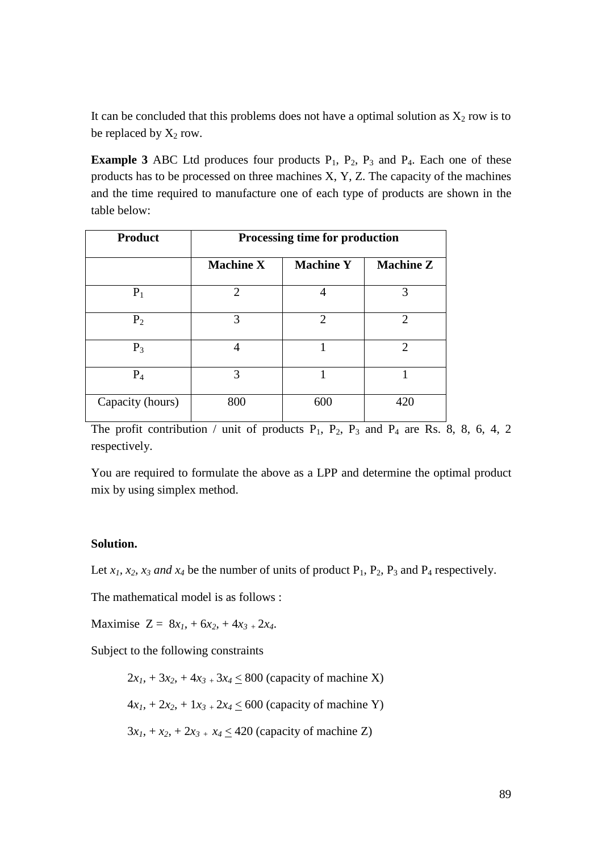It can be concluded that this problems does not have a optimal solution as  $X_2$  row is to be replaced by  $X_2$  row.

**Example 3** ABC Ltd produces four products  $P_1$ ,  $P_2$ ,  $P_3$  and  $P_4$ . Each one of these products has to be processed on three machines X, Y, Z. The capacity of the machines and the time required to manufacture one of each type of products are shown in the table below:

| <b>Product</b>   | Processing time for production |                  |                             |  |  |  |  |  |  |
|------------------|--------------------------------|------------------|-----------------------------|--|--|--|--|--|--|
|                  | <b>Machine X</b>               | <b>Machine Y</b> | <b>Machine Z</b>            |  |  |  |  |  |  |
| $P_1$            | $\mathcal{D}_{\cdot}$          |                  | 3                           |  |  |  |  |  |  |
| $P_2$            | 3                              | $\mathfrak{D}$   | $\mathcal{D}_{\mathcal{L}}$ |  |  |  |  |  |  |
| $P_3$            | 4                              |                  | $\mathcal{D}_{\mathcal{L}}$ |  |  |  |  |  |  |
| $P_4$            | 3                              |                  |                             |  |  |  |  |  |  |
| Capacity (hours) | 800                            | 600              | 420                         |  |  |  |  |  |  |

The profit contribution / unit of products  $P_1$ ,  $P_2$ ,  $P_3$  and  $P_4$  are Rs. 8, 8, 6, 4, 2 respectively.

You are required to formulate the above as a LPP and determine the optimal product mix by using simplex method.

# **Solution.**

Let  $x_1$ ,  $x_2$ ,  $x_3$  and  $x_4$  be the number of units of product  $P_1$ ,  $P_2$ ,  $P_3$  and  $P_4$  respectively.

The mathematical model is as follows :

Maximise  $Z = 8x_1 + 6x_2 + 4x_3 + 2x_4$ .

Subject to the following constraints

 $2x_1 + 3x_2 + 4x_3 + 3x_4 \leq 800$  (capacity of machine X)  $4x_1 + 2x_2 + 1x_3 + 2x_4 \le 600$  (capacity of machine Y)  $3x_1 + x_2 + 2x_3 + x_4 \leq 420$  (capacity of machine Z)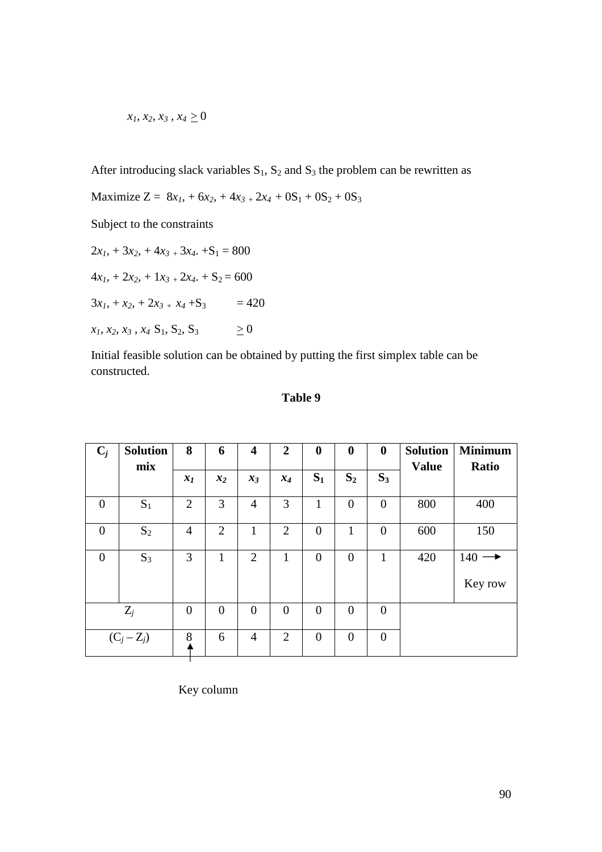$$
x_1, x_2, x_3, x_4 \geq 0
$$

After introducing slack variables  $S_1$ ,  $S_2$  and  $S_3$  the problem can be rewritten as

Maximize  $Z = 8x_1 + 6x_2 + 4x_3 + 2x_4 + 0S_1 + 0S_2 + 0S_3$ 

Subject to the constraints

 $2x_1$ ,  $+3x_2$ ,  $+4x_3$ ,  $+3x_4$ .  $+S_1 = 800$  $4x_1 + 2x_2 + 1x_3 + 2x_4 + 5_2 = 600$  $3x_1 + x_2 + 2x_3 + x_4 + S_3 = 420$  $x_1, x_2, x_3, x_4 \, S_1, S_2, S_3$   $\geq 0$ 

Initial feasible solution can be obtained by putting the first simplex table can be constructed.

| $C_j$          | <b>Solution</b><br>mix | 8                | 6              | $\overline{\mathbf{4}}$ | $\overline{2}$ | $\boldsymbol{0}$ | $\boldsymbol{0}$ | $\boldsymbol{0}$ | <b>Solution</b><br><b>Value</b> | <b>Minimum</b><br>Ratio |
|----------------|------------------------|------------------|----------------|-------------------------|----------------|------------------|------------------|------------------|---------------------------------|-------------------------|
|                |                        | $x_I$            | $x_2$          | $x_3$                   | $x_4$          | $S_1$            | $S_2$            | $S_3$            |                                 |                         |
| $\overline{0}$ | $S_1$                  | $\overline{2}$   | 3              | $\overline{4}$          | 3              | $\mathbf{1}$     | $\boldsymbol{0}$ | $\overline{0}$   | 800                             | 400                     |
| $\overline{0}$ | $S_2$                  | $\overline{4}$   | $\overline{2}$ | $\mathbf{1}$            | $\overline{2}$ | $\overline{0}$   | $\mathbf{1}$     | $\overline{0}$   | 600                             | 150                     |
| $\overline{0}$ | $S_3$                  | 3                | $\mathbf{1}$   | $\overline{2}$          | 1              | $\overline{0}$   | $\boldsymbol{0}$ | $\mathbf{1}$     | 420                             | 140                     |
|                |                        |                  |                |                         |                |                  |                  |                  |                                 | Key row                 |
|                | $Z_j$                  | $\boldsymbol{0}$ | $\overline{0}$ | $\overline{0}$          | $\overline{0}$ | $\overline{0}$   | $\overline{0}$   | $\boldsymbol{0}$ |                                 |                         |
|                | $(C_j - Z_j)$          | 8                | 6              | $\overline{4}$          | $\overline{2}$ | $\overline{0}$   | $\overline{0}$   | $\overline{0}$   |                                 |                         |

# **Table 9**

Key column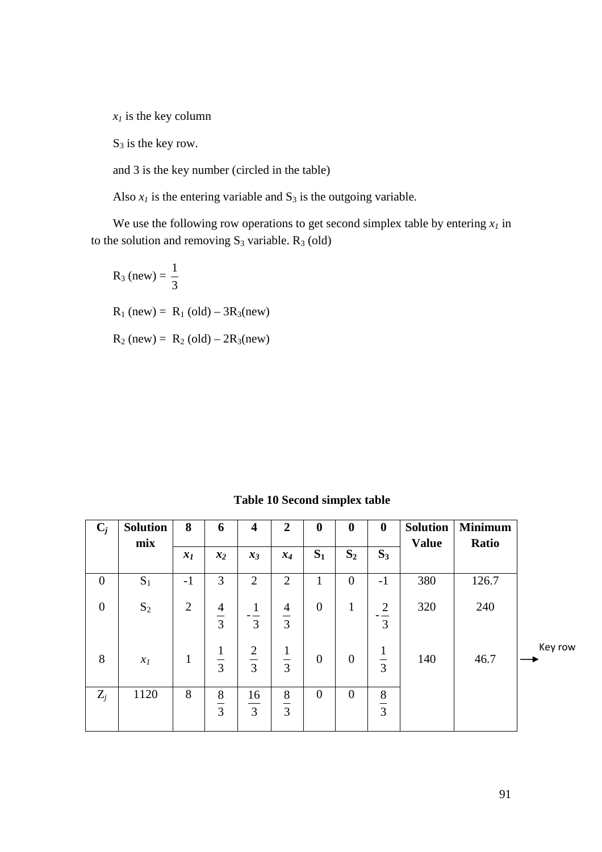$x_I$  is the key column

 $S_3$  is the key row.

and 3 is the key number (circled in the table)

Also  $x_I$  is the entering variable and  $S_3$  is the outgoing variable.

We use the following row operations to get second simplex table by entering  $x_I$  in to the solution and removing  $S_3$  variable.  $R_3$  (old)

$$
R_3 \text{ (new)} = \frac{1}{3}
$$
  
 
$$
R_1 \text{ (new)} = R_1 \text{ (old)} - 3R_3 \text{ (new)}
$$
  
 
$$
R_2 \text{ (new)} = R_2 \text{ (old)} - 2R_3 \text{ (new)}
$$

**Table 10 Second simplex table** 

| $C_j$            | <b>Solution</b><br>mix | 8              | 6                        | $\overline{\mathbf{4}}$     | $\overline{2}$                                         | $\boldsymbol{0}$ | $\boldsymbol{0}$ | $\bf{0}$             | <b>Solution</b><br><b>Value</b> | <b>Minimum</b><br>Ratio |         |
|------------------|------------------------|----------------|--------------------------|-----------------------------|--------------------------------------------------------|------------------|------------------|----------------------|---------------------------------|-------------------------|---------|
|                  |                        | $x_I$          | $x_2$                    | $x_3$                       | $x_4$                                                  | $S_1$            | $S_2$            | $S_3$                |                                 |                         |         |
| $\overline{0}$   | $S_1$                  | $-1$           | 3                        | $\overline{2}$              | 2                                                      | $\mathbf{1}$     | $\mathbf{0}$     | $-1$                 | 380                             | 126.7                   |         |
| $\boldsymbol{0}$ | $S_2$                  | $\overline{2}$ | 4<br>$\overline{3}$      | 1<br>$ -$<br>$\overline{3}$ | $\overline{4}$<br>$\overline{3}$                       | $\boldsymbol{0}$ | 1                | $\overline{2}$<br>3  | 320                             | 240                     |         |
| 8                | $x_I$                  | $\mathbf{1}$   | 1<br>$\overline{3}$      | $rac{2}{3}$                 | $\mathbf 1$<br>$\overline{3}$                          | $\mathbf{0}$     | $\boldsymbol{0}$ | T,<br>$\overline{3}$ | 140                             | 46.7                    | Key row |
| $Z_j$            | 1120                   | 8              | 8<br>—<br>$\overline{3}$ | 16<br>$\overline{3}$        | 8<br>$\overbrace{\qquad \qquad }^{}$<br>$\overline{3}$ | $\theta$         | $\mathbf{0}$     | 8<br>$\overline{3}$  |                                 |                         |         |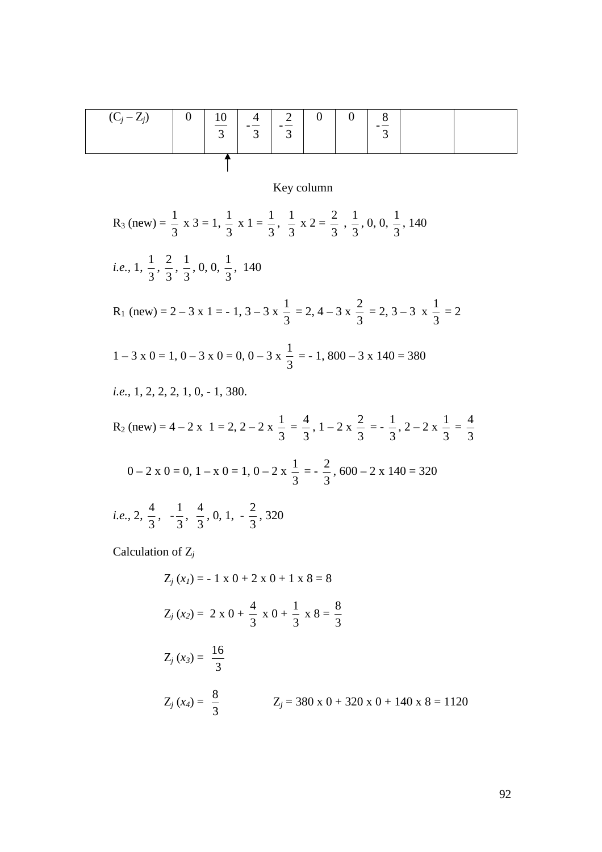| $(C_i - Z_i)$ | 0 <sup>1</sup> | $\begin{array}{ c c c c c c } \hline 10 & 4 & 2 \\ \hline \end{array}$ | $\mathfrak{I}$ |  | $\overline{0}$ |  |  |
|---------------|----------------|------------------------------------------------------------------------|----------------|--|----------------|--|--|
|               |                |                                                                        |                |  |                |  |  |

# Key column

 $R_3$  (new) = 3  $\frac{1}{2}$  x 3 = 1, 3  $\frac{1}{2}$  x 1 = 3  $\frac{1}{2}$ , 3  $\frac{1}{2}$  x 2 = 3  $\frac{2}{2}$ , 3  $\frac{1}{2}$ , 0, 0, 3  $\frac{1}{2}$ , 140 *i.e.,* 1, 3  $\frac{1}{2}$ , 3  $\frac{2}{2}$ , 3  $\frac{1}{2}$ , 0, 0, 3  $\frac{1}{2}$ , 140  $R_1$  (new) = 2 – 3 x 1 = - 1, 3 – 3 x 3  $\frac{1}{2}$  = 2, 4 – 3 x 3  $\frac{2}{3}$  = 2, 3 – 3 x 3  $\frac{1}{2}$  = 2  $1 - 3 \times 0 = 1, 0 - 3 \times 0 = 0, 0 - 3 \times 0$ 3  $\frac{1}{2}$  = -1, 800 - 3 x 140 = 380 *i.e.,* 1, 2, 2, 2, 1, 0, - 1, 380.  $R_2$  (new) = 4 – 2 x 1 = 2, 2 – 2 x 3  $\frac{1}{2}$  = 3  $\frac{4}{2}$ , 1 – 2 x 3  $\frac{2}{2}$  = -3  $\frac{1}{2}$ , 2 – 2 x 3  $\frac{1}{2}$  = 3 4  $0 - 2 x 0 = 0, 1 - x 0 = 1, 0 - 2 x$ 3  $\frac{1}{2}$  = -3  $\frac{2}{2}$ , 600 – 2 x 140 = 320 *i.e.,* 2, 3  $\frac{4}{2}$ , -3  $\frac{1}{2}$ , 3  $\frac{4}{2}$ , 0, 1, -3  $\frac{2}{3}$ , 320

Calculation of Z*<sup>j</sup>*

$$
Z_j(x_j) = -1 \times 0 + 2 \times 0 + 1 \times 8 = 8
$$
  
\n
$$
Z_j(x_2) = 2 \times 0 + \frac{4}{3} \times 0 + \frac{1}{3} \times 8 = \frac{8}{3}
$$
  
\n
$$
Z_j(x_3) = \frac{16}{3}
$$
  
\n
$$
Z_j(x_4) = \frac{8}{3}
$$
  
\n
$$
Z_j = 380 \times 0 + 320 \times 0 + 140 \times 8 = 1120
$$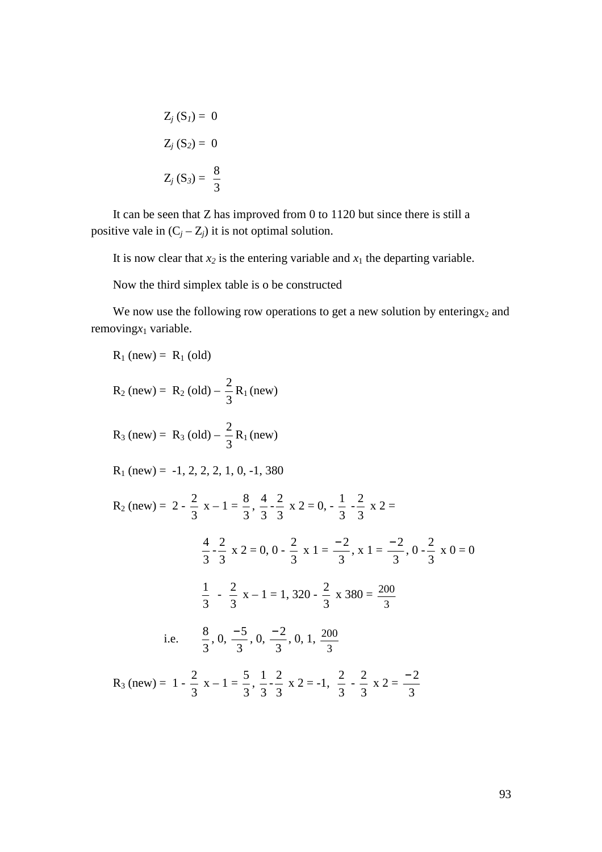$$
Z_j (S_1) = 0
$$

$$
Z_j (S_2) = 0
$$

$$
Z_j (S_3) = \frac{8}{3}
$$

It can be seen that Z has improved from 0 to 1120 but since there is still a positive vale in  $(C_j - Z_j)$  it is not optimal solution.

It is now clear that  $x_2$  is the entering variable and  $x_1$  the departing variable.

Now the third simplex table is o be constructed

We now use the following row operations to get a new solution by entering  $x_2$  and removing<sub>*x*1</sub> variable.

R<sub>1</sub> (new) = R<sub>1</sub> (old)  
\nR<sub>2</sub> (new) = R<sub>2</sub> (old) - 
$$
\frac{2}{3}
$$
R<sub>1</sub> (new)  
\nR<sub>3</sub> (new) = R<sub>3</sub> (old) -  $\frac{2}{3}$ R<sub>1</sub> (new)  
\nR<sub>1</sub> (new) = -1, 2, 2, 2, 1, 0, -1, 380  
\nR<sub>2</sub> (new) = 2 -  $\frac{2}{3}$  x - 1 =  $\frac{8}{3}$ ,  $\frac{4}{3} - \frac{2}{3}$  x 2 = 0,  $-\frac{1}{3} - \frac{2}{3}$  x 2 =  
\n $\frac{4}{3} - \frac{2}{3}$  x 2 = 0, 0 -  $\frac{2}{3}$  x 1 =  $\frac{-2}{3}$ , x 1 =  $\frac{-2}{3}$ , 0 -  $\frac{2}{3}$  x 0 = 0  
\n $\frac{1}{3} - \frac{2}{3}$  x - 1 = 1, 320 -  $\frac{2}{3}$  x 380 =  $\frac{200}{3}$   
\ni.e.  $\frac{8}{3}$ , 0,  $\frac{-5}{3}$ , 0,  $\frac{-2}{3}$ , 0, 1,  $\frac{200}{3}$   
\nR<sub>3</sub> (new) = 1 -  $\frac{2}{3}$  x - 1 =  $\frac{5}{3}$ ,  $\frac{1}{3} - \frac{2}{3}$  x 2 = -1,  $\frac{2}{3} - \frac{2}{3}$  x 2 =  $\frac{-2}{3}$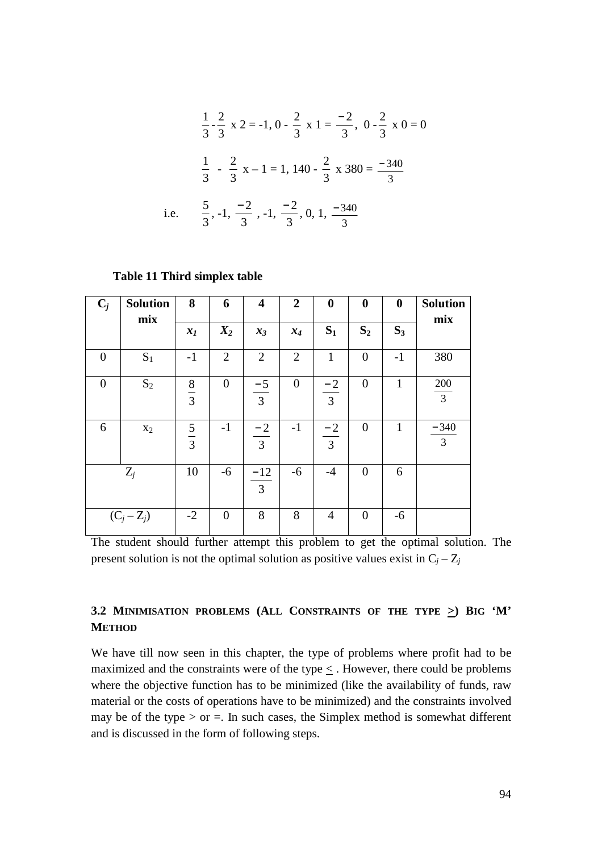$$
\frac{1}{3} - \frac{2}{3} \times 2 = -1, 0 - \frac{2}{3} \times 1 = \frac{-2}{3}, 0 - \frac{2}{3} \times 0 = 0
$$
  

$$
\frac{1}{3} - \frac{2}{3} \times -1 = 1, 140 - \frac{2}{3} \times 380 = \frac{-340}{3}
$$
  
i.e. 
$$
\frac{5}{3}, -1, \frac{-2}{3}, -1, \frac{-2}{3}, 0, 1, \frac{-340}{3}
$$

#### **Table 11 Third simplex table**

| $C_j$    | <b>Solution</b><br>mix | 8             | 6              | $\overline{\mathbf{4}}$ | $\overline{2}$ | $\boldsymbol{0}$ | $\boldsymbol{0}$ | $\boldsymbol{0}$ | <b>Solution</b><br>mix |
|----------|------------------------|---------------|----------------|-------------------------|----------------|------------------|------------------|------------------|------------------------|
|          |                        | $x_I$         | $X_2$          | $x_3$                   | $x_4$          | $S_1$            | $S_2$            | $S_3$            |                        |
| $\theta$ | $S_1$                  | $-1$          | $\overline{2}$ | $\overline{2}$          | $\overline{2}$ | $\mathbf{1}$     | $\overline{0}$   | $-1$             | 380                    |
| $\theta$ | $S_2$                  | $\frac{8}{3}$ | $\overline{0}$ | $\frac{-5}{3}$          | $\overline{0}$ | $\frac{-2}{3}$   | $\overline{0}$   | 1                | 200<br>$\overline{3}$  |
| 6        | X <sub>2</sub>         | $rac{5}{3}$   | $-1$           | $\frac{-2}{3}$          | $-1$           | $\frac{-2}{3}$   | $\overline{0}$   |                  | $\frac{-340}{3}$       |
| $Z_j$    |                        | 10            | $-6$           | $\frac{-12}{3}$         | $-6$           | $-4$             | $\overline{0}$   | 6                |                        |
|          | $(C_j - Z_j)$          |               | $\theta$       | 8                       | 8              | 4                | $\overline{0}$   | $-6$             |                        |

The student should further attempt this problem to get the optimal solution. The present solution is not the optimal solution as positive values exist in  $C_j - Z_j$ 

# **3.2 MINIMISATION PROBLEMS (ALL CONSTRAINTS OF THE TYPE >) BIG 'M' METHOD**

We have till now seen in this chapter, the type of problems where profit had to be maximized and the constraints were of the type < . However, there could be problems where the objective function has to be minimized (like the availability of funds, raw material or the costs of operations have to be minimized) and the constraints involved may be of the type  $>$  or  $=$ . In such cases, the Simplex method is somewhat different and is discussed in the form of following steps.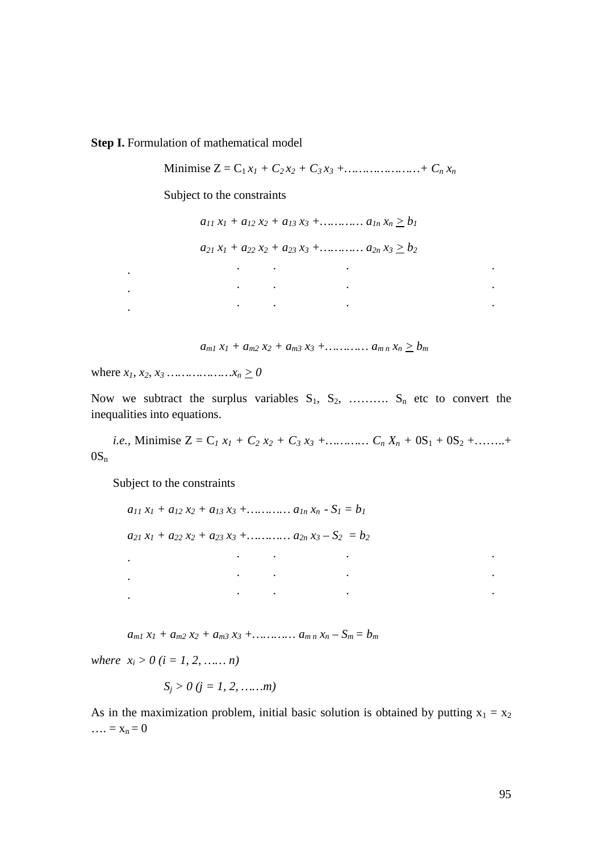**Step I.** Formulation of mathematical model

Minimise  $Z = C_1 x_1 + C_2 x_2 + C_3 x_3 + \dots + C_n x_n$ 

Subject to the constraints

 $a_{11}x_1 + a_{12}x_2 + a_{13}x_3 + \dots + a_{1n}x_n \ge b_1$ 

 $a_{21}x_1 + a_{22}x_2 + a_{23}x_3 + \ldots + a_{2n}x_3 \ge b_2$ 

|                                   | and the contract of the contract of | <b>Contract Contract Contract Contract</b><br>the contract of the contract of the contract of the contract of the contract of the contract of the contract of                                                                     |  |
|-----------------------------------|-------------------------------------|-----------------------------------------------------------------------------------------------------------------------------------------------------------------------------------------------------------------------------------|--|
| <b>Contract Contract Contract</b> |                                     | $\mathbf{r}$ , and the contract of the contract of the contract of the contract of the contract of the contract of the contract of the contract of the contract of the contract of the contract of the contract of the contract o |  |
| $\sim$ $\sim$                     |                                     | <b>Contract Contract Contract</b><br>the contract of the contract of the contract of the contract of the contract of the contract of the contract of                                                                              |  |

 $a_{m1}x_1 + a_{m2}x_2 + a_{m3}x_3 + \ldots + a_{m n}x_n \ge b_m$ 

where  $x_1, x_2, x_3, \ldots, x_n \ge 0$ 

Now we subtract the surplus variables  $S_1, S_2, \ldots, S_n$  etc to convert the inequalities into equations.

*i.e.*, Minimise  $Z = C_1 x_1 + C_2 x_2 + C_3 x_3 + \dots + C_n x_n + 0S_1 + 0S_2 + \dots +$  $OS_n$ 

Subject to the constraints

 $a_{11}x_1 + a_{12}x_2 + a_{13}x_3 + \ldots + a_{1n}x_n - S_1 = b_1$  $a_{21}x_1 + a_{22}x_2 + a_{23}x_3 + \ldots + a_{2n}x_3 - S_2 = b_2$  . . . . . . The simulation of the simulation of the simulation of the simulation of the simulation of the simulation of the simulation of the simulation of the simulation of the simulation of the simulation of the simulation of the . . . . . .

 $a_{m1}x_1 + a_{m2}x_2 + a_{m3}x_3 + \ldots + a_{m n}x_n - S_m = b_m$ 

*where*  $x_i > 0$  ( $i = 1, 2, \dots, n$ )

$$
S_j > 0
$$
  $(j = 1, 2, \ldots, m)$ 

As in the maximization problem, initial basic solution is obtained by putting  $x_1 = x_2$  $\ldots = x_n = 0$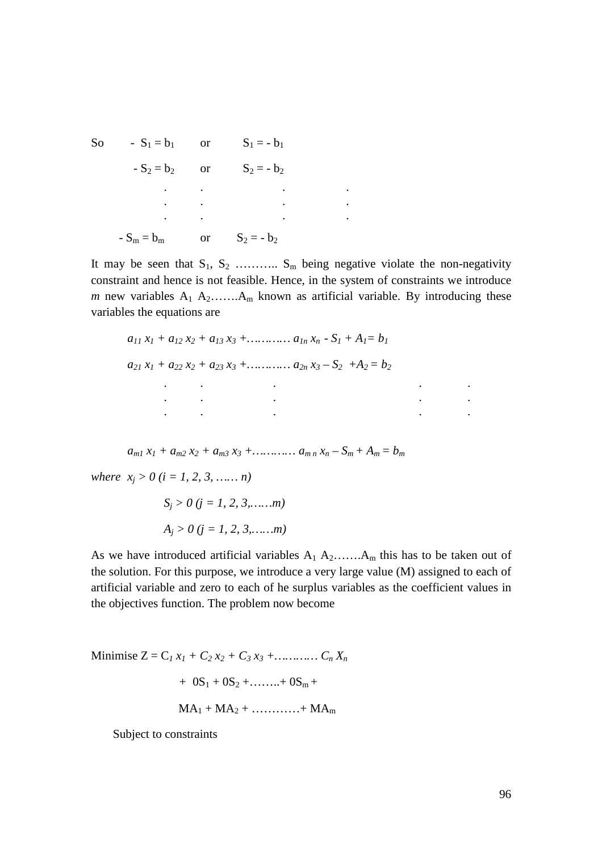So -  $S_1 = b_1$  or  $S_1 = -b_1$  $-S_2 = b_2$  or  $S_2 = -b_2$  . . . . . . . . . . . .  $-S_m = b_m$  or  $S_2 = -b_2$ 

It may be seen that  $S_1, S_2, \ldots, S_m$  being negative violate the non-negativity constraint and hence is not feasible. Hence, in the system of constraints we introduce *m* new variables  $A_1$   $A_2$ ....... $A_m$  known as artificial variable. By introducing these variables the equations are

$$
a_{11} x_1 + a_{12} x_2 + a_{13} x_3 + \dots + a_{1n} x_n - S_1 + A_1 = b_1
$$
  
\n
$$
a_{21} x_1 + a_{22} x_2 + a_{23} x_3 + \dots + a_{2n} x_3 - S_2 + A_2 = b_2
$$

 $a_{m1}x_1 + a_{m2}x_2 + a_{m3}x_3 + \ldots + a_{m}x_n - S_m + A_m = b_m$ 

*where*  $x_j > 0$  (*i* = 1, 2, 3, ... *n*)

$$
S_j > 0 \ (j = 1, 2, 3, \dots, m)
$$

$$
A_j > 0 \ (j = 1, 2, 3, \dots, m)
$$

As we have introduced artificial variables  $A_1 A_2$ …..., $A_m$  this has to be taken out of the solution. For this purpose, we introduce a very large value (M) assigned to each of artificial variable and zero to each of he surplus variables as the coefficient values in the objectives function. The problem now become

Minimise  $Z = C_1 x_1 + C_2 x_2 + C_3 x_3 + \dots + C_n x_n$  $+ 0S_1 + 0S_2 + \ldots + 0S_m +$  $MA_1 + MA_2 + \ldots + MA_m$ 

Subject to constraints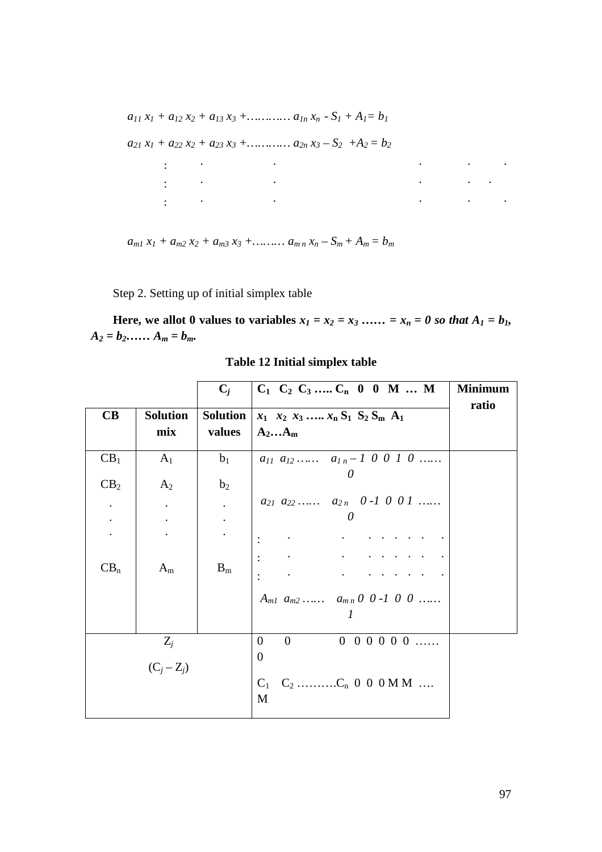$a_{11}x_1 + a_{12}x_2 + a_{13}x_3 + \ldots + a_{1n}x_n - S_1 + A_1 = b_1$ 

 $a_{21}x_1 + a_{22}x_2 + a_{23}x_3 + \dots + a_{2n}x_3 - S_2 + A_2 = b_2$ 

| the contract of the contract of<br>$\sim$ $\sim$ |  | the contract of the contract of the contract of the contract of the contract of the contract of the contract of                                                                                                               |  |  |
|--------------------------------------------------|--|-------------------------------------------------------------------------------------------------------------------------------------------------------------------------------------------------------------------------------|--|--|
| $\sim$ $\sim$ $\sim$                             |  | the contract of the contract of the contract of the contract of the contract of the contract of the contract of                                                                                                               |  |  |
|                                                  |  | the control of the control of the control of the control of the control of the control of the control of the control of the control of the control of the control of the control of the control of the control of the control |  |  |

 $a_{m1}x_1 + a_{m2}x_2 + a_{m3}x_3 + \ldots + a_{m n}x_n - S_m + A_m = b_m$ 

Step 2. Setting up of initial simplex table

Here, we allot 0 values to variables  $x_1 = x_2 = x_3$  …… =  $x_n = 0$  so that  $A_1 = b_1$ ,  $A_2 = b_2$ ……  $A_m = b_m$ .

|                                                                             |                        | $C_i$                                          | $C_1$ $C_2$ $C_3$ $C_n$ 0 0 M  M                                                                                                                                                                                                                                                                                                                    | <b>Minimum</b> |
|-----------------------------------------------------------------------------|------------------------|------------------------------------------------|-----------------------------------------------------------------------------------------------------------------------------------------------------------------------------------------------------------------------------------------------------------------------------------------------------------------------------------------------------|----------------|
| $\mathbf C\mathbf B$                                                        | Solution<br>mix        | values                                         | Solution $x_1, x_2, x_3, , x_n, S_1, S_2, S_m, A_1$<br>$A_2A_m$                                                                                                                                                                                                                                                                                     | ratio          |
| CB <sub>1</sub>                                                             | A <sub>1</sub>         | $b_1$                                          | $a_{11} a_{12} \ldots a_{1n-1} 0 0 1 0 \ldots$<br>$\theta$                                                                                                                                                                                                                                                                                          |                |
| CB <sub>2</sub><br>$\bullet$<br>$\overline{\mathcal{C}}$<br>CB <sub>n</sub> | $A_2$<br>$A_m$         | b <sub>2</sub><br>$\mathcal{L}^{\pm}$<br>$B_m$ | $a_{21} a_{22} \ldots a_{2n} 0-1 0 0 1 \ldots$<br>$\mathbf{1}^{\prime}$ , $\mathbf{1}^{\prime}$ , $\mathbf{1}^{\prime}$ , $\mathbf{1}^{\prime}$ , $\mathbf{1}^{\prime}$ , $\mathbf{1}^{\prime}$<br>$\mathbb{F}_{\frac{1}{2}}$<br>and the company of the<br>and the state of the state<br>$A_{m1}$ $a_{m2}$ $a_{m n}$ 0 0 -1 0 0<br>$\boldsymbol{l}$ |                |
|                                                                             | $Z_j$<br>$(C_i - Z_i)$ |                                                | $0\ 0\ 0\ 0\ 0\ 0\ \ldots$<br>$\overline{0}$<br>$\begin{array}{ccc} & & 0 & \end{array}$<br>$\overline{0}$<br>M                                                                                                                                                                                                                                     |                |

**Table 12 Initial simplex table**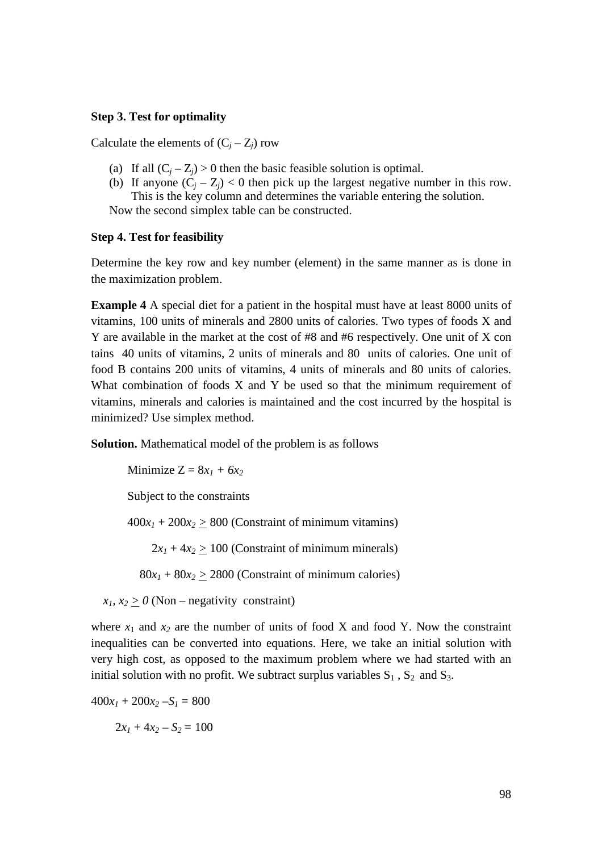# **Step 3. Test for optimality**

Calculate the elements of  $(C_j - Z_j)$  row

- (a) If all  $(C_j Z_j) > 0$  then the basic feasible solution is optimal.
- (b) If anyone  $(C_j Z_j) < 0$  then pick up the largest negative number in this row. This is the key column and determines the variable entering the solution.

Now the second simplex table can be constructed.

# **Step 4. Test for feasibility**

Determine the key row and key number (element) in the same manner as is done in the maximization problem.

**Example 4** A special diet for a patient in the hospital must have at least 8000 units of vitamins, 100 units of minerals and 2800 units of calories. Two types of foods X and Y are available in the market at the cost of #8 and #6 respectively. One unit of X con tains 40 units of vitamins, 2 units of minerals and 80 units of calories. One unit of food B contains 200 units of vitamins, 4 units of minerals and 80 units of calories. What combination of foods X and Y be used so that the minimum requirement of vitamins, minerals and calories is maintained and the cost incurred by the hospital is minimized? Use simplex method.

**Solution.** Mathematical model of the problem is as follows

Minimize  $Z = 8x_1 + 6x_2$ 

Subject to the constraints

 $400x_1 + 200x_2 \ge 800$  (Constraint of minimum vitamins)

 $2x_1 + 4x_2 > 100$  (Constraint of minimum minerals)

 $80x_1 + 80x_2 > 2800$  (Constraint of minimum calories)

 $x_1, x_2 \ge 0$  (Non – negativity constraint)

where  $x_1$  and  $x_2$  are the number of units of food X and food Y. Now the constraint inequalities can be converted into equations. Here, we take an initial solution with very high cost, as opposed to the maximum problem where we had started with an initial solution with no profit. We subtract surplus variables  $S_1$ ,  $S_2$  and  $S_3$ .

$$
400x_1 + 200x_2 - S_1 = 800
$$

 $2x_1 + 4x_2 - S_2 = 100$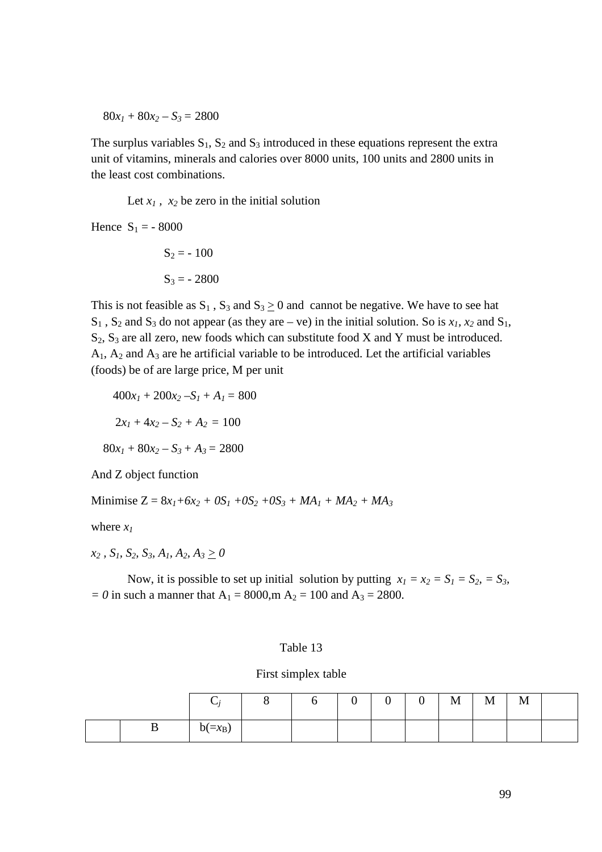$80x_1 + 80x_2 - S_3 = 2800$ 

The surplus variables  $S_1$ ,  $S_2$  and  $S_3$  introduced in these equations represent the extra unit of vitamins, minerals and calories over 8000 units, 100 units and 2800 units in the least cost combinations.

Let  $x_1$ ,  $x_2$  be zero in the initial solution

Hence  $S_1 = -8000$ 

$$
S_2 = -100
$$

$$
S_3 = -2800
$$

This is not feasible as  $S_1$ ,  $S_3$  and  $S_3 \ge 0$  and cannot be negative. We have to see hat  $S_1$ ,  $S_2$  and  $S_3$  do not appear (as they are – ve) in the initial solution. So is  $x_1$ ,  $x_2$  and  $S_1$ ,  $S_2$ ,  $S_3$  are all zero, new foods which can substitute food X and Y must be introduced.  $A_1$ ,  $A_2$  and  $A_3$  are he artificial variable to be introduced. Let the artificial variables (foods) be of are large price, M per unit

$$
400x1 + 200x2 - S1 + A1 = 800
$$

$$
2x1 + 4x2 - S2 + A2 = 100
$$

$$
80x1 + 80x2 - S3 + A3 = 2800
$$

And Z object function

Minimise  $Z = 8x_1 + 6x_2 + 0S_1 + 0S_2 + 0S_3 + MA_1 + MA_2 + MA_3$ 

where *x<sup>1</sup>*

*x2 , S1, S2, S3, A1, A2, A3 > 0* 

Now, it is possible to set up initial solution by putting  $x_1 = x_2 = S_1 = S_2 = S_3$ ,  $= 0$  in such a manner that  $A_1 = 8000$ ,  $A_2 = 100$  and  $A_3 = 2800$ .

#### Table 13

# First simplex table

|   | ◡         |  | $\sim$ | ⌒<br>◡ | $\Omega$<br>ິ | $\mathbf M$ | $\mathbf M$ | M |  |
|---|-----------|--|--------|--------|---------------|-------------|-------------|---|--|
| ມ | $b(=x_B)$ |  |        |        |               |             |             |   |  |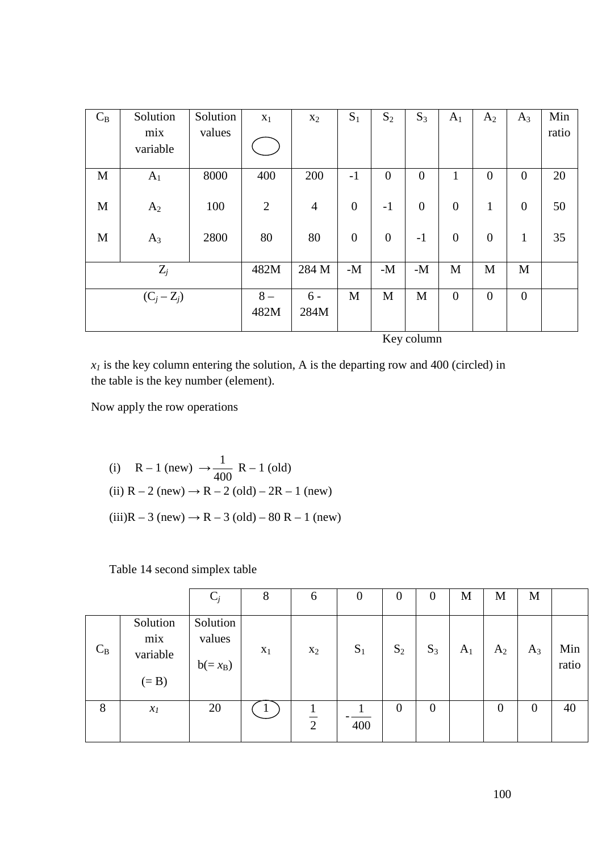| $C_B$       | Solution       | Solution | $X_1$          | $x_2$          | $S_1$            | $S_2$            | $S_3$          | $A_1$            | $A_2$            | $A_3$          | Min   |
|-------------|----------------|----------|----------------|----------------|------------------|------------------|----------------|------------------|------------------|----------------|-------|
|             | mix            | values   |                |                |                  |                  |                |                  |                  |                | ratio |
|             | variable       |          |                |                |                  |                  |                |                  |                  |                |       |
|             |                |          |                |                |                  |                  |                |                  |                  |                |       |
| $\mathbf M$ | A <sub>1</sub> | 8000     | 400            | 200            | $-1$             | $\overline{0}$   | $\overline{0}$ | 1                | $\theta$         | $\overline{0}$ | 20    |
|             |                |          |                |                |                  |                  |                |                  |                  |                |       |
| M           | A <sub>2</sub> | 100      | $\overline{2}$ | $\overline{4}$ | $\boldsymbol{0}$ | $-1$             | $\overline{0}$ | $\boldsymbol{0}$ | $\mathbf{1}$     | $\overline{0}$ | 50    |
|             |                |          |                |                |                  |                  |                |                  |                  |                |       |
| M           | $A_3$          | 2800     | 80             | 80             | $\mathbf{0}$     | $\boldsymbol{0}$ | $-1$           | $\boldsymbol{0}$ | $\boldsymbol{0}$ | $\mathbf{1}$   | 35    |
|             |                |          |                |                |                  |                  |                |                  |                  |                |       |
|             | $Z_j$          |          | 482M           | 284 M          | $-M$             | $-M$             | $-M$           | M                | M                | M              |       |
|             |                |          |                |                |                  |                  |                |                  |                  |                |       |
|             | $(C_j - Z_j)$  |          | $8-$           | $6 -$          | M                | M                | M              | $\overline{0}$   | $\overline{0}$   | $\overline{0}$ |       |
|             |                |          | 482M           | 284M           |                  |                  |                |                  |                  |                |       |
|             |                |          |                |                |                  |                  |                |                  |                  |                |       |

Key column

 $x<sub>1</sub>$  is the key column entering the solution, A is the departing row and 400 (circled) in the table is the key number (element).

Now apply the row operations

(i) R – 1 (new)  $\rightarrow$ 400  $\frac{1}{20}$  R – 1 (old) (ii)  $R - 2$  (new)  $\rightarrow R - 2$  (old) – 2R – 1 (new)  $(iii)R - 3$  (new) → R – 3 (old) – 80 R – 1 (new)

Table 14 second simplex table

|       |                                        | $C_j$                           | 8     | 6              | $\theta$ | $\theta$ | $\boldsymbol{0}$ | M     | M        | M        |              |
|-------|----------------------------------------|---------------------------------|-------|----------------|----------|----------|------------------|-------|----------|----------|--------------|
| $C_B$ | Solution<br>mix<br>variable<br>$(= B)$ | Solution<br>values<br>$b(=x_B)$ | $X_1$ | $X_2$          | $S_1$    | $S_2$    | $S_3$            | $A_1$ | $A_2$    | $A_3$    | Min<br>ratio |
| 8     | $x_{\it 1}$                            | 20                              |       | $\overline{2}$ | 400      | $\theta$ | $\overline{0}$   |       | $\theta$ | $\Omega$ | 40           |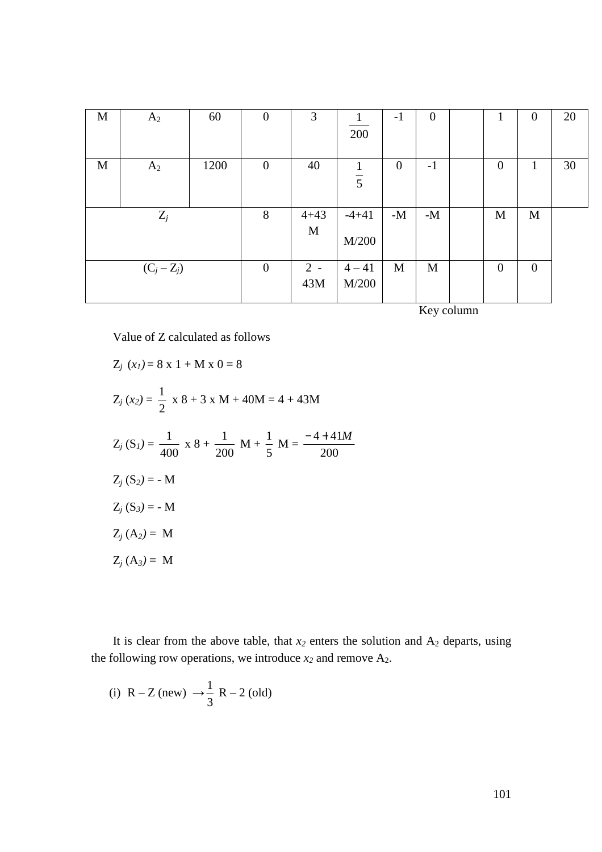| $\mathbf M$ | A <sub>2</sub> | 60   | $\theta$ | 3        |                | $-1$           | $\boldsymbol{0}$ | 1                | $\theta$     | 20 |
|-------------|----------------|------|----------|----------|----------------|----------------|------------------|------------------|--------------|----|
|             |                |      |          |          | 200            |                |                  |                  |              |    |
|             |                |      |          |          |                |                |                  |                  |              |    |
| M           | $A_2$          | 1200 | $\theta$ | 40       |                | $\overline{0}$ | $-1$             | $\boldsymbol{0}$ | 1            | 30 |
|             |                |      |          |          | $\overline{5}$ |                |                  |                  |              |    |
|             |                |      |          |          |                |                |                  |                  |              |    |
|             | $Z_j$          |      | 8        | $4 + 43$ | $-4+41$        | $-M$           | $-M$             | M                | M            |    |
|             |                |      |          | M        |                |                |                  |                  |              |    |
|             |                |      |          |          | M/200          |                |                  |                  |              |    |
|             |                |      |          |          |                |                |                  |                  |              |    |
|             | $(C_j - Z_j)$  |      | $\theta$ | $2 -$    | $4 - 41$       | M              | M                | $\boldsymbol{0}$ | $\mathbf{0}$ |    |
|             |                |      |          | 43M      | M/200          |                |                  |                  |              |    |
|             |                |      |          |          |                |                |                  |                  |              |    |

Key column

Value of Z calculated as follows

$$
Z_j(x_l) = 8 \times 1 + M \times 0 = 8
$$
  
\n
$$
Z_j(x_2) = \frac{1}{2} \times 8 + 3 \times M + 40M = 4 + 43M
$$
  
\n
$$
Z_j(S_l) = \frac{1}{400} \times 8 + \frac{1}{200} M + \frac{1}{5} M = \frac{-4 + 41M}{200}
$$
  
\n
$$
Z_j(S_2) = -M
$$
  
\n
$$
Z_j(S_3) = -M
$$
  
\n
$$
Z_j(A_2) = M
$$
  
\n
$$
Z_j(A_3) = M
$$

It is clear from the above table, that  $x_2$  enters the solution and  $A_2$  departs, using the following row operations, we introduce  $x_2$  and remove  $A_2$ .

(i) 
$$
R - Z
$$
 (new)  $\rightarrow \frac{1}{3} R - 2$  (old)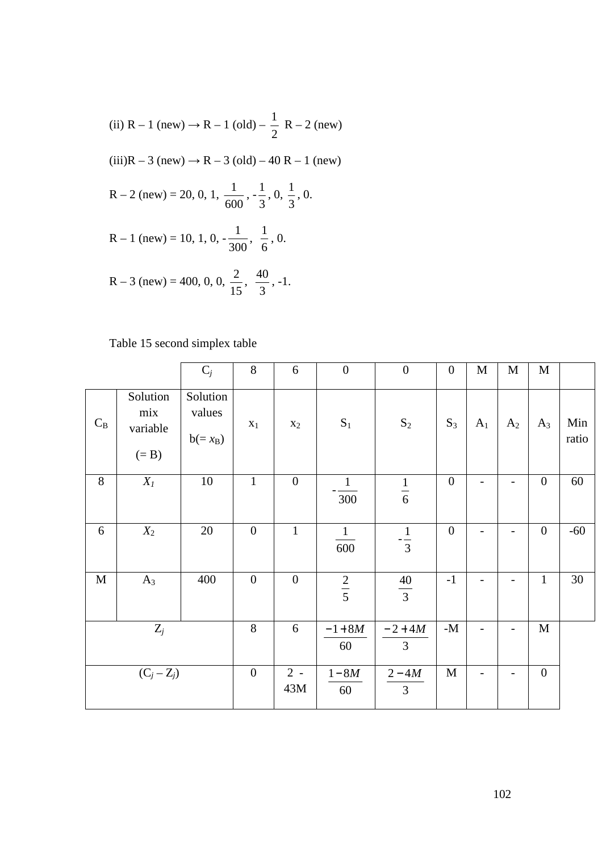(ii) 
$$
R - 1
$$
 (new)  $\rightarrow R - 1$  (old)  $-\frac{1}{2}$   $R - 2$  (new)  
\n(iii)  $R - 3$  (new)  $\rightarrow R - 3$  (old)  $- 40$   $R - 1$  (new)  
\n $R - 2$  (new) = 20, 0, 1,  $\frac{1}{600}$ ,  $-\frac{1}{3}$ , 0,  $\frac{1}{3}$ , 0.  
\n $R - 1$  (new) = 10, 1, 0,  $-\frac{1}{300}$ ,  $\frac{1}{6}$ , 0.  
\n $R - 3$  (new) = 400, 0, 0,  $\frac{2}{15}$ ,  $\frac{40}{3}$ , -1.

# Table 15 second simplex table

|             |                                        | $C_j$                           | 8                | 6              | $\boldsymbol{0}$    | $\boldsymbol{0}$         | $\overline{0}$   | M                        | $\mathbf M$              | $\mathbf M$      |              |
|-------------|----------------------------------------|---------------------------------|------------------|----------------|---------------------|--------------------------|------------------|--------------------------|--------------------------|------------------|--------------|
| $C_B$       | Solution<br>mix<br>variable<br>$(= B)$ | Solution<br>values<br>$b(=x_B)$ | $x_1$            | $x_2$          | $\mathbf{S}_1$      | $\mathbf{S}_2$           | $S_3$            | A <sub>1</sub>           | A <sub>2</sub>           | $A_3$            | Min<br>ratio |
| 8           | $X_I$                                  | 10                              | $\mathbf{1}$     | $\overline{0}$ | $\mathbf{1}$<br>300 | $\frac{1}{6}$            | $\boldsymbol{0}$ | -                        |                          | $\boldsymbol{0}$ | 60           |
| 6           | $X_2$                                  | 20                              | $\overline{0}$   | $\mathbf{1}$   | $\vert$<br>600      | $-\frac{1}{3}$           | $\boldsymbol{0}$ | $\overline{\phantom{a}}$ | $\overline{\phantom{a}}$ | $\boldsymbol{0}$ | $-60$        |
| $\mathbf M$ | $A_3$                                  | 400                             | $\overline{0}$   | $\overline{0}$ | $\frac{2}{5}$       | $\frac{40}{3}$           | $-1$             | $\overline{\phantom{0}}$ | $\overline{\phantom{0}}$ | $\mathbf{1}$     | $30\,$       |
|             | $Z_j$                                  |                                 | 8                | 6              | $-1+8M$<br>60       | $-2+4M$<br>3             | -M $\,$          |                          |                          | $\mathbf M$      |              |
|             | $(C_j - Z_j)$                          |                                 | $\boldsymbol{0}$ | $2 -$<br>43M   | $1-8M$<br>60        | $2-4M$<br>$\overline{3}$ | $\mathbf M$      | $\overline{\phantom{a}}$ | $\overline{\phantom{a}}$ | $\boldsymbol{0}$ |              |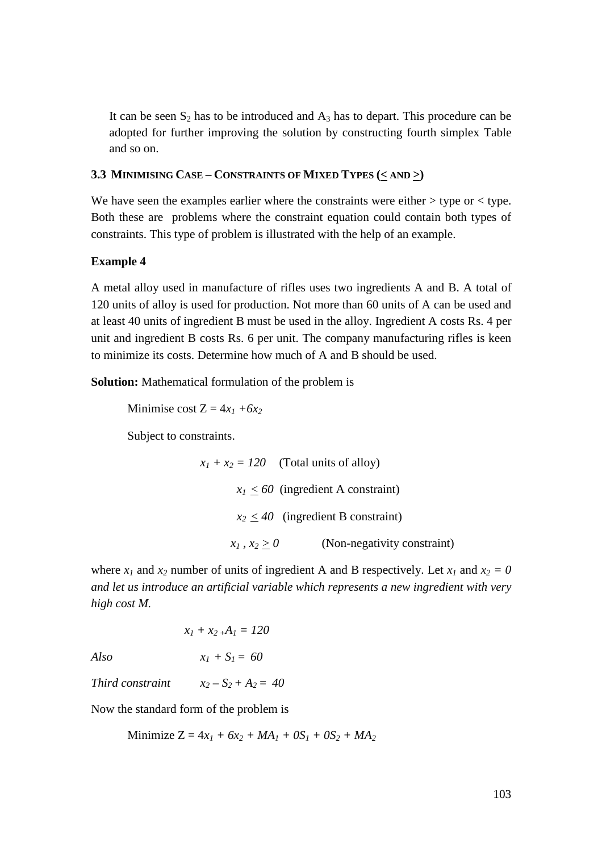It can be seen  $S_2$  has to be introduced and  $A_3$  has to depart. This procedure can be adopted for further improving the solution by constructing fourth simplex Table and so on.

# **3.3 MINIMISING CASE – CONSTRAINTS OF MIXED TYPES (< AND >)**

We have seen the examples earlier where the constraints were either  $>$  type or  $<$  type. Both these are problems where the constraint equation could contain both types of constraints. This type of problem is illustrated with the help of an example.

# **Example 4**

A metal alloy used in manufacture of rifles uses two ingredients A and B. A total of 120 units of alloy is used for production. Not more than 60 units of A can be used and at least 40 units of ingredient B must be used in the alloy. Ingredient A costs Rs. 4 per unit and ingredient B costs Rs. 6 per unit. The company manufacturing rifles is keen to minimize its costs. Determine how much of A and B should be used.

**Solution:** Mathematical formulation of the problem is

Minimise cost  $Z = 4x_1 + 6x_2$ 

Subject to constraints.

 $x_1 + x_2 = 120$  (Total units of alloy)  $x_1 \leq 60$  (ingredient A constraint)  $x_2 \leq 40$  (ingredient B constraint)  $x_1, x_2 > 0$  (Non-negativity constraint)

where  $x_1$  and  $x_2$  number of units of ingredient A and B respectively. Let  $x_1$  and  $x_2 = 0$ *and let us introduce an artificial variable which represents a new ingredient with very high cost M.* 

$$
x_1 + x_2 A_1 = 120
$$

*Also*  $x_1 + S_1 = 60$ 

*Third constraint*  $x_2 - S_2 + A_2 = 40$ 

Now the standard form of the problem is

Minimize  $Z = 4x_1 + 6x_2 + MA_1 + 0S_1 + 0S_2 + MA_2$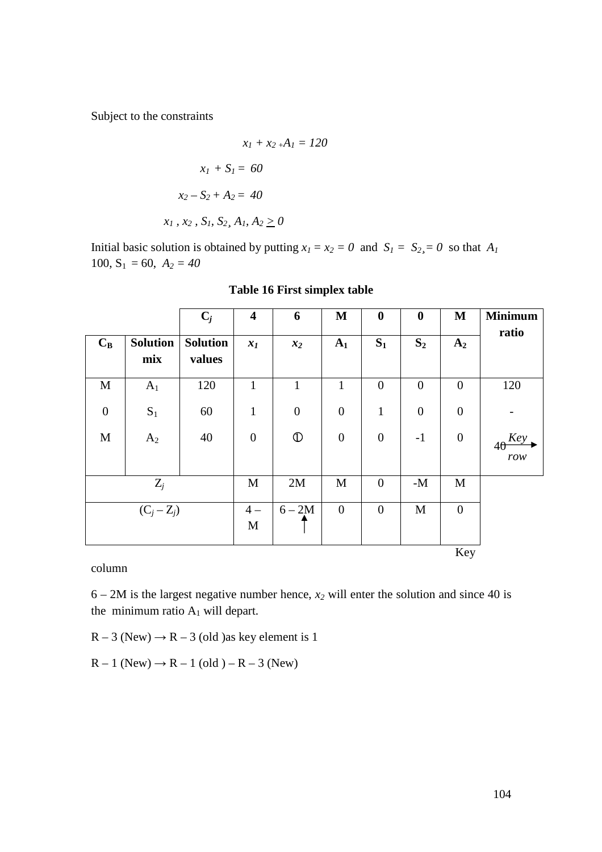Subject to the constraints

$$
x_1 + x_2 A_1 = 120
$$
  

$$
x_1 + S_1 = 60
$$
  

$$
x_2 - S_2 + A_2 = 40
$$
  

$$
x_1, x_2, S_1, S_2, A_1, A_2 \ge 0
$$

Initial basic solution is obtained by putting  $x_1 = x_2 = 0$  and  $S_1 = S_2 = 0$  so that  $A_1$ 100,  $S_1 = 60$ ,  $A_2 = 40$ 

|                  |                        | $C_j$                     | $\overline{\mathbf{4}}$ | 6                | M              | $\boldsymbol{0}$ | $\boldsymbol{0}$ | M                | <b>Minimum</b>           |
|------------------|------------------------|---------------------------|-------------------------|------------------|----------------|------------------|------------------|------------------|--------------------------|
| $C_B$            | <b>Solution</b><br>mix | <b>Solution</b><br>values | $x_I$                   | $x_2$            | A <sub>1</sub> | $S_1$            | $S_2$            | A <sub>2</sub>   | ratio                    |
| $\mathbf M$      | $A_1$                  | 120                       | $\mathbf{1}$            | $\mathbf{1}$     | $\mathbf{1}$   | $\overline{0}$   | $\overline{0}$   | $\overline{0}$   | 120                      |
| $\boldsymbol{0}$ | $\mathbf{S}_1$         | 60                        | $\mathbf{1}$            | $\boldsymbol{0}$ | $\mathbf{0}$   | $\mathbf{1}$     | $\overline{0}$   | $\boldsymbol{0}$ |                          |
| $\mathbf M$      | A <sub>2</sub>         | 40                        | $\overline{0}$          | $\mathbb{O}$     | $\overline{0}$ | $\overline{0}$   | $-1$             | $\overline{0}$   | $40 \frac{Key}{}$<br>row |
|                  | $Z_j$                  |                           | M                       | 2M               | $\mathbf M$    | $\overline{0}$   | - $\mathbf{M}$   | M                |                          |
| $(C_j - Z_j)$    |                        |                           | $4-$<br>$\mathbf M$     | $6 - 2M$         | $\mathbf{0}$   | $\overline{0}$   | M                | $\overline{0}$   |                          |
|                  |                        |                           |                         |                  |                |                  |                  | Key              |                          |

| Table 16 First simplex table |
|------------------------------|
|------------------------------|

column

 $6 - 2M$  is the largest negative number hence,  $x_2$  will enter the solution and since 40 is the minimum ratio  $A_1$  will depart.

 $R - 3$  (New)  $\rightarrow R - 3$  (old ) as key element is 1

 $R - 1$  (New)  $\rightarrow R - 1$  (old ) –  $R - 3$  (New)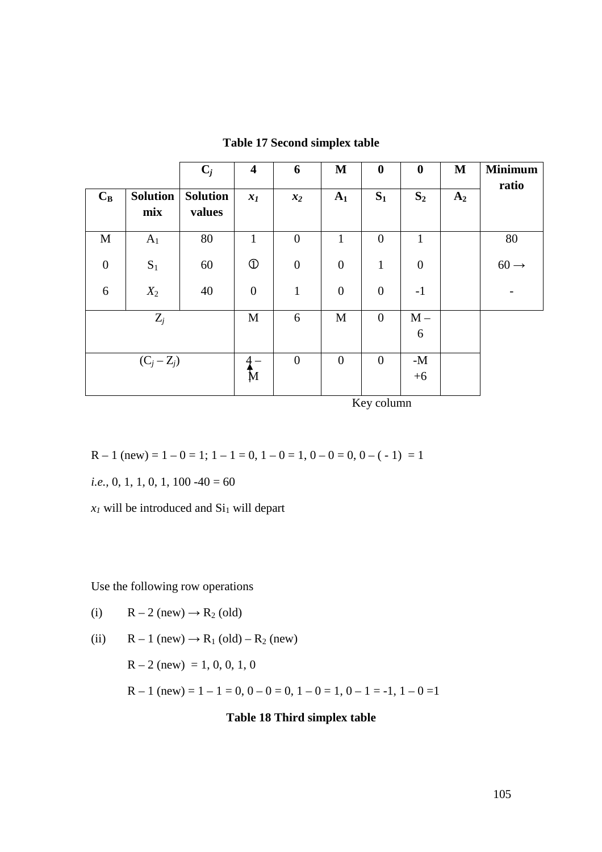|                  |                        | $\mathbf{C}_j$            | $\overline{\mathbf{4}}$ | 6                | $\mathbf M$      | $\boldsymbol{0}$ | $\boldsymbol{0}$ | M              | <b>Minimum</b><br>ratio |
|------------------|------------------------|---------------------------|-------------------------|------------------|------------------|------------------|------------------|----------------|-------------------------|
| $C_B$            | <b>Solution</b><br>mix | <b>Solution</b><br>values | $x_I$                   | $x_2$            | A <sub>1</sub>   | $S_1$            | $S_2$            | A <sub>2</sub> |                         |
| M                | A <sub>1</sub>         | 80                        | $\mathbf{1}$            | $\boldsymbol{0}$ | $\mathbf{1}$     | $\boldsymbol{0}$ | $\mathbf{1}$     |                | 80                      |
| $\boldsymbol{0}$ | $\mathbf{S}_1$         | 60                        | $\mathbb{O}$            | $\boldsymbol{0}$ | $\boldsymbol{0}$ | $\mathbf{1}$     | $\boldsymbol{0}$ |                | $60 \rightarrow$        |
| 6                | $X_2$                  | 40                        | $\boldsymbol{0}$        | $\mathbf{1}$     | $\boldsymbol{0}$ | $\boldsymbol{0}$ | $-1$             |                |                         |
| $Z_j$            |                        |                           | M                       | 6                | M                | $\boldsymbol{0}$ | $M -$<br>6       |                |                         |
|                  | $(C_j - Z_j)$          |                           | М                       | $\boldsymbol{0}$ | $\boldsymbol{0}$ | $\overline{0}$   | $-M$<br>$+6$     |                |                         |

**Table 17 Second simplex table** 

Key column

$$
R-1 \text{ (new)} = 1-0 = 1; 1-1 = 0, 1-0 = 1, 0-0 = 0, 0-(-1) = 1
$$

*i.e.*, 0, 1, 1, 0, 1, 100 -40 = 60

 $x_I$  will be introduced and  $Si_1$  will depart

Use the following row operations

(i) 
$$
R-2
$$
 (new)  $\rightarrow R_2$  (old)

(ii) 
$$
R-1
$$
 (new)  $\rightarrow R_1$  (old)  $-R_2$  (new)

 $R - 2$  (new) = 1, 0, 0, 1, 0

$$
R-1 \text{ (new)} = 1-1 = 0, 0-0 = 0, 1-0 = 1, 0-1 = -1, 1-0 = 1
$$

# **Table 18 Third simplex table**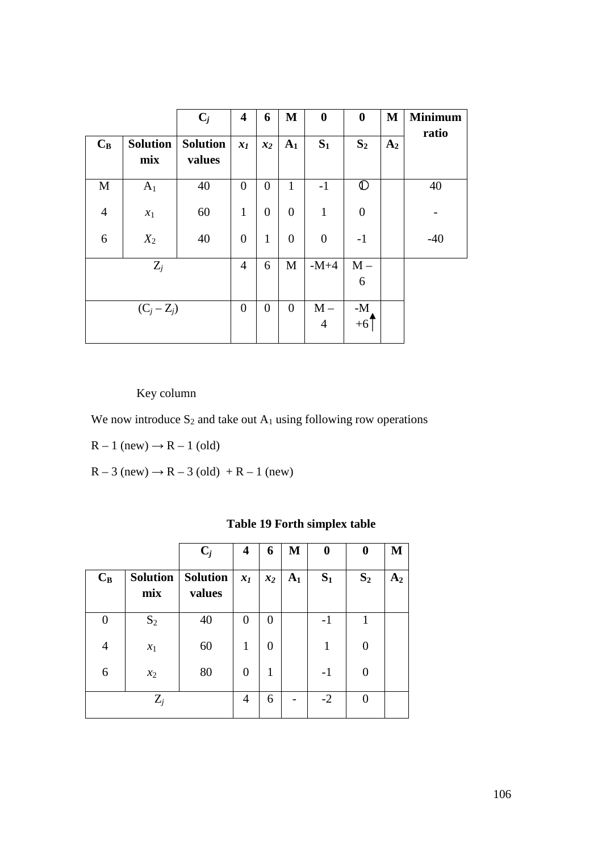|                |                        | $C_j$                     | $\overline{\mathbf{4}}$ | 6              | M                | $\boldsymbol{0}$        | $\boldsymbol{0}$       | $\mathbf{M}$   | <b>Minimum</b> |
|----------------|------------------------|---------------------------|-------------------------|----------------|------------------|-------------------------|------------------------|----------------|----------------|
| $C_B$          | <b>Solution</b><br>mix | <b>Solution</b><br>values | $x_1$                   | $x_2$          | $A_1$            | $S_1$                   | $S_2$                  | A <sub>2</sub> | ratio          |
| $\mathbf M$    | A <sub>1</sub>         | 40                        | $\overline{0}$          | $\overline{0}$ | $\mathbf{1}$     | $-1$                    | $\mathbb{D}$           |                | 40             |
| $\overline{4}$ | $x_1$                  | 60                        | $\mathbf{1}$            | $\overline{0}$ | $\overline{0}$   | $\mathbf{1}$            | $\boldsymbol{0}$       |                |                |
| 6              | $X_2$                  | 40                        | $\overline{0}$          | $\mathbf{1}$   | $\boldsymbol{0}$ | $\overline{0}$          | $-1$                   |                | $-40$          |
|                | $Z_j$                  |                           | $\overline{4}$          | 6              | M                | $-M+4$                  | $M -$<br>6             |                |                |
| $(C_j - Z_j)$  |                        |                           |                         | $\overline{0}$ | $\overline{0}$   | $M -$<br>$\overline{4}$ | - $\mathbf{M}$<br>$+6$ |                |                |

Key column

We now introduce  $S_2$  and take out  $A_1$  using following row operations

 $R - 1$  (new)  $\rightarrow R - 1$  (old)

 $R - 3$  (new)  $\rightarrow R - 3$  (old)  $+ R - 1$  (new)

|                |                        | $C_j$                     | 4     | 6     | M              | $\bf{0}$ | $\bf{0}$          | M     |
|----------------|------------------------|---------------------------|-------|-------|----------------|----------|-------------------|-------|
| $C_B$          | <b>Solution</b><br>mix | <b>Solution</b><br>values | $x_I$ | $x_2$ | A <sub>1</sub> | $S_1$    | S <sub>2</sub>    | $A_2$ |
| 0              | $S_2$                  | 40                        | 0     | 0     |                | $-1$     |                   |       |
| $\overline{4}$ | $x_1$                  | 60                        | 1     | 0     |                | 1        | 0                 |       |
| 6              | $x_2$                  | 80                        | 0     | 1     |                | $-1$     | $\Omega$          |       |
|                | $Z_i$                  |                           | 4     | 6     |                | $-2$     | $\mathbf{\Omega}$ |       |

# **Table 19 Forth simplex table**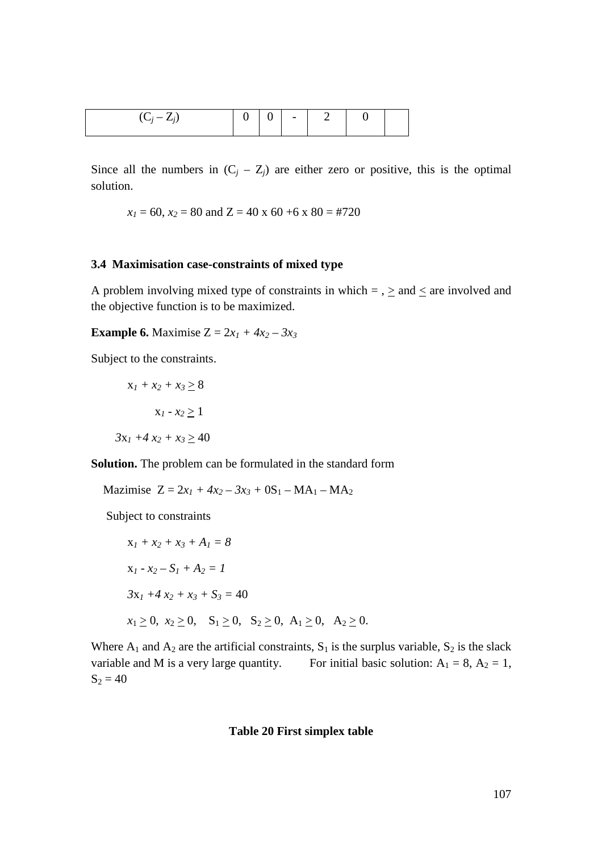| $\mathcal{L}$ |  |  | $\overline{\phantom{0}}$ |  |  |  |
|---------------|--|--|--------------------------|--|--|--|
|---------------|--|--|--------------------------|--|--|--|

Since all the numbers in  $(C_j - Z_j)$  are either zero or positive, this is the optimal solution.

$$
x_1 = 60
$$
,  $x_2 = 80$  and  $Z = 40$  x  $60 + 6$  x  $80 = #720$ 

#### **3.4 Maximisation case-constraints of mixed type**

A problem involving mixed type of constraints in which  $=$  ,  $\geq$  and  $\leq$  are involved and the objective function is to be maximized.

# **Example 6.** Maximise  $Z = 2x_1 + 4x_2 - 3x_3$

Subject to the constraints.

$$
x_1 + x_2 + x_3 \ge 8
$$

$$
x_1 - x_2 \ge 1
$$

$$
3x_1 + 4x_2 + x_3 \ge 40
$$

**Solution.** The problem can be formulated in the standard form

Mazimise  $Z = 2x_1 + 4x_2 - 3x_3 + 0S_1 - MA_1 - MA_2$ 

Subject to constraints

$$
x_1 + x_2 + x_3 + A_1 = 8
$$
  
\n
$$
x_1 - x_2 - S_1 + A_2 = 1
$$
  
\n
$$
3x_1 + 4x_2 + x_3 + S_3 = 40
$$
  
\n
$$
x_1 \ge 0, \ x_2 \ge 0, \ S_1 \ge 0, \ S_2 \ge 0, A_1 \ge 0, A_2 \ge 0.
$$

Where  $A_1$  and  $A_2$  are the artificial constraints,  $S_1$  is the surplus variable,  $S_2$  is the slack variable and M is a very large quantity. For initial basic solution:  $A_1 = 8$ ,  $A_2 = 1$ ,  $S_2 = 40$ 

#### **Table 20 First simplex table**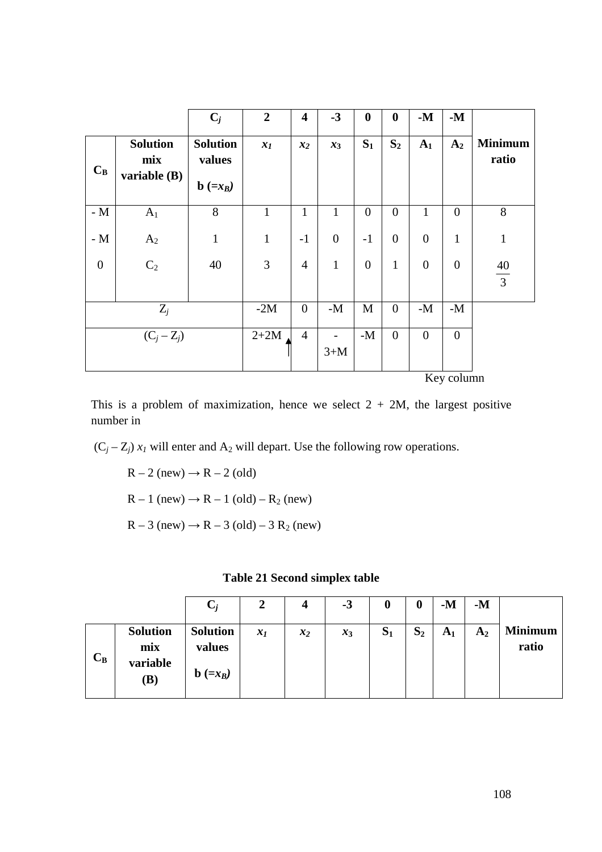|                |                                        | $C_j$                           | $\overline{2}$ | $\overline{\mathbf{4}}$ | $-3$           | $\boldsymbol{0}$ | $\boldsymbol{0}$ | $-M$             | $-M$             |                         |
|----------------|----------------------------------------|---------------------------------|----------------|-------------------------|----------------|------------------|------------------|------------------|------------------|-------------------------|
| $C_B$          | <b>Solution</b><br>mix<br>variable (B) | <b>Solution</b><br>values       | $x_I$          | $x_2$                   | $x_3$          | $S_1$            | $S_2$            | $A_1$            | A <sub>2</sub>   | <b>Minimum</b><br>ratio |
|                |                                        | $\mathbf{b}$ (=x <sub>B</sub> ) |                |                         |                |                  |                  |                  |                  |                         |
| - $M$          | $A_1$                                  | $8\,$                           | $\mathbf{1}$   | $\mathbf{1}$            | $\mathbf{1}$   | $\overline{0}$   | $\overline{0}$   | $\mathbf{1}$     | $\overline{0}$   | 8                       |
| - $M$          | A <sub>2</sub>                         | $\mathbf{1}$                    | $\mathbf{1}$   | $-1$                    | $\overline{0}$ | $-1$             | $\overline{0}$   | $\boldsymbol{0}$ | $\mathbf{1}$     | $\mathbf{1}$            |
| $\overline{0}$ | C <sub>2</sub>                         | 40                              | $\overline{3}$ | $\overline{4}$          | $\mathbf{1}$   | $\overline{0}$   | $\mathbf{1}$     | $\overline{0}$   | $\overline{0}$   | $\frac{40}{3}$          |
|                |                                        |                                 |                |                         |                |                  |                  |                  |                  |                         |
|                | $Z_j$                                  |                                 | $-2M$          | $\overline{0}$          | $-M$           | $\mathbf{M}$     | $\boldsymbol{0}$ | $-M$             | $-M$             |                         |
| $(C_j - Z_j)$  |                                        |                                 | $2+2M$         | $\overline{4}$          | $3+M$          | $-M$             | $\boldsymbol{0}$ | $\boldsymbol{0}$ | $\boldsymbol{0}$ |                         |
|                |                                        |                                 |                |                         |                |                  |                  |                  | Key column       |                         |

This is a problem of maximization, hence we select  $2 + 2M$ , the largest positive number in

 $(C_j - Z_j)$   $x_I$  will enter and  $A_2$  will depart. Use the following row operations.

 $R - 2$  (new)  $\rightarrow R - 2$  (old)

 $R - 1$  (new)  $\rightarrow R - 1$  (old)  $- R_2$  (new)

 $R - 3$  (new)  $\rightarrow R - 3$  (old) – 3  $R_2$  (new)

| <b>Table 21 Second simplex table</b> |  |  |  |
|--------------------------------------|--|--|--|
|--------------------------------------|--|--|--|

|       |                                           |                                                              | 2     | 4     | $-3$  | O     | 0     | $-M$           | $-M$           |                         |
|-------|-------------------------------------------|--------------------------------------------------------------|-------|-------|-------|-------|-------|----------------|----------------|-------------------------|
| $C_B$ | <b>Solution</b><br>mix<br>variable<br>(B) | <b>Solution</b><br>values<br>$\mathbf{b}$ (=x <sub>B</sub> ) | $x_I$ | $x_2$ | $x_3$ | $S_1$ | $S_2$ | A <sub>1</sub> | A <sub>2</sub> | <b>Minimum</b><br>ratio |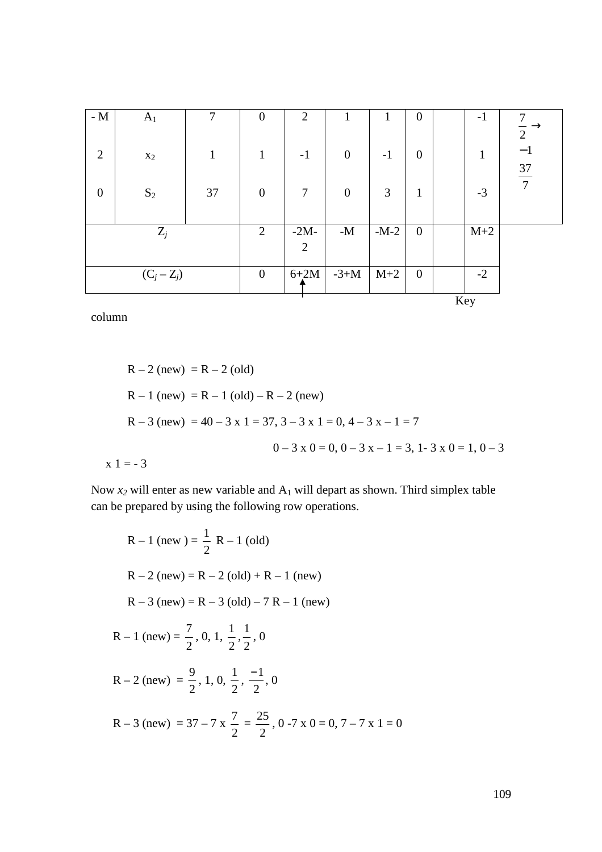| - $\mathbf M$    | $A_1$          | 7            | $\overline{0}$   | $\overline{2}$           |                |        | $\boldsymbol{0}$ |     | $-1$  | 7                      |
|------------------|----------------|--------------|------------------|--------------------------|----------------|--------|------------------|-----|-------|------------------------|
| 2                | $\mathbf{x}_2$ | $\mathbf{1}$ | $\mathbf{1}$     | $-1$                     | $\overline{0}$ | $-1$   | $\boldsymbol{0}$ |     | 1     | $\overline{2}$<br>$-1$ |
| $\boldsymbol{0}$ | $\mathbf{S}_2$ | 37           | $\boldsymbol{0}$ | $\overline{7}$           | $\overline{0}$ | 3      | $\mathbf{1}$     |     | $-3$  | $\frac{37}{7}$         |
|                  | $Z_j$          |              | $\overline{2}$   | $-2M-$<br>$\overline{2}$ | $-M$           | $-M-2$ | $\boldsymbol{0}$ |     | $M+2$ |                        |
|                  | $(C_j - Z_j)$  |              | $\overline{0}$   | $6+2M$                   | $-3+M$         | $M+2$  | $\boldsymbol{0}$ |     | $-2$  |                        |
|                  |                |              |                  |                          |                |        |                  | Key |       |                        |

column

 $R - 2$  (new) =  $R - 2$  (old)  $R - 1$  (new) =  $R - 1$  (old) –  $R - 2$  (new)  $R - 3$  (new) = 40 – 3 x 1 = 37, 3 – 3 x 1 = 0, 4 – 3 x – 1 = 7  $0 - 3 \times 0 = 0, 0 - 3 \times 0 = 1, 0 - 3$  $x 1 = -3$ 

Now  $x_2$  will enter as new variable and  $A_1$  will depart as shown. Third simplex table can be prepared by using the following row operations.

R-1 (new) = 
$$
\frac{1}{2}
$$
 R-1 (old)  
\nR-2 (new) = R-2 (old) + R-1 (new)  
\nR-3 (new) = R-3 (old) - 7 R - 1 (new)  
\nR-1 (new) =  $\frac{7}{2}$ , 0, 1,  $\frac{1}{2}$ ,  $\frac{1}{2}$ , 0  
\nR-2 (new) =  $\frac{9}{2}$ , 1, 0,  $\frac{1}{2}$ ,  $\frac{-1}{2}$ , 0  
\nR-3 (new) = 37-7 x  $\frac{7}{2}$  =  $\frac{25}{2}$ , 0 -7 x 0 = 0, 7-7 x 1 = 0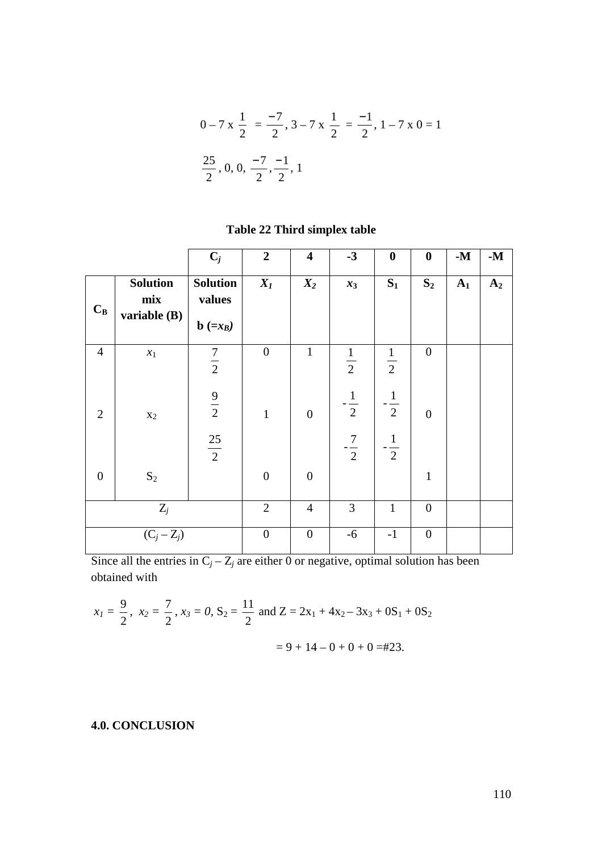$$
0 - 7 \times \frac{1}{2} = \frac{-7}{2}, 3 - 7 \times \frac{1}{2} = \frac{-1}{2}, 1 - 7 \times 0 = 1
$$
  

$$
\frac{25}{2}, 0, 0, \frac{-7}{2}, \frac{-1}{2}, 1
$$

|                  |                                        | $C_j$                                                        | $\overline{2}$   | $\overline{\mathbf{4}}$ | $-3$           | $\boldsymbol{0}$ | $\boldsymbol{0}$ | $\mathbf{-M}$ | $-M$           |
|------------------|----------------------------------------|--------------------------------------------------------------|------------------|-------------------------|----------------|------------------|------------------|---------------|----------------|
| $C_B$            | <b>Solution</b><br>mix<br>variable (B) | <b>Solution</b><br>values<br>$\mathbf{b}$ (=x <sub>B</sub> ) | $X_I$            | $X_2$                   | $x_3$          | $S_1$            | $S_2$            | $A_1$         | A <sub>2</sub> |
| $\overline{4}$   | $x_1$                                  | $\frac{7}{2}$                                                | $\boldsymbol{0}$ | $\mathbf{1}$            | $\frac{1}{2}$  | $\frac{1}{2}$    | $\boldsymbol{0}$ |               |                |
| $\overline{2}$   | $\mathbf{x}_2$                         | $\frac{9}{2}$                                                | $\mathbf{1}$     | $\overline{0}$          | $-\frac{1}{2}$ | $\frac{1}{2}$    | $\overline{0}$   |               |                |
|                  |                                        | $\frac{25}{2}$                                               |                  |                         | $-\frac{7}{2}$ | $-\frac{1}{2}$   |                  |               |                |
| $\boldsymbol{0}$ | $\mathbf{S}_2$                         |                                                              | $\boldsymbol{0}$ | $\boldsymbol{0}$        |                |                  | $\mathbf{1}$     |               |                |
|                  | $Z_j$                                  |                                                              | $\overline{2}$   | $\overline{4}$          | 3              | $\mathbf{1}$     | $\boldsymbol{0}$ |               |                |
|                  | $(C_j - Z_j)$                          |                                                              | $\boldsymbol{0}$ | $\boldsymbol{0}$        | $-6$           | $-1$             | $\boldsymbol{0}$ |               |                |

# **Table 22 Third simplex table**

Since all the entries in  $C_j - Z_j$  are either 0 or negative, optimal solution has been obtained with

$$
x_1 = \frac{9}{2}
$$
,  $x_2 = \frac{7}{2}$ ,  $x_3 = 0$ ,  $S_2 = \frac{11}{2}$  and  $Z = 2x_1 + 4x_2 - 3x_3 + 0S_1 + 0S_2$   
= 9 + 14 - 0 + 0 + 0 = #23.

# **4.0. CONCLUSION**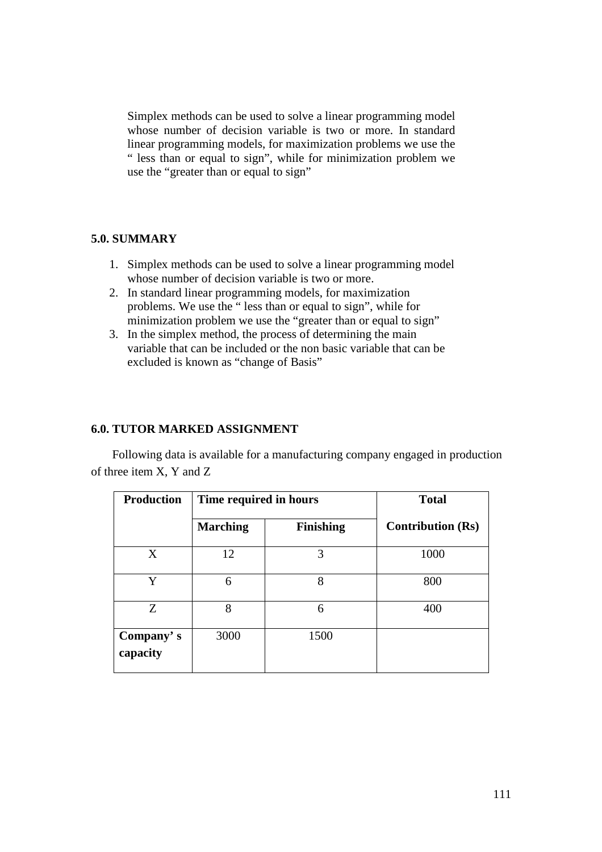Simplex methods can be used to solve a linear programming model whose number of decision variable is two or more. In standard linear programming models, for maximization problems we use the " less than or equal to sign", while for minimization problem we use the "greater than or equal to sign"

## **5.0. SUMMARY**

- 1. Simplex methods can be used to solve a linear programming model whose number of decision variable is two or more.
- 2. In standard linear programming models, for maximization problems. We use the " less than or equal to sign", while for minimization problem we use the "greater than or equal to sign"
- 3. In the simplex method, the process of determining the main variable that can be included or the non basic variable that can be excluded is known as "change of Basis"

#### **6.0. TUTOR MARKED ASSIGNMENT**

Following data is available for a manufacturing company engaged in production of three item X, Y and Z

| <b>Production</b>     | Time required in hours |                  | <b>Total</b>             |
|-----------------------|------------------------|------------------|--------------------------|
|                       | <b>Marching</b>        | <b>Finishing</b> | <b>Contribution (Rs)</b> |
| X                     | 12                     | 3                | 1000                     |
| Y                     | 6                      | 8                | 800                      |
| Z                     | 8                      | 6                | 400                      |
| Company's<br>capacity | 3000                   | 1500             |                          |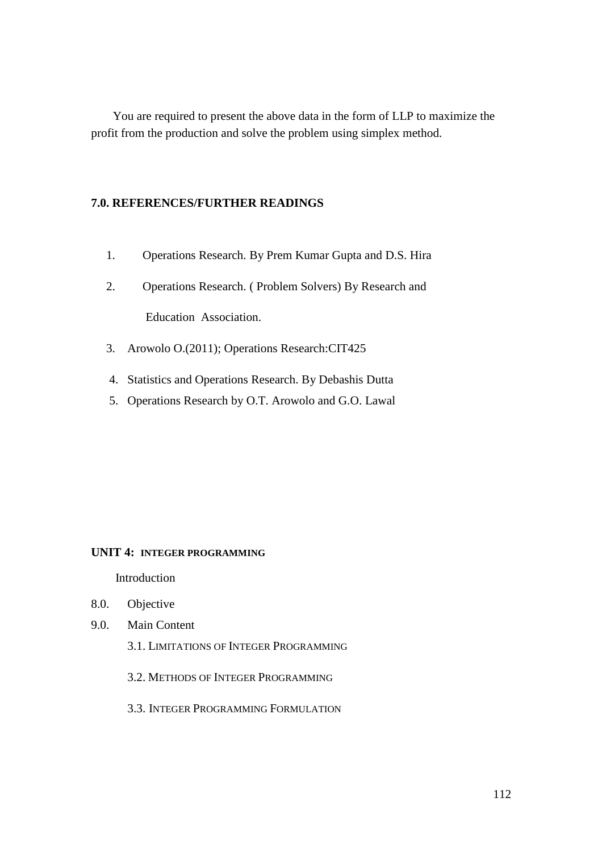You are required to present the above data in the form of LLP to maximize the profit from the production and solve the problem using simplex method.

## **7.0. REFERENCES/FURTHER READINGS**

- 1. Operations Research. By Prem Kumar Gupta and D.S. Hira
- 2. Operations Research. ( Problem Solvers) By Research and Education Association.
- 3. Arowolo O.(2011); Operations Research:CIT425
- 4. Statistics and Operations Research. By Debashis Dutta
- 5. Operations Research by O.T. Arowolo and G.O. Lawal

#### **UNIT 4: INTEGER PROGRAMMING**

Introduction

- 8.0. Objective
- 9.0. Main Content
	- 3.1. LIMITATIONS OF INTEGER PROGRAMMING
	- 3.2. METHODS OF INTEGER PROGRAMMING
	- 3.3. INTEGER PROGRAMMING FORMULATION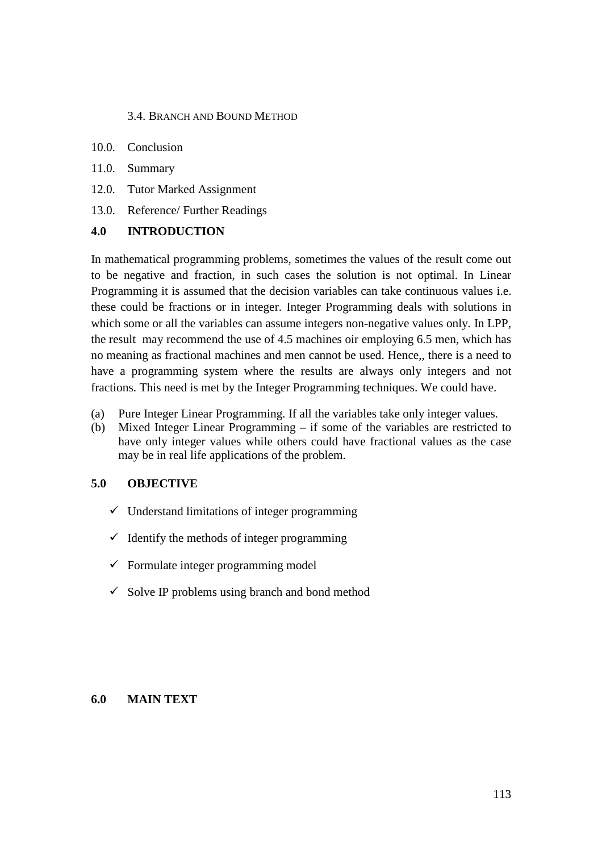## 3.4. BRANCH AND BOUND METHOD

- 10.0. Conclusion
- 11.0. Summary
- 12.0. Tutor Marked Assignment
- 13.0. Reference/ Further Readings

## **4.0 INTRODUCTION**

In mathematical programming problems, sometimes the values of the result come out to be negative and fraction, in such cases the solution is not optimal. In Linear Programming it is assumed that the decision variables can take continuous values i.e. these could be fractions or in integer. Integer Programming deals with solutions in which some or all the variables can assume integers non-negative values only. In LPP, the result may recommend the use of 4.5 machines oir employing 6.5 men, which has no meaning as fractional machines and men cannot be used. Hence,, there is a need to have a programming system where the results are always only integers and not fractions. This need is met by the Integer Programming techniques. We could have.

- (a) Pure Integer Linear Programming. If all the variables take only integer values.
- (b) Mixed Integer Linear Programming if some of the variables are restricted to have only integer values while others could have fractional values as the case may be in real life applications of the problem.

## **5.0 OBJECTIVE**

- $\checkmark$  Understand limitations of integer programming
- $\checkmark$  Identify the methods of integer programming
- $\checkmark$  Formulate integer programming model
- $\checkmark$  Solve IP problems using branch and bond method

#### **6.0 MAIN TEXT**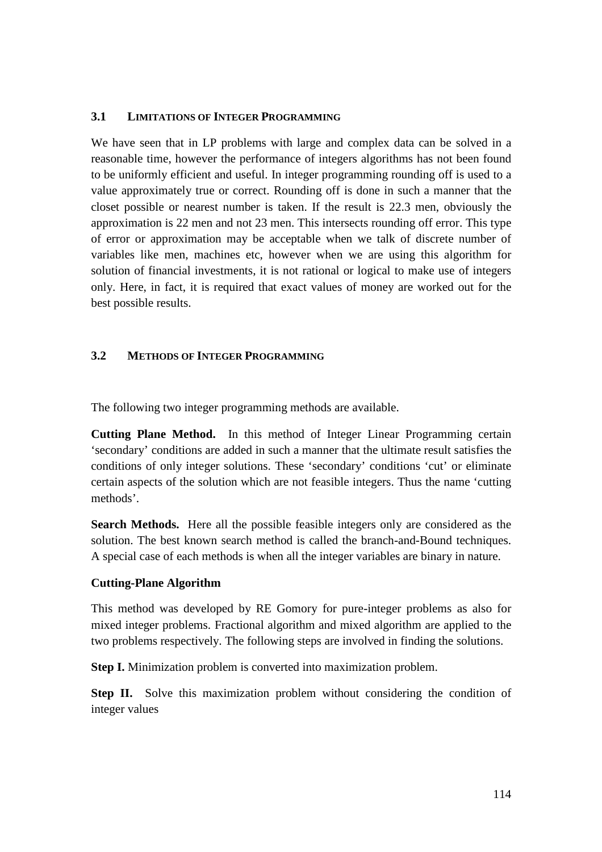## **3.1 LIMITATIONS OF INTEGER PROGRAMMING**

We have seen that in LP problems with large and complex data can be solved in a reasonable time, however the performance of integers algorithms has not been found to be uniformly efficient and useful. In integer programming rounding off is used to a value approximately true or correct. Rounding off is done in such a manner that the closet possible or nearest number is taken. If the result is 22.3 men, obviously the approximation is 22 men and not 23 men. This intersects rounding off error. This type of error or approximation may be acceptable when we talk of discrete number of variables like men, machines etc, however when we are using this algorithm for solution of financial investments, it is not rational or logical to make use of integers only. Here, in fact, it is required that exact values of money are worked out for the best possible results.

## **3.2 METHODS OF INTEGER PROGRAMMING**

The following two integer programming methods are available.

**Cutting Plane Method.** In this method of Integer Linear Programming certain 'secondary' conditions are added in such a manner that the ultimate result satisfies the conditions of only integer solutions. These 'secondary' conditions 'cut' or eliminate certain aspects of the solution which are not feasible integers. Thus the name 'cutting methods'.

**Search Methods.** Here all the possible feasible integers only are considered as the solution. The best known search method is called the branch-and-Bound techniques. A special case of each methods is when all the integer variables are binary in nature.

#### **Cutting-Plane Algorithm**

This method was developed by RE Gomory for pure-integer problems as also for mixed integer problems. Fractional algorithm and mixed algorithm are applied to the two problems respectively. The following steps are involved in finding the solutions.

**Step I.** Minimization problem is converted into maximization problem.

**Step II.** Solve this maximization problem without considering the condition of integer values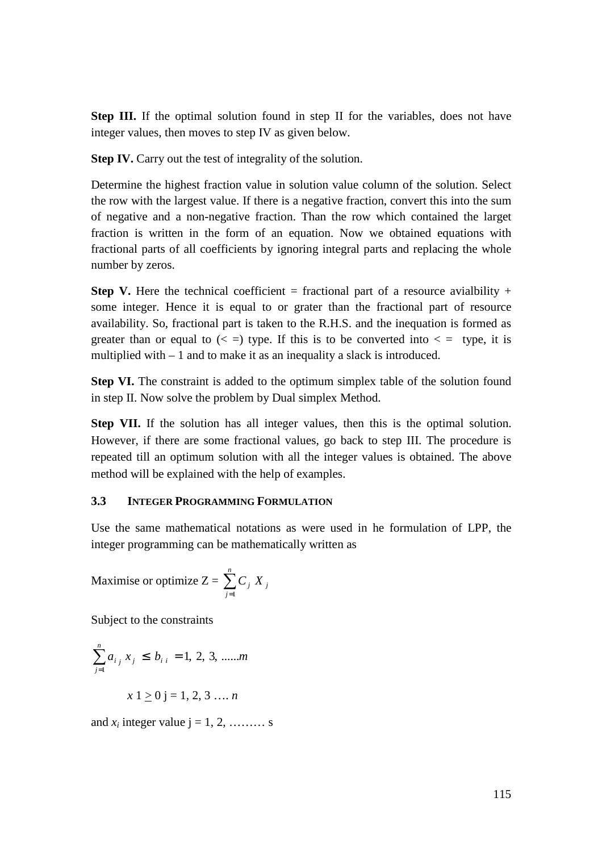**Step III.** If the optimal solution found in step II for the variables, does not have integer values, then moves to step IV as given below.

**Step IV.** Carry out the test of integrality of the solution.

Determine the highest fraction value in solution value column of the solution. Select the row with the largest value. If there is a negative fraction, convert this into the sum of negative and a non-negative fraction. Than the row which contained the larget fraction is written in the form of an equation. Now we obtained equations with fractional parts of all coefficients by ignoring integral parts and replacing the whole number by zeros.

**Step V.** Here the technical coefficient = fractional part of a resource avial bility + some integer. Hence it is equal to or grater than the fractional part of resource availability. So, fractional part is taken to the R.H.S. and the inequation is formed as greater than or equal to  $\left( \langle \rangle = \rangle$  type. If this is to be converted into  $\langle \rangle = \rangle$  type, it is multiplied with – 1 and to make it as an inequality a slack is introduced.

**Step VI.** The constraint is added to the optimum simplex table of the solution found in step II. Now solve the problem by Dual simplex Method.

**Step VII.** If the solution has all integer values, then this is the optimal solution. However, if there are some fractional values, go back to step III. The procedure is repeated till an optimum solution with all the integer values is obtained. The above method will be explained with the help of examples.

#### **3.3 INTEGER PROGRAMMING FORMULATION**

Use the same mathematical notations as were used in he formulation of LPP, the integer programming can be mathematically written as

Maximise or optimize  $Z = \sum_{n=1}^{\infty}$ = *n j*  $C_j X_j$ 1

Subject to the constraints

$$
\sum_{j=1}^{n} a_{i j} x_{j} \le b_{i i} = 1, 2, 3, \dots m
$$

$$
x 1 \ge 0
$$
 j = 1, 2, 3 ... n

and  $x_i$  integer value  $i = 1, 2, \ldots$ ...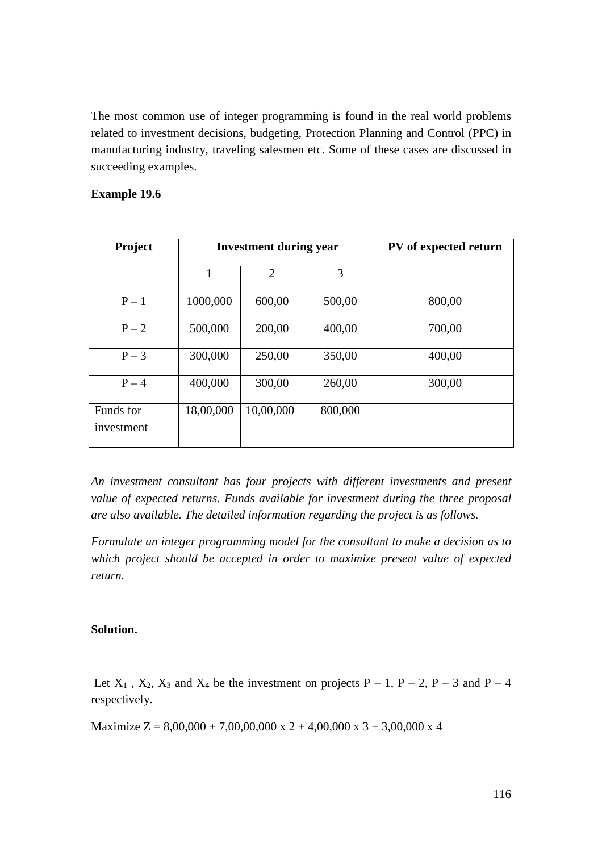The most common use of integer programming is found in the real world problems related to investment decisions, budgeting, Protection Planning and Control (PPC) in manufacturing industry, traveling salesmen etc. Some of these cases are discussed in succeeding examples.

## **Example 19.6**

| <b>Project</b>          |           | <b>Investment during year</b> | PV of expected return |        |
|-------------------------|-----------|-------------------------------|-----------------------|--------|
|                         | 1         | $\overline{2}$                | 3                     |        |
| $P-1$                   | 1000,000  | 600,00                        | 500,00                | 800,00 |
| $P-2$                   | 500,000   | 200,00                        | 400,00                | 700,00 |
| $P-3$                   | 300,000   | 250,00                        | 350,00                | 400,00 |
| $P - 4$                 | 400,000   | 300,00                        | 260,00                | 300,00 |
| Funds for<br>investment | 18,00,000 | 10,00,000                     | 800,000               |        |

*An investment consultant has four projects with different investments and present value of expected returns. Funds available for investment during the three proposal are also available. The detailed information regarding the project is as follows.* 

*Formulate an integer programming model for the consultant to make a decision as to which project should be accepted in order to maximize present value of expected return.* 

#### **Solution.**

Let  $X_1$ ,  $X_2$ ,  $X_3$  and  $X_4$  be the investment on projects P – 1, P – 2, P – 3 and P – 4 respectively.

Maximize  $Z = 8,00,000 + 7,00,00,000 \times 2 + 4,00,000 \times 3 + 3,00,000 \times 4$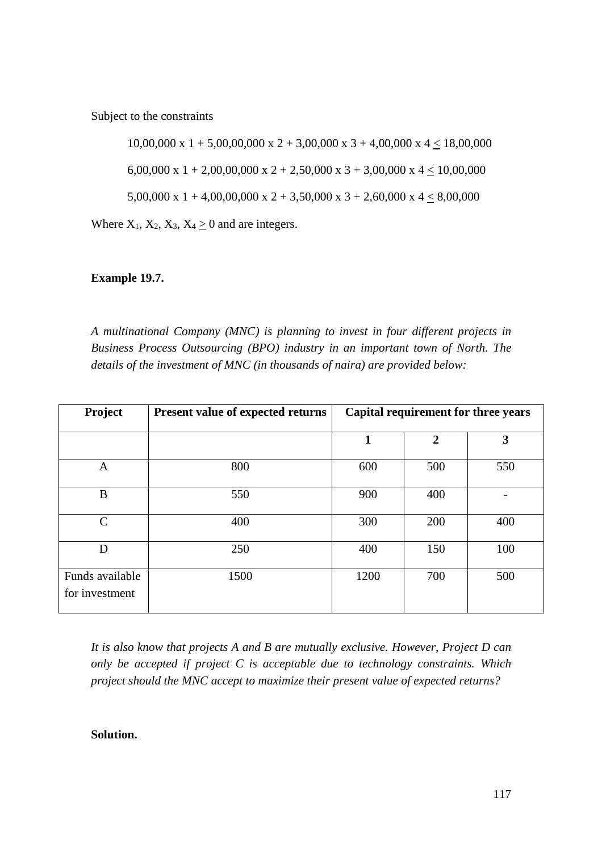Subject to the constraints

10,00,000 x 1 + 5,00,00,000 x 2 + 3,00,000 x 3 + 4,00,000 x 4  $\leq$  18,00,000 6,00,000 x 1 + 2,00,00,000 x 2 + 2,50,000 x 3 + 3,00,000 x 4  $\leq$  10,00,000 5,00,000 x 1 + 4,00,00,000 x 2 + 3,50,000 x 3 + 2,60,000 x 4  $\leq$  8,00,000

Where  $X_1, X_2, X_3, X_4 \geq 0$  and are integers.

## **Example 19.7.**

*A multinational Company (MNC) is planning to invest in four different projects in Business Process Outsourcing (BPO) industry in an important town of North. The details of the investment of MNC (in thousands of naira) are provided below:* 

| Project                           | <b>Present value of expected returns</b> | Capital requirement for three years |                  |     |  |  |  |
|-----------------------------------|------------------------------------------|-------------------------------------|------------------|-----|--|--|--|
|                                   |                                          | $\mathbf 1$                         | $\boldsymbol{2}$ | 3   |  |  |  |
| $\mathbf{A}$                      | 800                                      | 600                                 | 500              | 550 |  |  |  |
| B                                 | 550                                      | 900                                 | 400              |     |  |  |  |
| $\mathcal{C}$                     | 400                                      | 300                                 | 200              | 400 |  |  |  |
| D                                 | 250                                      | 400                                 | 150              | 100 |  |  |  |
| Funds available<br>for investment | 1500                                     | 1200                                | 700              | 500 |  |  |  |

*It is also know that projects A and B are mutually exclusive. However, Project D can only be accepted if project C is acceptable due to technology constraints. Which project should the MNC accept to maximize their present value of expected returns?* 

#### **Solution.**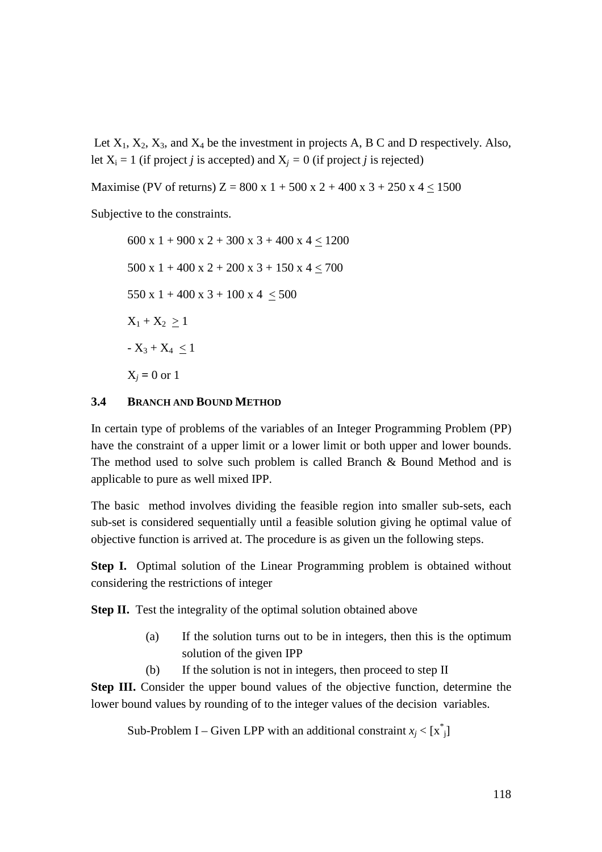Let  $X_1, X_2, X_3$ , and  $X_4$  be the investment in projects A, B C and D respectively. Also, let  $X_i = 1$  (if project *j* is accepted) and  $X_j = 0$  (if project *j* is rejected)

Maximise (PV of returns)  $Z = 800 \times 1 + 500 \times 2 + 400 \times 3 + 250 \times 4 < 1500$ 

Subjective to the constraints.

600 x 1 + 900 x 2 + 300 x 3 + 400 x 4 < 1200 500 x 1 + 400 x 2 + 200 x 3 + 150 x 4  $\leq$  700 550 x 1 + 400 x 3 + 100 x 4  $\leq$  500  $X_1 + X_2 > 1$  $-X_3 + X_4 < 1$  $X_j = 0 \text{ or } 1$ 

#### **3.4 BRANCH AND BOUND METHOD**

In certain type of problems of the variables of an Integer Programming Problem (PP) have the constraint of a upper limit or a lower limit or both upper and lower bounds. The method used to solve such problem is called Branch & Bound Method and is applicable to pure as well mixed IPP.

The basic method involves dividing the feasible region into smaller sub-sets, each sub-set is considered sequentially until a feasible solution giving he optimal value of objective function is arrived at. The procedure is as given un the following steps.

**Step I.** Optimal solution of the Linear Programming problem is obtained without considering the restrictions of integer

**Step II.** Test the integrality of the optimal solution obtained above

- (a) If the solution turns out to be in integers, then this is the optimum solution of the given IPP
- (b) If the solution is not in integers, then proceed to step II

**Step III.** Consider the upper bound values of the objective function, determine the lower bound values by rounding of to the integer values of the decision variables.

Sub-Problem I – Given LPP with an additional constraint  $x_j < [x^*_{j}]$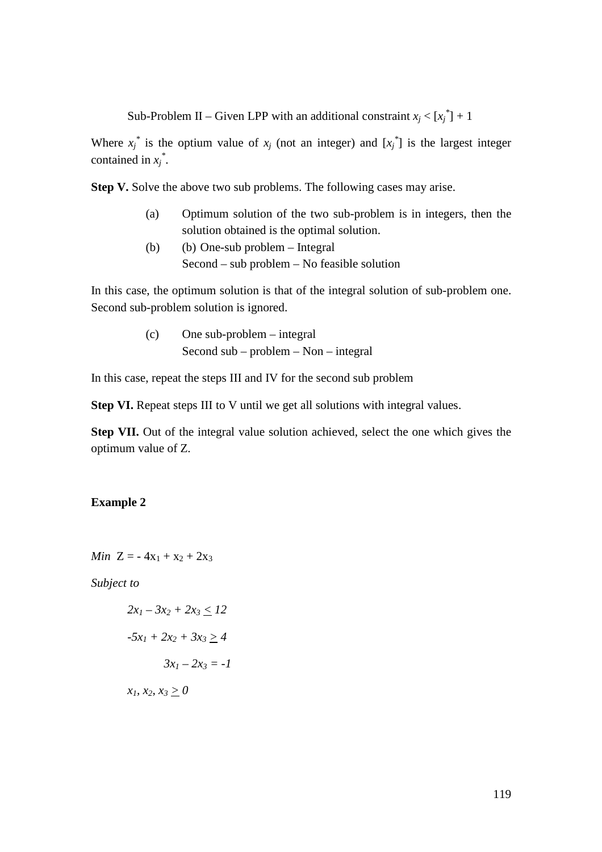Sub-Problem II – Given LPP with an additional constraint  $x_j < [x_j^*]+1$ 

Where  $x_j^*$  is the optium value of  $x_j$  (not an integer) and  $[x_j^*]$  is the largest integer contained in  $x_j^*$ .

**Step V.** Solve the above two sub problems. The following cases may arise.

- (a) Optimum solution of the two sub-problem is in integers, then the solution obtained is the optimal solution.
- (b) (b) One-sub problem Integral Second – sub problem – No feasible solution

In this case, the optimum solution is that of the integral solution of sub-problem one. Second sub-problem solution is ignored.

> (c) One sub-problem – integral Second sub – problem – Non – integral

In this case, repeat the steps III and IV for the second sub problem

**Step VI.** Repeat steps III to V until we get all solutions with integral values.

**Step VII.** Out of the integral value solution achieved, select the one which gives the optimum value of Z.

#### **Example 2**

*Min*  $Z = -4x_1 + x_2 + 2x_3$ 

*Subject to* 

$$
2x_1 - 3x_2 + 2x_3 \le 12
$$

$$
-5x_1 + 2x_2 + 3x_3 \ge 4
$$

$$
3x_1 - 2x_3 = -1
$$

*x1, x2, x3 > 0*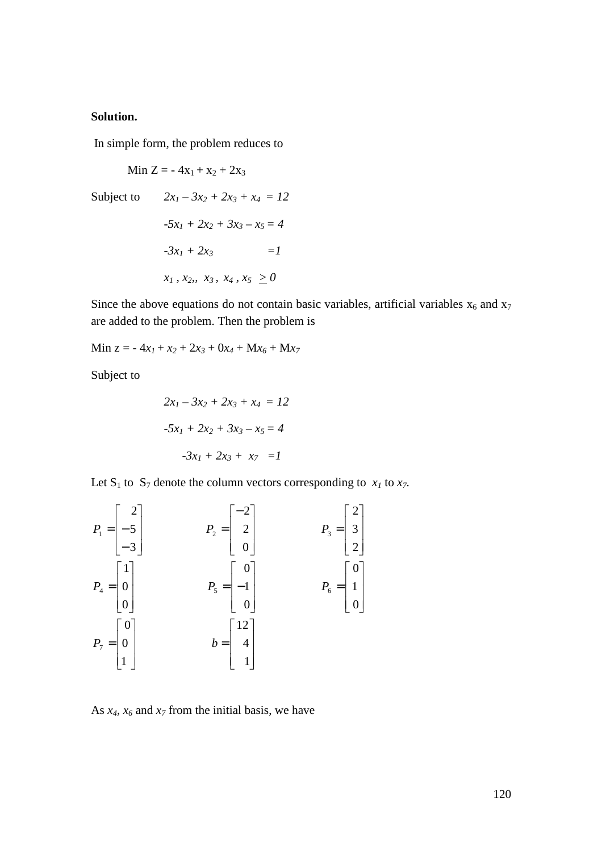#### **Solution.**

In simple form, the problem reduces to

Min Z =  $-4x_1 + x_2 + 2x_3$ Subject to  $2x_1 - 3x_2 + 2x_3 + x_4 = 12$  $-5x_1 + 2x_2 + 3x_3 - x_5 = 4$  $-3x_1 + 2x_3 =1$  $x_1, x_2, x_3, x_4, x_5 > 0$ 

Since the above equations do not contain basic variables, artificial variables  $x_6$  and  $x_7$ are added to the problem. Then the problem is

 $Min z = -4x_1 + x_2 + 2x_3 + 0x_4 + Mx_6 + Mx_7$ 

Subject to

$$
2x_1 - 3x_2 + 2x_3 + x_4 = 12
$$

$$
-5x_1 + 2x_2 + 3x_3 - x_5 = 4
$$

$$
-3x_1 + 2x_3 + x_7 = 1
$$

Let  $S_1$  to  $S_7$  denote the column vectors corresponding to  $x_1$  to  $x_7$ .



As  $x_4$ ,  $x_6$  and  $x_7$  from the initial basis, we have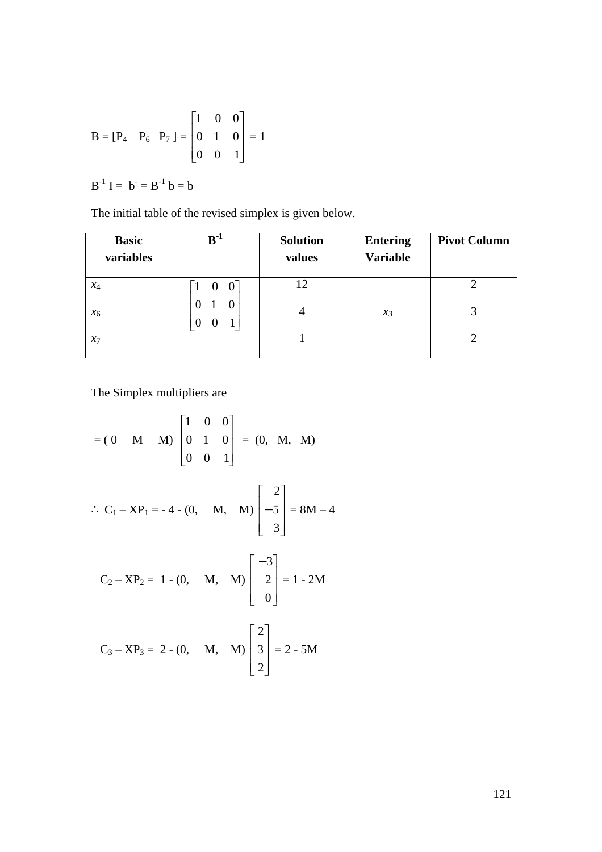$$
B = [P_4 \quad P_6 \quad P_7] = \begin{bmatrix} 1 & 0 & 0 \\ 0 & 1 & 0 \\ 0 & 0 & 1 \end{bmatrix} = 1
$$

 $B^{-1} I = b^- = B^{-1} b = b$ 

The initial table of the revised simplex is given below.

| <b>Basic</b><br>variables | $B^{-1}$                | <b>Solution</b><br>values | <b>Entering</b><br><b>Variable</b> | <b>Pivot Column</b> |
|---------------------------|-------------------------|---------------------------|------------------------------------|---------------------|
| $x_4$                     | $1 \quad 0$<br>$\theta$ | 12                        |                                    |                     |
| $x_6$                     |                         | 4                         | $\mathcal{X}_3$                    |                     |
| $x_7$                     |                         |                           |                                    |                     |

The Simplex multipliers are

$$
= (0 \quad M \quad M) \begin{bmatrix} 1 & 0 & 0 \\ 0 & 1 & 0 \\ 0 & 0 & 1 \end{bmatrix} = (0, \quad M, \quad M)
$$

$$
\therefore C_1 - XP_1 = -4 - (0, \quad M, \quad M) \begin{bmatrix} 2 \\ -5 \\ 3 \end{bmatrix} = 8M - 4
$$

$$
C_2 - XP_2 = 1 - (0, \quad M, \quad M) \begin{bmatrix} -3 \\ 2 \\ 0 \end{bmatrix} = 1 - 2M
$$

$$
C_3 - XP_3 = 2 - (0, \quad M, \quad M) \begin{bmatrix} 2 \\ 3 \\ 2 \end{bmatrix} = 2 - 5M
$$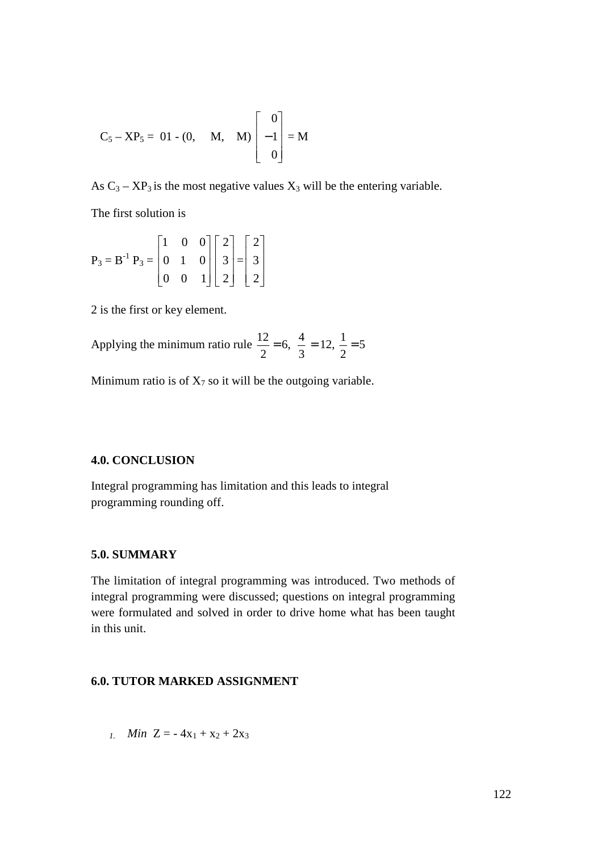$$
C_5 - XP_5 = 01 - (0, \quad M, \quad M) \begin{bmatrix} 0 \\ -1 \\ 0 \end{bmatrix} = M
$$

As  $C_3 - XP_3$  is the most negative values  $X_3$  will be the entering variable.

The first solution is

$$
P_3 = B^{-1} P_3 = \begin{bmatrix} 1 & 0 & 0 \\ 0 & 1 & 0 \\ 0 & 0 & 1 \end{bmatrix} \begin{bmatrix} 2 \\ 3 \\ 2 \end{bmatrix} = \begin{bmatrix} 2 \\ 3 \\ 2 \end{bmatrix}
$$

2 is the first or key element.

Applying the minimum ratio rule  $\frac{12}{2} = 6$ ,  $\frac{1}{2} = 12$ ,  $\frac{1}{2} = 5$ 2  $12, \frac{1}{2}$ 3  $6, \frac{4}{5}$ 2  $\frac{12}{2} = 6$ ,  $\frac{4}{2} = 12$ ,  $\frac{1}{2} =$ 

Minimum ratio is of  $X_7$  so it will be the outgoing variable.

#### **4.0. CONCLUSION**

Integral programming has limitation and this leads to integral programming rounding off.

#### **5.0. SUMMARY**

The limitation of integral programming was introduced. Two methods of integral programming were discussed; questions on integral programming were formulated and solved in order to drive home what has been taught in this unit.

#### **6.0. TUTOR MARKED ASSIGNMENT**

*1. Min*  $Z = -4x_1 + x_2 + 2x_3$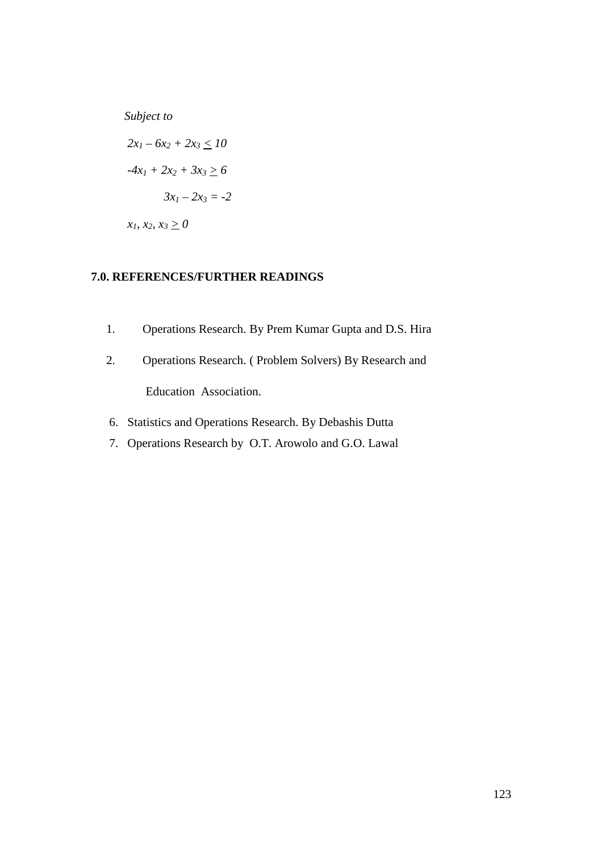*Subject to* 

 $2x_1 - 6x_2 + 2x_3 \le 10$  $-4x_1 + 2x_2 + 3x_3 \ge 6$  $3x_1 - 2x_3 = -2$  $x_1, x_2, x_3 \ge 0$ 

# **7.0. REFERENCES/FURTHER READINGS**

- 1. Operations Research. By Prem Kumar Gupta and D.S. Hira
- 2. Operations Research. ( Problem Solvers) By Research and Education Association.
- 6. Statistics and Operations Research. By Debashis Dutta
- 7. Operations Research by O.T. Arowolo and G.O. Lawal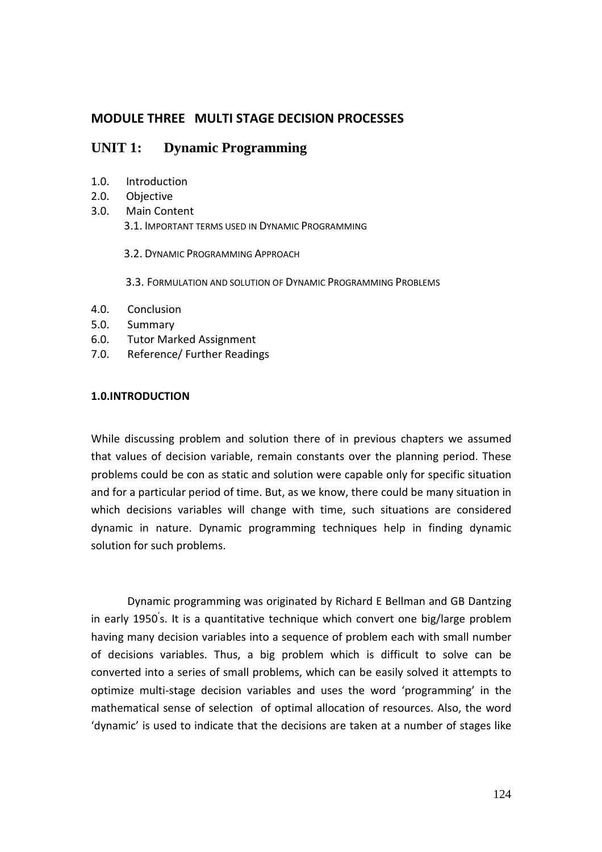# **MODULE THREE MULTI STAGE DECISION PROCESSES**

# **UNIT 1: Dynamic Programming**

- 1.0. Introduction
- 2.0. Objective
- 3.0. Main Content 3.1. IMPORTANT TERMS USED IN DYNAMIC PROGRAMMING
	- 3.2. DYNAMIC PROGRAMMING APPROACH
	- 3.3. FORMULATION AND SOLUTION OF DYNAMIC PROGRAMMING PROBLEMS
- 4.0. Conclusion
- 5.0. Summary
- 6.0. Tutor Marked Assignment
- 7.0. Reference/ Further Readings

## **1.0.INTRODUCTION**

While discussing problem and solution there of in previous chapters we assumed that values of decision variable, remain constants over the planning period. These problems could be con as static and solution were capable only for specific situation and for a particular period of time. But, as we know, there could be many situation in which decisions variables will change with time, such situations are considered dynamic in nature. Dynamic programming techniques help in finding dynamic solution for such problems.

 Dynamic programming was originated by Richard E Bellman and GB Dantzing in early 1950' s. It is a quantitative technique which convert one big/large problem having many decision variables into a sequence of problem each with small number of decisions variables. Thus, a big problem which is difficult to solve can be converted into a series of small problems, which can be easily solved it attempts to optimize multi-stage decision variables and uses the word 'programming' in the mathematical sense of selection of optimal allocation of resources. Also, the word 'dynamic' is used to indicate that the decisions are taken at a number of stages like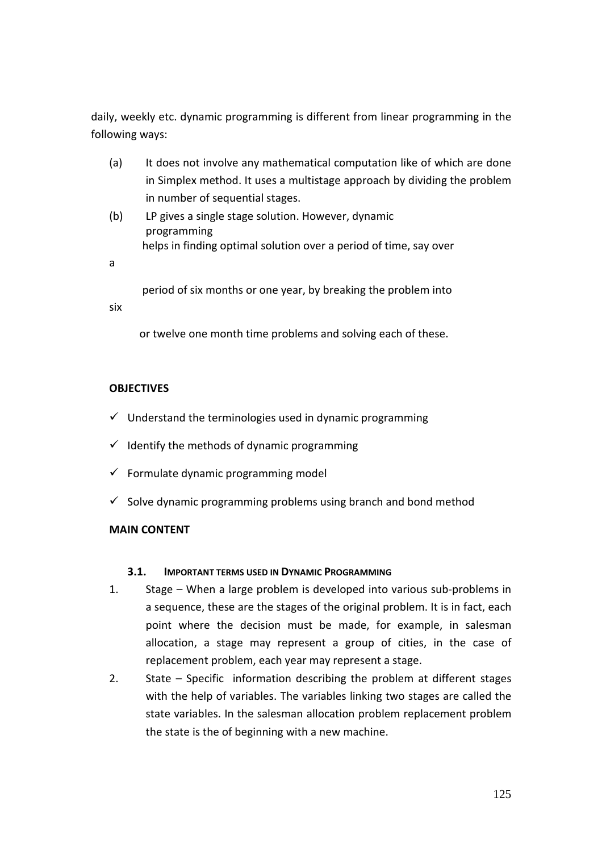daily, weekly etc. dynamic programming is different from linear programming in the following ways:

- (a) It does not involve any mathematical computation like of which are done in Simplex method. It uses a multistage approach by dividing the problem in number of sequential stages.
- (b) LP gives a single stage solution. However, dynamic programming helps in finding optimal solution over a period of time, say over

a

period of six months or one year, by breaking the problem into

six

or twelve one month time problems and solving each of these.

## **OBJECTIVES**

- $\checkmark$  Understand the terminologies used in dynamic programming
- $\checkmark$  Identify the methods of dynamic programming
- $\checkmark$  Formulate dynamic programming model
- $\checkmark$  Solve dynamic programming problems using branch and bond method

## **MAIN CONTENT**

#### **3.1. IMPORTANT TERMS USED IN DYNAMIC PROGRAMMING**

- 1. Stage When a large problem is developed into various sub-problems in a sequence, these are the stages of the original problem. It is in fact, each point where the decision must be made, for example, in salesman allocation, a stage may represent a group of cities, in the case of replacement problem, each year may represent a stage.
- 2. State Specific information describing the problem at different stages with the help of variables. The variables linking two stages are called the state variables. In the salesman allocation problem replacement problem the state is the of beginning with a new machine.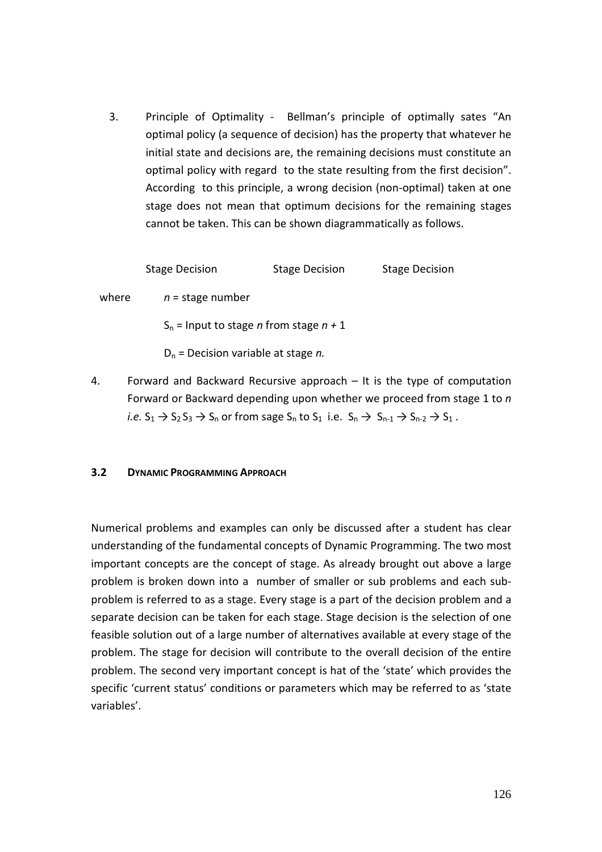3. Principle of Optimality - Bellman's principle of optimally sates "An optimal policy (a sequence of decision) has the property that whatever he initial state and decisions are, the remaining decisions must constitute an optimal policy with regard to the state resulting from the first decision". According to this principle, a wrong decision (non-optimal) taken at one stage does not mean that optimum decisions for the remaining stages cannot be taken. This can be shown diagrammatically as follows.

Stage Decision Stage Decision Stage Decision

where  $n =$  stage number

 $S_n$  = Input to stage *n* from stage  $n + 1$ 

Dn = Decision variable at stage *n.*

4. Forward and Backward Recursive approach – It is the type of computation Forward or Backward depending upon whether we proceed from stage 1 to *n i.e.*  $S_1 \rightarrow S_2 S_3 \rightarrow S_n$  or from sage  $S_n$  to  $S_1$  i.e.  $S_n \rightarrow S_{n-1} \rightarrow S_{n-2} \rightarrow S_1$ .

#### **3.2 DYNAMIC PROGRAMMING APPROACH**

Numerical problems and examples can only be discussed after a student has clear understanding of the fundamental concepts of Dynamic Programming. The two most important concepts are the concept of stage. As already brought out above a large problem is broken down into a number of smaller or sub problems and each subproblem is referred to as a stage. Every stage is a part of the decision problem and a separate decision can be taken for each stage. Stage decision is the selection of one feasible solution out of a large number of alternatives available at every stage of the problem. The stage for decision will contribute to the overall decision of the entire problem. The second very important concept is hat of the 'state' which provides the specific 'current status' conditions or parameters which may be referred to as 'state variables'.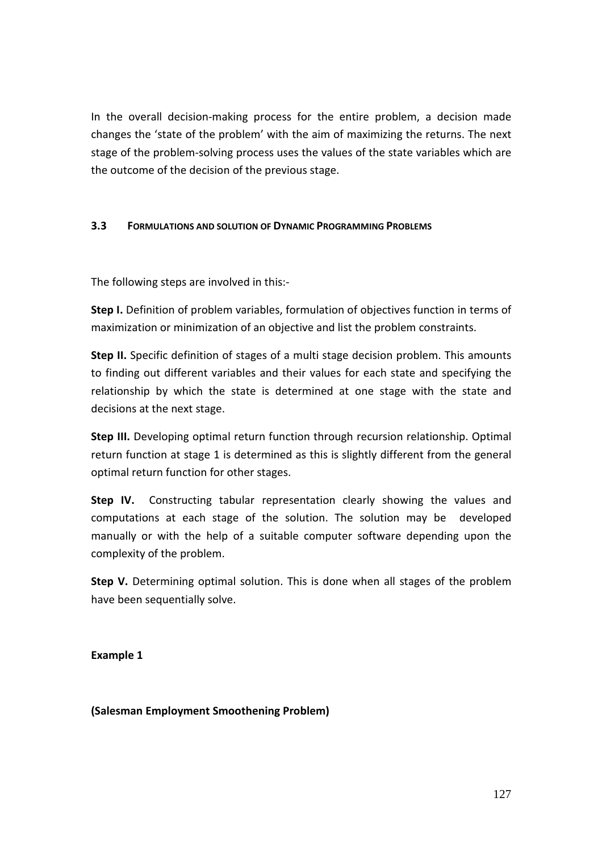In the overall decision-making process for the entire problem, a decision made changes the 'state of the problem' with the aim of maximizing the returns. The next stage of the problem-solving process uses the values of the state variables which are the outcome of the decision of the previous stage.

## **3.3 FORMULATIONS AND SOLUTION OF DYNAMIC PROGRAMMING PROBLEMS**

The following steps are involved in this:-

**Step I.** Definition of problem variables, formulation of objectives function in terms of maximization or minimization of an objective and list the problem constraints.

**Step II.** Specific definition of stages of a multi stage decision problem. This amounts to finding out different variables and their values for each state and specifying the relationship by which the state is determined at one stage with the state and decisions at the next stage.

**Step III.** Developing optimal return function through recursion relationship. Optimal return function at stage 1 is determined as this is slightly different from the general optimal return function for other stages.

**Step IV.** Constructing tabular representation clearly showing the values and computations at each stage of the solution. The solution may be developed manually or with the help of a suitable computer software depending upon the complexity of the problem.

**Step V.** Determining optimal solution. This is done when all stages of the problem have been sequentially solve.

**Example 1** 

**(Salesman Employment Smoothening Problem)**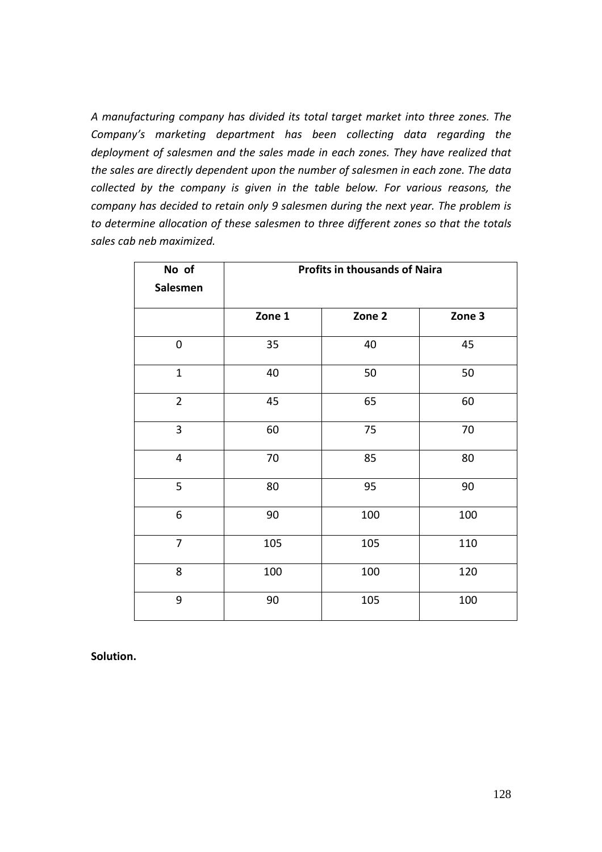*A manufacturing company has divided its total target market into three zones. The Company's marketing department has been collecting data regarding the deployment of salesmen and the sales made in each zones. They have realized that the sales are directly dependent upon the number of salesmen in each zone. The data collected by the company is given in the table below. For various reasons, the company has decided to retain only 9 salesmen during the next year. The problem is to determine allocation of these salesmen to three different zones so that the totals sales cab neb maximized.* 

| No of          |        | <b>Profits in thousands of Naira</b> |        |
|----------------|--------|--------------------------------------|--------|
| Salesmen       |        |                                      |        |
|                | Zone 1 | Zone 2                               | Zone 3 |
| $\mathbf 0$    | 35     | 40                                   | 45     |
| $\mathbf{1}$   | 40     | 50                                   | 50     |
| $\overline{2}$ | 45     | 65                                   | 60     |
| 3              | 60     | 75                                   | 70     |
| $\overline{4}$ | $70\,$ | 85                                   | 80     |
| 5              | 80     | 95                                   | 90     |
| 6              | 90     | 100                                  | 100    |
| $\overline{7}$ | 105    | 105                                  | 110    |
| 8              | 100    | 100                                  | 120    |
| 9              | 90     | 105                                  | 100    |

**Solution.**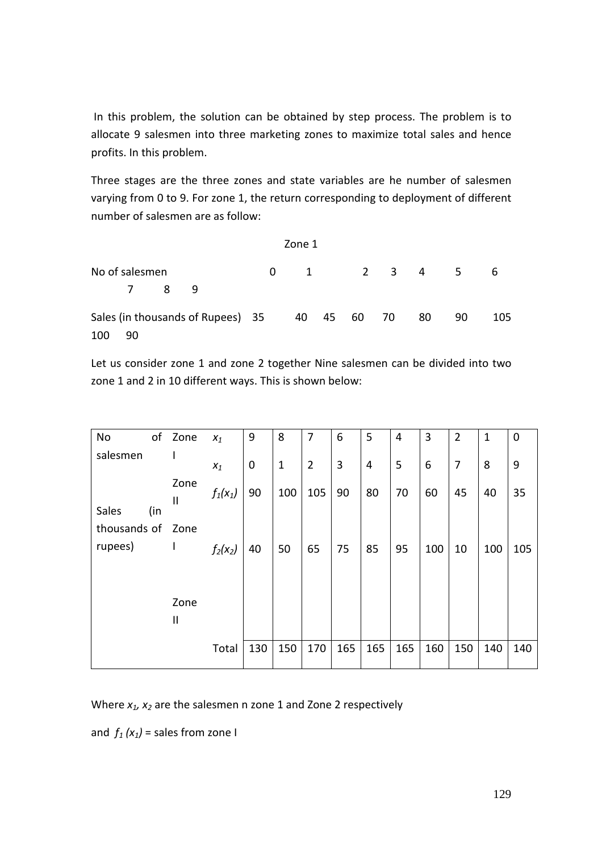In this problem, the solution can be obtained by step process. The problem is to allocate 9 salesmen into three marketing zones to maximize total sales and hence profits. In this problem.

Three stages are the three zones and state variables are he number of salesmen varying from 0 to 9. For zone 1, the return corresponding to deployment of different number of salesmen are as follow:

|     |                |     |                                   |          | Zone 1 |          |                                |    |    |     |
|-----|----------------|-----|-----------------------------------|----------|--------|----------|--------------------------------|----|----|-----|
|     | No of salesmen |     |                                   | $\Omega$ |        |          | $1 \qquad 2 \qquad 3 \qquad 4$ |    | 5  | 6   |
|     |                | 7 8 | - 9                               |          |        |          |                                |    |    |     |
|     |                |     | Sales (in thousands of Rupees) 35 |          | 40     | 45 60 70 |                                | 80 | 90 | 105 |
| 100 | 90             |     |                                   |          |        |          |                                |    |    |     |

Let us consider zone 1 and zone 2 together Nine salesmen can be divided into two zone 1 and 2 in 10 different ways. This is shown below:

| No                      | of  | Zone                 | $X_1$              | 9           | 8            | 7              | 6   | 5   | 4   | 3     | $\overline{2}$ | $\mathbf 1$ | 0   |
|-------------------------|-----|----------------------|--------------------|-------------|--------------|----------------|-----|-----|-----|-------|----------------|-------------|-----|
| salesmen                |     |                      | $\boldsymbol{x}_1$ | $\mathbf 0$ | $\mathbf{1}$ | $\overline{2}$ | 3   | 4   | 5   | $6\,$ | 7              | 8           | 9   |
| Sales                   | (in | Zone<br>$\mathsf{I}$ | $f_1(x_1)$         | 90          | 100          | 105            | 90  | 80  | 70  | 60    | 45             | 40          | 35  |
| thousands of<br>rupees) |     | Zone<br>L            | $f_2(x_2)$         | 40          | 50           | 65             | 75  | 85  | 95  | 100   | 10             | 100         | 105 |
|                         |     |                      |                    |             |              |                |     |     |     |       |                |             |     |
|                         |     | Zone<br>Ш            |                    |             |              |                |     |     |     |       |                |             |     |
|                         |     |                      | Total              | 130         | 150          | 170            | 165 | 165 | 165 | 160   | 150            | 140         | 140 |

Where *x1, x2* are the salesmen n zone 1 and Zone 2 respectively

and  $f_1(x_1)$  = sales from zone I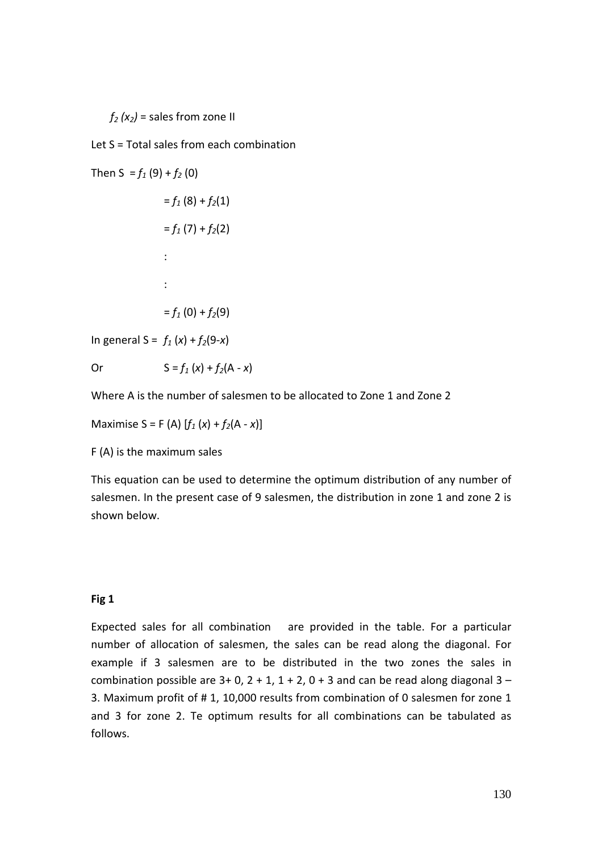$f<sub>2</sub>(x<sub>2</sub>)$  = sales from zone II

Let S = Total sales from each combination

Then  $S = f_1(9) + f_2(0)$  $= f_1(8) + f_2(1)$  $= f_1(7) + f_2(2)$ : 100 million 100 :  $= f_1(0) + f_2(9)$ 

In general  $S = f_1(x) + f_2(9-x)$ 

Or  $S = f_1(x) + f_2(A - x)$ 

Where A is the number of salesmen to be allocated to Zone 1 and Zone 2

Maximise S = F (A)  $[f_1(x) + f_2(A - x)]$ 

F (A) is the maximum sales

This equation can be used to determine the optimum distribution of any number of salesmen. In the present case of 9 salesmen, the distribution in zone 1 and zone 2 is shown below.

#### **Fig 1**

Expected sales for all combination are provided in the table. For a particular number of allocation of salesmen, the sales can be read along the diagonal. For example if 3 salesmen are to be distributed in the two zones the sales in combination possible are  $3+0$ ,  $2+1$ ,  $1+2$ ,  $0+3$  and can be read along diagonal  $3-$ 3. Maximum profit of # 1, 10,000 results from combination of 0 salesmen for zone 1 and 3 for zone 2. Te optimum results for all combinations can be tabulated as follows.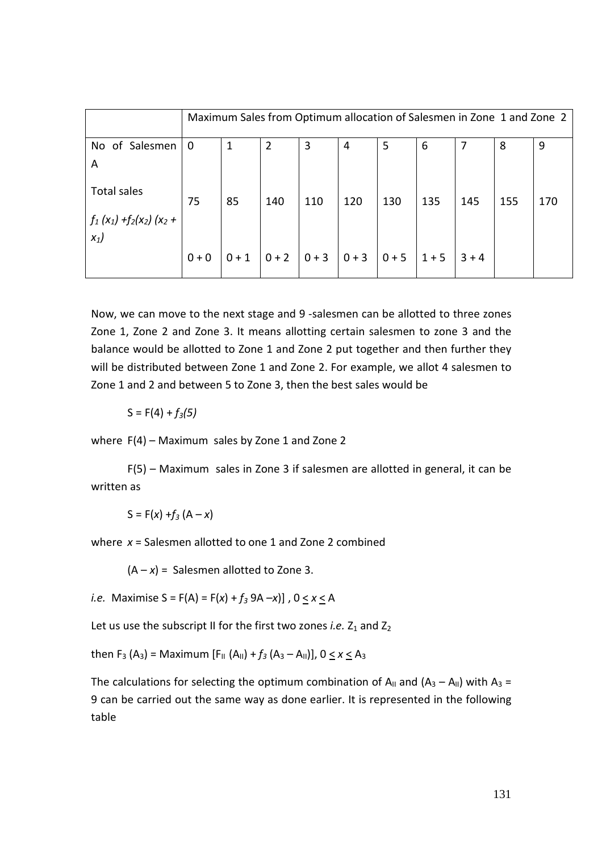|                                                               |             | Maximum Sales from Optimum allocation of Salesmen in Zone 1 and Zone 2 |                |         |         |         |         |         |     |     |  |
|---------------------------------------------------------------|-------------|------------------------------------------------------------------------|----------------|---------|---------|---------|---------|---------|-----|-----|--|
| No of Salesmen<br>A                                           | $\mathbf 0$ | 1                                                                      | $\overline{2}$ | 3       | 4       | 5       | 6       |         | 8   | 9   |  |
| <b>Total sales</b><br>$f_1(x_1) + f_2(x_2)$ (x <sub>2</sub> + | 75          | 85                                                                     | 140            | 110     | 120     | 130     | 135     | 145     | 155 | 170 |  |
| $x_1$                                                         | $0 + 0$     | $0 + 1$                                                                | $ 0+2 $        | $ 0+3 $ | $0 + 3$ | $0 + 5$ | $1 + 5$ | $3 + 4$ |     |     |  |

Now, we can move to the next stage and 9 -salesmen can be allotted to three zones Zone 1, Zone 2 and Zone 3. It means allotting certain salesmen to zone 3 and the balance would be allotted to Zone 1 and Zone 2 put together and then further they will be distributed between Zone 1 and Zone 2. For example, we allot 4 salesmen to Zone 1 and 2 and between 5 to Zone 3, then the best sales would be

 $S = F(4) + f_3(5)$ 

where F(4) – Maximum sales by Zone 1 and Zone 2

 F(5) – Maximum sales in Zone 3 if salesmen are allotted in general, it can be written as

 $S = F(x) + f_3 (A - x)$ 

where *x* = Salesmen allotted to one 1 and Zone 2 combined

 $(A - x) =$  Salesmen allotted to Zone 3.

*i.e.* Maximise  $S = F(A) = F(x) + f_3(9A - x)$ ,  $0 \le x \le A$ 

Let us use the subscript II for the first two zones *i.e.*  $Z_1$  and  $Z_2$ 

then  $F_3$  (A<sub>3</sub>) = Maximum [ $F_{11}$  (A<sub>11</sub>) +  $f_3$  (A<sub>3</sub> – A<sub>11</sub>)], 0  $\leq$  *x*  $\leq$  A<sub>3</sub>

The calculations for selecting the optimum combination of  $A_{II}$  and  $(A_3 - A_{II})$  with  $A_3 =$ 9 can be carried out the same way as done earlier. It is represented in the following table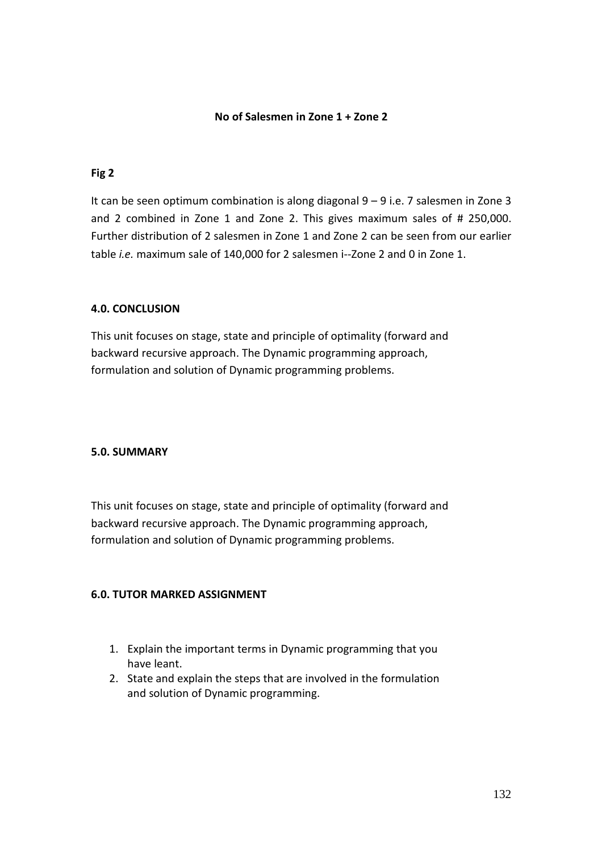#### **No of Salesmen in Zone 1 + Zone 2**

#### **Fig 2**

It can be seen optimum combination is along diagonal 9 – 9 i.e. 7 salesmen in Zone 3 and 2 combined in Zone 1 and Zone 2. This gives maximum sales of # 250,000. Further distribution of 2 salesmen in Zone 1 and Zone 2 can be seen from our earlier table *i.e.* maximum sale of 140,000 for 2 salesmen i--Zone 2 and 0 in Zone 1.

#### **4.0. CONCLUSION**

This unit focuses on stage, state and principle of optimality (forward and backward recursive approach. The Dynamic programming approach, formulation and solution of Dynamic programming problems.

#### **5.0. SUMMARY**

This unit focuses on stage, state and principle of optimality (forward and backward recursive approach. The Dynamic programming approach, formulation and solution of Dynamic programming problems.

#### **6.0. TUTOR MARKED ASSIGNMENT**

- 1. Explain the important terms in Dynamic programming that you have leant.
- 2. State and explain the steps that are involved in the formulation and solution of Dynamic programming.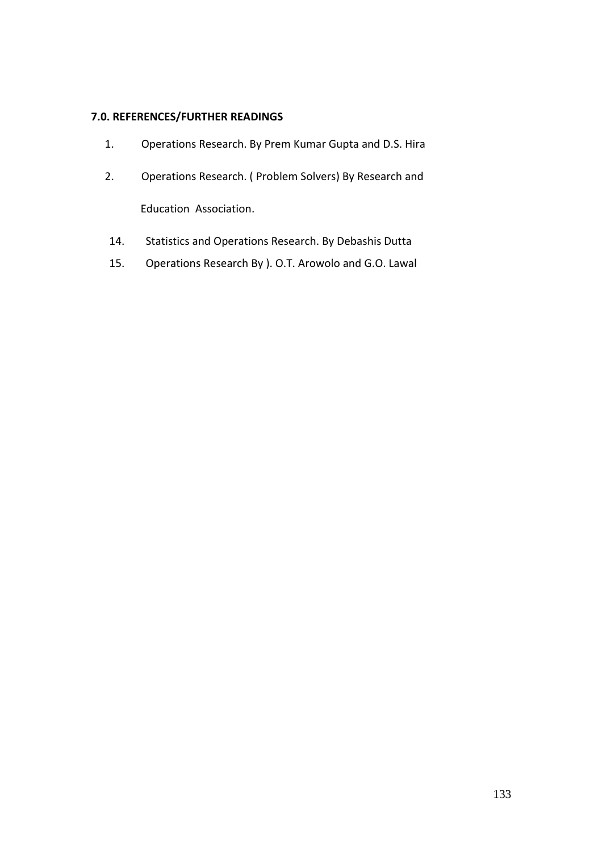## **7.0. REFERENCES/FURTHER READINGS**

- 1. Operations Research. By Prem Kumar Gupta and D.S. Hira
- 2. Operations Research. ( Problem Solvers) By Research and Education Association.
- 14. Statistics and Operations Research. By Debashis Dutta
- 15. Operations Research By ). O.T. Arowolo and G.O. Lawal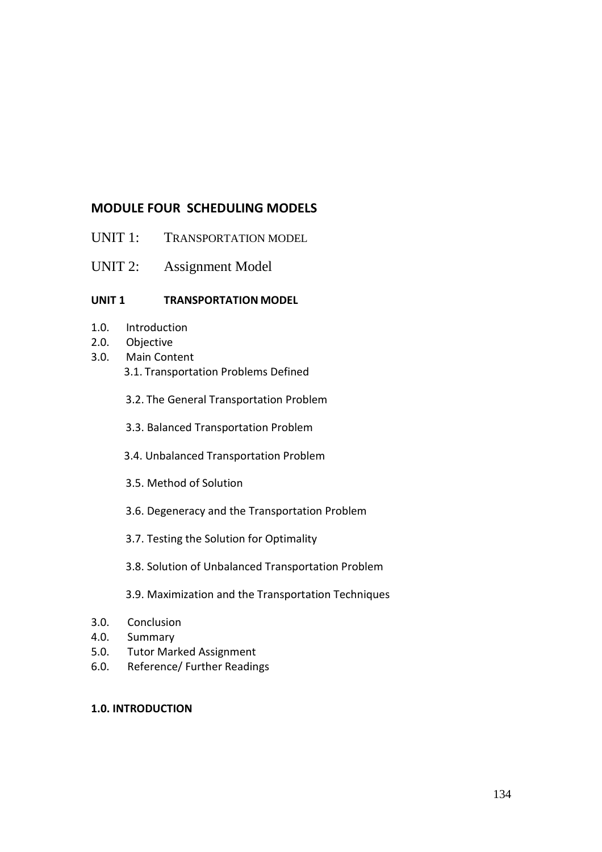# **MODULE FOUR SCHEDULING MODELS**

- UNIT 1: TRANSPORTATION MODEL
- UNIT 2: Assignment Model

## **UNIT 1 TRANSPORTATION MODEL**

- 1.0. Introduction
- 2.0. Objective
- 3.0. Main Content 3.1. Transportation Problems Defined
	- 3.2. The General Transportation Problem
	- 3.3. Balanced Transportation Problem
	- 3.4. Unbalanced Transportation Problem
	- 3.5. Method of Solution
	- 3.6. Degeneracy and the Transportation Problem
	- 3.7. Testing the Solution for Optimality
	- 3.8. Solution of Unbalanced Transportation Problem
	- 3.9. Maximization and the Transportation Techniques
- 3.0. Conclusion
- 4.0. Summary
- 5.0. Tutor Marked Assignment
- 6.0. Reference/ Further Readings

## **1.0. INTRODUCTION**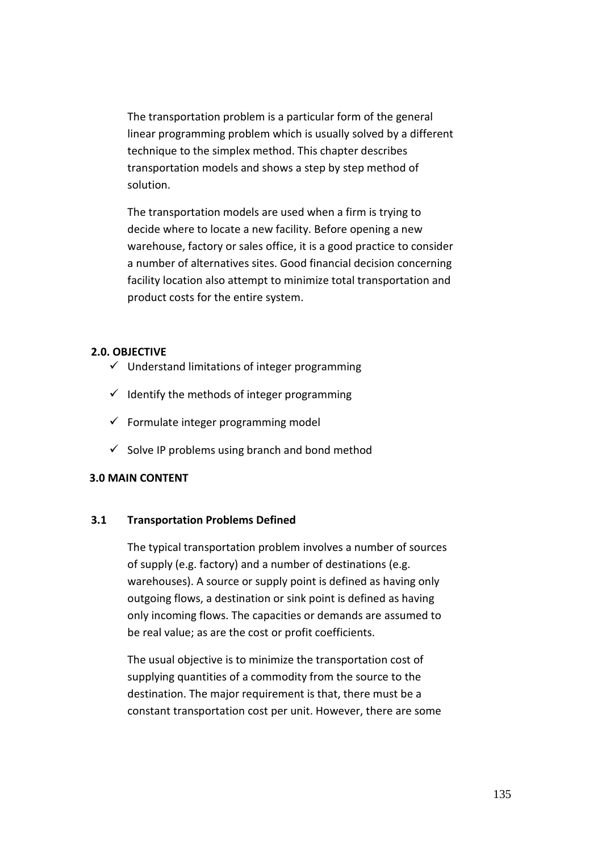The transportation problem is a particular form of the general linear programming problem which is usually solved by a different technique to the simplex method. This chapter describes transportation models and shows a step by step method of solution.

The transportation models are used when a firm is trying to decide where to locate a new facility. Before opening a new warehouse, factory or sales office, it is a good practice to consider a number of alternatives sites. Good financial decision concerning facility location also attempt to minimize total transportation and product costs for the entire system.

## **2.0. OBJECTIVE**

- $\checkmark$  Understand limitations of integer programming
- $\checkmark$  Identify the methods of integer programming
- $\checkmark$  Formulate integer programming model
- $\checkmark$  Solve IP problems using branch and bond method

#### **3.0 MAIN CONTENT**

#### **3.1 Transportation Problems Defined**

The typical transportation problem involves a number of sources of supply (e.g. factory) and a number of destinations (e.g. warehouses). A source or supply point is defined as having only outgoing flows, a destination or sink point is defined as having only incoming flows. The capacities or demands are assumed to be real value; as are the cost or profit coefficients.

The usual objective is to minimize the transportation cost of supplying quantities of a commodity from the source to the destination. The major requirement is that, there must be a constant transportation cost per unit. However, there are some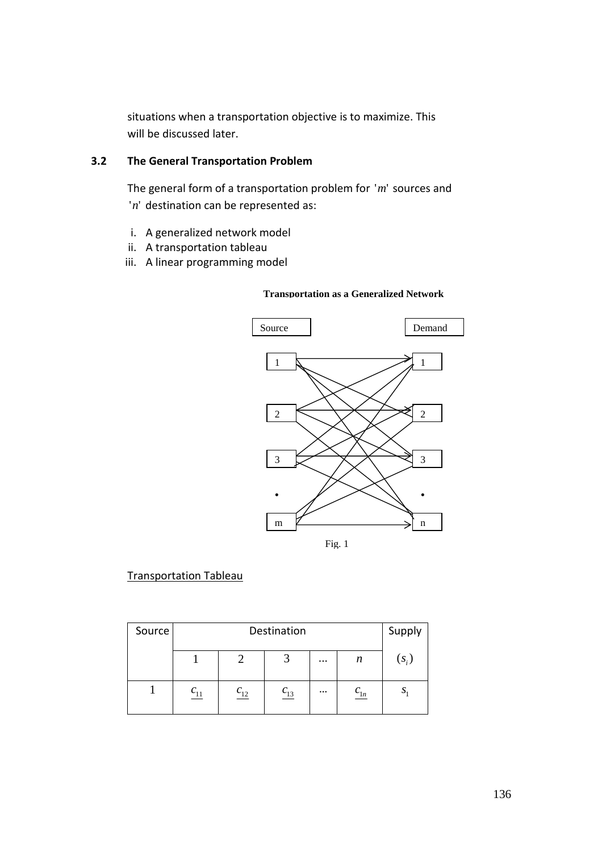situations when a transportation objective is to maximize. This will be discussed later.

# **3.2 The General Transportation Problem**

The general form of a transportation problem for 'm' sources and 'n' destination can be represented as:

- i. A generalized network model
- ii. A transportation tableau
- iii. A linear programming model



#### **Transportation as a Generalized Network**

#### Transportation Tableau

| Source |    | Destination        |                    |          |                    |           |  |  |  |  |  |
|--------|----|--------------------|--------------------|----------|--------------------|-----------|--|--|--|--|--|
|        |    | $(S_i)$            |                    |          |                    |           |  |  |  |  |  |
|        | 11 | $\frac{c_{12}}{2}$ | $\frac{c_{13}}{2}$ | $\cdots$ | $\frac{C_{1n}}{2}$ | <u>ر،</u> |  |  |  |  |  |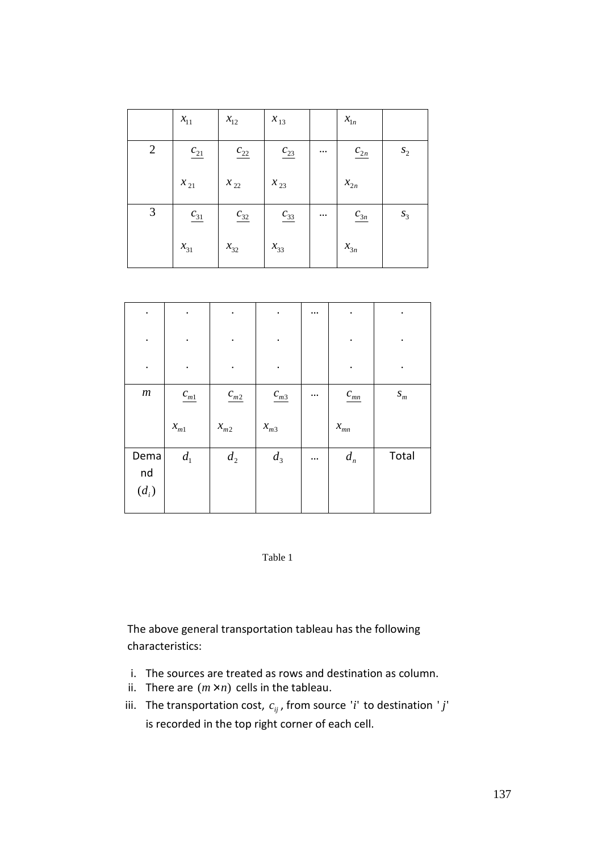|                | $x_{11}$           | $x_{12}$           | $x_{13}$           |          | $x_{1n}$            |       |
|----------------|--------------------|--------------------|--------------------|----------|---------------------|-------|
| $\overline{2}$ | $\frac{c_{21}}{2}$ | $\frac{c_{22}}{2}$ | $\frac{c_{23}}{2}$ | $\cdots$ | $\frac{c_{2n}}{2n}$ | $S_2$ |
|                | $x_{21}$           | $x_{22}$           | $x_{23}$           |          | $x_{2n}$            |       |
| 3              | $\frac{c_{31}}{2}$ | $\frac{c_{32}}{2}$ | $\frac{C_{33}}{2}$ | $\cdots$ | $\frac{C_{3n}}{2}$  | $S_3$ |
|                | $x_{31}$           | $x_{32}$           | $x_{33}$           |          | $x_{3n}$            |       |

| $\bullet$             | ٠                     | $\bullet$          |                                 | $\cdots$ | ٠                  |                    |
|-----------------------|-----------------------|--------------------|---------------------------------|----------|--------------------|--------------------|
| $\bullet$             |                       | $\bullet$          |                                 |          |                    |                    |
| $\bullet$             |                       | $\cdot$            |                                 |          |                    |                    |
| $\ensuremath{m}$      | $\frac{C_{m1}}{2}$    | $\frac{c_{m2}}{2}$ | $\ensuremath{c_{m3}}$           | $\cdots$ | $c_{mn}$           | $\boldsymbol{S}_m$ |
|                       | $\boldsymbol{x}_{m1}$ | $x_{m2}$           | $\boldsymbol{\mathcal{X}}_{m3}$ |          | $\mathcal{X}_{mn}$ |                    |
| Dema<br>nd<br>$(d_i)$ | $d_{\rm l}$           | $\boldsymbol{d}_2$ | $d_3$                           |          | $d_{n}$            | Total              |



The above general transportation tableau has the following characteristics:

- i. The sources are treated as rows and destination as column.
- ii. There are  $(m \times n)$  cells in the tableau.
- iii. The transportation cost,  $c_{ij}$ , from source *'i'* to destination '*j'* is recorded in the top right corner of each cell.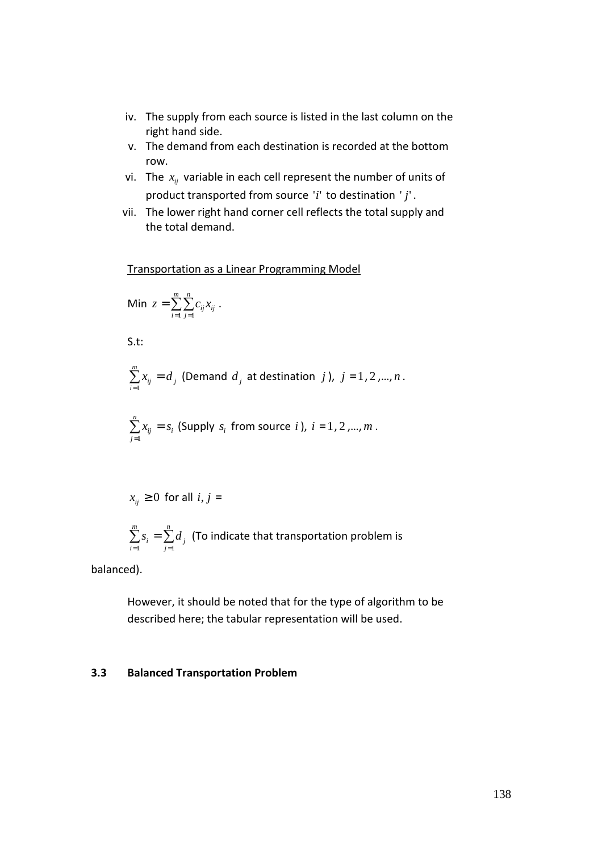- iv. The supply from each source is listed in the last column on the right hand side.
- v. The demand from each destination is recorded at the bottom row.
- vi. The  $x_{ij}$  variable in each cell represent the number of units of product transported from source *i*'' to destination *j*'' .
- vii. The lower right hand corner cell reflects the total supply and the total demand.

Transportation as a Linear Programming Model

Min 
$$
z = \sum_{i=1}^{m} \sum_{j=1}^{n} c_{ij} x_{ij}
$$
.

S.t:

$$
\sum_{i=1}^{m} x_{ij} = d_j
$$
 (Demand  $d_j$  at destination  $j$ ),  $j = 1, 2, ..., n$ .

$$
\sum_{j=1}^n x_{ij} = s_i
$$
 (Supply  $s_i$  from source  $i$ ),  $i = 1, 2, \ldots, m$ .

$$
x_{ij} \geq 0
$$
 for all  $i, j =$ 

$$
\sum_{i=1}^{m} s_i = \sum_{j=1}^{n} d_j
$$
 (To indicate that transportation problem is

balanced).

However, it should be noted that for the type of algorithm to be described here; the tabular representation will be used.

#### **3.3 Balanced Transportation Problem**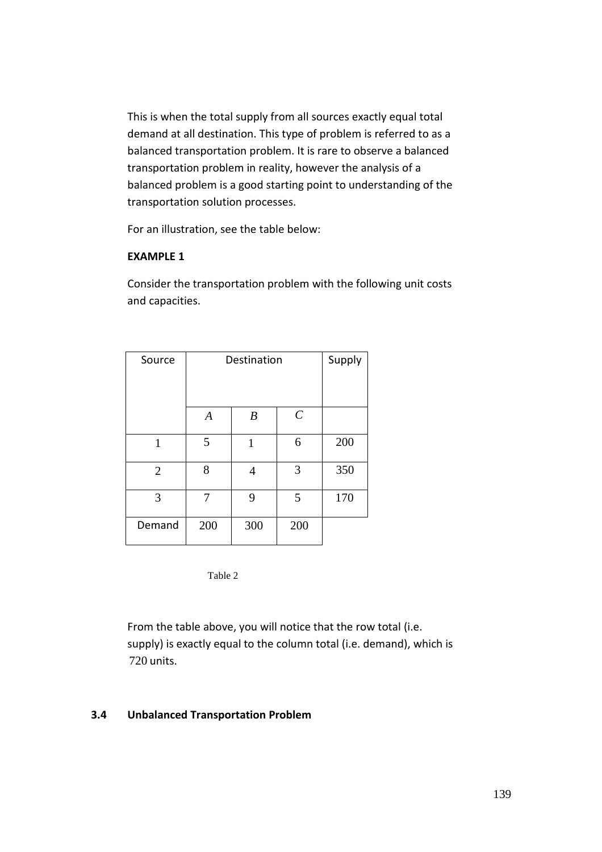This is when the total supply from all sources exactly equal total demand at all destination. This type of problem is referred to as a balanced transportation problem. It is rare to observe a balanced transportation problem in reality, however the analysis of a balanced problem is a good starting point to understanding of the transportation solution processes.

For an illustration, see the table below:

#### **EXAMPLE 1**

Consider the transportation problem with the following unit costs and capacities.

| Source         | Destination      | Supply           |                       |     |
|----------------|------------------|------------------|-----------------------|-----|
|                |                  |                  |                       |     |
|                | $\boldsymbol{A}$ | $\boldsymbol{B}$ | $\mathcal{C}_{0}^{0}$ |     |
| $\mathbf{1}$   | 5                | 1                | 6                     | 200 |
| $\overline{2}$ | 8                | 4                | 3                     | 350 |
| 3              | 7                | 9                | 5                     | 170 |
| Demand         | 200              | 300              | 200                   |     |

Table 2

From the table above, you will notice that the row total (i.e. supply) is exactly equal to the column total (i.e. demand), which is 720 units.

#### **3.4 Unbalanced Transportation Problem**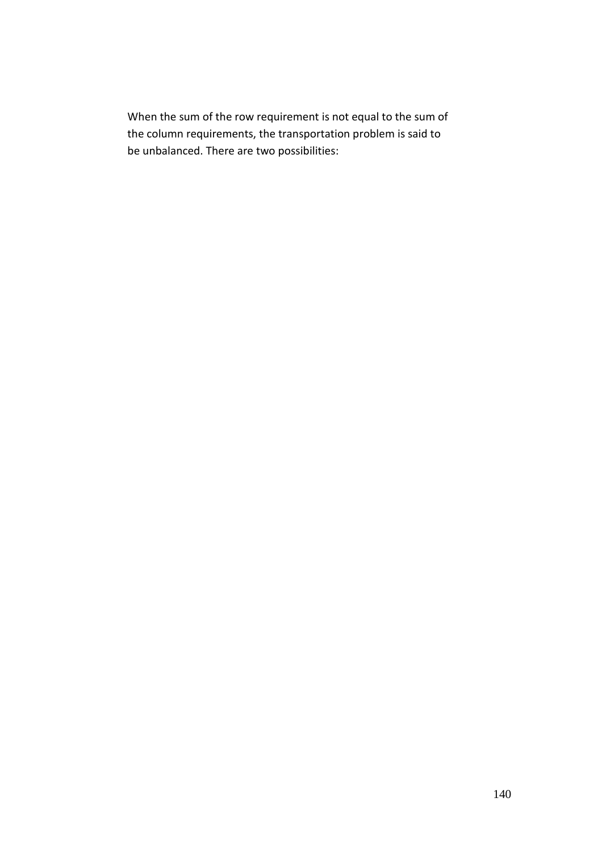When the sum of the row requirement is not equal to the sum of the column requirements, the transportation problem is said to be unbalanced. There are two possibilities: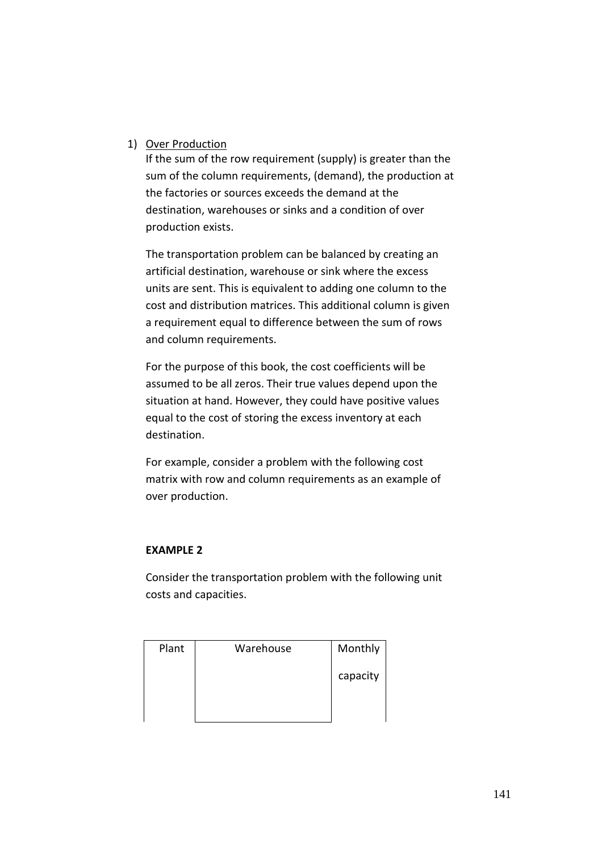## 1) Over Production

If the sum of the row requirement (supply) is greater than the sum of the column requirements, (demand), the production at the factories or sources exceeds the demand at the destination, warehouses or sinks and a condition of over production exists.

The transportation problem can be balanced by creating an artificial destination, warehouse or sink where the excess units are sent. This is equivalent to adding one column to the cost and distribution matrices. This additional column is given a requirement equal to difference between the sum of rows and column requirements.

For the purpose of this book, the cost coefficients will be assumed to be all zeros. Their true values depend upon the situation at hand. However, they could have positive values equal to the cost of storing the excess inventory at each destination.

For example, consider a problem with the following cost matrix with row and column requirements as an example of over production.

## **EXAMPLE 2**

Consider the transportation problem with the following unit costs and capacities.

| Plant | Warehouse | Monthly  |
|-------|-----------|----------|
|       |           | capacity |
|       |           |          |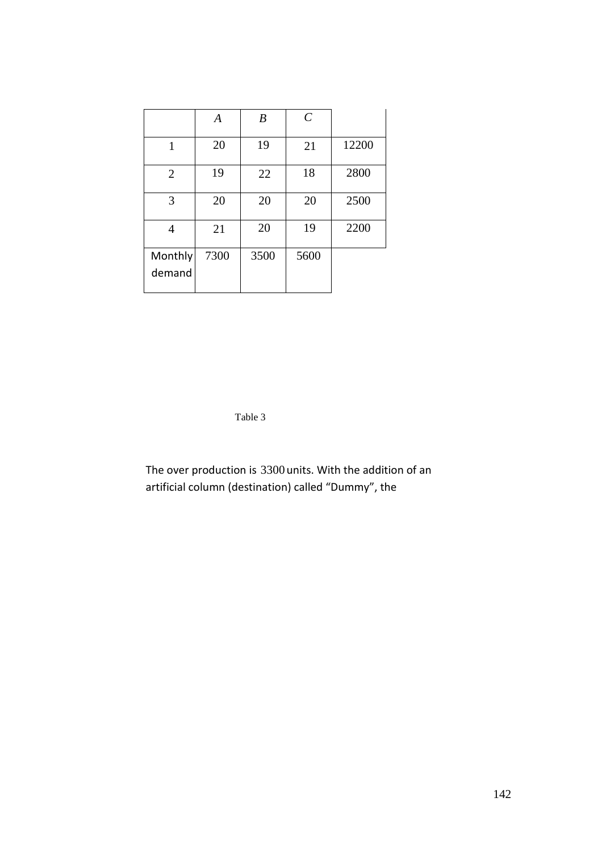|                   | A    | $\boldsymbol{B}$ | $\mathcal{C}_{0}^{0}$ |       |
|-------------------|------|------------------|-----------------------|-------|
| 1                 | 20   | 19               | 21                    | 12200 |
| $\overline{2}$    | 19   | 22               | 18                    | 2800  |
| 3                 | 20   | 20               | 20                    | 2500  |
| 4                 | 21   | 20               | 19                    | 2200  |
| Monthly<br>demand | 7300 | 3500             | 5600                  |       |

Table 3

The over production is 3300 units. With the addition of an artificial column (destination) called "Dummy", the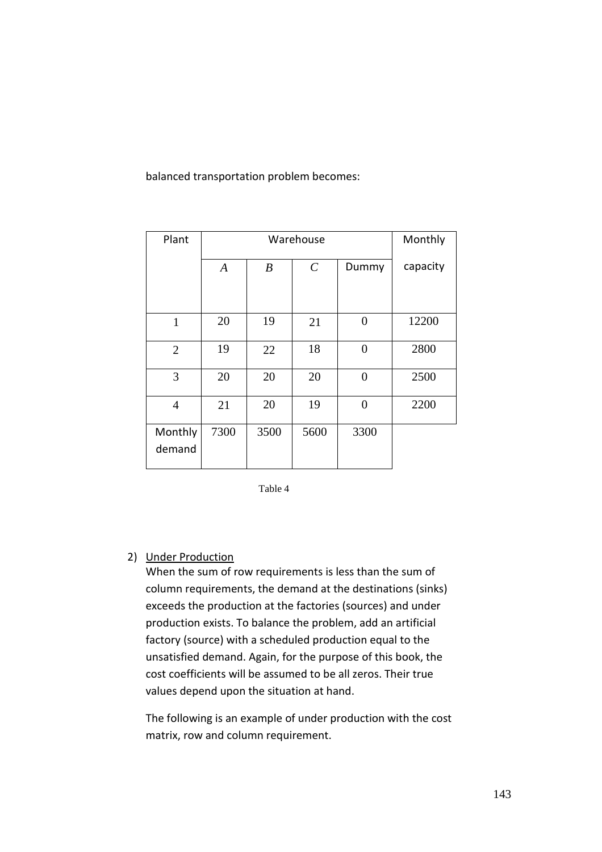balanced transportation problem becomes:

| Plant             |                  | Monthly          |               |                |          |
|-------------------|------------------|------------------|---------------|----------------|----------|
|                   | $\boldsymbol{A}$ | $\boldsymbol{B}$ | $\mathcal{C}$ | Dummy          | capacity |
|                   |                  |                  |               |                |          |
| $\mathbf{1}$      | 20               | 19               | 21            | $\overline{0}$ | 12200    |
| $\overline{2}$    | 19               | 22               | 18            | $\Omega$       | 2800     |
| 3                 | 20               | 20               | 20            | $\overline{0}$ | 2500     |
| 4                 | 21               | 20               | 19            | $\Omega$       | 2200     |
| Monthly<br>demand | 7300             | 3500             | 5600          | 3300           |          |

Table 4

## 2) Under Production

When the sum of row requirements is less than the sum of column requirements, the demand at the destinations (sinks) exceeds the production at the factories (sources) and under production exists. To balance the problem, add an artificial factory (source) with a scheduled production equal to the unsatisfied demand. Again, for the purpose of this book, the cost coefficients will be assumed to be all zeros. Their true values depend upon the situation at hand.

The following is an example of under production with the cost matrix, row and column requirement.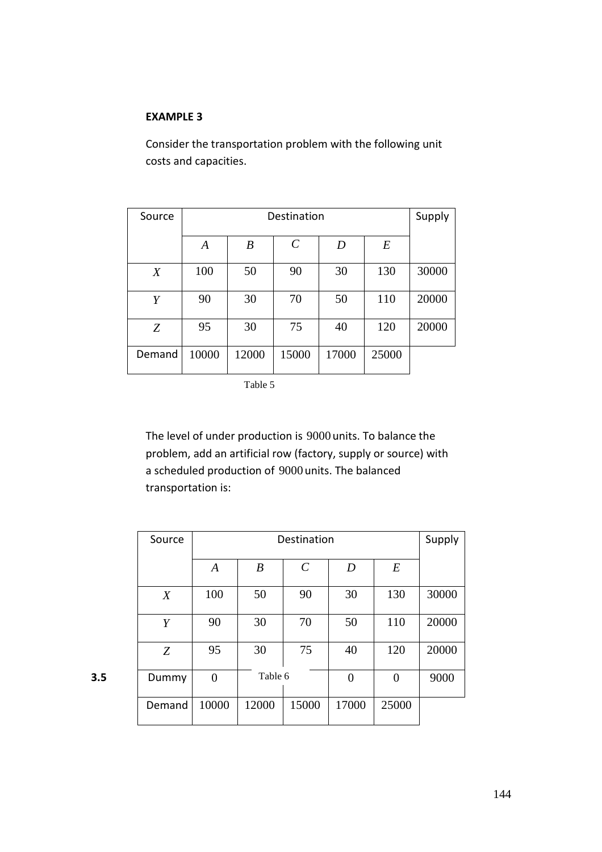#### **EXAMPLE 3**

Consider the transportation problem with the following unit costs and capacities.

| Source           | Destination |                  |                       |       |       | Supply |
|------------------|-------------|------------------|-----------------------|-------|-------|--------|
|                  | A           | $\boldsymbol{B}$ | $\mathcal{C}_{0}^{0}$ | D     | $\,E$ |        |
| $\boldsymbol{X}$ | 100         | 50               | 90                    | 30    | 130   | 30000  |
| Y                | 90          | 30               | 70                    | 50    | 110   | 20000  |
| Z                | 95          | 30               | 75                    | 40    | 120   | 20000  |
| Demand           | 10000       | 12000            | 15000                 | 17000 | 25000 |        |

Table 5

The level of under production is 9000 units. To balance the problem, add an artificial row (factory, supply or source) with a scheduled production of 9000 units. The balanced transportation is:

| Source | Destination      |                  |                       |       |       | Supply |
|--------|------------------|------------------|-----------------------|-------|-------|--------|
|        | $\boldsymbol{A}$ | $\boldsymbol{B}$ | $\mathcal{C}_{0}^{0}$ | D     | E     |        |
| X      | 100              | 50               | 90                    | 30    | 130   | 30000  |
| Y      | 90               | 30               | 70                    | 50    | 110   | 20000  |
| Z      | 95               | 30               | 75                    | 40    | 120   | 20000  |
| Dummy  | $\theta$         | Table 6          |                       | 0     |       | 9000   |
| Demand | 10000            | 12000            | 15000                 | 17000 | 25000 |        |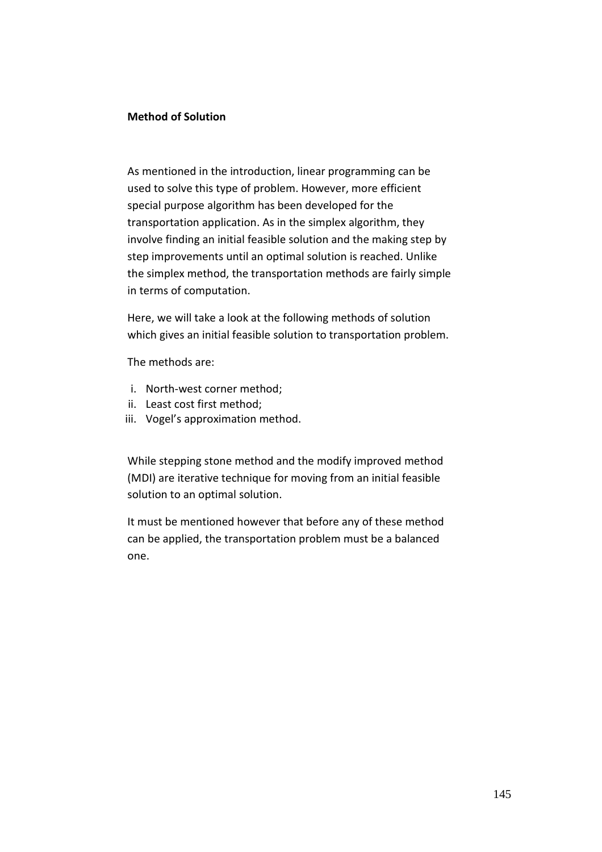### **Method of Solution**

As mentioned in the introduction, linear programming can be used to solve this type of problem. However, more efficient special purpose algorithm has been developed for the transportation application. As in the simplex algorithm, they involve finding an initial feasible solution and the making step by step improvements until an optimal solution is reached. Unlike the simplex method, the transportation methods are fairly simple in terms of computation.

Here, we will take a look at the following methods of solution which gives an initial feasible solution to transportation problem.

The methods are:

- i. North-west corner method;
- ii. Least cost first method;
- iii. Vogel's approximation method.

While stepping stone method and the modify improved method (MDI) are iterative technique for moving from an initial feasible solution to an optimal solution.

It must be mentioned however that before any of these method can be applied, the transportation problem must be a balanced one.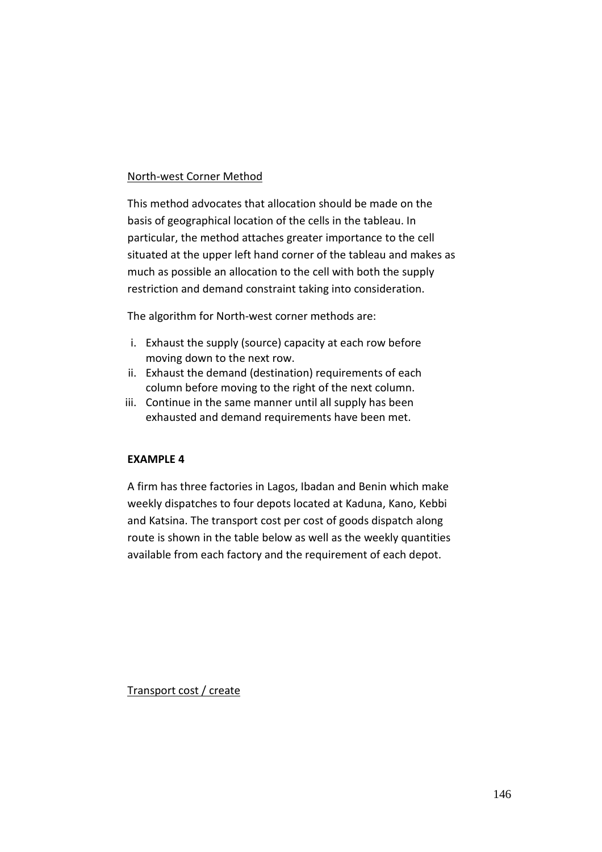### North-west Corner Method

This method advocates that allocation should be made on the basis of geographical location of the cells in the tableau. In particular, the method attaches greater importance to the cell situated at the upper left hand corner of the tableau and makes as much as possible an allocation to the cell with both the supply restriction and demand constraint taking into consideration.

The algorithm for North-west corner methods are:

- i. Exhaust the supply (source) capacity at each row before moving down to the next row.
- ii. Exhaust the demand (destination) requirements of each column before moving to the right of the next column.
- iii. Continue in the same manner until all supply has been exhausted and demand requirements have been met.

### **EXAMPLE 4**

A firm has three factories in Lagos, Ibadan and Benin which make weekly dispatches to four depots located at Kaduna, Kano, Kebbi and Katsina. The transport cost per cost of goods dispatch along route is shown in the table below as well as the weekly quantities available from each factory and the requirement of each depot.

Transport cost / create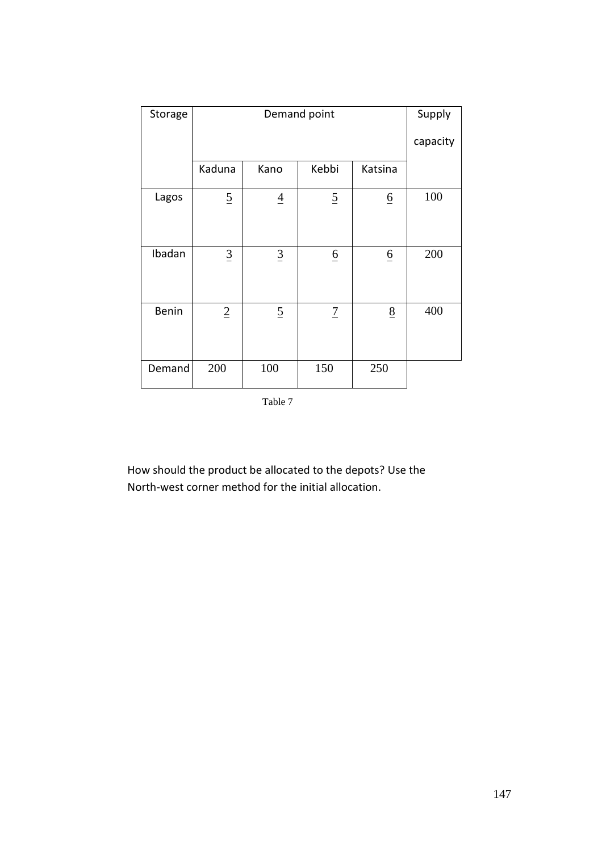| Storage |                |                 | Demand point    |                 | Supply   |
|---------|----------------|-----------------|-----------------|-----------------|----------|
|         |                |                 |                 |                 | capacity |
|         | Kaduna         | Kano            | Kebbi           | Katsina         |          |
| Lagos   | $\overline{2}$ | $\overline{4}$  | $\overline{2}$  | $\underline{6}$ | 100      |
| Ibadan  | $\overline{3}$ | $\underline{3}$ | $\underline{6}$ | $\underline{6}$ | 200      |
| Benin   | $\overline{2}$ | $\overline{2}$  | $\overline{1}$  | 8               | 400      |
| Demand  | 200            | 100             | 150             | 250             |          |

Table 7

How should the product be allocated to the depots? Use the North-west corner method for the initial allocation.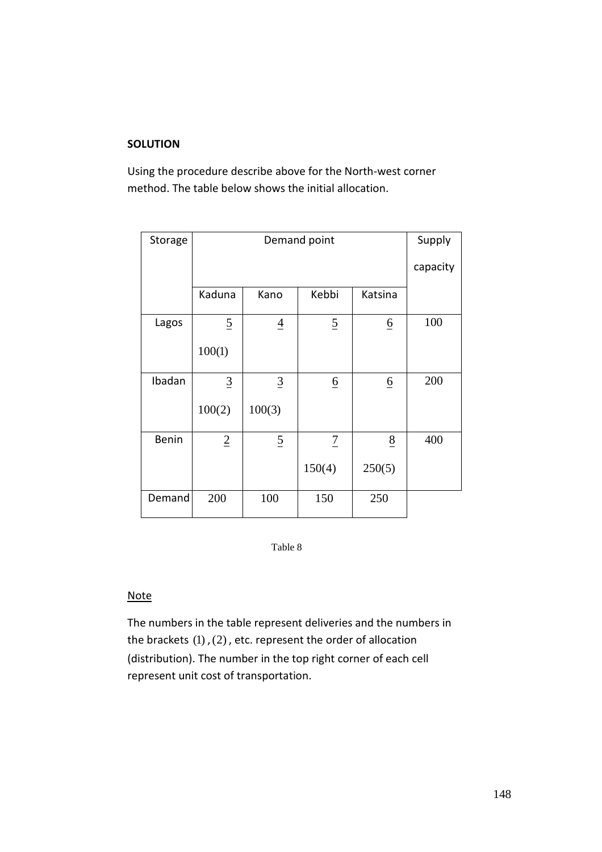## **SOLUTION**

Using the procedure describe above for the North-west corner method. The table below shows the initial allocation.

| Storage |                |                | Demand point    |                 | Supply   |
|---------|----------------|----------------|-----------------|-----------------|----------|
|         |                |                |                 |                 | capacity |
|         | Kaduna         | Kano           | Kebbi           | Katsina         |          |
| Lagos   | $\overline{2}$ | $\overline{4}$ | $\overline{2}$  | $\underline{6}$ | 100      |
|         | 100(1)         |                |                 |                 |          |
| Ibadan  | $\overline{3}$ | $\overline{3}$ | $\underline{6}$ | $\underline{6}$ | 200      |
|         | 100(2)         | 100(3)         |                 |                 |          |
| Benin   | $\overline{2}$ | $\overline{2}$ | $\overline{1}$  | $\underline{8}$ | 400      |
|         |                |                | 150(4)          | 250(5)          |          |
| Demand  | 200            | 100            | 150             | 250             |          |

Table 8

#### **Note**

The numbers in the table represent deliveries and the numbers in the brackets  $(1)$ ,  $(2)$ , etc. represent the order of allocation (distribution). The number in the top right corner of each cell represent unit cost of transportation.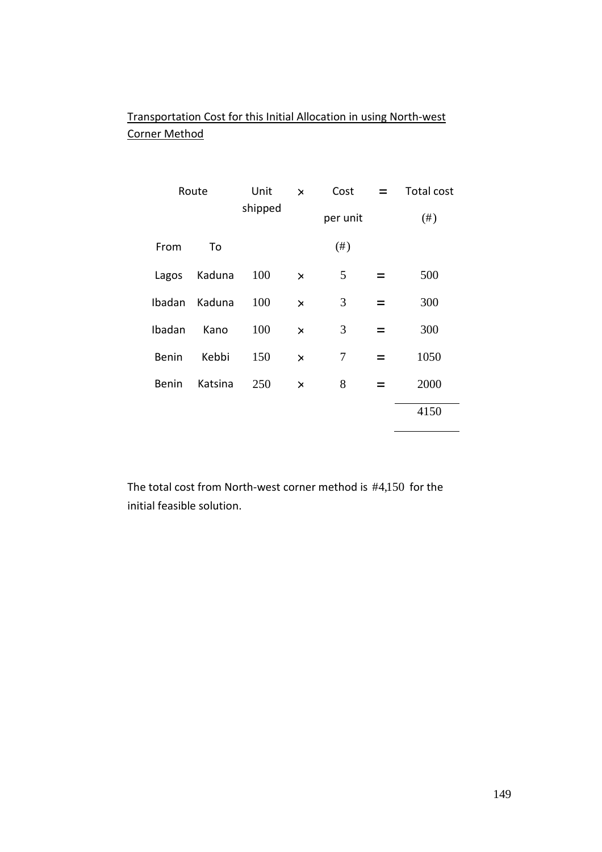# Transportation Cost for this Initial Allocation in using North-west Corner Method

| Route        |         | Unit    | $\times$ | Cost     |     | Total cost |
|--------------|---------|---------|----------|----------|-----|------------|
|              |         | shipped |          | per unit |     | $(\#)$     |
| From         | To      |         |          | $(\#)$   |     |            |
| Lagos        | Kaduna  | 100     | $\times$ | 5        |     | 500        |
| Ibadan       | Kaduna  | 100     | $\times$ | 3        | $=$ | 300        |
| Ibadan       | Kano    | 100     | $\times$ | 3        | $=$ | 300        |
| <b>Benin</b> | Kebbi   | 150     | $\times$ | 7        | $=$ | 1050       |
| <b>Benin</b> | Katsina | 250     | $\times$ | 8        |     | 2000       |
|              |         |         |          |          |     | 4150       |

The total cost from North-west corner method is  $#4,150$  for the initial feasible solution.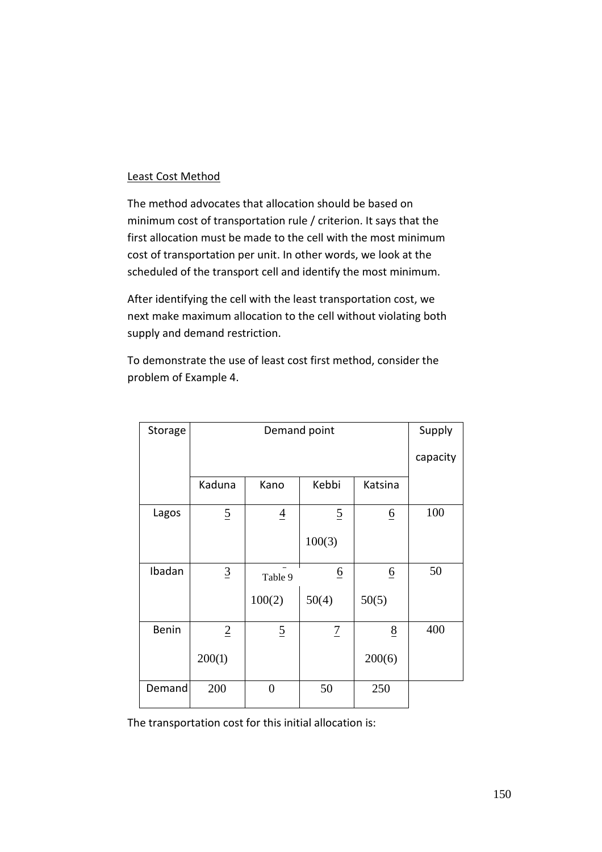### Least Cost Method

The method advocates that allocation should be based on minimum cost of transportation rule / criterion. It says that the first allocation must be made to the cell with the most minimum cost of transportation per unit. In other words, we look at the scheduled of the transport cell and identify the most minimum.

After identifying the cell with the least transportation cost, we next make maximum allocation to the cell without violating both supply and demand restriction.

To demonstrate the use of least cost first method, consider the problem of Example 4.

| Storage |                 |                | Demand point    |                 | Supply   |
|---------|-----------------|----------------|-----------------|-----------------|----------|
|         |                 |                |                 |                 | capacity |
|         | Kaduna          | Kano           | Kebbi           | Katsina         |          |
| Lagos   | $\overline{2}$  | $\overline{4}$ | $\overline{2}$  | $\underline{6}$ | 100      |
|         |                 |                | 100(3)          |                 |          |
| Ibadan  | $\underline{3}$ | Table 9        | $\underline{6}$ | $\underline{6}$ | 50       |
|         |                 | 100(2)         | 50(4)           | 50(5)           |          |
| Benin   | $\overline{2}$  | $\overline{2}$ | $\overline{1}$  | $\frac{8}{5}$   | 400      |
|         | 200(1)          |                |                 | 200(6)          |          |
| Demand  | 200             | $\overline{0}$ | 50              | 250             |          |

The transportation cost for this initial allocation is: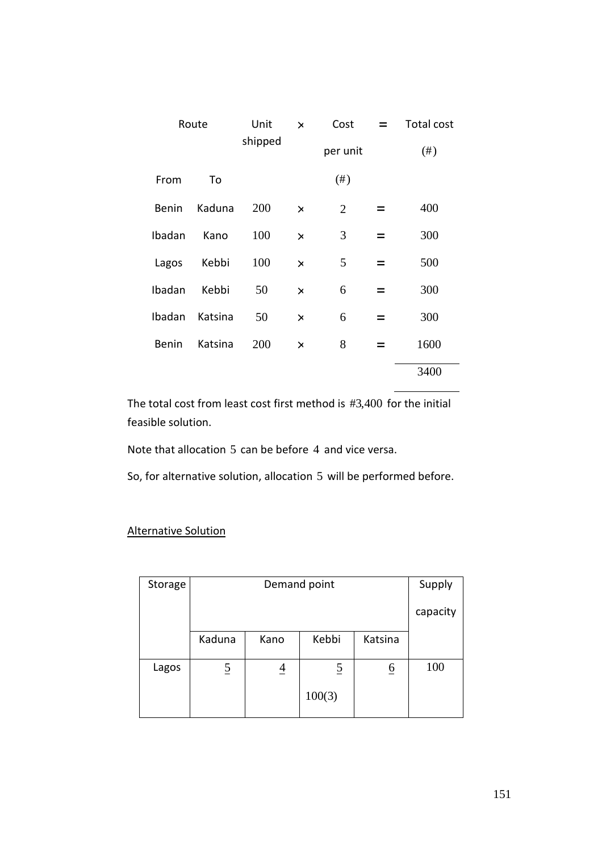| Route        |         | Unit<br>$\times$ |                     | Cost<br>$\equiv$ |     | Total cost |
|--------------|---------|------------------|---------------------|------------------|-----|------------|
|              |         |                  | shipped<br>per unit |                  |     | $(\#)$     |
| From         | To      |                  |                     | $(\#)$           |     |            |
| Benin        | Kaduna  | 200              | $\times$            | $\overline{2}$   |     | 400        |
| Ibadan       | Kano    | 100              | $\times$            | 3                | $=$ | 300        |
| Lagos        | Kebbi   | 100              | $\times$            | 5                | $=$ | 500        |
| Ibadan       | Kebbi   | 50               | $\times$            | 6                | $=$ | 300        |
| Ibadan       | Katsina | 50               | $\times$            | 6                | $=$ | 300        |
| <b>Benin</b> | Katsina | 200              | $\times$            | 8                | $=$ | 1600       |
|              |         |                  |                     |                  |     | 3400       |

The total cost from least cost first method is  $#3,400$  for the initial feasible solution.

Note that allocation 5 can be before 4 and vice versa.

So, for alternative solution, allocation 5 will be performed before.

| Storage |                | Supply                   |                |                 |     |  |  |  |
|---------|----------------|--------------------------|----------------|-----------------|-----|--|--|--|
|         |                | capacity                 |                |                 |     |  |  |  |
|         | Kaduna         | Kebbi<br>Katsina<br>Kano |                |                 |     |  |  |  |
| Lagos   | $\overline{5}$ | $\overline{4}$           | $\overline{5}$ | $\underline{6}$ | 100 |  |  |  |
|         |                |                          | 100(3)         |                 |     |  |  |  |

## Alternative Solution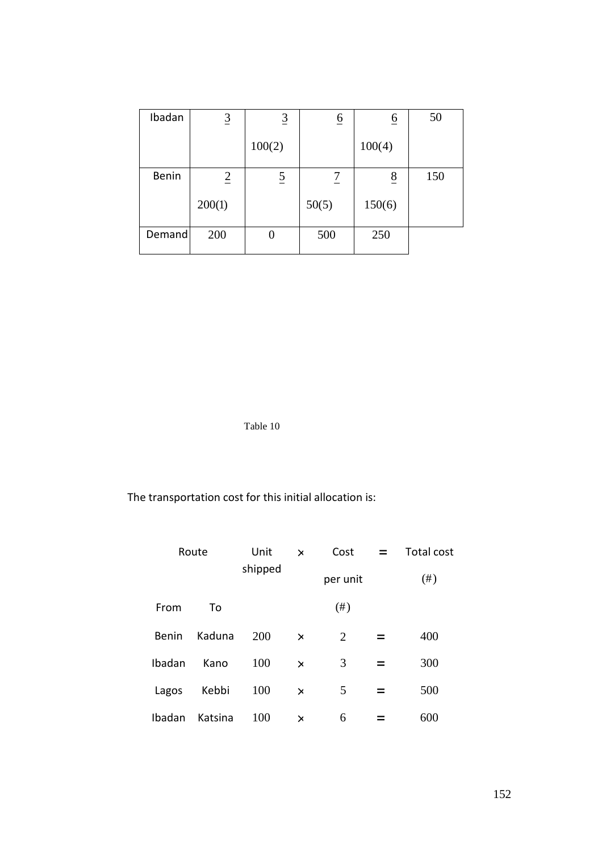| Ibadan | $\overline{3}$ | $\overline{3}$ | $\overline{6}$ | $\underline{6}$ | 50  |
|--------|----------------|----------------|----------------|-----------------|-----|
|        |                | 100(2)         |                | 100(4)          |     |
| Benin  | $\overline{2}$ | $\overline{2}$ | 7              | $rac{8}{5}$     | 150 |
|        | 200(1)         |                | 50(5)          | 150(6)          |     |
| Demand | 200            | I)             | 500            | 250             |     |

Table 10

The transportation cost for this initial allocation is:

| Route  |         | Unit    | $\times$ | Cost     | $\overline{\phantom{0}}$ | Total cost |
|--------|---------|---------|----------|----------|--------------------------|------------|
|        |         | shipped |          | per unit |                          | (# )       |
| From   | To      |         |          | $(\#)$   |                          |            |
| Benin  | Kaduna  | 200     | $\times$ | 2        |                          | 400        |
| Ibadan | Kano    | 100     | $\times$ | 3        |                          | 300        |
| Lagos  | Kebbi   | 100     | $\times$ | 5        |                          | 500        |
| Ibadan | Katsina | 100     | $\times$ | 6        |                          | 600        |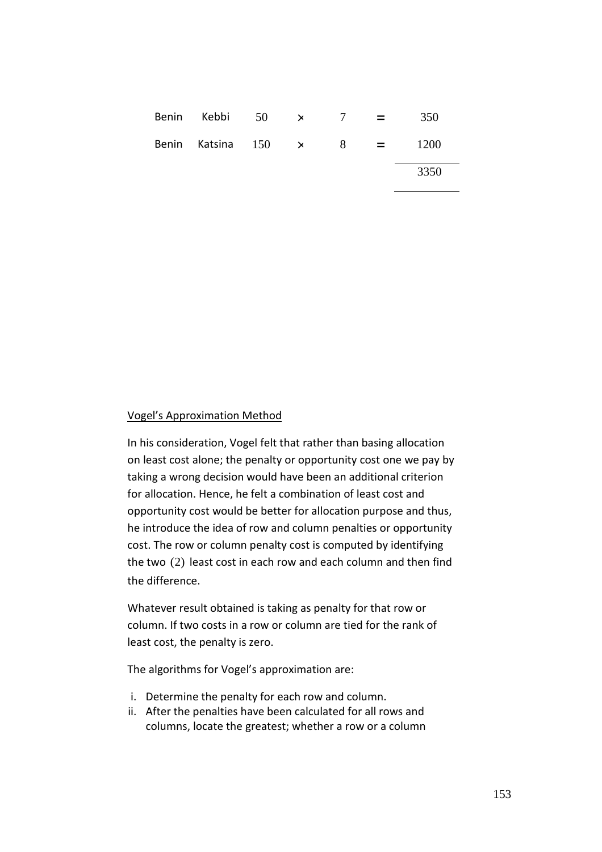| Benin Kebbi 50 $\times$ 7 $=$  |  |  | 350  |
|--------------------------------|--|--|------|
| Benin Katsina $150 \times 8 =$ |  |  | 1200 |
|                                |  |  | 3350 |

#### Vogel's Approximation Method

In his consideration, Vogel felt that rather than basing allocation on least cost alone; the penalty or opportunity cost one we pay by taking a wrong decision would have been an additional criterion for allocation. Hence, he felt a combination of least cost and opportunity cost would be better for allocation purpose and thus, he introduce the idea of row and column penalties or opportunity cost. The row or column penalty cost is computed by identifying the two  $(2)$  least cost in each row and each column and then find the difference.

Whatever result obtained is taking as penalty for that row or column. If two costs in a row or column are tied for the rank of least cost, the penalty is zero.

The algorithms for Vogel's approximation are:

- i. Determine the penalty for each row and column.
- ii. After the penalties have been calculated for all rows and columns, locate the greatest; whether a row or a column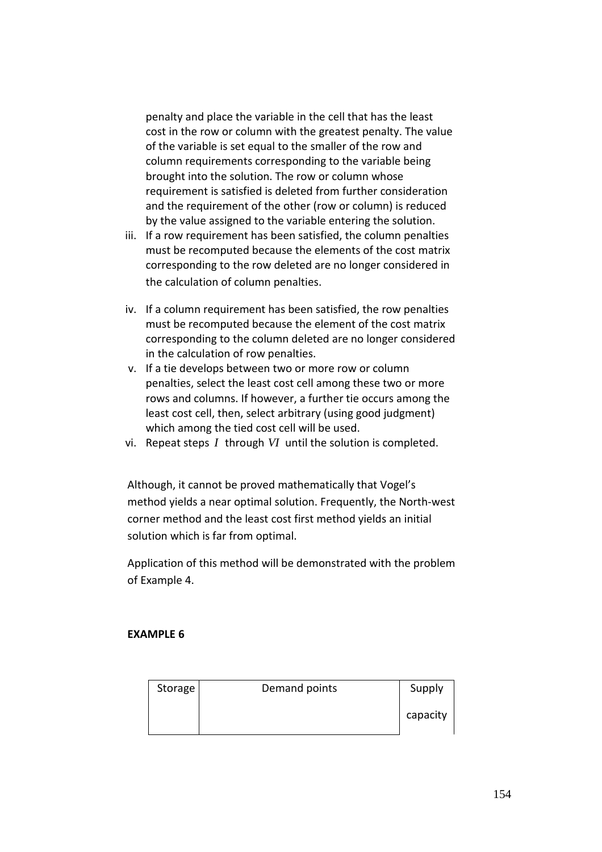penalty and place the variable in the cell that has the least cost in the row or column with the greatest penalty. The value of the variable is set equal to the smaller of the row and column requirements corresponding to the variable being brought into the solution. The row or column whose requirement is satisfied is deleted from further consideration and the requirement of the other (row or column) is reduced by the value assigned to the variable entering the solution.

- iii. If a row requirement has been satisfied, the column penalties must be recomputed because the elements of the cost matrix corresponding to the row deleted are no longer considered in the calculation of column penalties.
- iv. If a column requirement has been satisfied, the row penalties must be recomputed because the element of the cost matrix corresponding to the column deleted are no longer considered in the calculation of row penalties.
- v. If a tie develops between two or more row or column penalties, select the least cost cell among these two or more rows and columns. If however, a further tie occurs among the least cost cell, then, select arbitrary (using good judgment) which among the tied cost cell will be used.
- vi. Repeat steps *I* through *VI* until the solution is completed.

Although, it cannot be proved mathematically that Vogel's method yields a near optimal solution. Frequently, the North-west corner method and the least cost first method yields an initial solution which is far from optimal.

Application of this method will be demonstrated with the problem of Example 4.

### **EXAMPLE 6**

| Storage | Demand points | Supply   |
|---------|---------------|----------|
|         |               | capacity |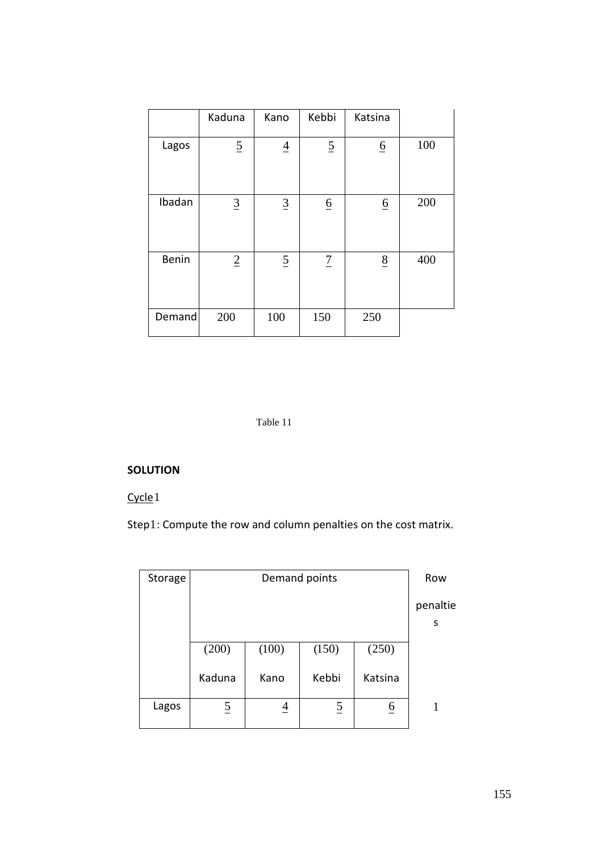|        | Kaduna         | Kano            | Kebbi           | Katsina         |     |
|--------|----------------|-----------------|-----------------|-----------------|-----|
| Lagos  | $\overline{2}$ | $\overline{4}$  | $\overline{2}$  | $\underline{6}$ | 100 |
| Ibadan | $\overline{3}$ | $\underline{3}$ | $\underline{6}$ | $\underline{6}$ | 200 |
| Benin  | $\overline{2}$ | $\overline{2}$  | $\overline{1}$  | $\underline{8}$ | 400 |
| Demand | 200            | 100             | 150             | 250             |     |

#### Table 11

## **SOLUTION**

## Cycle<sub>1</sub>

Step1: Compute the row and column penalties on the cost matrix.

| Storage |                | Row            |                |                 |               |
|---------|----------------|----------------|----------------|-----------------|---------------|
|         |                |                |                |                 | penaltie<br>S |
|         | (200)          | (100)          | (150)          | (250)           |               |
|         | Kaduna         | Kano           | Kebbi          | Katsina         |               |
| Lagos   | $\overline{5}$ | $\overline{4}$ | $\overline{2}$ | $\underline{6}$ |               |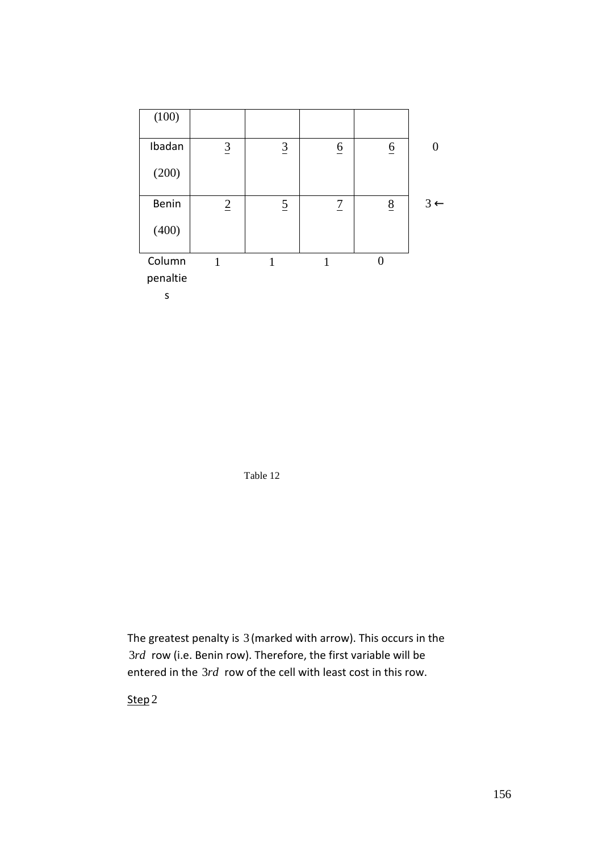

Table 12

The greatest penalty is 3 (marked with arrow). This occurs in the 3*rd* row (i.e. Benin row). Therefore, the first variable will be entered in the 3*rd* row of the cell with least cost in this row.

Step<sub>2</sub>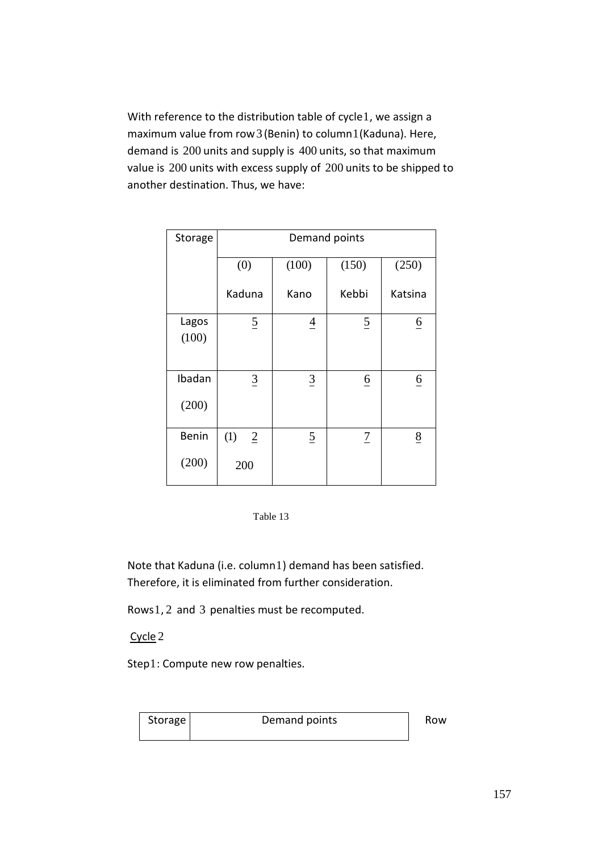With reference to the distribution table of cycle1, we assign a maximum value from row3 (Benin) to column1(Kaduna). Here, demand is 200 units and supply is 400 units, so that maximum value is 200 units with excess supply of 200 units to be shipped to another destination. Thus, we have:

| Storage         | Demand points                |                |                 |                 |  |  |  |  |
|-----------------|------------------------------|----------------|-----------------|-----------------|--|--|--|--|
|                 | (0)                          | (100)          | (150)           | (250)           |  |  |  |  |
|                 | Kaduna                       | Kano           | Kebbi           | Katsina         |  |  |  |  |
| Lagos<br>(100)  | $\overline{2}$               | $\overline{4}$ | $\overline{2}$  | $\underline{6}$ |  |  |  |  |
| Ibadan<br>(200) | $\overline{3}$               | $\overline{3}$ | $\underline{6}$ | $\underline{6}$ |  |  |  |  |
| Benin<br>(200)  | (1)<br>$\overline{2}$<br>200 | $\overline{5}$ | $\overline{1}$  | $\underline{8}$ |  |  |  |  |



Note that Kaduna (i.e. column1) demand has been satisfied. Therefore, it is eliminated from further consideration.

Rows1, 2 and 3 penalties must be recomputed.

Cycle 2

Step1: Compute new row penalties.

| Storage | Demand points | Row |
|---------|---------------|-----|
|         |               |     |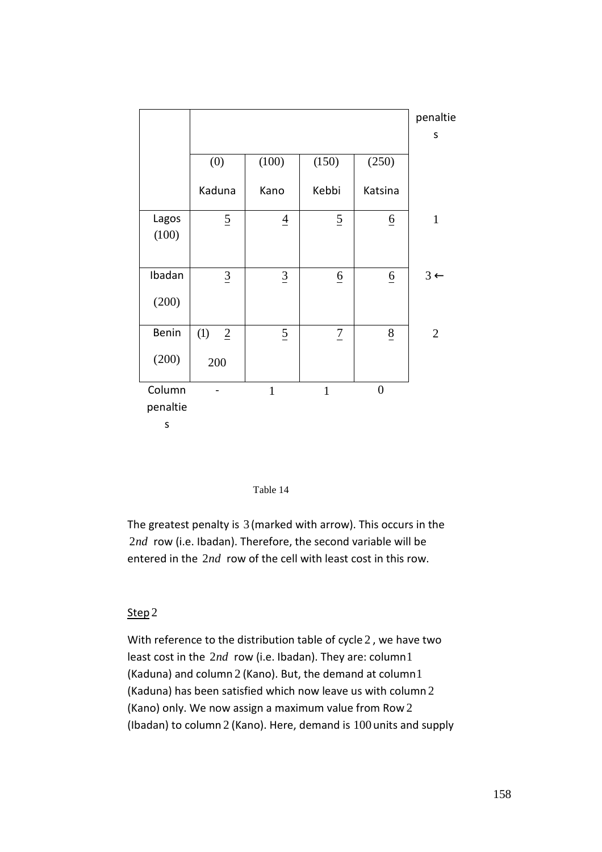|                         |                       |                 |                 |                 | penaltie       |
|-------------------------|-----------------------|-----------------|-----------------|-----------------|----------------|
|                         |                       |                 |                 |                 | S              |
|                         | (0)                   | (100)           | (150)           | (250)           |                |
|                         | Kaduna                | Kano            | Kebbi           | Katsina         |                |
| Lagos<br>(100)          | $\overline{2}$        | $\overline{4}$  | $\overline{2}$  | $\underline{6}$ | $\mathbf{1}$   |
|                         |                       |                 |                 |                 |                |
| Ibadan                  | $\underline{3}$       | $\underline{3}$ | $\underline{6}$ | $\underline{6}$ | $3 \leftarrow$ |
| (200)                   |                       |                 |                 |                 |                |
| Benin                   | (1)<br>$\overline{2}$ | $\overline{2}$  | $\overline{1}$  | $\underline{8}$ | $\mathfrak{2}$ |
| (200)                   | 200                   |                 |                 |                 |                |
| Column<br>penaltie<br>S |                       | $\mathbf{1}$    | $\mathbf{1}$    | $\overline{0}$  |                |



The greatest penalty is 3 (marked with arrow). This occurs in the 2*nd* row (i.e. Ibadan). Therefore, the second variable will be entered in the 2*nd* row of the cell with least cost in this row.

#### Step 2

With reference to the distribution table of cycle 2 , we have two least cost in the 2*nd* row (i.e. Ibadan). They are: column1 (Kaduna) and column 2 (Kano). But, the demand at column1 (Kaduna) has been satisfied which now leave us with column 2 (Kano) only. We now assign a maximum value from Row 2 (Ibadan) to column 2 (Kano). Here, demand is 100 units and supply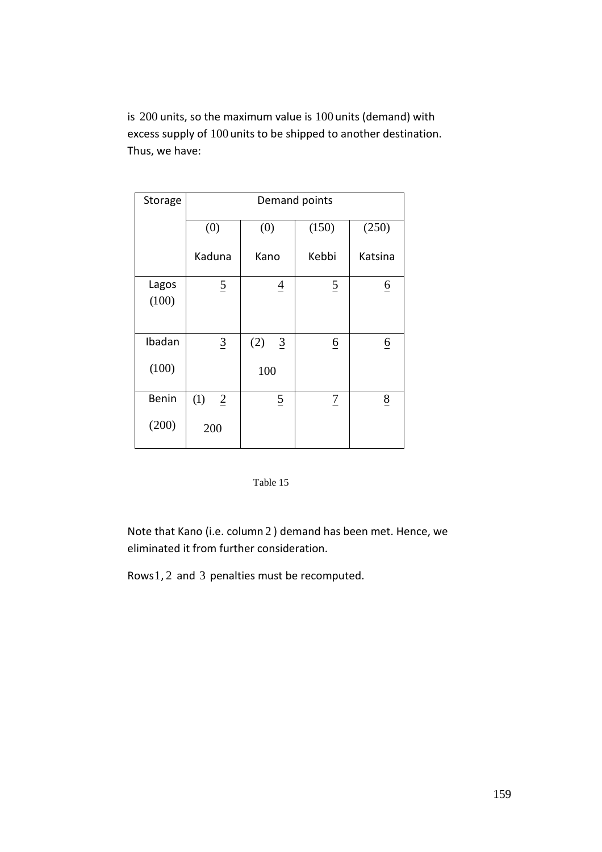is 200 units, so the maximum value is 100 units (demand) with excess supply of 100 units to be shipped to another destination. Thus, we have:

| Storage | Demand points         |  |                       |                 |                 |  |  |  |  |
|---------|-----------------------|--|-----------------------|-----------------|-----------------|--|--|--|--|
|         | (0)                   |  | (0)                   | (150)           | (250)           |  |  |  |  |
|         | Kaduna                |  | Kano                  | Kebbi           | Katsina         |  |  |  |  |
| Lagos   | $\overline{2}$        |  | $\overline{4}$        | $\overline{2}$  | $\underline{6}$ |  |  |  |  |
| (100)   |                       |  |                       |                 |                 |  |  |  |  |
|         |                       |  |                       |                 |                 |  |  |  |  |
| Ibadan  | $\underline{3}$       |  | (2)<br>$\overline{3}$ | $\underline{6}$ | $\underline{6}$ |  |  |  |  |
| (100)   |                       |  | 100                   |                 |                 |  |  |  |  |
| Benin   | (1)<br>$\overline{2}$ |  | $\overline{5}$        | $\overline{1}$  | $\underline{8}$ |  |  |  |  |
| (200)   | 200                   |  |                       |                 |                 |  |  |  |  |
|         |                       |  |                       |                 |                 |  |  |  |  |

### Table 15

Note that Kano (i.e. column 2 ) demand has been met. Hence, we eliminated it from further consideration.

Rows1, 2 and 3 penalties must be recomputed.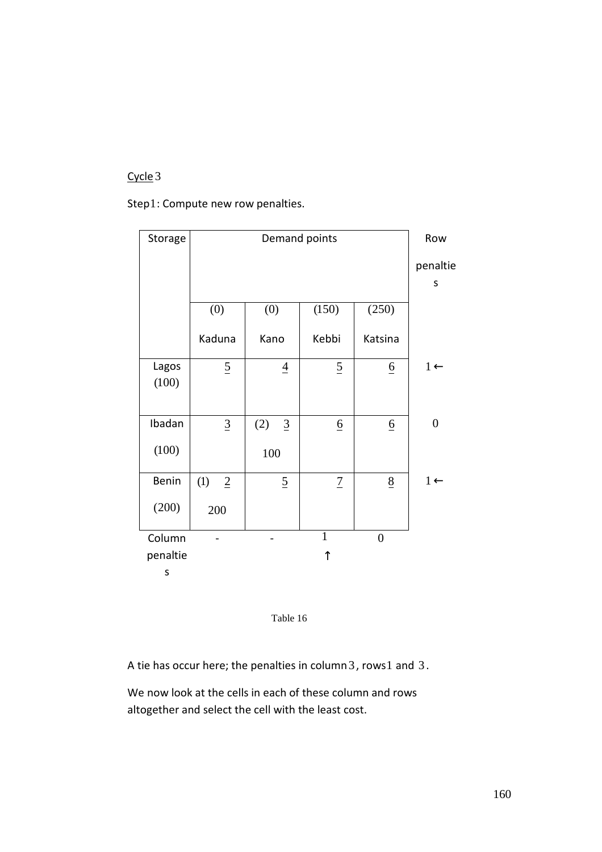# Cycle 3

Step1: Compute new row penalties.

| Storage        |                       | Demand points         |                 |                 |                  |  |  |  |  |
|----------------|-----------------------|-----------------------|-----------------|-----------------|------------------|--|--|--|--|
|                |                       | penaltie              |                 |                 |                  |  |  |  |  |
|                |                       |                       |                 |                 | S                |  |  |  |  |
|                | (0)                   | (0)                   | (150)           | (250)           |                  |  |  |  |  |
|                | Kaduna                | Kano                  | Kebbi           | Katsina         |                  |  |  |  |  |
| Lagos<br>(100) | $\overline{2}$        | $\underline{4}$       | $\overline{2}$  | $\underline{6}$ | $1 \leftarrow$   |  |  |  |  |
| Ibadan         | $\underline{3}$       | (2)<br>$\overline{3}$ | $\underline{6}$ | $\underline{6}$ | $\boldsymbol{0}$ |  |  |  |  |
| (100)          |                       | 100                   |                 |                 |                  |  |  |  |  |
| Benin          | (1)<br>$\overline{2}$ | $\overline{5}$        | $\overline{1}$  | 8               | $1 \leftarrow$   |  |  |  |  |
| (200)          | 200                   |                       |                 |                 |                  |  |  |  |  |
| Column         |                       |                       | $\mathbf{1}$    | $\overline{0}$  |                  |  |  |  |  |
| penaltie       |                       |                       | ↑               |                 |                  |  |  |  |  |
| S              |                       |                       |                 |                 |                  |  |  |  |  |



A tie has occur here; the penalties in column 3, rows1 and 3.

We now look at the cells in each of these column and rows altogether and select the cell with the least cost.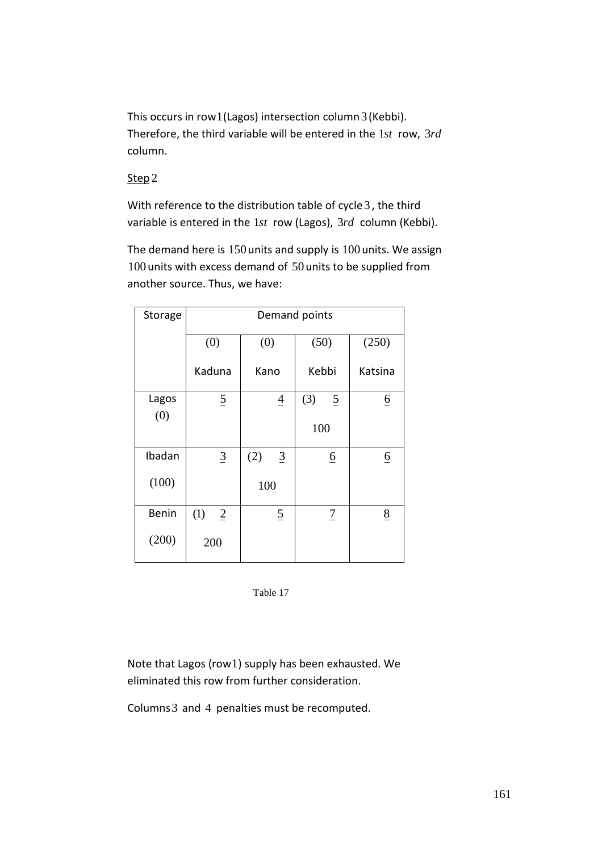This occurs in row1(Lagos) intersection column3 (Kebbi). Therefore, the third variable will be entered in the 1*st* row, 3*rd* column.

### Step 2

With reference to the distribution table of cycle 3, the third variable is entered in the 1*st* row (Lagos), 3*rd* column (Kebbi).

The demand here is 150 units and supply is 100 units. We assign 100 units with excess demand of 50 units to be supplied from another source. Thus, we have:

| Storage      | Demand points         |                        |                       |                 |  |  |  |  |  |
|--------------|-----------------------|------------------------|-----------------------|-----------------|--|--|--|--|--|
|              | (0)                   | (0)                    | (50)                  | (250)           |  |  |  |  |  |
|              | Kaduna                | Kano                   | Kebbi                 | Katsina         |  |  |  |  |  |
| Lagos<br>(0) | $\overline{2}$        | $\overline{4}$         | (3)<br>$\overline{2}$ | $\underline{6}$ |  |  |  |  |  |
|              |                       |                        | 100                   |                 |  |  |  |  |  |
| Ibadan       | $\underline{3}$       | (2)<br>$\underline{3}$ | $\underline{6}$       | $\underline{6}$ |  |  |  |  |  |
| (100)        |                       | 100                    |                       |                 |  |  |  |  |  |
| Benin        | (1)<br>$\overline{2}$ | $\overline{2}$         | $\overline{1}$        | $\underline{8}$ |  |  |  |  |  |
| (200)        | 200                   |                        |                       |                 |  |  |  |  |  |



Note that Lagos (row1) supply has been exhausted. We eliminated this row from further consideration.

Columns3 and 4 penalties must be recomputed.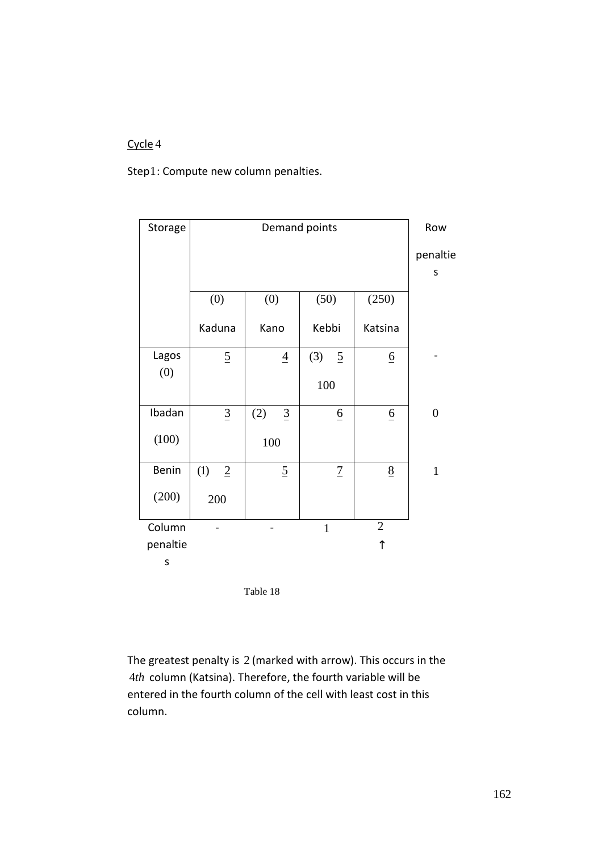# Cycle 4

Step1: Compute new column penalties.

| Storage  |                       |                       | Demand points |                 |                 | Row              |
|----------|-----------------------|-----------------------|---------------|-----------------|-----------------|------------------|
|          |                       | penaltie              |               |                 |                 |                  |
|          |                       |                       |               |                 |                 | S                |
|          | (0)                   | (0)                   | (50)          |                 | (250)           |                  |
|          | Kaduna                | Kano                  | Kebbi         |                 | Katsina         |                  |
| Lagos    | $\overline{2}$        | $\overline{4}$        | (3)           | $\overline{2}$  | $\underline{6}$ |                  |
| (0)      |                       |                       | 100           |                 |                 |                  |
| Ibadan   | $\underline{3}$       | (2)<br>$\overline{3}$ |               | $\underline{6}$ | $\underline{6}$ | $\boldsymbol{0}$ |
| (100)    |                       | 100                   |               |                 |                 |                  |
| Benin    | (1)<br>$\overline{2}$ | $\overline{5}$        |               | $\overline{1}$  | 8               | $\mathbf{1}$     |
| (200)    | 200                   |                       |               |                 |                 |                  |
| Column   |                       |                       | $\mathbf{1}$  |                 | $\mathbf{2}$    |                  |
| penaltie |                       |                       |               |                 | ↑               |                  |
| S        |                       |                       |               |                 |                 |                  |



The greatest penalty is 2 (marked with arrow). This occurs in the 4*th* column (Katsina). Therefore, the fourth variable will be entered in the fourth column of the cell with least cost in this column.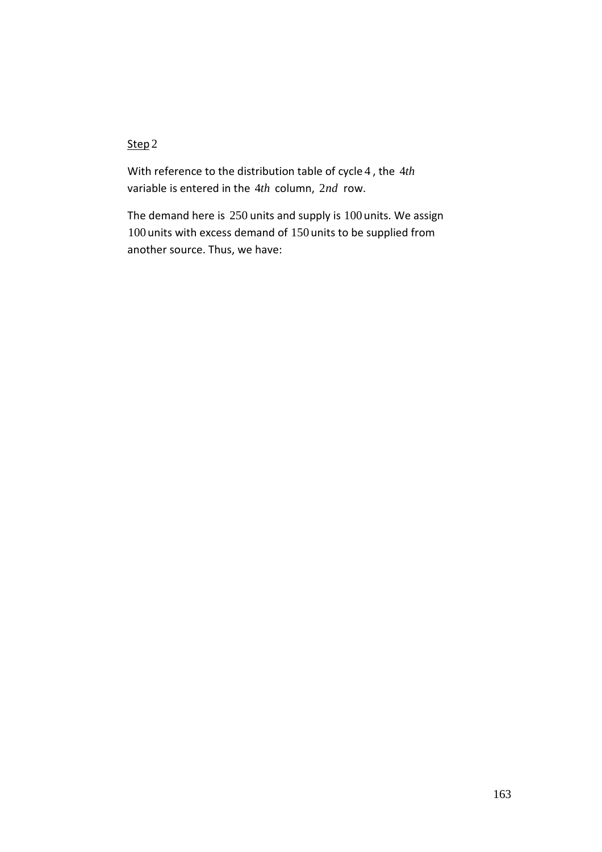## Step<sub>2</sub>

With reference to the distribution table of cycle 4 , the 4*th* variable is entered in the 4*th* column, 2*nd* row.

The demand here is 250 units and supply is 100 units. We assign 100 units with excess demand of 150 units to be supplied from another source. Thus, we have: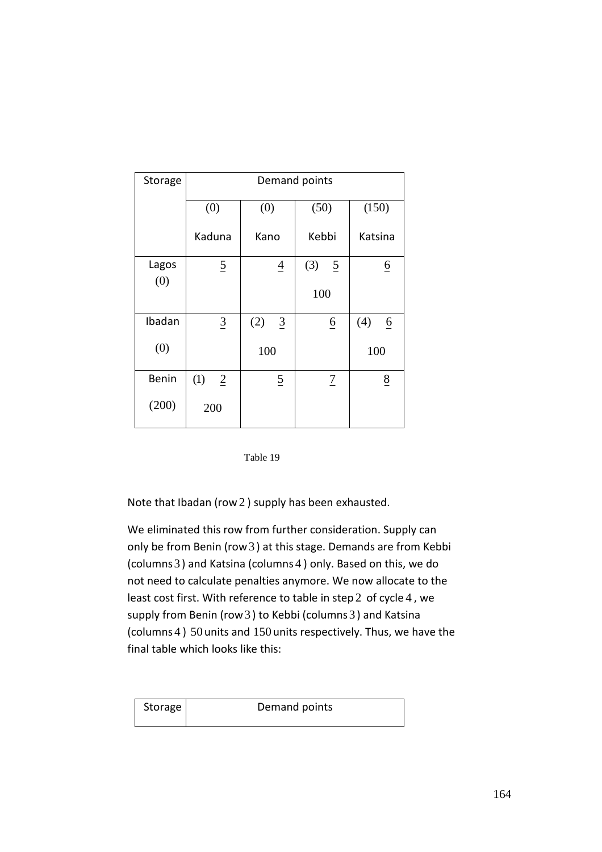| Storage      | Demand points         |                       |                       |                 |  |  |  |  |  |
|--------------|-----------------------|-----------------------|-----------------------|-----------------|--|--|--|--|--|
|              | (0)                   | (0)                   | (50)                  | (150)           |  |  |  |  |  |
|              | Kaduna                | Kano                  | Kebbi                 | Katsina         |  |  |  |  |  |
| Lagos<br>(0) | $\overline{2}$        | $\overline{4}$        | (3)<br>$\overline{2}$ | $\underline{6}$ |  |  |  |  |  |
|              |                       |                       | 100                   |                 |  |  |  |  |  |
| Ibadan       | $\underline{3}$       | (2)<br>$\overline{3}$ | $\underline{6}$       | (4)<br>6        |  |  |  |  |  |
| (0)          |                       | 100                   |                       | 100             |  |  |  |  |  |
| Benin        | (1)<br>$\overline{2}$ | $\overline{2}$        | $\overline{1}$        | $\frac{8}{5}$   |  |  |  |  |  |
| (200)        | 200                   |                       |                       |                 |  |  |  |  |  |



Note that Ibadan (row 2 ) supply has been exhausted.

We eliminated this row from further consideration. Supply can only be from Benin (row3 ) at this stage. Demands are from Kebbi (columns3 ) and Katsina (columns 4 ) only. Based on this, we do not need to calculate penalties anymore. We now allocate to the least cost first. With reference to table in step 2 of cycle 4 , we supply from Benin (row 3) to Kebbi (columns 3) and Katsina (columns 4 ) 50 units and 150 units respectively. Thus, we have the final table which looks like this:

| Storage | Demand points |
|---------|---------------|
|         |               |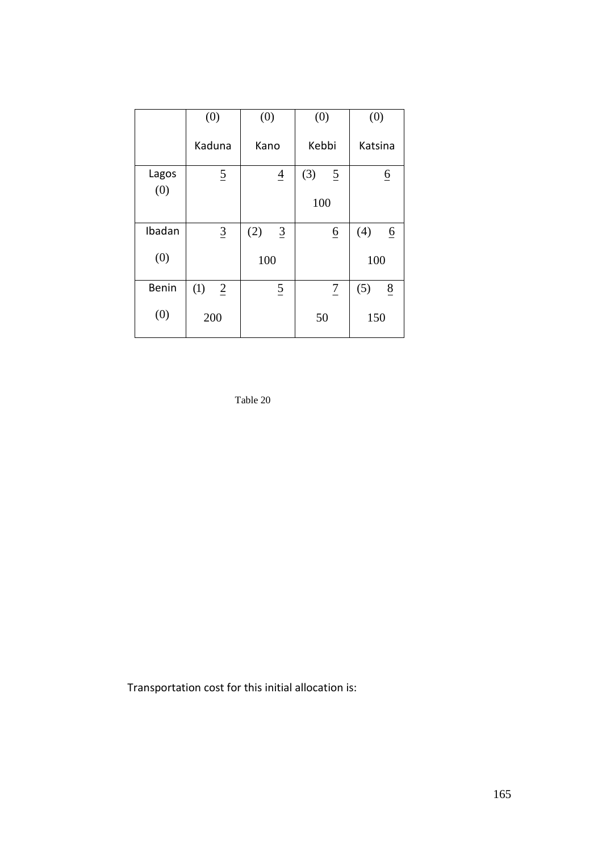|              | (0)                   | (0)                   | (0)                   | (0)                    |
|--------------|-----------------------|-----------------------|-----------------------|------------------------|
|              | Kaduna                | Kano                  | Kebbi                 | Katsina                |
| Lagos        | $\overline{2}$        | $\overline{4}$        | (3)<br>$\overline{2}$ | $\underline{6}$        |
| (0)          |                       |                       | 100                   |                        |
|              |                       |                       |                       |                        |
| Ibadan       | $\overline{3}$        | (2)<br>$\overline{3}$ | $\underline{6}$       | (4)<br>$\underline{6}$ |
| (0)          |                       | 100                   |                       | 100                    |
| <b>Benin</b> | (1)<br>$\overline{2}$ | $\overline{2}$        | $\overline{1}$        | (5)<br>8               |
| (0)          | 200                   |                       | 50                    | 150                    |

Table 20

Transportation cost for this initial allocation is: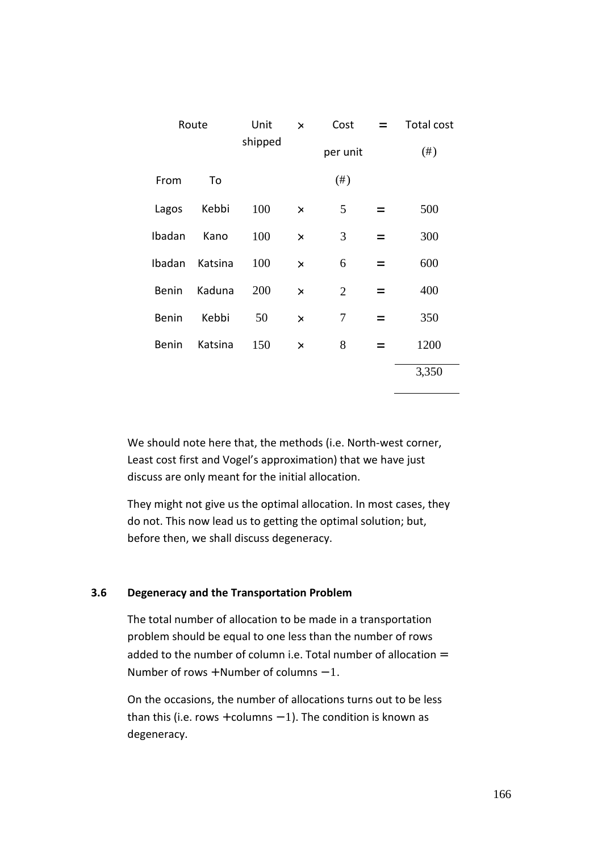| Route        |         | Unit<br>shipped | $\times$ | Cost<br>$=$    |     | <b>Total cost</b> |
|--------------|---------|-----------------|----------|----------------|-----|-------------------|
|              |         |                 |          | per unit       |     | $(\#)$            |
| From         | To      |                 |          | $(\#)$         |     |                   |
| Lagos        | Kebbi   | 100             | $\times$ | 5              | $=$ | 500               |
| Ibadan       | Kano    | 100             | $\times$ | 3              | $=$ | 300               |
| Ibadan       | Katsina | 100             | $\times$ | 6              | $=$ | 600               |
| <b>Benin</b> | Kaduna  | 200             | $\times$ | $\overline{2}$ | $=$ | 400               |
| <b>Benin</b> | Kebbi   | 50              | $\times$ | 7              | $=$ | 350               |
| <b>Benin</b> | Katsina | 150             | $\times$ | 8              | $=$ | 1200              |
|              |         |                 |          |                |     | 3,350             |

We should note here that, the methods (i.e. North-west corner, Least cost first and Vogel's approximation) that we have just discuss are only meant for the initial allocation.

They might not give us the optimal allocation. In most cases, they do not. This now lead us to getting the optimal solution; but, before then, we shall discuss degeneracy.

## **3.6 Degeneracy and the Transportation Problem**

The total number of allocation to be made in a transportation problem should be equal to one less than the number of rows added to the number of column i.e. Total number of allocation  $=$ Number of rows + Number of columns  $-1$ .

On the occasions, the number of allocations turns out to be less than this (i.e. rows + columns  $-1$ ). The condition is known as degeneracy.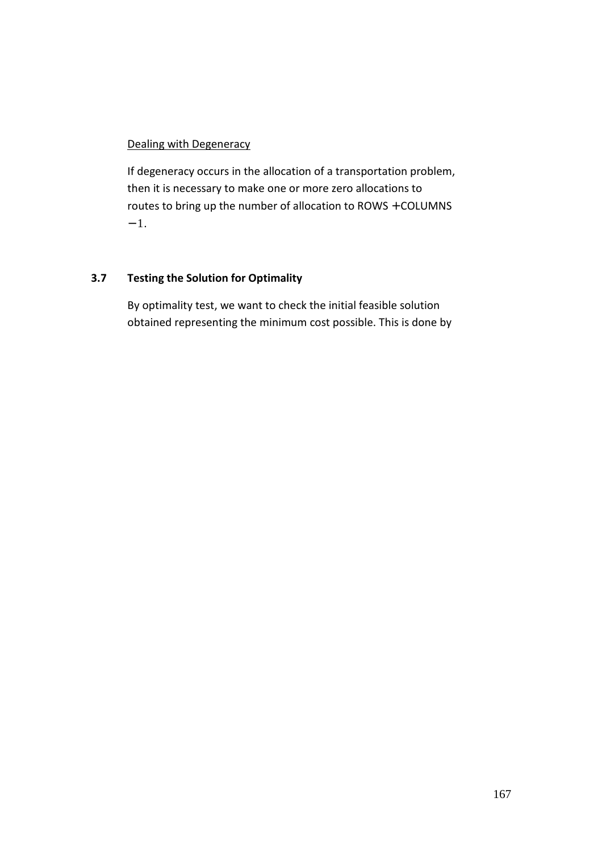### Dealing with Degeneracy

If degeneracy occurs in the allocation of a transportation problem, then it is necessary to make one or more zero allocations to routes to bring up the number of allocation to ROWS + COLUMNS  $-1.$ 

## **3.7 Testing the Solution for Optimality**

By optimality test, we want to check the initial feasible solution obtained representing the minimum cost possible. This is done by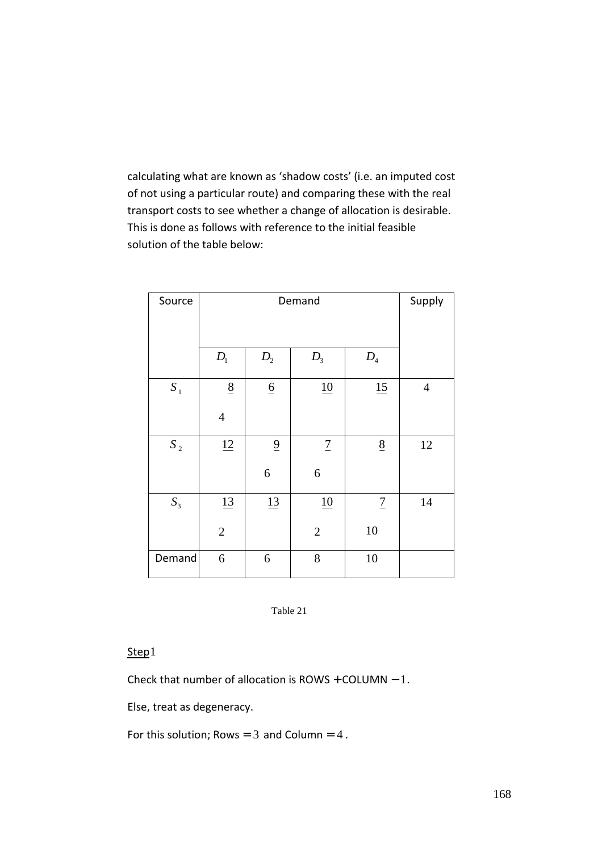calculating what are known as 'shadow costs' (i.e. an imputed cost of not using a particular route) and comparing these with the real transport costs to see whether a change of allocation is desirable. This is done as follows with reference to the initial feasible solution of the table below:

| Source |                 | Supply          |                  |                 |                |
|--------|-----------------|-----------------|------------------|-----------------|----------------|
|        | $D_{1}$         | $\mathcal{D}_2$ | $D_3$            | ${\cal D}_4$    |                |
| $S_1$  | $\underline{8}$ | $\underline{6}$ | 10               | 15              | $\overline{4}$ |
|        | $\overline{4}$  |                 |                  |                 |                |
| $S_2$  | 12              | $\overline{9}$  | $\overline{1}$   | $\underline{8}$ | 12             |
|        |                 | $\sqrt{6}$      | $\boldsymbol{6}$ |                 |                |
| $S_3$  | 13              | 13              | 10               | $\overline{1}$  | 14             |
|        | $\sqrt{2}$      |                 | $\sqrt{2}$       | 10              |                |
| Demand | 6               | 6               | 8                | 10              |                |

Table 21

## Step1

Check that number of allocation is  $ROWS + COLUMN - 1$ .

Else, treat as degeneracy.

For this solution; Rows =  $3$  and Column =  $4$ .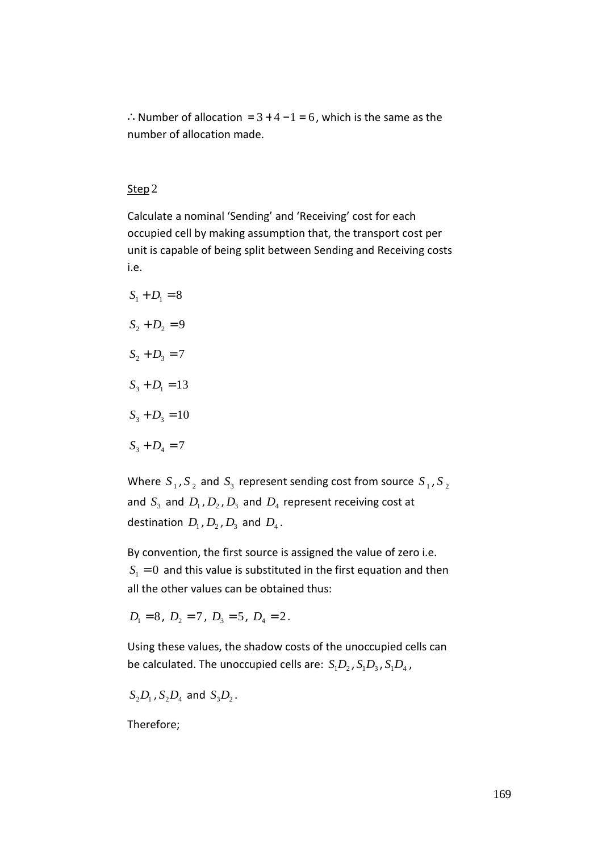∴Number of allocation =  $3 + 4 - 1 = 6$ , which is the same as the number of allocation made.

### Step 2

Calculate a nominal 'Sending' and 'Receiving' cost for each occupied cell by making assumption that, the transport cost per unit is capable of being split between Sending and Receiving costs i.e.

 $S_1 + D_1 = 8$  $S_2 + D_2 = 9$  $S_2 + D_3 = 7$  $S_3 + D_1 = 13$  $S_3 + D_3 = 10$  $S_3 + D_4 = 7$ 

Where  $S_1$ ,  $S_2$  and  $S_3$  represent sending cost from source  $S_1$ ,  $S_2$ and  $S_3$  and  $D_1$ ,  $D_2$ ,  $D_3$  and  $D_4$  represent receiving cost at destination  $D_1$ ,  $D_2$ ,  $D_3$  and  $D_4$ .

By convention, the first source is assigned the value of zero i.e.  $S<sub>1</sub> = 0$  and this value is substituted in the first equation and then all the other values can be obtained thus:

 $D_1 = 8$ ,  $D_2 = 7$ ,  $D_3 = 5$ ,  $D_4 = 2$ .

Using these values, the shadow costs of the unoccupied cells can be calculated. The unoccupied cells are:  $S_1D_2$ ,  $S_1D_3$ ,  $S_1D_4$ ,

$$
S_2D_1, S_2D_4 \text{ and } S_3D_2.
$$

Therefore;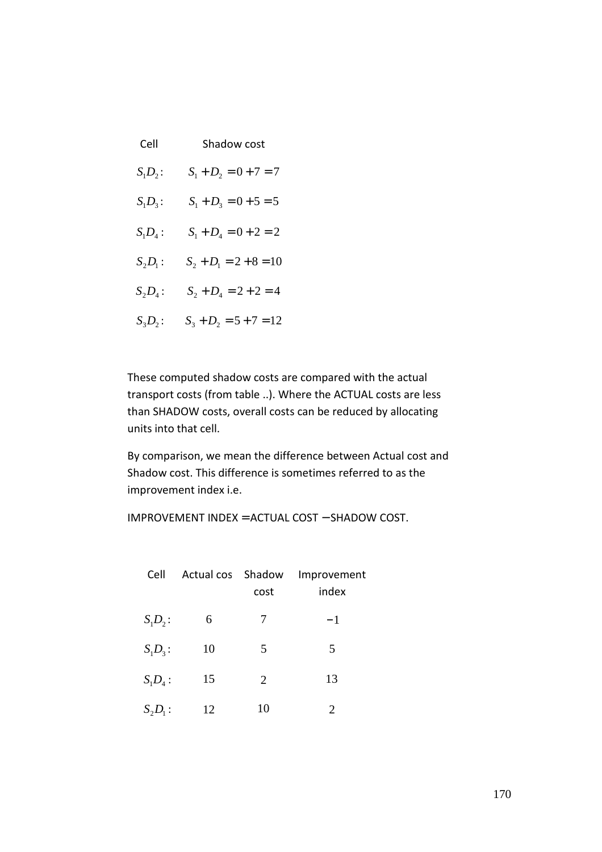| Cell             | Shadow cost              |
|------------------|--------------------------|
| $S_1D_2$ :       | $S_1 + D_2 = 0 + 7 = 7$  |
| $S_1D_3$ :       | $S_1 + D_3 = 0 + 5 = 5$  |
| $S_1D_4$ :       | $S_1 + D_4 = 0 + 2 = 2$  |
| $S_2D_1$ :       | $S_2 + D_1 = 2 + 8 = 10$ |
| $S^{}_2D^{}_4$ : | $S_2 + D_4 = 2 + 2 = 4$  |
| $S_3D_2$ :       | $S_3 + D_2 = 5 + 7 = 12$ |

These computed shadow costs are compared with the actual transport costs (from table ..). Where the ACTUAL costs are less than SHADOW costs, overall costs can be reduced by allocating units into that cell.

By comparison, we mean the difference between Actual cost and Shadow cost. This difference is sometimes referred to as the improvement index i.e.

IMPROVEMENT INDEX = ACTUAL COST − SHADOW COST.

| Cell       | Actual cos Shadow | cost           | Improvement<br>index |
|------------|-------------------|----------------|----------------------|
| $S_1D_2$ : | 6                 | 7              | $-1$                 |
| $S_1D_3$ : | 10                | 5              | 5                    |
| $S_1D_4$ : | 15                | $\overline{2}$ | 13                   |
| $S_2D_1$ : | 12                | 10             | 2                    |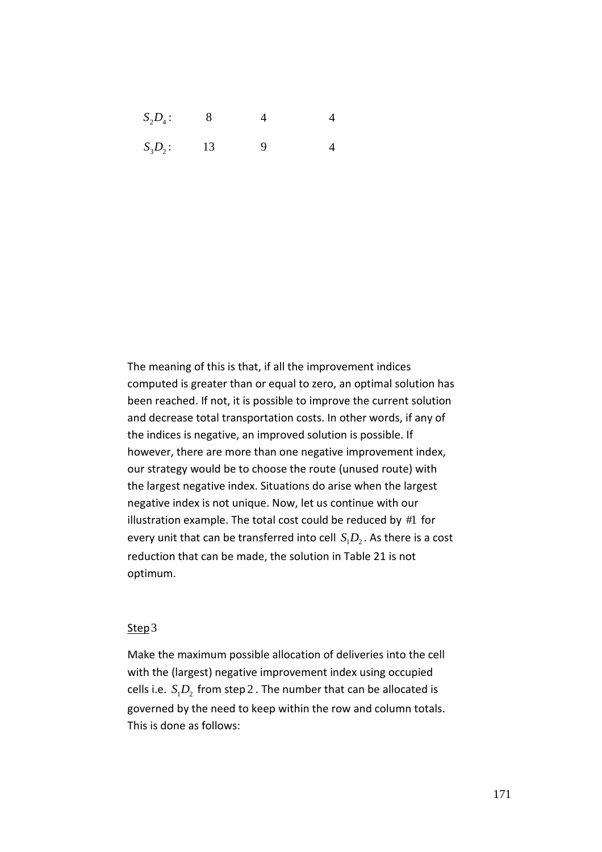$S_2 D_4$ : 8 4 4

 $S_3D_2$ : 13 9 4

The meaning of this is that, if all the improvement indices computed is greater than or equal to zero, an optimal solution has been reached. If not, it is possible to improve the current solution and decrease total transportation costs. In other words, if any of the indices is negative, an improved solution is possible. If however, there are more than one negative improvement index, our strategy would be to choose the route (unused route) with the largest negative index. Situations do arise when the largest negative index is not unique. Now, let us continue with our illustration example. The total cost could be reduced by #1 for every unit that can be transferred into cell  $S_1D_2$ . As there is a cost reduction that can be made, the solution in Table 21 is not optimum.

### Step3

Make the maximum possible allocation of deliveries into the cell with the (largest) negative improvement index using occupied cells i.e.  $S_1D_2$  from step 2 . The number that can be allocated is governed by the need to keep within the row and column totals. This is done as follows: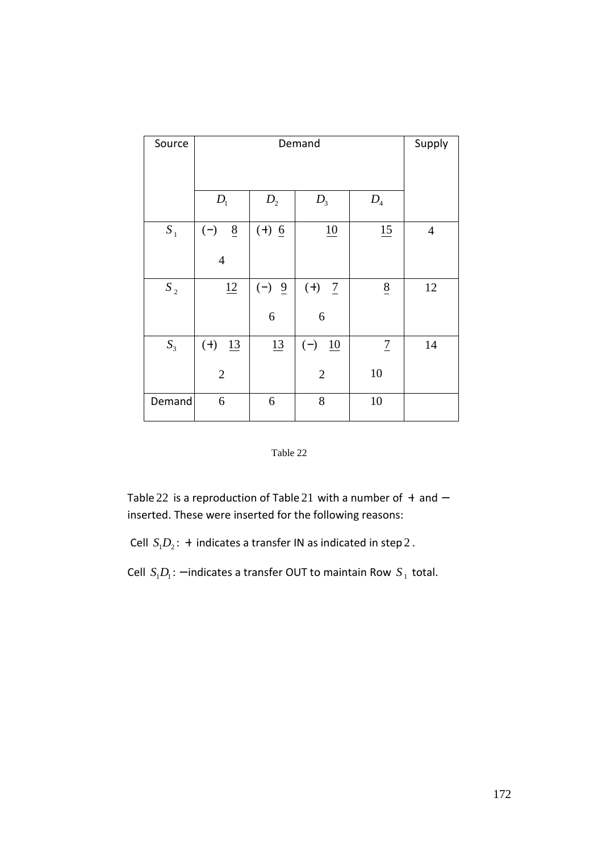| Source         |                          | Supply         |                        |                 |                |
|----------------|--------------------------|----------------|------------------------|-----------------|----------------|
|                |                          |                |                        |                 |                |
|                | D <sub>1</sub>           | D <sub>2</sub> | $D_3$                  | $D_4$           |                |
| $S_{1}$        | $\underline{8}$<br>$(-)$ | $(+)$ 6        | 10                     | 15              | $\overline{4}$ |
|                | $\overline{4}$           |                |                        |                 |                |
| $S_2$          | 12                       | $(-) 9$        | $(+)$<br>$\frac{7}{2}$ | $8\overline{)}$ | 12             |
|                |                          | 6              | 6                      |                 |                |
| S <sub>3</sub> | $(+)$<br>13              | 13             | $(-)$<br>10            | $\overline{1}$  | 14             |
|                | $\overline{2}$           |                | $\mathfrak{2}$         | 10              |                |
| Demand         | 6                        | 6              | 8                      | 10              |                |



Table 22 is a reproduction of Table 21 with a number of + and − inserted. These were inserted for the following reasons:

Cell  $S_1D_2$ : + indicates a transfer IN as indicated in step 2.

Cell  $S_1D_1$ : – indicates a transfer OUT to maintain Row  $S_1$  total.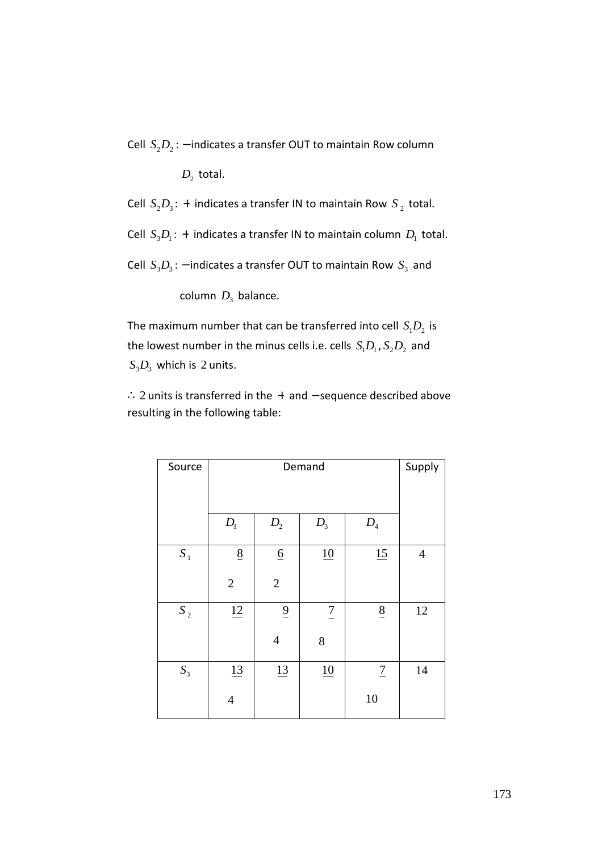Cell  $S_2D_2$ : − indicates a transfer OUT to maintain Row column

 $D_2$  total.

Cell  $S_2D_3$ : + indicates a transfer IN to maintain Row  $S_2$  total.

Cell  $S_3D_1$ : + indicates a transfer IN to maintain column  $D_1$  total.

Cell  $S_3D_3$ : − indicates a transfer OUT to maintain Row  $S_3$  and

 $\mathsf{column}\ D_{3}\ \mathsf{balance}.$ 

The maximum number that can be transferred into cell  $S_1D_2$  is the lowest number in the minus cells i.e. cells  $S_1D_1$ ,  $S_2D_2$  and  $S_3D_3$  which is 2 units.

∴ 2 units is transferred in the + and − sequence described above resulting in the following table:

| Source    |                | Supply          |                |                            |                |  |  |  |  |
|-----------|----------------|-----------------|----------------|----------------------------|----------------|--|--|--|--|
|           | $D_{1}$        | $D_{3}$         |                |                            |                |  |  |  |  |
|           |                | $\mathcal{D}_2$ |                | $D_{\scriptscriptstyle 4}$ |                |  |  |  |  |
| $S_1$     | 8              | $\underline{6}$ | 10             | 15                         | $\overline{4}$ |  |  |  |  |
|           | $\sqrt{2}$     | $\overline{2}$  |                |                            |                |  |  |  |  |
| $S_{\,2}$ | 12             | $\overline{9}$  | $\overline{7}$ | $\underline{8}$            | $12\,$         |  |  |  |  |
|           |                | $\overline{4}$  | 8              |                            |                |  |  |  |  |
| $S_3$     | 13             | 13              | 10             | $\boldsymbol{7}$           | 14             |  |  |  |  |
|           | $\overline{4}$ |                 |                | 10                         |                |  |  |  |  |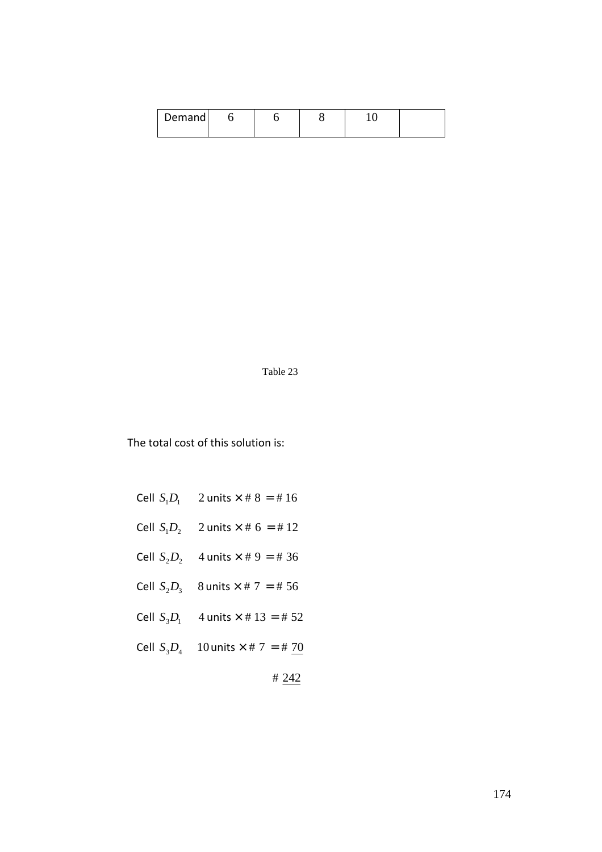| Demand |  |  |  |
|--------|--|--|--|
|        |  |  |  |

Table 23

The total cost of this solution is:

- Cell  $S_1 D_2$  2 units  $\times$  # 6 = # 12
- Cell  $S_2 D_2$  4 units  $\times$  # 9 = # 36
- Cell  $S_2D_3$  8 units  $\times$  # 7 = # 56
- Cell  $S_3D_1$  4 units  $\times$  # 13 = # 52
- Cell  $S_3 D_4$  10 units  $\times$  # 7 = # 70

# 242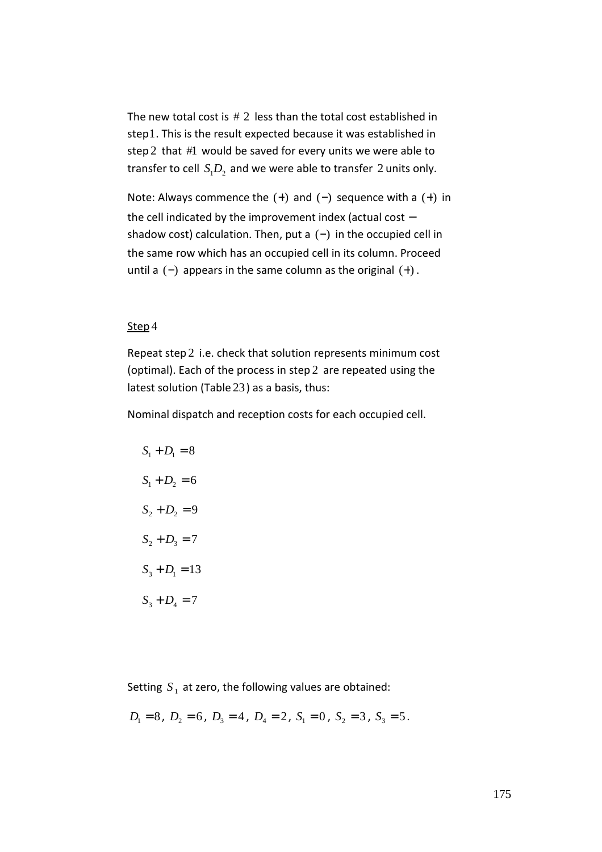The new total cost is  $# 2$  less than the total cost established in step1. This is the result expected because it was established in step 2 that #1 would be saved for every units we were able to transfer to cell  $S_1D_2$  and we were able to transfer 2 units only.

Note: Always commence the  $(+)$  and  $(-)$  sequence with a  $(+)$  in the cell indicated by the improvement index (actual cost − shadow cost) calculation. Then, put a  $(-)$  in the occupied cell in the same row which has an occupied cell in its column. Proceed until a  $(-)$  appears in the same column as the original  $(+)$ .

### Step 4

Repeat step 2 i.e. check that solution represents minimum cost (optimal). Each of the process in step 2 are repeated using the latest solution (Table 23) as a basis, thus:

Nominal dispatch and reception costs for each occupied cell.

$$
S_1 + D_1 = 8
$$
  
\n
$$
S_1 + D_2 = 6
$$
  
\n
$$
S_2 + D_2 = 9
$$
  
\n
$$
S_2 + D_3 = 7
$$
  
\n
$$
S_3 + D_1 = 13
$$
  
\n
$$
S_3 + D_4 = 7
$$

Setting  $S_1$  at zero, the following values are obtained:

$$
D_1 = 8
$$
,  $D_2 = 6$ ,  $D_3 = 4$ ,  $D_4 = 2$ ,  $S_1 = 0$ ,  $S_2 = 3$ ,  $S_3 = 5$ .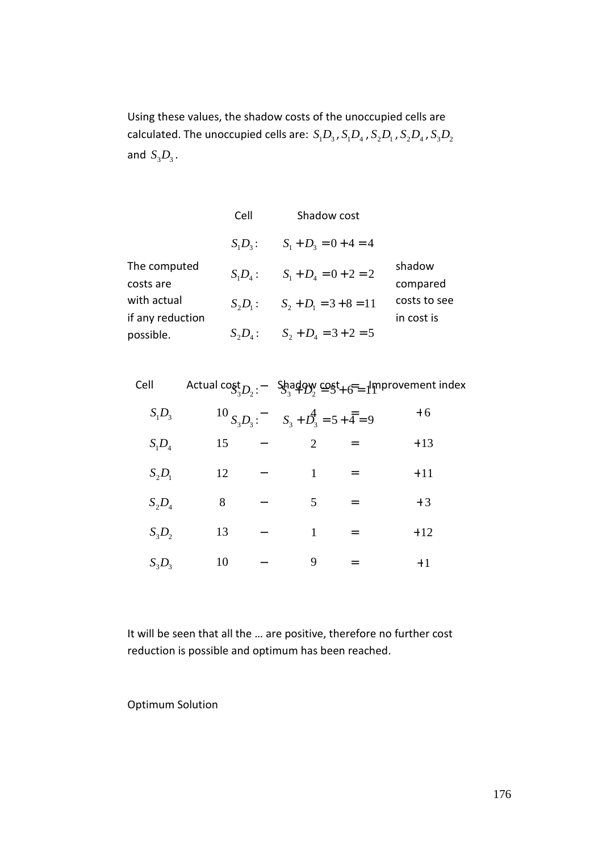Using these values, the shadow costs of the unoccupied cells are calculated. The unoccupied cells are:  $S_1D_3$  ,  $S_1D_4$  ,  $S_2D_1$  ,  $S_2D_4$  ,  $S_3D_2$ and  $S_3D_3$ .

|                                 | Cell       | Shadow cost              |                            |
|---------------------------------|------------|--------------------------|----------------------------|
|                                 | $S_1D_3$ : | $S_1 + D_2 = 0 + 4 = 4$  |                            |
| The computed<br>costs are       | $S_1D_4$ : | $S_1 + D_4 = 0 + 2 = 2$  | shadow<br>compared         |
| with actual<br>if any reduction | $S_2D_1$ : | $S_2 + D_1 = 3 + 8 = 11$ | costs to see<br>in cost is |
| possible.                       | $S_2D_4$ : | $S_2 + D_4 = 3 + 2 = 5$  |                            |

| Cell     |    |                                                    | Actual cost $D_3$ : $-$ Shadow cost $6 = 1$ mprovement index |
|----------|----|----------------------------------------------------|--------------------------------------------------------------|
| $S_1D_3$ |    | $^{10}S_3D_3$ : $S_3 + D_3 = 5 + \overline{4} = 9$ | $+6$                                                         |
| $S_1D_4$ | 15 | $\overline{2}$                                     | $+13$                                                        |
| $S_2D_1$ | 12 |                                                    | $+11$                                                        |
| $S_2D_4$ | 8  | 5                                                  | $+3$                                                         |
| $S_3D_2$ | 13 | 1                                                  | $+12$                                                        |
| $S_3D_3$ | 10 | 9                                                  | $+1$                                                         |

It will be seen that all the … are positive, therefore no further cost reduction is possible and optimum has been reached.

Optimum Solution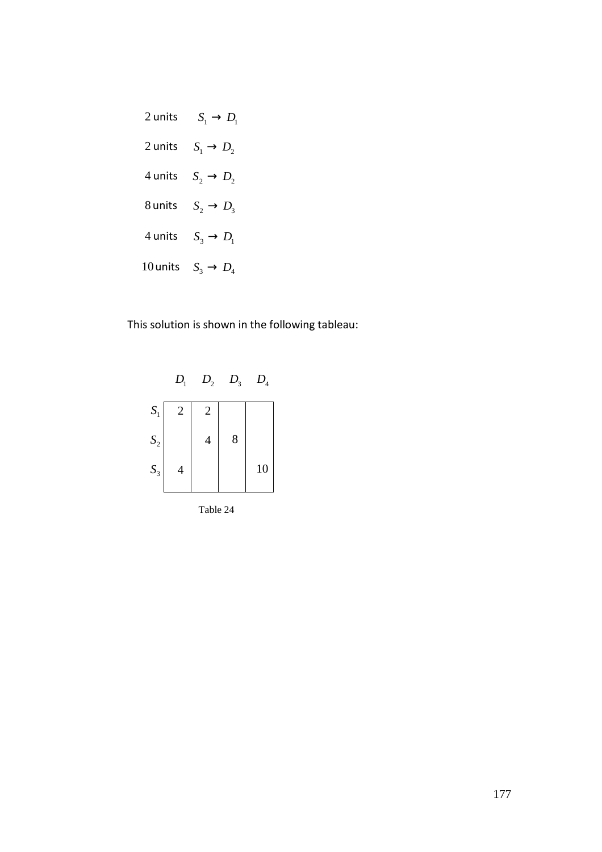

This solution is shown in the following tableau:



Table 24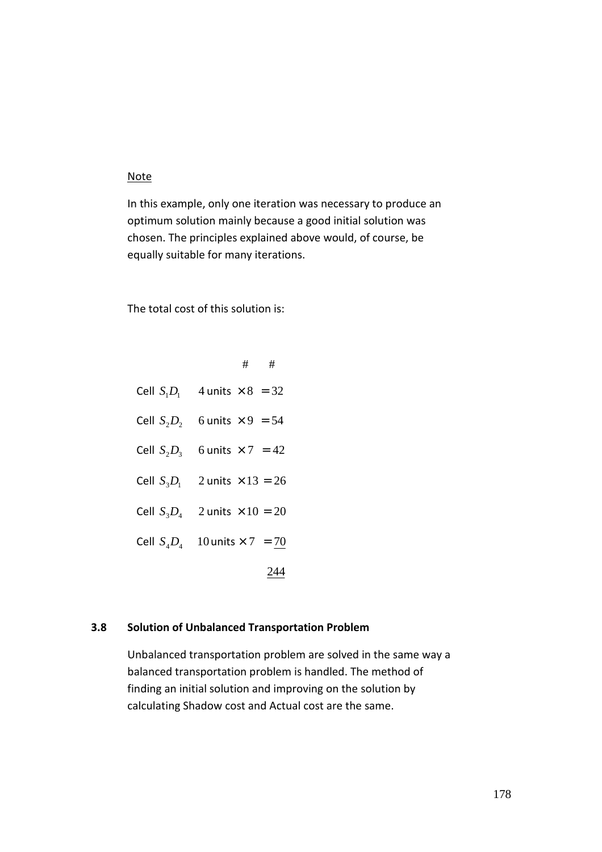### **Note**

In this example, only one iteration was necessary to produce an optimum solution mainly because a good initial solution was chosen. The principles explained above would, of course, be equally suitable for many iterations.

The total cost of this solution is:

|               | ##                       |
|---------------|--------------------------|
| Cell $S_1D_1$ | 4 units $\times$ 8 = 32  |
| Cell $S_2D_2$ | 6 units $\times$ 9 = 54  |
| Cell $S_2D_3$ | 6 units $\times$ 7 = 42  |
| Cell $S_3D_1$ | 2 units $\times$ 13 = 26 |
| Cell $S_3D_4$ | 2 units $\times$ 10 = 20 |
| Cell $S_4D_4$ | 10 units $\times$ 7 = 70 |
|               | 244                      |

### **3.8 Solution of Unbalanced Transportation Problem**

Unbalanced transportation problem are solved in the same way a balanced transportation problem is handled. The method of finding an initial solution and improving on the solution by calculating Shadow cost and Actual cost are the same.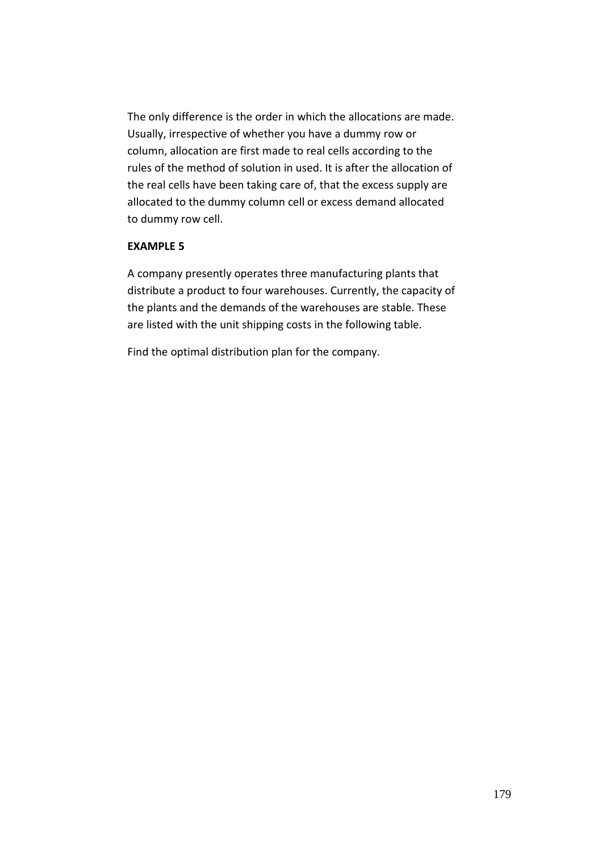The only difference is the order in which the allocations are made. Usually, irrespective of whether you have a dummy row or column, allocation are first made to real cells according to the rules of the method of solution in used. It is after the allocation of the real cells have been taking care of, that the excess supply are allocated to the dummy column cell or excess demand allocated to dummy row cell.

#### **EXAMPLE 5**

A company presently operates three manufacturing plants that distribute a product to four warehouses. Currently, the capacity of the plants and the demands of the warehouses are stable. These are listed with the unit shipping costs in the following table.

Find the optimal distribution plan for the company.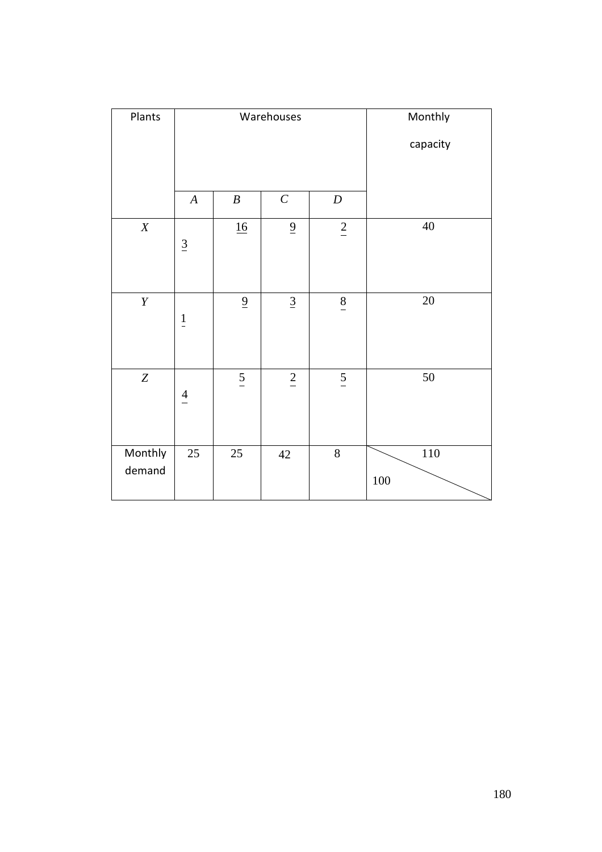| Plants            |                  |                       | Warehouses      |                  | Monthly    |
|-------------------|------------------|-----------------------|-----------------|------------------|------------|
|                   |                  |                       | capacity        |                  |            |
|                   |                  |                       |                 |                  |            |
|                   | $\boldsymbol{A}$ | $\boldsymbol{B}$      | $\cal C$        | $\boldsymbol{D}$ |            |
| $\boldsymbol{X}$  | $\underline{3}$  | $\underline{16}$      | $\overline{6}$  | $\overline{2}$   | $40\,$     |
| $\boldsymbol{Y}$  | $\frac{1}{1}$    | $\overline{\partial}$ | $\underline{3}$ | $\frac{8}{1}$    | 20         |
| $\boldsymbol{Z}$  | $\frac{4}{1}$    | $\frac{5}{1}$         | $\underline{2}$ | $\frac{5}{1}$    | 50         |
| Monthly<br>demand | 25               | 25                    | 42              | $8\,$            | 110<br>100 |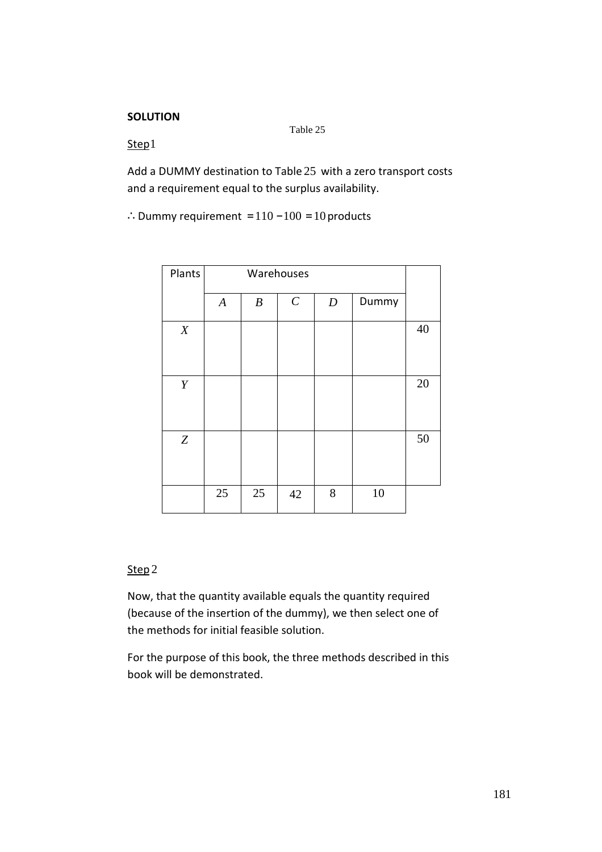#### **SOLUTION**

Table 25

Step1

Add a DUMMY destination to Table 25 with a zero transport costs and a requirement equal to the surplus availability.

∴Dummy requirement =  $110 - 100 = 10$  products

| Plants           | Warehouses       |                  |          |                  |       |    |
|------------------|------------------|------------------|----------|------------------|-------|----|
|                  | $\boldsymbol{A}$ | $\boldsymbol{B}$ | $\cal C$ | $\boldsymbol{D}$ | Dummy |    |
| X                |                  |                  |          |                  |       | 40 |
| Y                |                  |                  |          |                  |       | 20 |
| $\boldsymbol{Z}$ |                  |                  |          |                  |       | 50 |
|                  | 25               | 25               | 42       | 8                | 10    |    |

#### Step 2

Now, that the quantity available equals the quantity required (because of the insertion of the dummy), we then select one of the methods for initial feasible solution.

For the purpose of this book, the three methods described in this book will be demonstrated.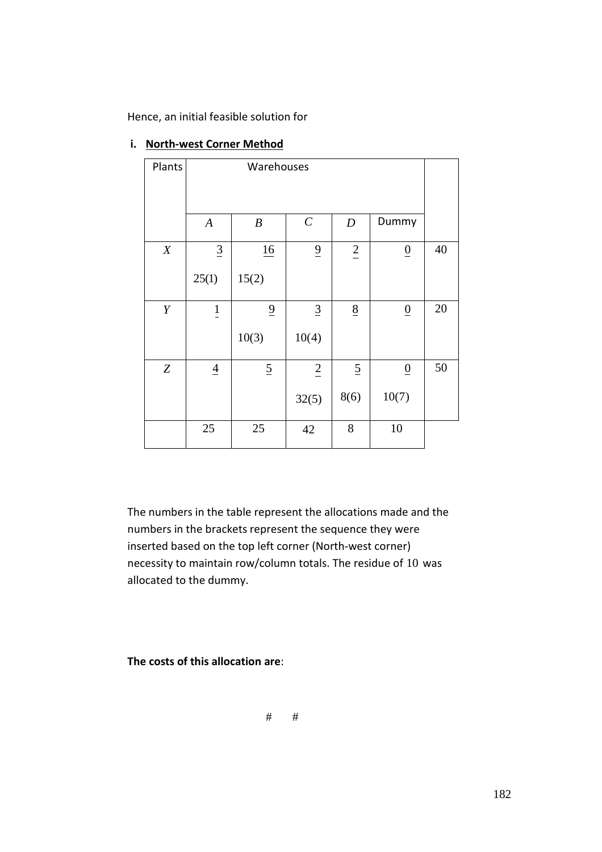Hence, an initial feasible solution for

| Plants | Warehouses       |                  |                      |                  |                 |    |
|--------|------------------|------------------|----------------------|------------------|-----------------|----|
|        | $\boldsymbol{A}$ | $\boldsymbol{B}$ | $\cal C$             | $\boldsymbol{D}$ | Dummy           |    |
| X      | $\underline{3}$  | 16               | $\overline{9}$       | $\frac{2}{\pi}$  | $\underline{0}$ | 40 |
|        | 25(1)            | 15(2)            |                      |                  |                 |    |
| Y      | $\frac{1}{1}$    | $\overline{6}$   | $\overline{3}$       | $\underline{8}$  | $\overline{0}$  | 20 |
|        |                  | 10(3)            | 10(4)                |                  |                 |    |
| Z      | $\overline{4}$   | $\overline{2}$   | $\frac{2}{\sqrt{2}}$ | $\overline{2}$   | $\underline{0}$ | 50 |
|        |                  |                  | 32(5)                | 8(6)             | 10(7)           |    |
|        | 25               | 25               | 42                   | 8                | 10              |    |

# **i. North-west Corner Method**

The numbers in the table represent the allocations made and the numbers in the brackets represent the sequence they were inserted based on the top left corner (North-west corner) necessity to maintain row/column totals. The residue of 10 was allocated to the dummy.

**The costs of this allocation are**:

# #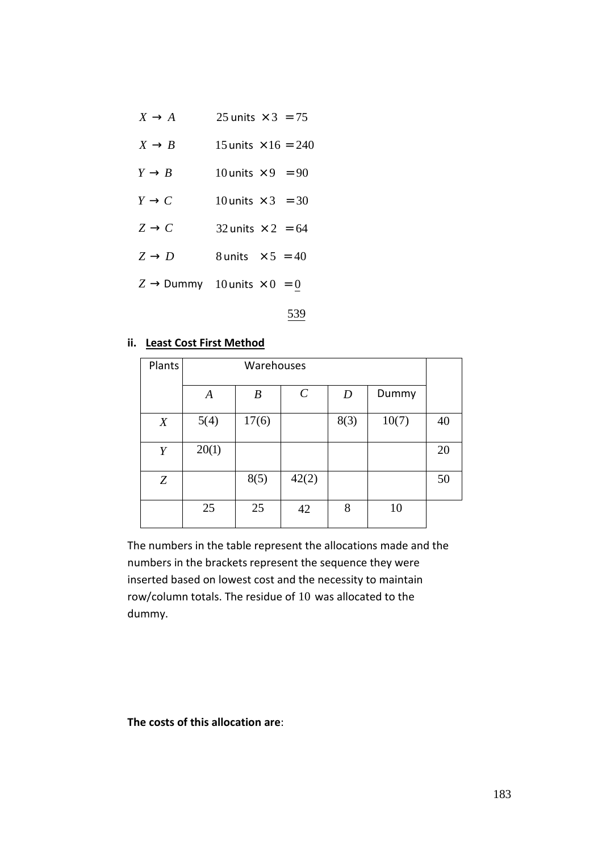| $X \rightarrow A$ | 25 units $\times$ 3 = 75 |  |
|-------------------|--------------------------|--|
|                   |                          |  |

- $X \rightarrow B$  15 units  $\times 16 = 240$
- $Y \rightarrow B$  10 units  $\times 9$  = 90
- $Y \rightarrow C$  10 units  $\times$  3 = 30
- $Z \rightarrow C$  32 units  $\times 2 = 64$
- $Z \rightarrow D$  8 units  $\times 5 = 40$

 $Z \rightarrow$  Dummy 10 units  $\times 0 = 0$ 

539

#### **ii. Least Cost First Method**

| Plants |                  | Warehouses       |               |                  |       |    |  |
|--------|------------------|------------------|---------------|------------------|-------|----|--|
|        | $\boldsymbol{A}$ | $\boldsymbol{B}$ | $\mathcal{C}$ | $\boldsymbol{D}$ | Dummy |    |  |
| X      | 5(4)             | 17(6)            |               | 8(3)             | 10(7) | 40 |  |
| Y      | 20(1)            |                  |               |                  |       | 20 |  |
| Z      |                  | 8(5)             | 42(2)         |                  |       | 50 |  |
|        | 25               | 25               | 42            | 8                | 10    |    |  |

The numbers in the table represent the allocations made and the numbers in the brackets represent the sequence they were inserted based on lowest cost and the necessity to maintain row/column totals. The residue of 10 was allocated to the dummy.

#### **The costs of this allocation are**: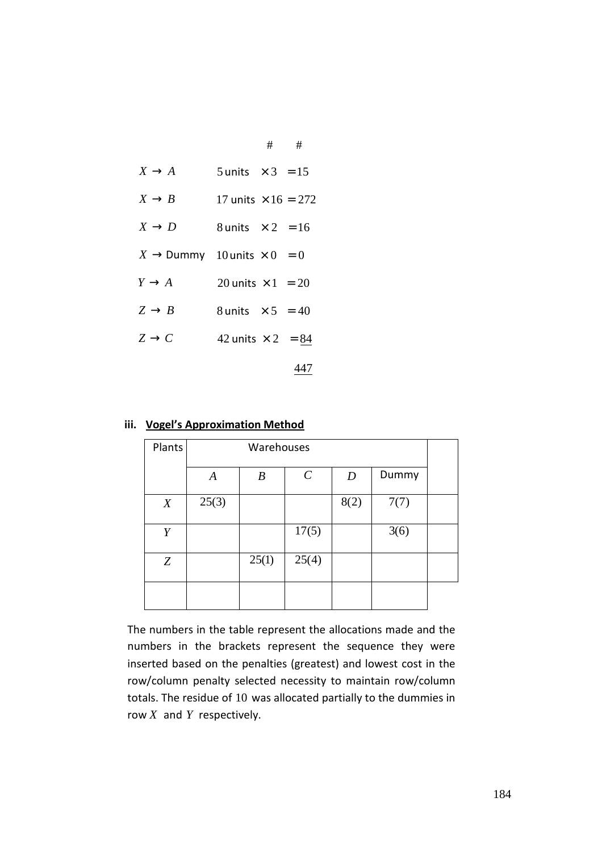| $X \rightarrow A$                             | 5 units $\times$ 3 = 15    |  |
|-----------------------------------------------|----------------------------|--|
| $X \rightarrow B$                             | 17 units $\times$ 16 = 272 |  |
| $X \rightarrow D$                             | 8 units $\times 2 = 16$    |  |
| $X \rightarrow$ Dummy 10 units $\times 0 = 0$ |                            |  |
| $Y \rightarrow A$                             | 20 units $\times$ 1 = 20   |  |
| $Z \rightarrow B$                             | 8 units $\times 5 = 40$    |  |
| $Z \rightarrow C$                             | 42 units $\times 2 = 84$   |  |
|                                               |                            |  |

| Plants | Warehouses       |                  |                       |                  |       |  |  |
|--------|------------------|------------------|-----------------------|------------------|-------|--|--|
|        | $\boldsymbol{A}$ | $\boldsymbol{B}$ | $\mathcal{C}_{0}^{0}$ | $\boldsymbol{D}$ | Dummy |  |  |
| X      | 25(3)            |                  |                       | 8(2)             | 7(7)  |  |  |
| Y      |                  |                  | 17(5)                 |                  | 3(6)  |  |  |
| Z      |                  | 25(1)            | 25(4)                 |                  |       |  |  |
|        |                  |                  |                       |                  |       |  |  |

#### **iii. Vogel's Approximation Method**

The numbers in the table represent the allocations made and the numbers in the brackets represent the sequence they were inserted based on the penalties (greatest) and lowest cost in the row/column penalty selected necessity to maintain row/column totals. The residue of 10 was allocated partially to the dummies in row *X* and *Y* respectively.

# #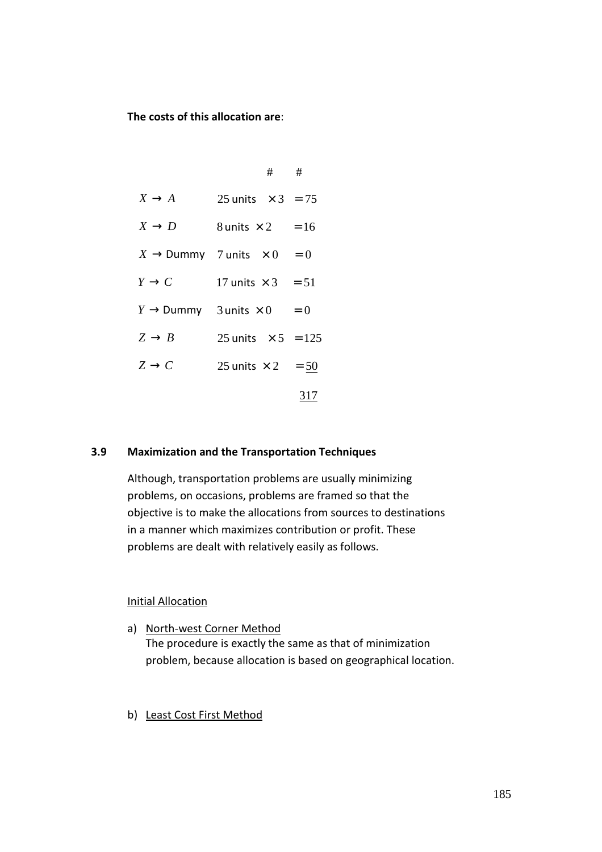**The costs of this allocation are**:

|                                              |                           | $\#$ $\#$ |     |
|----------------------------------------------|---------------------------|-----------|-----|
| $X \rightarrow A$                            | 25 units $\times$ 3 = 75  |           |     |
| $X \to D$                                    | 8 units $\times 2 = 16$   |           |     |
| $X \rightarrow$ Dummy 7 units $\times 0 = 0$ |                           |           |     |
| $Y \to C$                                    | 17 units $\times$ 3 = 51  |           |     |
| $Y \rightarrow$ Dummy 3 units $\times 0 = 0$ |                           |           |     |
| $Z \rightarrow B$                            | 25 units $\times 5 = 125$ |           |     |
| $Z \rightarrow C$                            | 25 units $\times 2 = 50$  |           |     |
|                                              |                           |           | 317 |

#### **3.9 Maximization and the Transportation Techniques**

Although, transportation problems are usually minimizing problems, on occasions, problems are framed so that the objective is to make the allocations from sources to destinations in a manner which maximizes contribution or profit. These problems are dealt with relatively easily as follows.

#### Initial Allocation

- a) North-west Corner Method The procedure is exactly the same as that of minimization problem, because allocation is based on geographical location.
- b) Least Cost First Method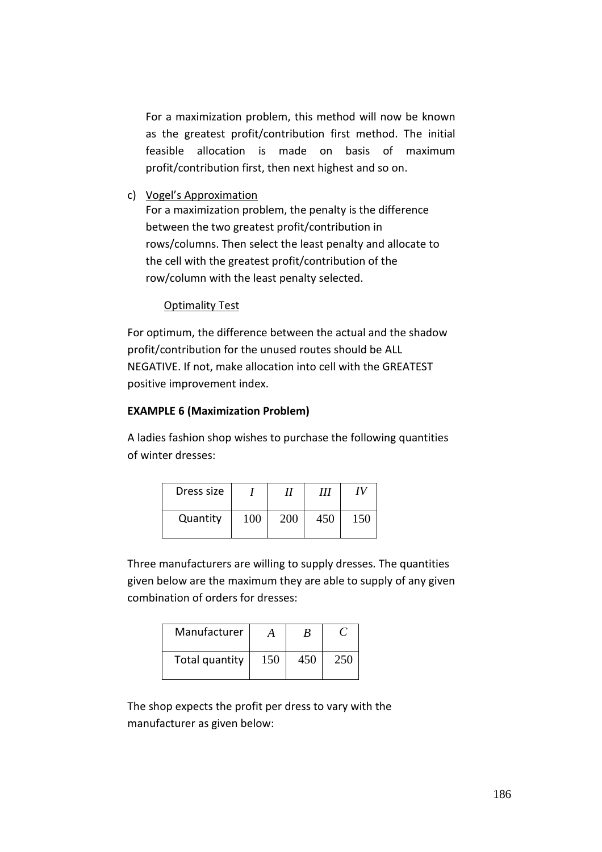For a maximization problem, this method will now be known as the greatest profit/contribution first method. The initial feasible allocation is made on basis of maximum profit/contribution first, then next highest and so on.

c) Vogel's Approximation

For a maximization problem, the penalty is the difference between the two greatest profit/contribution in rows/columns. Then select the least penalty and allocate to the cell with the greatest profit/contribution of the row/column with the least penalty selected.

#### Optimality Test

For optimum, the difference between the actual and the shadow profit/contribution for the unused routes should be ALL NEGATIVE. If not, make allocation into cell with the GREATEST positive improvement index.

#### **EXAMPLE 6 (Maximization Problem)**

A ladies fashion shop wishes to purchase the following quantities of winter dresses:

| Dress size |            |     | Ш   | TV  |
|------------|------------|-----|-----|-----|
| Quantity   | $100^{-1}$ | 200 | 450 | 150 |

Three manufacturers are willing to supply dresses. The quantities given below are the maximum they are able to supply of any given combination of orders for dresses:

| Manufacturer   | А   | В   |     |
|----------------|-----|-----|-----|
| Total quantity | 150 | 450 | 250 |

The shop expects the profit per dress to vary with the manufacturer as given below: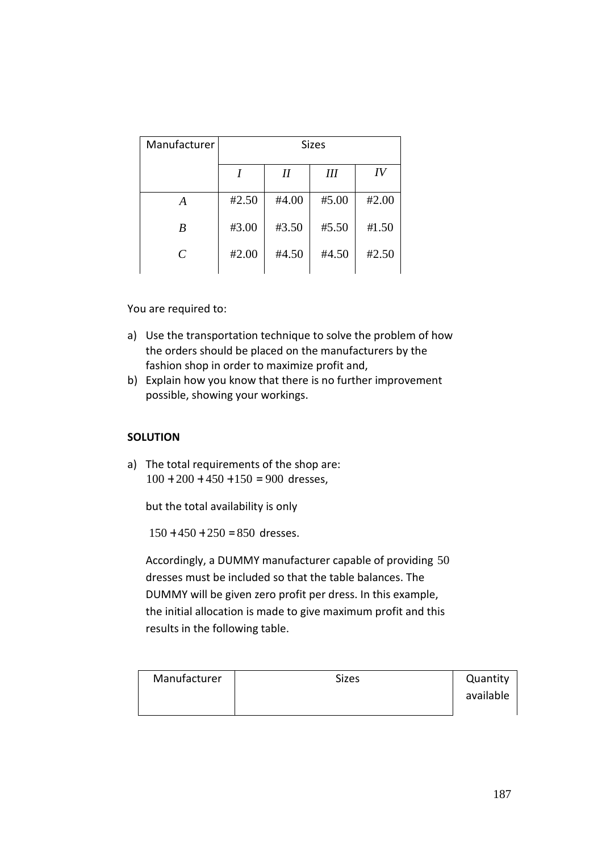| Manufacturer                | <b>Sizes</b> |          |       |       |  |  |
|-----------------------------|--------------|----------|-------|-------|--|--|
|                             |              | $\it II$ | Ш     | IV    |  |  |
| A                           | #2.50        | #4.00    | #5.00 | #2.00 |  |  |
| B                           | #3.00        | #3.50    | #5.50 | #1.50 |  |  |
| $\mathcal{C}_{\mathcal{C}}$ | #2.00        | #4.50    | #4.50 | #2.50 |  |  |

You are required to:

- a) Use the transportation technique to solve the problem of how the orders should be placed on the manufacturers by the fashion shop in order to maximize profit and,
- b) Explain how you know that there is no further improvement possible, showing your workings.

#### **SOLUTION**

a) The total requirements of the shop are:  $100 + 200 + 450 + 150 = 900$  dresses,

but the total availability is only

 $150 + 450 + 250 = 850$  dresses.

Accordingly, a DUMMY manufacturer capable of providing 50 dresses must be included so that the table balances. The DUMMY will be given zero profit per dress. In this example, the initial allocation is made to give maximum profit and this results in the following table.

| Manufacturer | <b>Sizes</b> | Quantity  |
|--------------|--------------|-----------|
|              |              | available |
|              |              |           |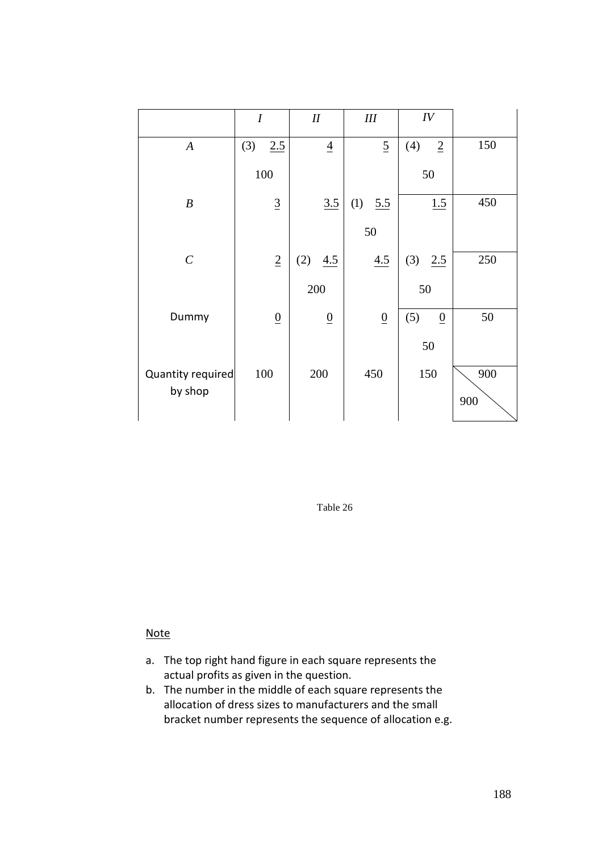|                   | $\boldsymbol{I}$ | $I\!I$          | III             | IV                    |     |
|-------------------|------------------|-----------------|-----------------|-----------------------|-----|
| $\boldsymbol{A}$  | 2.5<br>(3)       | $\underline{4}$ | $\overline{2}$  | (4)<br>$\overline{2}$ | 150 |
|                   | 100              |                 |                 | 50                    |     |
| $\boldsymbol{B}$  | $\underline{3}$  | 3.5             | (1)<br>5.5      | 1.5                   | 450 |
|                   |                  |                 | 50              |                       |     |
| $\cal C$          | $\underline{2}$  | (2)<br>4.5      | 4.5             | (3)<br>2.5            | 250 |
|                   |                  | 200             |                 | 50                    |     |
| Dummy             | $\underline{0}$  | $\underline{0}$ | $\underline{0}$ | (5)<br>$\overline{0}$ | 50  |
|                   |                  |                 |                 | 50                    |     |
| Quantity required | 100              | 200             | 450             | 150                   | 900 |
| by shop           |                  |                 |                 |                       | 900 |

Table 26

# Note

- a. The top right hand figure in each square represents the actual profits as given in the question.
- b. The number in the middle of each square represents the allocation of dress sizes to manufacturers and the small bracket number represents the sequence of allocation e.g.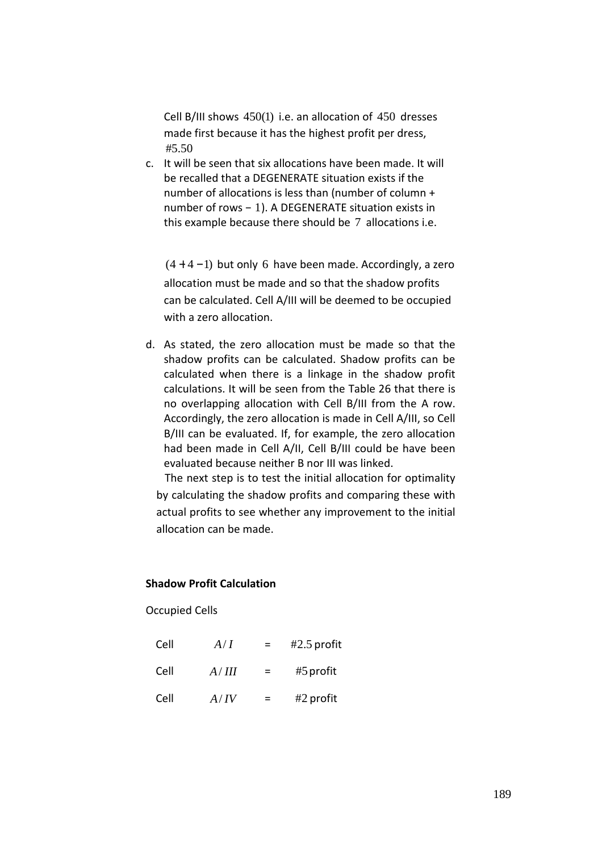Cell B/III shows  $450(1)$  i.e. an allocation of  $450$  dresses made first because it has the highest profit per dress,  $#5.50$ 

c. It will be seen that six allocations have been made. It will be recalled that a DEGENERATE situation exists if the number of allocations is less than (number of column + number of rows − 1). A DEGENERATE situation exists in this example because there should be 7 allocations i.e.

 $(4 + 4 - 1)$  but only 6 have been made. Accordingly, a zero allocation must be made and so that the shadow profits can be calculated. Cell A/III will be deemed to be occupied with a zero allocation.

d. As stated, the zero allocation must be made so that the shadow profits can be calculated. Shadow profits can be calculated when there is a linkage in the shadow profit calculations. It will be seen from the Table 26 that there is no overlapping allocation with Cell B/III from the A row. Accordingly, the zero allocation is made in Cell A/III, so Cell B/III can be evaluated. If, for example, the zero allocation had been made in Cell A/II, Cell B/III could be have been evaluated because neither B nor III was linked.

 The next step is to test the initial allocation for optimality by calculating the shadow profits and comparing these with actual profits to see whether any improvement to the initial allocation can be made.

#### **Shadow Profit Calculation**

Occupied Cells

| Cell | A/I   | $\equiv$ | $#2.5$ profit |
|------|-------|----------|---------------|
| Cell | A/III | $\equiv$ | $#5$ profit   |
| Cell | A/IV  | $=$      | $#2$ profit   |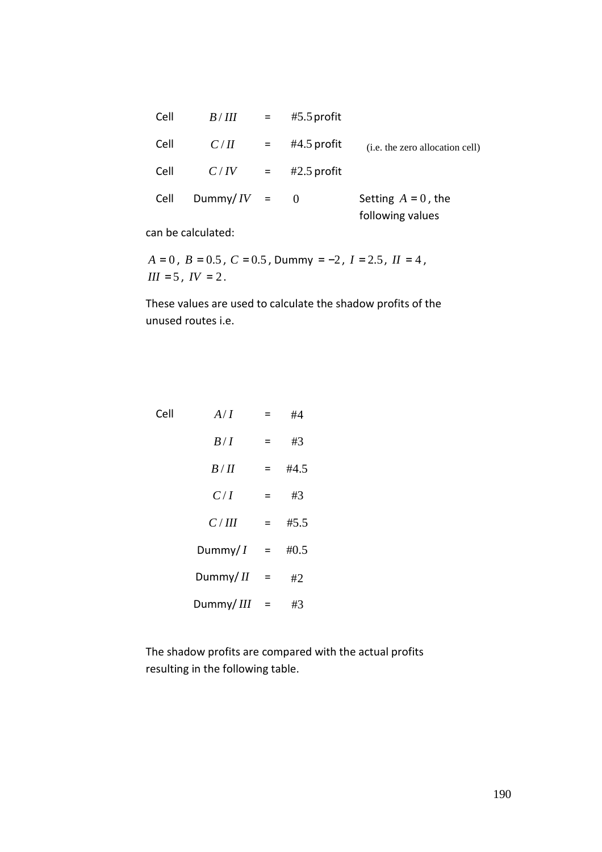|                                           | $#5.5$ profit |                           | B/III         | Cell |
|-------------------------------------------|---------------|---------------------------|---------------|------|
| (i.e. the zero allocation cell)           | $#4.5$ profit | $=$                       | C/H           | Cell |
|                                           | $#2.5$ profit | $\mathbf{r} = \mathbf{r}$ | C/IV          | Cell |
| Setting $A = 0$ , the<br>following values | $\Omega$      |                           | Dummy/ $IV =$ | Cell |

can be calculated:

 $A = 0$ ,  $B = 0.5$ ,  $C = 0.5$ , Dummy =  $-2$ ,  $I = 2.5$ ,  $II = 4$ ,  $III = 5$ ,  $IV = 2$ .

These values are used to calculate the shadow profits of the unused routes i.e.

| Cell | A/I        |     | #4   |
|------|------------|-----|------|
|      | B/I        | Ξ   | #3   |
|      | B/H        | Ξ   | #4.5 |
|      | C/I        | =   | #3   |
|      | C/III      | Ξ   | #5.5 |
|      | Dummy/ $I$ | $=$ | #0.5 |
|      | Dummy/II   | $=$ | #2   |
|      | Dummy/III  | =   | #3   |

The shadow profits are compared with the actual profits resulting in the following table.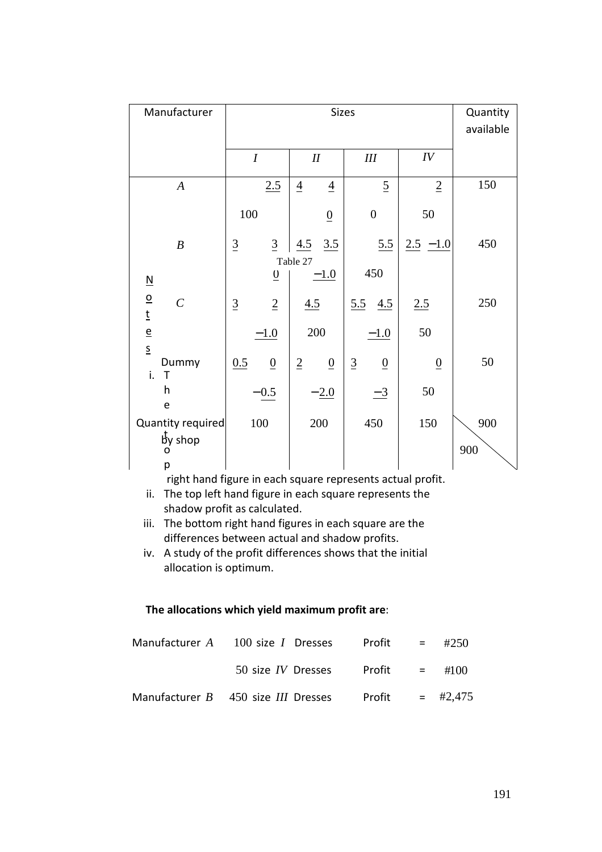| Manufacturer                                                  |                                    | <b>Sizes</b>                      |                                   |                | Quantity<br>available |
|---------------------------------------------------------------|------------------------------------|-----------------------------------|-----------------------------------|----------------|-----------------------|
|                                                               | $\boldsymbol{I}$                   | $I\!I$                            | III                               | IV             |                       |
| $\boldsymbol{A}$                                              | 2.5                                | $\overline{4}$<br>$\overline{4}$  | $\overline{2}$                    | $\overline{2}$ | 150                   |
|                                                               | 100                                | $\underline{0}$                   | $\overline{0}$                    | 50             |                       |
| $\boldsymbol{B}$                                              | $\underline{3}$<br>$\underline{3}$ | 3.5<br>4.5                        | 5.5                               | $2.5 - 1.0$    | 450                   |
| $\underline{\mathsf{N}}$                                      | $\underline{0}$                    | Table 27<br>$-1.0$                | 450                               |                |                       |
| $\overline{o}$<br>$\cal C$<br>$\underline{\mathsf{t}}$        | $\overline{2}$<br>$\underline{3}$  | 4.5                               | 5.5<br>4.5                        | 2.5            | 250                   |
| $\underline{\mathsf{e}}$                                      | $-1.0$                             | 200                               | $-1.0$                            | 50             |                       |
| $\underline{\underline{\mathsf{S}}}$<br>Dummy<br>i.<br>$\top$ | 0.5<br>$\underline{0}$             | $\underline{2}$<br>$\overline{0}$ | $\overline{3}$<br>$\underline{0}$ | $\overline{0}$ | 50                    |
| h<br>e                                                        | $-0.5$                             | $-2.0$                            | $\frac{-3}{2}$                    | 50             |                       |
| Quantity required<br>by shop<br>O                             | 100                                | 200                               | 450                               | 150            | 900<br>900            |
| р                                                             |                                    |                                   |                                   |                |                       |

right hand figure in each square represents actual profit.

ii. The top left hand figure in each square represents the shadow profit as calculated.

#### **The allocations which yield maximum profit are**:

| Manufacturer A $100$ size I Dresses Profit = #250      |  |  |
|--------------------------------------------------------|--|--|
| 50 size IV Dresses Profit $=$ #100                     |  |  |
| Manufacturer B 450 size III Dresses Profit = $\#2,475$ |  |  |

iii. The bottom right hand figures in each square are the differences between actual and shadow profits.

iv. A study of the profit differences shows that the initial allocation is optimum.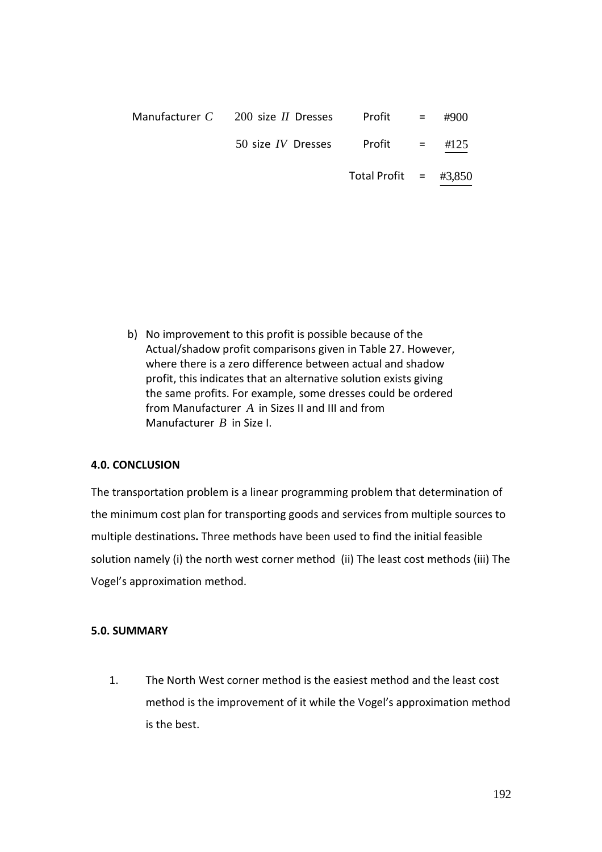| Manufacturer C 200 size II Dresses | $Profit =$               | #900 |
|------------------------------------|--------------------------|------|
| 50 size <i>IV</i> Dresses          | $Profit =$               | #125 |
|                                    | Total Profit = $\#3,850$ |      |

b) No improvement to this profit is possible because of the Actual/shadow profit comparisons given in Table 27. However, where there is a zero difference between actual and shadow profit, this indicates that an alternative solution exists giving the same profits. For example, some dresses could be ordered from Manufacturer *A* in Sizes II and III and from Manufacturer *B* in Size I.

#### **4.0. CONCLUSION**

The transportation problem is a linear programming problem that determination of the minimum cost plan for transporting goods and services from multiple sources to multiple destinations**.** Three methods have been used to find the initial feasible solution namely (i) the north west corner method (ii) The least cost methods (iii) The Vogel's approximation method.

#### **5.0. SUMMARY**

1. The North West corner method is the easiest method and the least cost method is the improvement of it while the Vogel's approximation method is the best.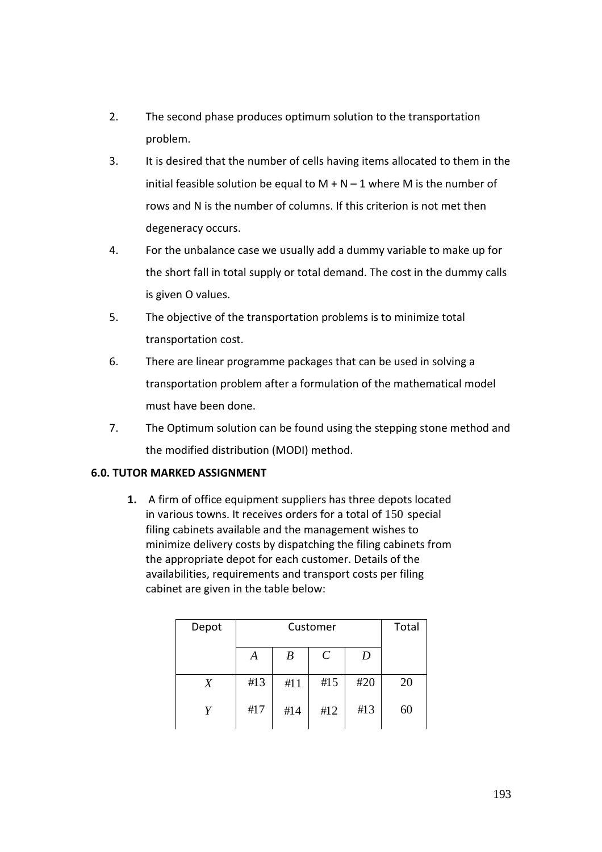- 2. The second phase produces optimum solution to the transportation problem.
- 3. It is desired that the number of cells having items allocated to them in the initial feasible solution be equal to  $M + N - 1$  where M is the number of rows and N is the number of columns. If this criterion is not met then degeneracy occurs.
- 4. For the unbalance case we usually add a dummy variable to make up for the short fall in total supply or total demand. The cost in the dummy calls is given O values.
- 5. The objective of the transportation problems is to minimize total transportation cost.
- 6. There are linear programme packages that can be used in solving a transportation problem after a formulation of the mathematical model must have been done.
- 7. The Optimum solution can be found using the stepping stone method and the modified distribution (MODI) method.

# **6.0. TUTOR MARKED ASSIGNMENT**

**1.** A firm of office equipment suppliers has three depots located in various towns. It receives orders for a total of 150 special filing cabinets available and the management wishes to minimize delivery costs by dispatching the filing cabinets from the appropriate depot for each customer. Details of the availabilities, requirements and transport costs per filing cabinet are given in the table below:

| Depot |     | Total |                       |     |    |
|-------|-----|-------|-----------------------|-----|----|
|       | A   | B     | $\mathcal{C}_{0}^{0}$ | D   |    |
| X     | #13 | #11   | #15                   | #20 | 20 |
| V     | #17 | #14   | #12                   | #13 | 60 |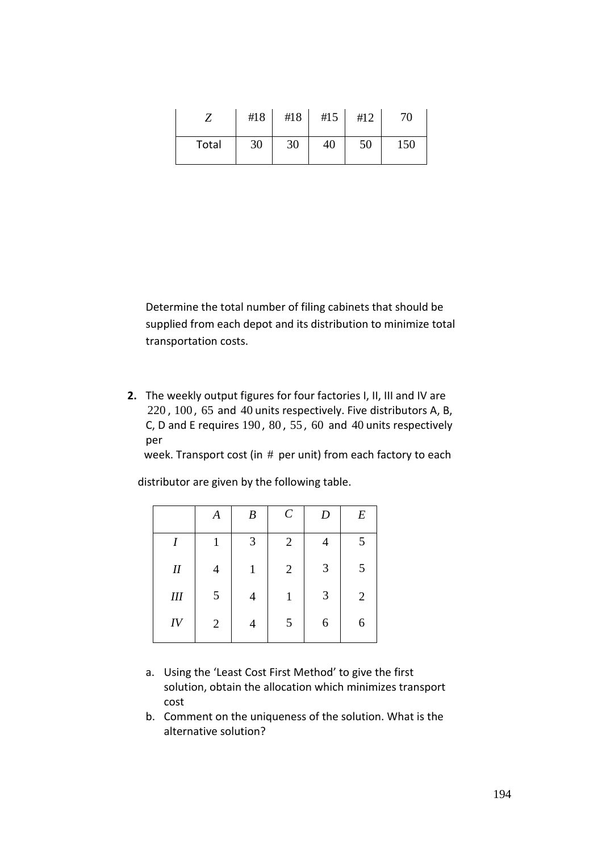|       | #18 | #18 | #15 | #12 | 70  |
|-------|-----|-----|-----|-----|-----|
| Total | 30  | 30  | 40  | 50  | 150 |

Determine the total number of filing cabinets that should be supplied from each depot and its distribution to minimize total transportation costs.

**2.** The weekly output figures for four factories I, II, III and IV are 220 , 100 , 65 and 40 units respectively. Five distributors A, B, C, D and E requires 190 , 80 , 55 , 60 and 40 units respectively per

week. Transport cost (in # per unit) from each factory to each

distributor are given by the following table.

|           | A              | $\boldsymbol{B}$ | $\cal C$       | $\boldsymbol{D}$ | $E\,$          |
|-----------|----------------|------------------|----------------|------------------|----------------|
| I         |                | 3                | $\overline{2}$ | 4                | 5              |
| $I\!I$    | $\overline{4}$ | 1                | $\mathbf{2}$   | 3                | 5              |
| $I\!I\!I$ | $\mathfrak{S}$ | 4                | 1              | $\mathfrak{Z}$   | $\overline{2}$ |
| IV        | $\mathbf{2}$   | 4                | 5              | 6                | 6              |

- a. Using the 'Least Cost First Method' to give the first solution, obtain the allocation which minimizes transport cost
- b. Comment on the uniqueness of the solution. What is the alternative solution?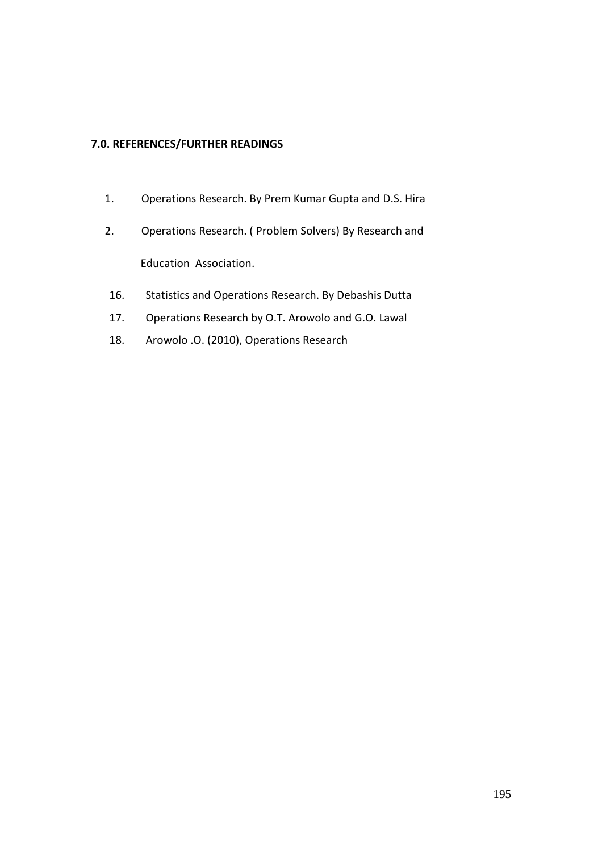## **7.0. REFERENCES/FURTHER READINGS**

- 1. Operations Research. By Prem Kumar Gupta and D.S. Hira
- 2. Operations Research. ( Problem Solvers) By Research and Education Association.
- 16. Statistics and Operations Research. By Debashis Dutta
- 17. Operations Research by O.T. Arowolo and G.O. Lawal
- 18. Arowolo .O. (2010), Operations Research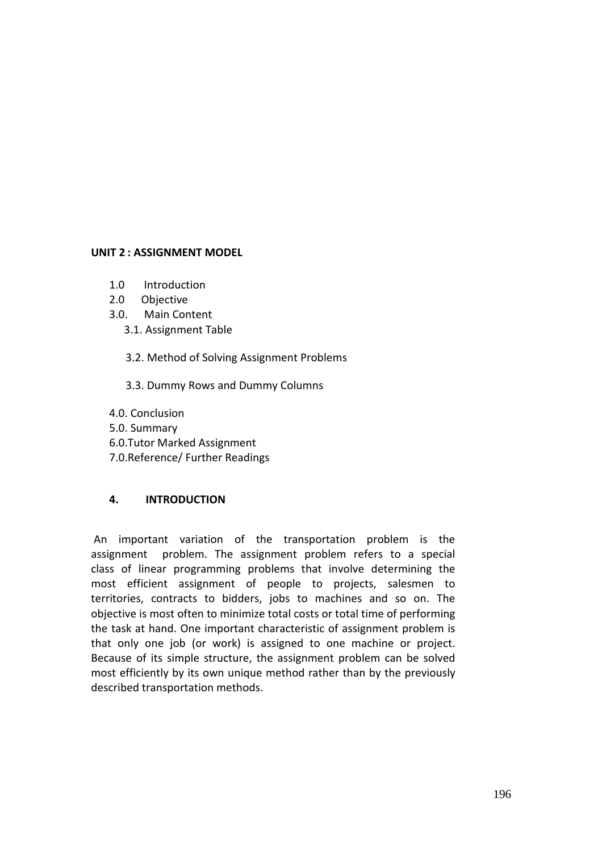## **UNIT 2 : ASSIGNMENT MODEL**

- 1.0 Introduction
- 2.0 Objective
- 3.0. Main Content
	- 3.1. Assignment Table
		- 3.2. Method of Solving Assignment Problems
		- 3.3. Dummy Rows and Dummy Columns
- 4.0. Conclusion 5.0. Summary 6.0.Tutor Marked Assignment 7.0.Reference/ Further Readings

# **4. INTRODUCTION**

 An important variation of the transportation problem is the assignment problem. The assignment problem refers to a special class of linear programming problems that involve determining the most efficient assignment of people to projects, salesmen to territories, contracts to bidders, jobs to machines and so on. The objective is most often to minimize total costs or total time of performing the task at hand. One important characteristic of assignment problem is that only one job (or work) is assigned to one machine or project. Because of its simple structure, the assignment problem can be solved most efficiently by its own unique method rather than by the previously described transportation methods.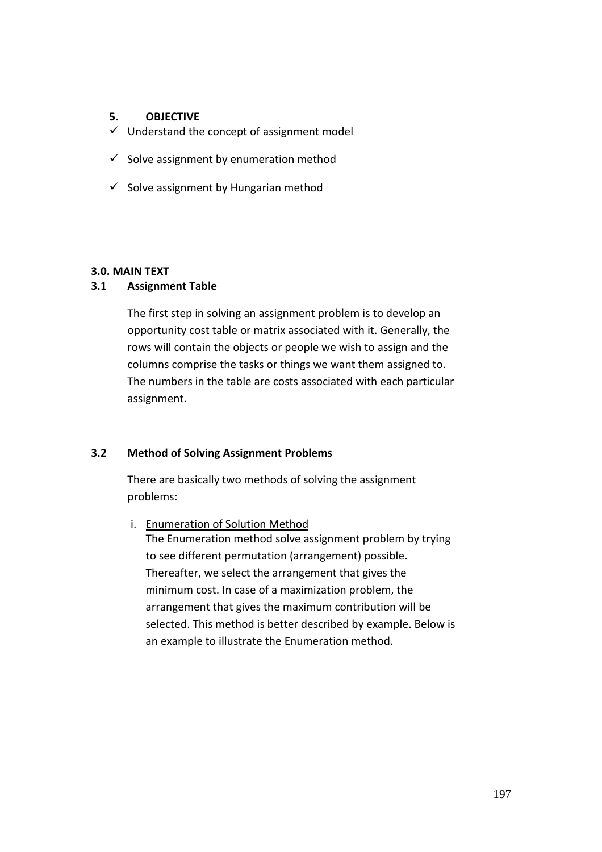#### **5. OBJECTIVE**

- $\checkmark$  Understand the concept of assignment model
- $\checkmark$  Solve assignment by enumeration method
- $\checkmark$  Solve assignment by Hungarian method

## **3.0. MAIN TEXT**

## **3.1 Assignment Table**

The first step in solving an assignment problem is to develop an opportunity cost table or matrix associated with it. Generally, the rows will contain the objects or people we wish to assign and the columns comprise the tasks or things we want them assigned to. The numbers in the table are costs associated with each particular assignment.

# **3.2 Method of Solving Assignment Problems**

There are basically two methods of solving the assignment problems:

i. Enumeration of Solution Method The Enumeration method solve assignment problem by trying to see different permutation (arrangement) possible. Thereafter, we select the arrangement that gives the minimum cost. In case of a maximization problem, the arrangement that gives the maximum contribution will be selected. This method is better described by example. Below is an example to illustrate the Enumeration method.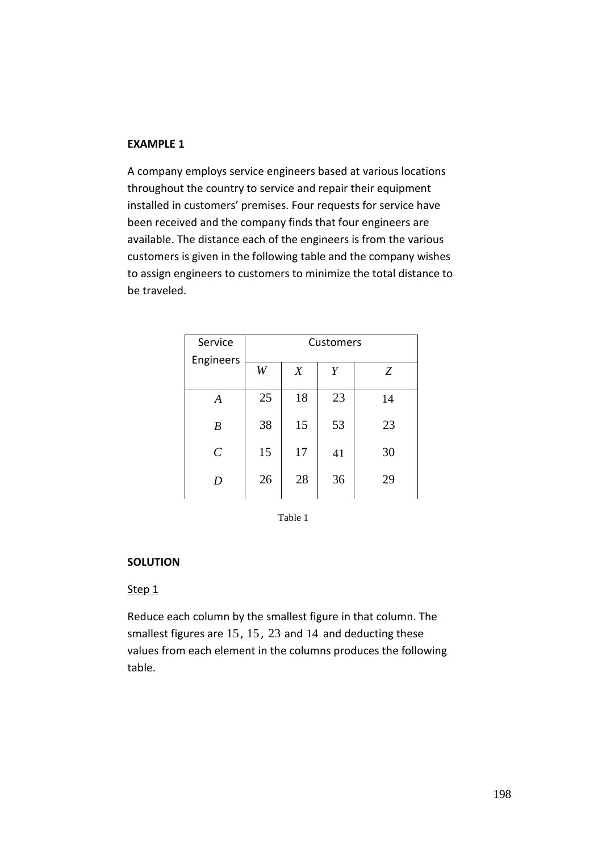#### **EXAMPLE 1**

A company employs service engineers based at various locations throughout the country to service and repair their equipment installed in customers' premises. Four requests for service have been received and the company finds that four engineers are available. The distance each of the engineers is from the various customers is given in the following table and the company wishes to assign engineers to customers to minimize the total distance to be traveled.

| Service          | Customers |    |    |    |  |
|------------------|-----------|----|----|----|--|
| Engineers        | W         | X  | Y  | Ζ  |  |
| $\boldsymbol{A}$ | 25        | 18 | 23 | 14 |  |
| B                | 38        | 15 | 53 | 23 |  |
| $\mathcal{C}$    | 15        | 17 | 41 | 30 |  |
| D                | 26        | 28 | 36 | 29 |  |

Table 1

#### **SOLUTION**

#### Step<sub>1</sub>

Reduce each column by the smallest figure in that column. The smallest figures are 15 , 15 , 23 and 14 and deducting these values from each element in the columns produces the following table.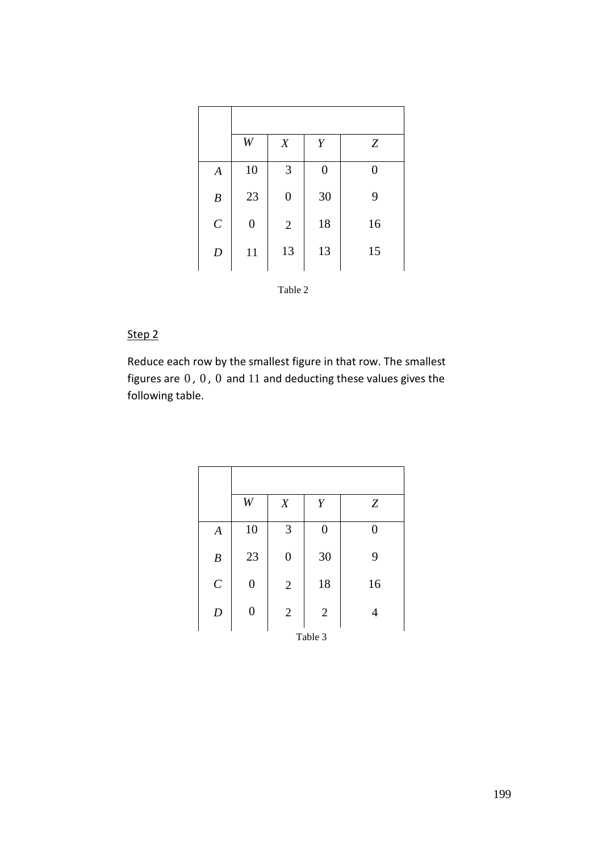|                  | W                | X                | Y                | Z  |
|------------------|------------------|------------------|------------------|----|
| $\boldsymbol{A}$ | 10               | 3                | $\boldsymbol{0}$ | 0  |
| $\boldsymbol{B}$ | 23               | $\boldsymbol{0}$ | 30               | 9  |
| $\cal C$         | $\boldsymbol{0}$ | $\mathbf{2}$     | 18               | 16 |
| $\boldsymbol{D}$ | 11               | 13               | 13               | 15 |

# Step 2

Reduce each row by the smallest figure in that row. The smallest figures are  $0$ ,  $0$ ,  $0$  and  $11$  and deducting these values gives the following table.

|                  | W                | $\boldsymbol{X}$ | Y                | Z  |  |  |
|------------------|------------------|------------------|------------------|----|--|--|
| $\boldsymbol{A}$ | 10               | 3                | $\boldsymbol{0}$ | 0  |  |  |
| $\boldsymbol{B}$ | 23               | $\boldsymbol{0}$ | 30               | 9  |  |  |
| $\boldsymbol{C}$ | $\boldsymbol{0}$ | $\overline{2}$   | 18               | 16 |  |  |
| $\boldsymbol{D}$ | $\boldsymbol{0}$ | $\overline{2}$   | $\mathbf{2}$     | 4  |  |  |
| Table 3          |                  |                  |                  |    |  |  |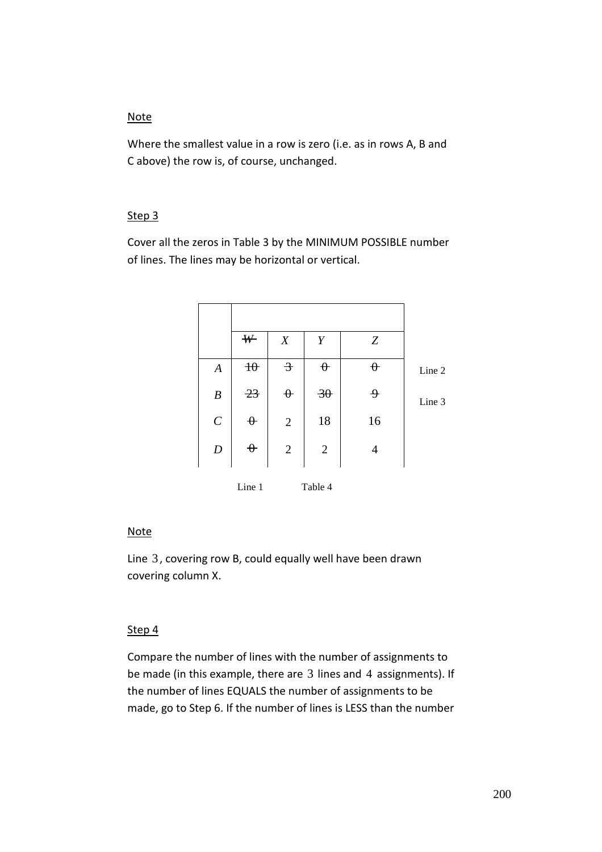#### Note

Where the smallest value in a row is zero (i.e. as in rows A, B and C above) the row is, of course, unchanged.

#### Step 3

Cover all the zeros in Table 3 by the MINIMUM POSSIBLE number of lines. The lines may be horizontal or vertical.

|                  | ₩              | $\boldsymbol{X}$ | Y               | $\boldsymbol{Z}$ |        |
|------------------|----------------|------------------|-----------------|------------------|--------|
| $\boldsymbol{A}$ | $\theta$       | $\rightarrow$    | $\theta$        | $\theta$         | Line 2 |
| $\boldsymbol{B}$ | $\frac{23}{5}$ | $\theta$         | $\overline{30}$ | 乎                | Line 3 |
| $\boldsymbol{C}$ | $\theta$       | $\overline{2}$   | 18              | 16               |        |
| $\boldsymbol{D}$ | $\theta$       | $\mathbf{2}$     | $\overline{2}$  | 4                |        |
|                  | Line 1         |                  | Table 4         |                  |        |

# **Note**

Line 3, covering row B, could equally well have been drawn covering column X.

# Step 4

Compare the number of lines with the number of assignments to be made (in this example, there are 3 lines and 4 assignments). If the number of lines EQUALS the number of assignments to be made, go to Step 6. If the number of lines is LESS than the number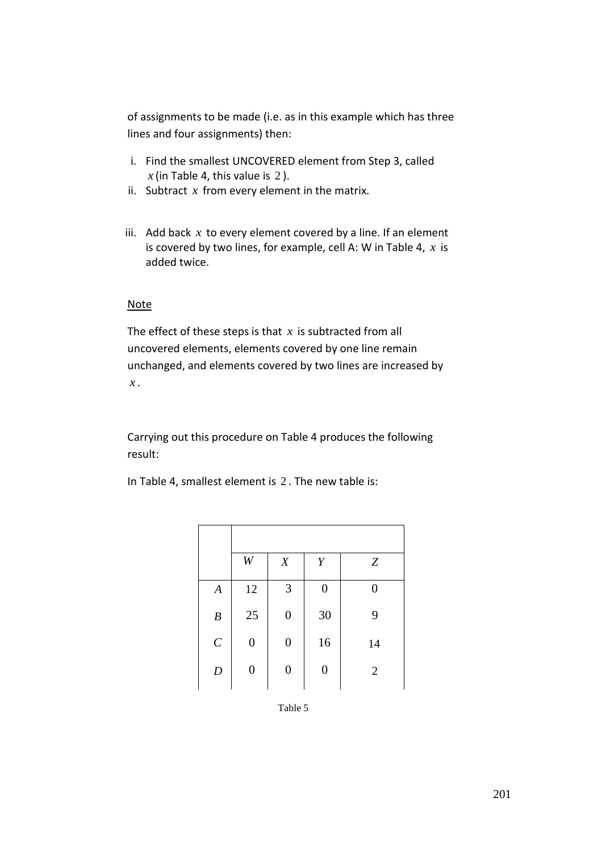of assignments to be made (i.e. as in this example which has three lines and four assignments) then:

- i. Find the smallest UNCOVERED element from Step 3, called  $x$  (in Table 4, this value is 2).
- ii. Subtract *x* from every element in the matrix.
- iii. Add back  $x$  to every element covered by a line. If an element is covered by two lines, for example, cell A: W in Table 4, *x* is added twice.

#### Note

The effect of these steps is that *x* is subtracted from all uncovered elements, elements covered by one line remain unchanged, and elements covered by two lines are increased by *x* .

Carrying out this procedure on Table 4 produces the following result:

In Table 4, smallest element is 2 . The new table is:

|                  | W                | X                | Y                | Z              |
|------------------|------------------|------------------|------------------|----------------|
| $\boldsymbol{A}$ | 12               | 3                | 0                | 0              |
| $\boldsymbol{B}$ | 25               | $\boldsymbol{0}$ | 30               | 9              |
| $\boldsymbol{C}$ | $\boldsymbol{0}$ | $\boldsymbol{0}$ | 16               | 14             |
| $\boldsymbol{D}$ | $\boldsymbol{0}$ | $\boldsymbol{0}$ | $\boldsymbol{0}$ | $\overline{2}$ |

Table 5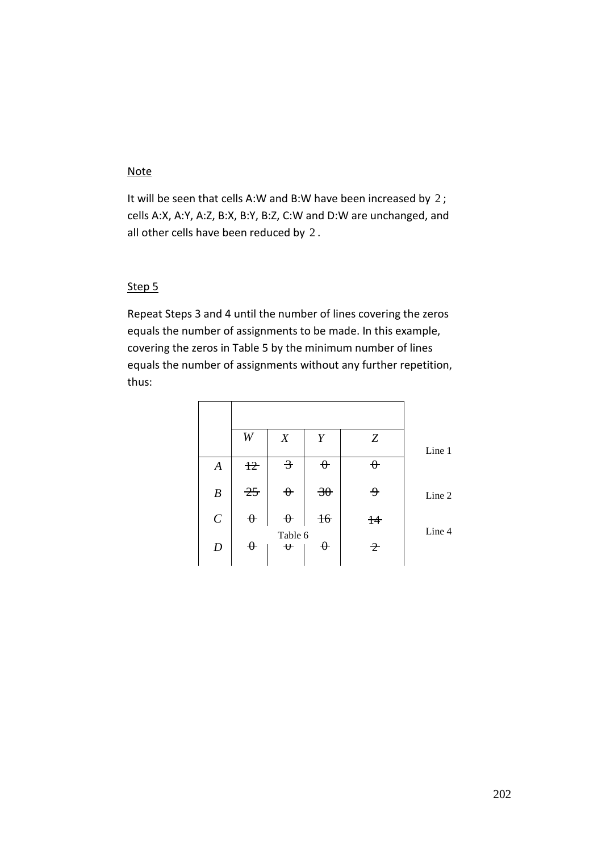# Note

It will be seen that cells A:W and B:W have been increased by 2; cells A:X, A:Y, A:Z, B:X, B:Y, B:Z, C:W and D:W are unchanged, and all other cells have been reduced by 2 .

#### Step 5

Repeat Steps 3 and 4 until the number of lines covering the zeros equals the number of assignments to be made. In this example, covering the zeros in Table 5 by the minimum number of lines equals the number of assignments without any further repetition, thus:

|                  | W          | X                                                              | Y               | Z            | Line 1 |
|------------------|------------|----------------------------------------------------------------|-----------------|--------------|--------|
| $\boldsymbol{A}$ | $\ddagger$ | $\overline{\mathcal{F}}$                                       | $\theta$        | $\theta$     |        |
| $\boldsymbol{B}$ | 25         | $\theta$                                                       | $\overline{30}$ | <del>9</del> | Line 2 |
| $\mathcal{C}$    | $\theta$   | $\theta$                                                       | $+6$            | $\ddagger$   | Line 4 |
| $\boldsymbol{D}$ | $\theta$   | Table 6<br>$\mathbf{\mathbf{\mathbf{\mathbf{\mathbf{\Psi}}}}}$ | $\theta$        | $\hat{z}$    |        |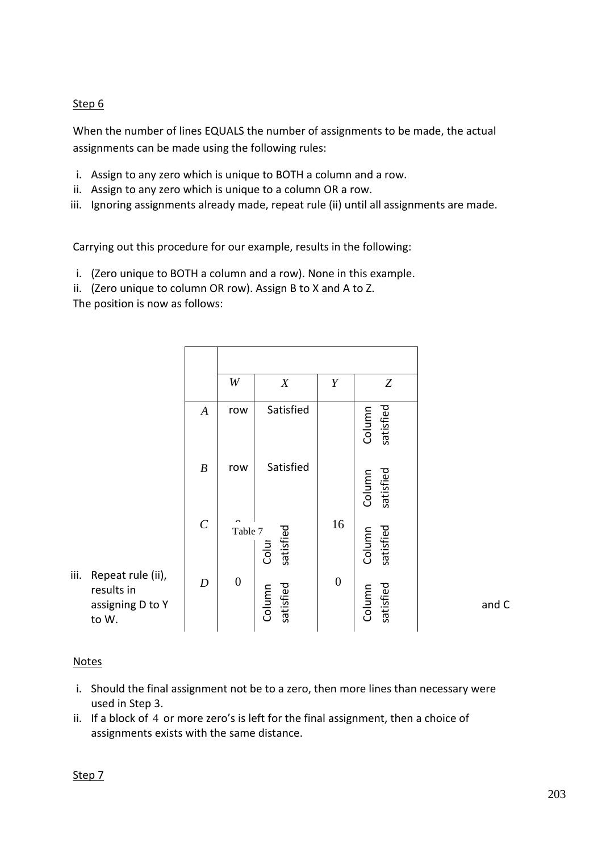# Step 6

When the number of lines EQUALS the number of assignments to be made, the actual assignments can be made using the following rules:

- i. Assign to any zero which is unique to BOTH a column and a row.
- ii. Assign to any zero which is unique to a column OR a row.
- iii. Ignoring assignments already made, repeat rule (ii) until all assignments are made.

Carrying out this procedure for our example, results in the following:

- i. (Zero unique to BOTH a column and a row). None in this example.
- ii. (Zero unique to column OR row). Assign B to X and A to Z.

The position is now as follows:

|                                                                      |                  | W                | X                   | Y                | Z                   |       |
|----------------------------------------------------------------------|------------------|------------------|---------------------|------------------|---------------------|-------|
|                                                                      | $\boldsymbol{A}$ | row              | Satisfied           |                  | satisfied<br>Column |       |
|                                                                      | $\boldsymbol{B}$ | row              | Satisfied           |                  | satisfied<br>Column |       |
|                                                                      | $\cal C$         | Table 7          | satisfied<br>Colur  | 16               | Column<br>satisfied |       |
| iii.<br>Repeat rule (ii),<br>results in<br>assigning D to Y<br>to W. | $\boldsymbol{D}$ | $\boldsymbol{0}$ | satisfied<br>Column | $\boldsymbol{0}$ | satisfied<br>Column | and C |

#### Notes

- i. Should the final assignment not be to a zero, then more lines than necessary were used in Step 3.
- ii. If a block of 4 or more zero's is left for the final assignment, then a choice of assignments exists with the same distance.

Step 7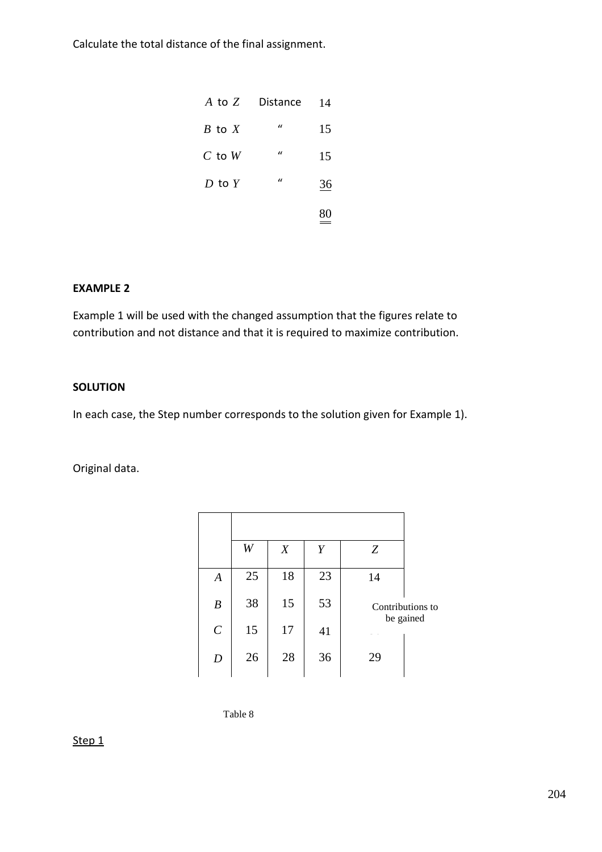Calculate the total distance of the final assignment.

| A to Z     | Distance     | 14 |
|------------|--------------|----|
| $B$ to $X$ | $\iota$      | 15 |
| $C$ to $W$ | $\iota$      | 15 |
| $D$ to $Y$ | $\mathbf{u}$ | 36 |
|            |              |    |

## **EXAMPLE 2**

Example 1 will be used with the changed assumption that the figures relate to contribution and not distance and that it is required to maximize contribution.

#### **SOLUTION**

In each case, the Step number corresponds to the solution given for Example 1).

Original data.

| Contributions to |
|------------------|
| be gained        |
|                  |
|                  |

Table 8

# Step<sub>1</sub>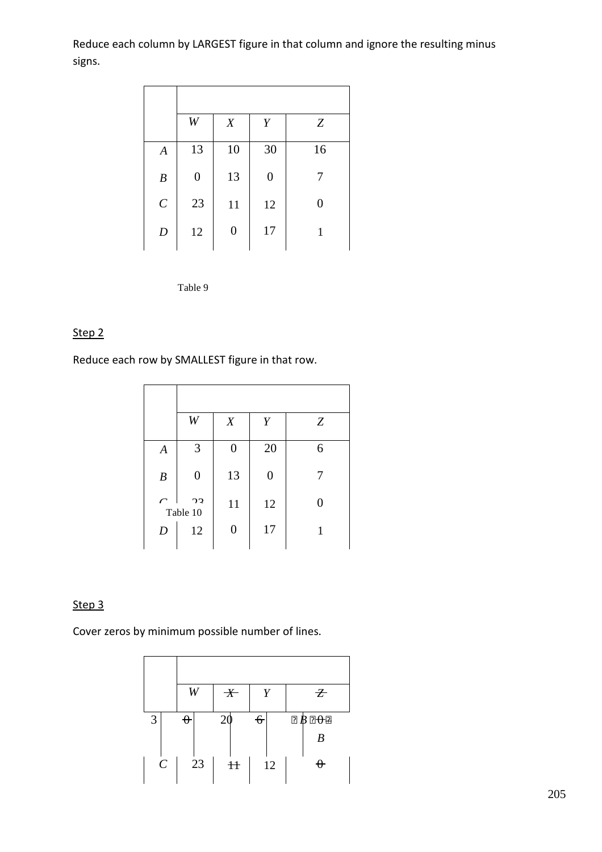Reduce each column by LARGEST figure in that column and ignore the resulting minus signs.

|                  | W                | X                | Y                | Z                |
|------------------|------------------|------------------|------------------|------------------|
| $\boldsymbol{A}$ | 13               | 10               | 30               | 16               |
| $\boldsymbol{B}$ | $\boldsymbol{0}$ | 13               | $\boldsymbol{0}$ | 7                |
| $\cal C$         | 23               | 11               | 12               | $\boldsymbol{0}$ |
| $\boldsymbol{D}$ | 12               | $\boldsymbol{0}$ | 17               | 1                |

Table 9

# Step 2

Reduce each row by SMALLEST figure in that row.

|                    | W                          | X                | Y                | Z                |
|--------------------|----------------------------|------------------|------------------|------------------|
| $\boldsymbol{A}$   | 3                          | 0                | 20               | 6                |
| $\boldsymbol{B}$   | $\boldsymbol{0}$           | 13               | $\boldsymbol{0}$ | 7                |
| $\curvearrowright$ | 2 <sub>2</sub><br>Table 10 | 11               | 12               | $\boldsymbol{0}$ |
| $\boldsymbol{D}$   | 12                         | $\boldsymbol{0}$ | 17               | 1                |
|                    |                            |                  |                  |                  |

# Step 3

Cover zeros by minimum possible number of lines.

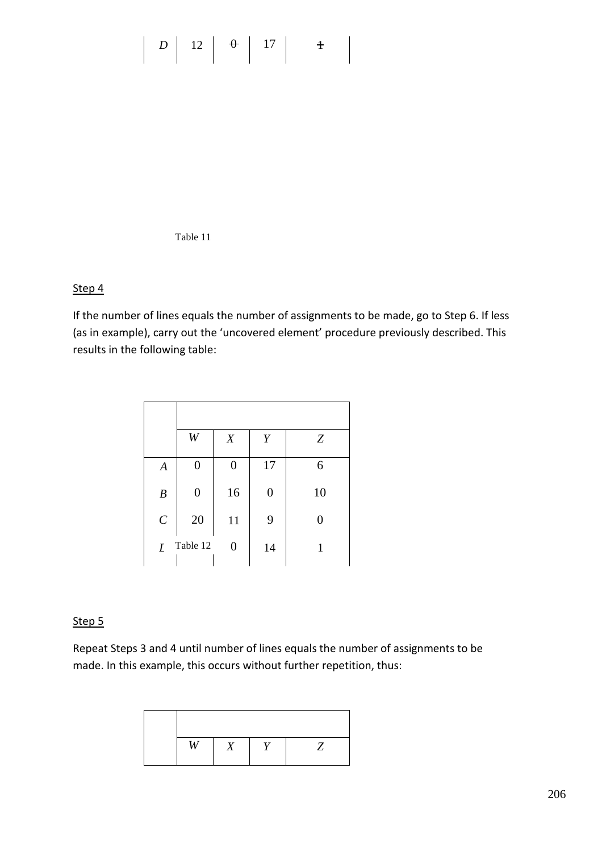# $\begin{array}{|c|c|c|c|c|c|} \hline \end{array}$  *D* | 12 |  $\theta$  | 17 |  $\theta$

Table 11

# Step 4

If the number of lines equals the number of assignments to be made, go to Step 6. If less (as in example), carry out the 'uncovered element' procedure previously described. This results in the following table:

|                  | W                | X                | Y                | Z  |
|------------------|------------------|------------------|------------------|----|
| $\overline{A}$   | 0                | $\overline{0}$   | 17               | 6  |
| $\boldsymbol{B}$ | $\boldsymbol{0}$ | 16               | $\boldsymbol{0}$ | 10 |
| $\cal C$         | 20               | 11               | 9                | 0  |
| I                | Table 12         | $\boldsymbol{0}$ | 14               | 1  |

## Step 5

Repeat Steps 3 and 4 until number of lines equals the number of assignments to be made. In this example, this occurs without further repetition, thus:

| <b>TT7</b> |  |  |
|------------|--|--|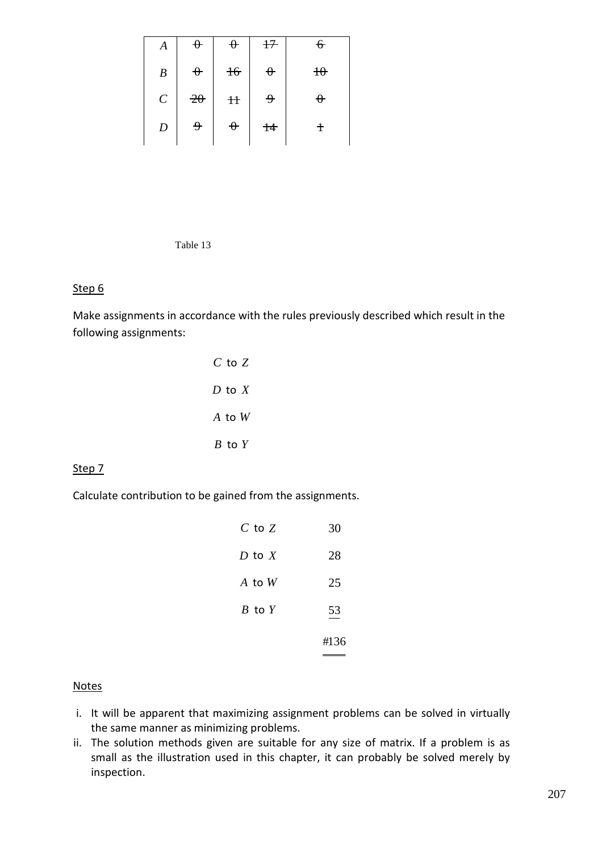| Α                     | $\theta$        | $\theta$              | $+7$         | $\epsilon$ |
|-----------------------|-----------------|-----------------------|--------------|------------|
| $\boldsymbol{B}$      | $\theta$        | $+6$                  | $\theta$     | $\theta$   |
| $\mathcal{C}_{0}^{0}$ | $\overline{20}$ | H                     | <del>۹</del> | ↔          |
| $\boldsymbol{D}$      | و               | $\boldsymbol{\theta}$ | $+4$         | t          |
|                       |                 |                       |              |            |

Table 13

## Step 6

Make assignments in accordance with the rules previously described which result in the following assignments:

| $\emph{C}$ to $\emph{Z}$ |  |
|--------------------------|--|
| $D$ to $X$               |  |
| $A$ to $W$               |  |
| $B$ to $Y$               |  |

#### Step 7

Calculate contribution to be gained from the assignments.

|            | #136 |
|------------|------|
| $B$ to $Y$ | 53   |
| $A$ to $W$ | 25   |
| $D$ to $X$ | 28   |
| $C$ to $Z$ | 30   |

#### **Notes**

- i. It will be apparent that maximizing assignment problems can be solved in virtually the same manner as minimizing problems.
- ii. The solution methods given are suitable for any size of matrix. If a problem is as small as the illustration used in this chapter, it can probably be solved merely by inspection.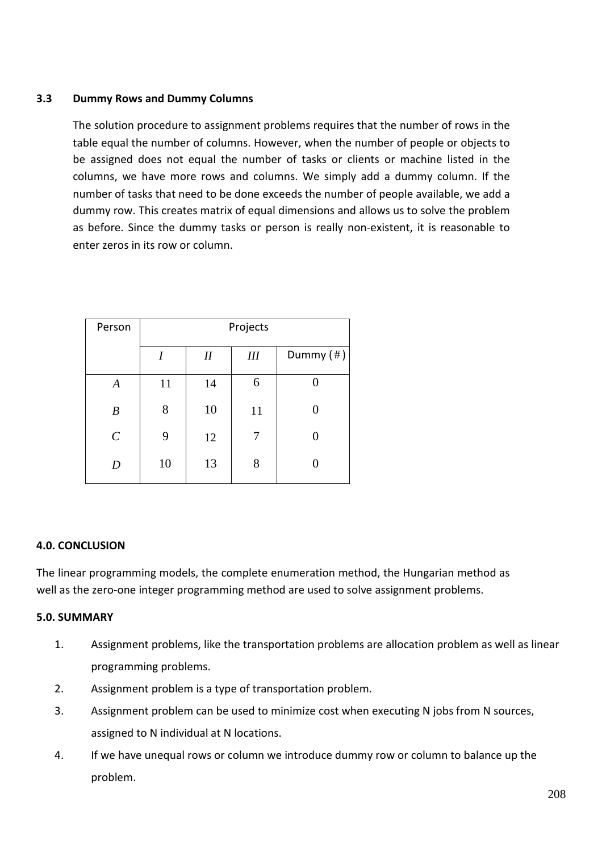# **3.3 Dummy Rows and Dummy Columns**

The solution procedure to assignment problems requires that the number of rows in the table equal the number of columns. However, when the number of people or objects to be assigned does not equal the number of tasks or clients or machine listed in the columns, we have more rows and columns. We simply add a dummy column. If the number of tasks that need to be done exceeds the number of people available, we add a dummy row. This creates matrix of equal dimensions and allows us to solve the problem as before. Since the dummy tasks or person is really non-existent, it is reasonable to enter zeros in its row or column.

| Person                | Projects |    |     |                 |  |
|-----------------------|----------|----|-----|-----------------|--|
|                       | I        | I  | III | Dummy $($ # $)$ |  |
| $\boldsymbol{A}$      | 11       | 14 | 6   |                 |  |
| $\boldsymbol{B}$      | 8        | 10 | 11  |                 |  |
| $\mathcal{C}_{0}^{0}$ | 9        | 12 | 7   |                 |  |
| D                     | 10       | 13 | 8   |                 |  |

#### **4.0. CONCLUSION**

The linear programming models, the complete enumeration method, the Hungarian method as well as the zero-one integer programming method are used to solve assignment problems.

# **5.0. SUMMARY**

- 1. Assignment problems, like the transportation problems are allocation problem as well as linear programming problems.
- 2. Assignment problem is a type of transportation problem.
- 3. Assignment problem can be used to minimize cost when executing N jobs from N sources, assigned to N individual at N locations.
- 4. If we have unequal rows or column we introduce dummy row or column to balance up the problem.